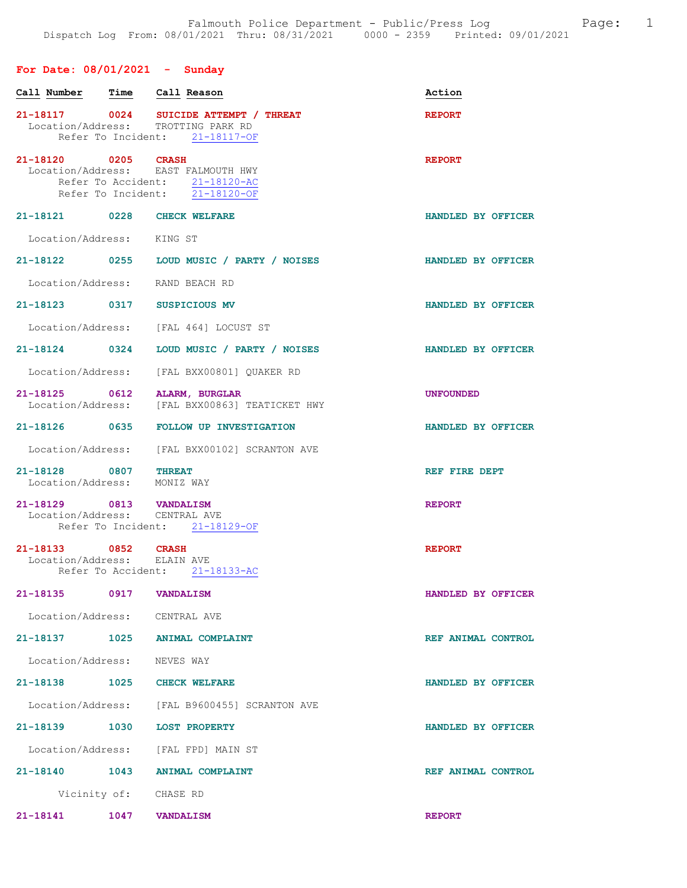## For Date: 08/01/2021 - Sunday

| Call Number |                                                          | Time Call Reason                                                                                               | Action             |
|-------------|----------------------------------------------------------|----------------------------------------------------------------------------------------------------------------|--------------------|
|             |                                                          | 21-18117 0024 SUICIDE ATTEMPT / THREAT<br>Location/Address: TROTTING PARK RD<br>Refer To Incident: 21-18117-OF | <b>REPORT</b>      |
|             | 21-18120 0205 CRASH                                      | Location/Address: EAST FALMOUTH HWY<br>Refer To Accident: 21-18120-AC<br>Refer To Incident: 21-18120-OF        | <b>REPORT</b>      |
|             |                                                          | 21-18121 0228 CHECK WELFARE                                                                                    | HANDLED BY OFFICER |
|             | Location/Address: KING ST                                |                                                                                                                |                    |
|             |                                                          | 21-18122 0255 LOUD MUSIC / PARTY / NOISES                                                                      | HANDLED BY OFFICER |
|             |                                                          | Location/Address: RAND BEACH RD                                                                                |                    |
|             |                                                          | 21-18123 0317 SUSPICIOUS MV                                                                                    | HANDLED BY OFFICER |
|             |                                                          | Location/Address: [FAL 464] LOCUST ST                                                                          |                    |
|             |                                                          | 21-18124  0324  LOUD MUSIC / PARTY / NOISES                                                                    | HANDLED BY OFFICER |
|             |                                                          | Location/Address: [FAL BXX00801] QUAKER RD                                                                     |                    |
|             |                                                          | 21-18125 0612 ALARM, BURGLAR<br>Location/Address: [FAL BXX00863] TEATICKET HWY                                 | <b>UNFOUNDED</b>   |
|             |                                                          | 21-18126 0635 FOLLOW UP INVESTIGATION                                                                          | HANDLED BY OFFICER |
|             |                                                          | Location/Address: [FAL BXX00102] SCRANTON AVE                                                                  |                    |
|             | 21-18128 0807 THREAT<br>Location/Address: MONIZ WAY      |                                                                                                                | REF FIRE DEPT      |
|             | 21-18129 0813 VANDALISM<br>Location/Address: CENTRAL AVE | Refer To Incident: 21-18129-OF                                                                                 | <b>REPORT</b>      |
|             | 21-18133 0852 CRASH<br>Location/Address: ELAIN AVE       | Refer To Accident: 21-18133-AC                                                                                 | <b>REPORT</b>      |
| 21-18135    | 0917                                                     | <b>VANDALISM</b>                                                                                               | HANDLED BY OFFICER |
|             | Location/Address: CENTRAL AVE                            |                                                                                                                |                    |
|             |                                                          | 21-18137 1025 ANIMAL COMPLAINT                                                                                 | REF ANIMAL CONTROL |
|             | Location/Address: NEVES WAY                              |                                                                                                                |                    |
|             |                                                          | 21-18138 1025 CHECK WELFARE                                                                                    | HANDLED BY OFFICER |
|             |                                                          | Location/Address: [FAL B9600455] SCRANTON AVE                                                                  |                    |
|             |                                                          | 21-18139 1030 LOST PROPERTY                                                                                    | HANDLED BY OFFICER |
|             |                                                          | Location/Address: [FAL FPD] MAIN ST                                                                            |                    |
|             |                                                          | 21-18140 1043 ANIMAL COMPLAINT                                                                                 | REF ANIMAL CONTROL |
|             | Vicinity of: CHASE RD                                    |                                                                                                                |                    |
|             | 21-18141 1047 VANDALISM                                  |                                                                                                                | <b>REPORT</b>      |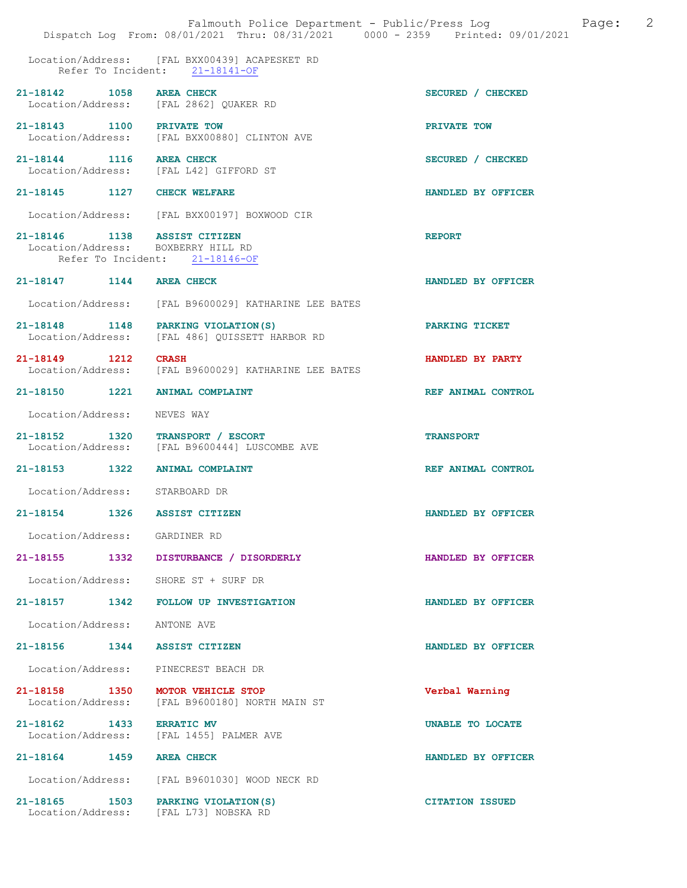|                                                                    | Falmouth Police Department - Public/Press Log<br>Dispatch Log From: 08/01/2021 Thru: 08/31/2021 0000 - 2359 Printed: 09/01/2021 | 2<br>Page:             |
|--------------------------------------------------------------------|---------------------------------------------------------------------------------------------------------------------------------|------------------------|
|                                                                    | Location/Address: [FAL BXX00439] ACAPESKET RD<br>Refer To Incident: 21-18141-OF                                                 |                        |
| 21-18142 1058                                                      | <b>AREA CHECK</b><br>Location/Address: [FAL 2862] QUAKER RD                                                                     | SECURED / CHECKED      |
| 21-18143 1100 PRIVATE TOW                                          | Location/Address: [FAL BXX00880] CLINTON AVE                                                                                    | PRIVATE TOW            |
| 21-18144 1116 AREA CHECK                                           | Location/Address: [FAL L42] GIFFORD ST                                                                                          | SECURED / CHECKED      |
| 21-18145 1127                                                      | <b>CHECK WELFARE</b>                                                                                                            | HANDLED BY OFFICER     |
|                                                                    | Location/Address: [FAL BXX00197] BOXWOOD CIR                                                                                    |                        |
| 21-18146 1138 ASSIST CITIZEN<br>Location/Address: BOXBERRY HILL RD | Refer To Incident: 21-18146-OF                                                                                                  | <b>REPORT</b>          |
| 21-18147 1144                                                      | <b>AREA CHECK</b>                                                                                                               | HANDLED BY OFFICER     |
|                                                                    | Location/Address: [FAL B9600029] KATHARINE LEE BATES                                                                            |                        |
| 21-18148 1148 PARKING VIOLATION (S)                                | Location/Address: [FAL 486] QUISSETT HARBOR RD                                                                                  | PARKING TICKET         |
| 21-18149 1212                                                      | <b>CRASH</b><br>Location/Address: [FAL B9600029] KATHARINE LEE BATES                                                            | HANDLED BY PARTY       |
| 21-18150 1221                                                      | <b>ANIMAL COMPLAINT</b>                                                                                                         | REF ANIMAL CONTROL     |
| Location/Address:                                                  | NEVES WAY                                                                                                                       |                        |
| 21-18152 1320<br>Location/Address:                                 | TRANSPORT / ESCORT<br>[FAL B9600444] LUSCOMBE AVE                                                                               | <b>TRANSPORT</b>       |
| 21-18153 1322                                                      | <b>ANIMAL COMPLAINT</b>                                                                                                         | REF ANIMAL CONTROL     |
| Location/Address: STARBOARD DR                                     |                                                                                                                                 |                        |
| 21-18154<br>1326                                                   | <b>ASSIST CITIZEN</b>                                                                                                           | HANDLED BY OFFICER     |
| Location/Address: GARDINER RD                                      |                                                                                                                                 |                        |
|                                                                    | 21-18155 1332 DISTURBANCE / DISORDERLY                                                                                          | HANDLED BY OFFICER     |
| Location/Address:                                                  | SHORE ST + SURF DR                                                                                                              |                        |
| $21 - 18157$<br>1342                                               | FOLLOW UP INVESTIGATION                                                                                                         | HANDLED BY OFFICER     |
| Location/Address:                                                  | ANTONE AVE                                                                                                                      |                        |
| 21-18156 1344 ASSIST CITIZEN                                       |                                                                                                                                 | HANDLED BY OFFICER     |
| Location/Address: PINECREST BEACH DR                               |                                                                                                                                 |                        |
| 21-18158 1350<br>Location/Address:                                 | MOTOR VEHICLE STOP<br>[FAL B9600180] NORTH MAIN ST                                                                              | Verbal Warning         |
| 21-18162 1433<br>Location/Address:                                 | <b>ERRATIC MV</b><br>[FAL 1455] PALMER AVE                                                                                      | UNABLE TO LOCATE       |
| 21-18164 1459 AREA CHECK                                           |                                                                                                                                 | HANDLED BY OFFICER     |
|                                                                    | Location/Address: [FAL B9601030] WOOD NECK RD                                                                                   |                        |
| 21-18165 1503<br>Location/Address: [FAL L73] NOBSKA RD             | PARKING VIOLATION (S)                                                                                                           | <b>CITATION ISSUED</b> |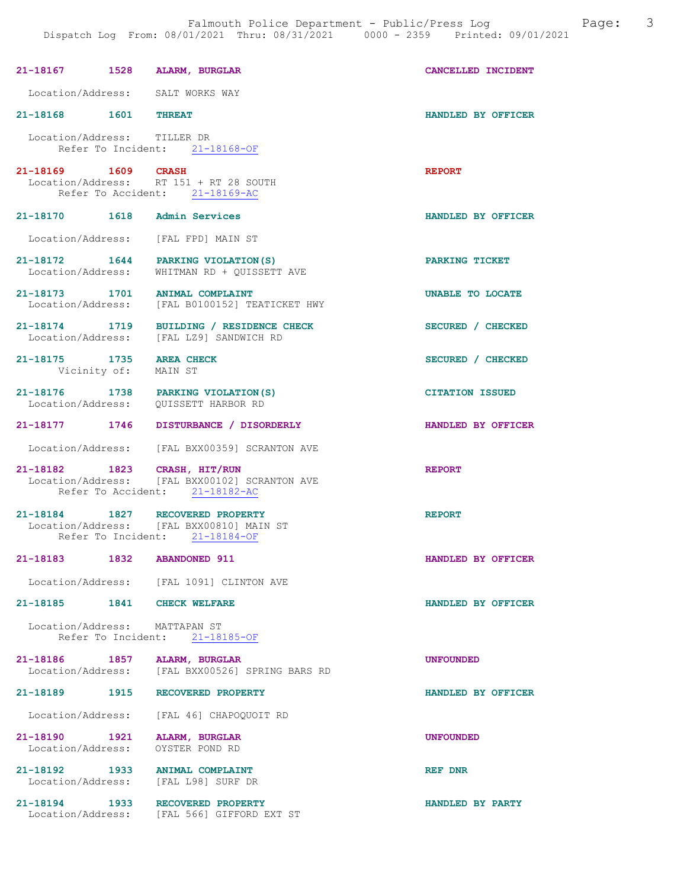| 21-18167 1528 ALARM, BURGLAR                     |                                                                                                                                  | CANCELLED INCIDENT     |
|--------------------------------------------------|----------------------------------------------------------------------------------------------------------------------------------|------------------------|
|                                                  | Location/Address: SALT WORKS WAY                                                                                                 |                        |
| 21-18168 1601 THREAT                             |                                                                                                                                  | HANDLED BY OFFICER     |
| Location/Address: TILLER DR                      | Refer To Incident: 21-18168-OF                                                                                                   |                        |
| 21-18169 1609 CRASH                              | Location/Address: RT 151 + RT 28 SOUTH<br>Refer To Accident: 21-18169-AC                                                         | <b>REPORT</b>          |
| 21-18170   1618   Admin Services                 |                                                                                                                                  | HANDLED BY OFFICER     |
|                                                  | Location/Address: [FAL FPD] MAIN ST                                                                                              |                        |
|                                                  | 21-18172 1644 PARKING VIOLATION (S)<br>Location/Address: WHITMAN RD + QUISSETT AVE                                               | PARKING TICKET         |
|                                                  | $21-18173 \qquad \qquad 1701 \qquad \qquad {\small \texttt{ANIMAL COMPLAINT}}$<br>Location/Address: [FAL B0100152] TEATICKET HWY | UNABLE TO LOCATE       |
|                                                  | 21-18174 1719 BUILDING / RESIDENCE CHECK<br>Location/Address: [FAL LZ9] SANDWICH RD                                              | SECURED / CHECKED      |
| 21-18175 1735 AREA CHECK<br>Vicinity of: MAIN ST |                                                                                                                                  | SECURED / CHECKED      |
|                                                  | 21-18176 1738 PARKING VIOLATION(S)<br>Location/Address: QUISSETT HARBOR RD                                                       | <b>CITATION ISSUED</b> |
|                                                  | 21-18177 1746 DISTURBANCE / DISORDERLY                                                                                           | HANDLED BY OFFICER     |
|                                                  | Location/Address: [FAL BXX00359] SCRANTON AVE                                                                                    |                        |
|                                                  | 21-18182 1823 CRASH, HIT/RUN<br>Location/Address: [FAL BXX00102] SCRANTON AVE<br>Refer To Accident: 21-18182-AC                  | <b>REPORT</b>          |
|                                                  | 21-18184 1827 RECOVERED PROPERTY<br>Location/Address: [FAL BXX00810] MAIN ST<br>Refer To Incident: 21-18184-OF                   | <b>REPORT</b>          |
| 21-18183 1832 ABANDONED 911                      |                                                                                                                                  | HANDLED BY OFFICER     |
|                                                  | Location/Address: [FAL 1091] CLINTON AVE                                                                                         |                        |
| 21-18185 1841 CHECK WELFARE                      |                                                                                                                                  | HANDLED BY OFFICER     |
| Location/Address: MATTAPAN ST                    | Refer To Incident: 21-18185-OF                                                                                                   |                        |
| 21-18186 1857 ALARM, BURGLAR                     | Location/Address: [FAL BXX00526] SPRING BARS RD                                                                                  | <b>UNFOUNDED</b>       |
|                                                  | 21-18189 1915 RECOVERED PROPERTY                                                                                                 | HANDLED BY OFFICER     |
|                                                  | Location/Address: [FAL 46] CHAPOQUOIT RD                                                                                         |                        |
| 21-18190 1921 ALARM, BURGLAR                     | Location/Address: OYSTER POND RD                                                                                                 | <b>UNFOUNDED</b>       |
|                                                  | 21-18192    1933    ANIMAL COMPLAINT<br>Location/Address: [FAL L98] SURF DR                                                      | <b>REF DNR</b>         |
|                                                  | 21-18194 1933 RECOVERED PROPERTY<br>Location/Address: [FAL 566] GIFFORD EXT ST                                                   | HANDLED BY PARTY       |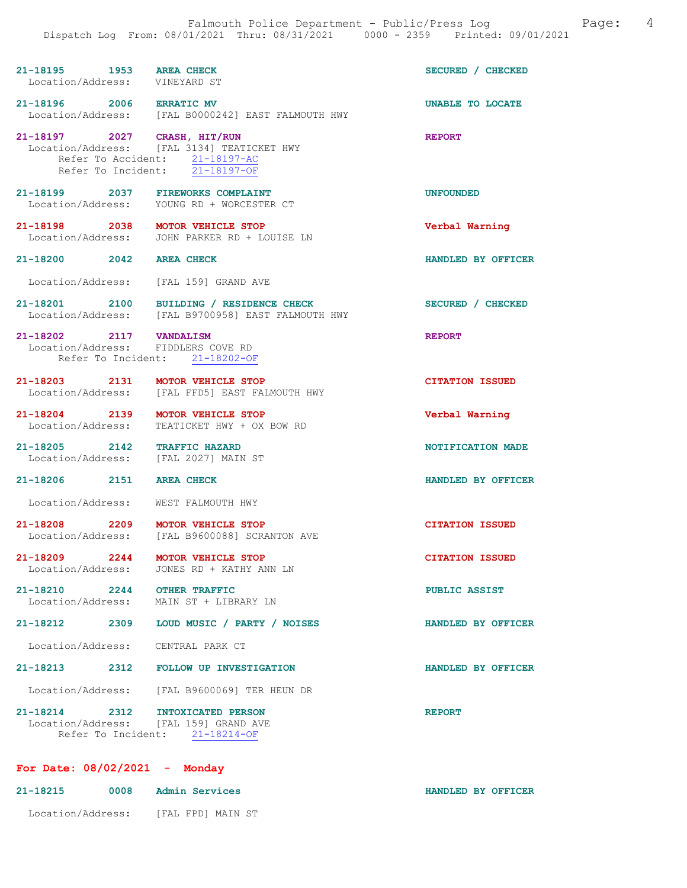| 21-18195 1953 AREA CHECK<br>Location/Address: VINEYARD ST            |                                                                                                                | SECURED / CHECKED       |
|----------------------------------------------------------------------|----------------------------------------------------------------------------------------------------------------|-------------------------|
|                                                                      | 21-18196 2006 ERRATIC MV<br>Location/Address: [FAL B0000242] EAST FALMOUTH HWY                                 | <b>UNABLE TO LOCATE</b> |
| 21-18197 2027 CRASH, HIT/RUN                                         | Location/Address: [FAL 3134] TEATICKET HWY<br>Refer To Accident: 21-18197-AC<br>Refer To Incident: 21-18197-OF | <b>REPORT</b>           |
| 21-18199 2037 FIREWORKS COMPLAINT                                    | Location/Address: YOUNG RD + WORCESTER CT                                                                      | <b>UNFOUNDED</b>        |
| 21-18198 2038 MOTOR VEHICLE STOP                                     | Location/Address: JOHN PARKER RD + LOUISE LN                                                                   | Verbal Warning          |
| 21-18200 2042 AREA CHECK                                             |                                                                                                                | HANDLED BY OFFICER      |
| Location/Address: [FAL 159] GRAND AVE                                |                                                                                                                |                         |
|                                                                      | 21-18201 2100 BUILDING / RESIDENCE CHECK<br>Location/Address: [FAL B9700958] EAST FALMOUTH HWY                 | SECURED / CHECKED       |
| 21-18202 2117 VANDALISM<br>Location/Address: FIDDLERS COVE RD        | Refer To Incident: 21-18202-OF                                                                                 | <b>REPORT</b>           |
| 21-18203 2131                                                        | MOTOR VEHICLE STOP<br>Location/Address: [FAL FFD5] EAST FALMOUTH HWY                                           | <b>CITATION ISSUED</b>  |
| 21-18204 2139 MOTOR VEHICLE STOP<br>Location/Address:                | TEATICKET HWY + OX BOW RD                                                                                      | Verbal Warning          |
| 21-18205 2142 TRAFFIC HAZARD<br>Location/Address: [FAL 2027] MAIN ST |                                                                                                                | NOTIFICATION MADE       |
| 21-18206 2151                                                        |                                                                                                                |                         |
|                                                                      | <b>AREA CHECK</b>                                                                                              | HANDLED BY OFFICER      |
| Location/Address: WEST FALMOUTH HWY                                  |                                                                                                                |                         |
| 21-18208 2209                                                        | MOTOR VEHICLE STOP<br>Location/Address: [FAL B9600088] SCRANTON AVE                                            | <b>CITATION ISSUED</b>  |
| 21-18209 2244 MOTOR VEHICLE STOP                                     | Location/Address: JONES RD + KATHY ANN LN                                                                      | <b>CITATION ISSUED</b>  |
| 21-18210 2244 OTHER TRAFFIC                                          | Location/Address: MAIN ST + LIBRARY LN                                                                         | <b>PUBLIC ASSIST</b>    |
| 21-18212 2309                                                        | LOUD MUSIC / PARTY / NOISES                                                                                    | HANDLED BY OFFICER      |
| Location/Address: CENTRAL PARK CT                                    |                                                                                                                |                         |
|                                                                      | 21-18213 2312 FOLLOW UP INVESTIGATION                                                                          | HANDLED BY OFFICER      |
|                                                                      | Location/Address: [FAL B9600069] TER HEUN DR                                                                   |                         |

| For Date: $08/02/2021$ - Monday |      |                                     |                    |
|---------------------------------|------|-------------------------------------|--------------------|
| 21-18215                        | 0008 | Admin Services                      | HANDLED BY OFFICER |
|                                 |      | Location/Address: [FAL FPD] MAIN ST |                    |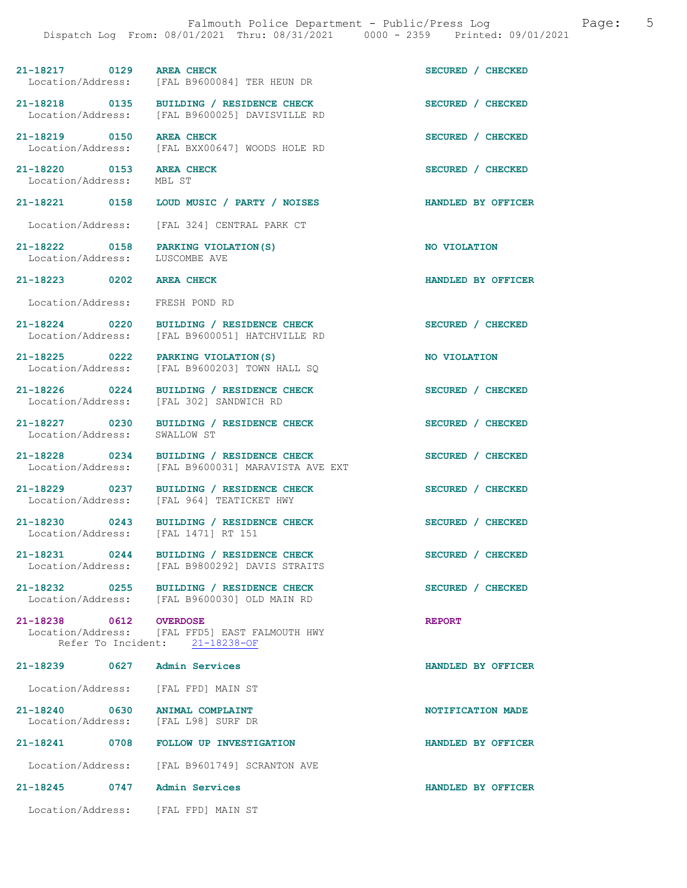21-18217 0129 AREA CHECK (2008) ON SECURED / CHECKED Location/Address: [FAL B9600084] TER HEUN DR [FAL B9600084] TER HEUN DR 21-18218 0135 BUILDING / RESIDENCE CHECK SECURED / CHECKED Location/Address: [FAL B9600025] DAVISVILLE RD 21-18219 0150 AREA CHECK SECURED / CHECKED Location/Address: [FAL BXX00647] WOODS HOLE RD 21-18220 0153 AREA CHECK SECURED / CHECKED Location/Address: MBL ST 21-18221 0158 LOUD MUSIC / PARTY / NOISES HANDLED BY OFFICER Location/Address: [FAL 324] CENTRAL PARK CT 21-18222 0158 PARKING VIOLATION(S) NO VIOLATION<br>Location/Address: LUSCOMBE AVE Location/Address: 21-18223 0202 AREA CHECK HANDLED BY OFFICER Location/Address: FRESH POND RD 21-18224 0220 BUILDING / RESIDENCE CHECK SECURED / CHECKED Location/Address: [FAL B9600051] HATCHVILLE RD 21-18225 0222 PARKING VIOLATION(S) 100 NO VIOLATION<br>
Location/Address: [FAL B9600203] TOWN HALL SQ  $[FAL B9600203]$  TOWN HALL SQ 21-18226 0224 BUILDING / RESIDENCE CHECK SECURED / CHECKED Location/Address: [FAL 302] SANDWICH RD 21-18227 0230 BUILDING / RESIDENCE CHECK SECURED / CHECKED SECURED / CHECKED Location/Address: 21-18228 0234 BUILDING / RESIDENCE CHECK SECURED / CHECKED Location/Address: [FAL B9600031] MARAVISTA AVE EXT 21-18229 0237 BUILDING / RESIDENCE CHECK SECURED / CHECKED Location/Address: [FAL 964] TEATICKET HWY 21-18230 0243 BUILDING / RESIDENCE CHECK SECURED / CHECKED Location/Address: [FAL 1471] RT 151 21-18231 0244 BUILDING / RESIDENCE CHECK<br>
Location/Address: [FAL B9800292] DAVIS STRAITS [FAL B9800292] DAVIS STRAITS 21-18232 0255 BUILDING / RESIDENCE CHECK SECURED / CHECKED Location/Address: [FAL B9600030] OLD MAIN RD 21-18238 0612 OVERDOSE REPORT Location/Address: [FAL FFD5] EAST FALMOUTH HWY Refer To Incident: 21-18238-OF 21-18239 0627 Admin Services HANDLED BY OFFICER Location/Address: [FAL FPD] MAIN ST 21-18240 0630 ANIMAL COMPLAINT NOTIFICATION MADE Location/Address: [FAL L98] SURF DR 21-18241 0708 FOLLOW UP INVESTIGATION HANDLED BY OFFICER Location/Address: [FAL B9601749] SCRANTON AVE 21-18245 0747 Admin Services HANDLED BY OFFICER

Location/Address: [FAL FPD] MAIN ST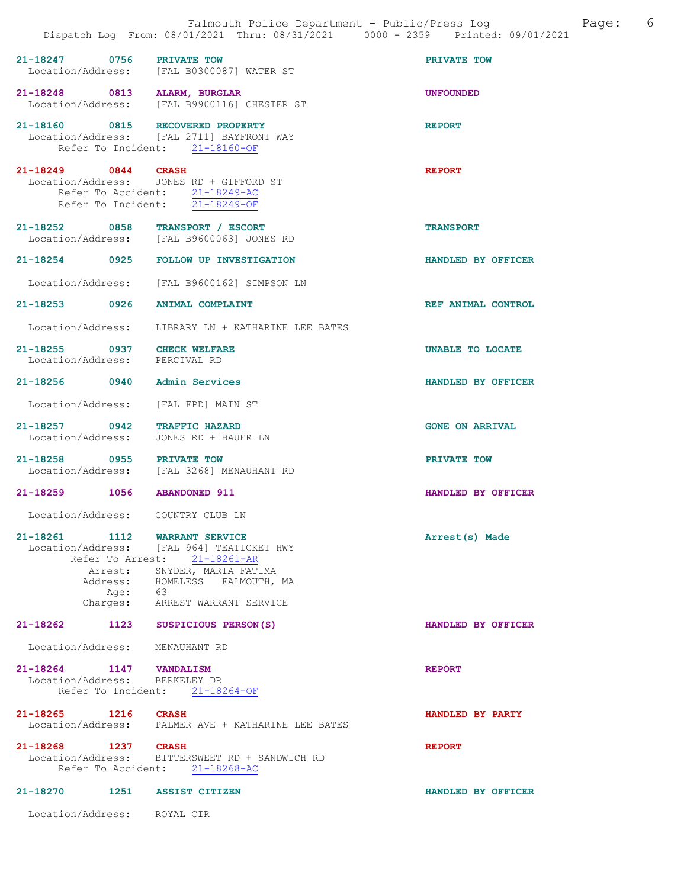|                                                              | Dispatch Log From: 08/01/2021 Thru: 08/31/2021 0000 - 2359 Printed: 09/01/2021                                                    |                        |
|--------------------------------------------------------------|-----------------------------------------------------------------------------------------------------------------------------------|------------------------|
| 21-18247 0756 PRIVATE TOW                                    | Location/Address: [FAL B0300087] WATER ST                                                                                         | PRIVATE TOW            |
| 21-18248 0813 ALARM, BURGLAR                                 | Location/Address: [FAL B9900116] CHESTER ST                                                                                       | <b>UNFOUNDED</b>       |
| 21-18160 0815 RECOVERED PROPERTY                             | Location/Address: [FAL 2711] BAYFRONT WAY<br>Refer To Incident: 21-18160-OF                                                       | <b>REPORT</b>          |
| 21-18249 0844 CRASH                                          | Location/Address: JONES RD + GIFFORD ST<br>Refer To Accident: 21-18249-AC<br>Refer To Incident: $\frac{21-18249-OF}{21-18249-OF}$ | <b>REPORT</b>          |
| 21-18252 0858 TRANSPORT / ESCORT                             | Location/Address: [FAL B9600063] JONES RD                                                                                         | <b>TRANSPORT</b>       |
| $21 - 18254$                                                 | 0925 FOLLOW UP INVESTIGATION                                                                                                      | HANDLED BY OFFICER     |
|                                                              | Location/Address: [FAL B9600162] SIMPSON LN                                                                                       |                        |
| 21-18253 0926                                                | <b>ANIMAL COMPLAINT</b>                                                                                                           | REF ANIMAL CONTROL     |
|                                                              | Location/Address: LIBRARY LN + KATHARINE LEE BATES                                                                                |                        |
| 21-18255 0937 CHECK WELFARE<br>Location/Address: PERCIVAL RD |                                                                                                                                   | UNABLE TO LOCATE       |
| $21 - 18256$<br>0940                                         | Admin Services                                                                                                                    | HANDLED BY OFFICER     |
| Location/Address:                                            | [FAL FPD] MAIN ST                                                                                                                 |                        |
| 21-18257 0942 TRAFFIC HAZARD                                 | Location/Address: JONES RD + BAUER LN                                                                                             | <b>GONE ON ARRIVAL</b> |
| 21-18258 0955 PRIVATE TOW                                    | Location/Address: [FAL 3268] MENAUHANT RD                                                                                         | PRIVATE TOW            |
| 21-18259<br>1056                                             | <b>ABANDONED 911</b>                                                                                                              | HANDLED BY OFFICER     |
| Location/Address: COUNTRY CLUB LN                            |                                                                                                                                   |                        |
| $21 - 18261$<br>Arrest:                                      | 1112 WARRANT SERVICE<br>Location/Address: [FAL 964] TEATICKET HWY<br>Refer To Arrest: 21-18261-AR<br>SNYDER, MARIA FATIMA         | Arrest(s) Made         |
| Age: 63                                                      | Address: HOMELESS FALMOUTH, MA<br>Charges: ARREST WARRANT SERVICE                                                                 |                        |
| 21-18262 1123 SUSPICIOUS PERSON(S)                           |                                                                                                                                   | HANDLED BY OFFICER     |
| Location/Address: MENAUHANT RD                               |                                                                                                                                   |                        |
| 21-18264 1147 VANDALISM<br>Location/Address: BERKELEY DR     | Refer To Incident: 21-18264-OF                                                                                                    | <b>REPORT</b>          |
| 21-18265 1216 CRASH                                          | Location/Address: PALMER AVE + KATHARINE LEE BATES                                                                                | HANDLED BY PARTY       |
| 21-18268 1237 CRASH<br>Location/Address:                     | BITTERSWEET RD + SANDWICH RD<br>Refer To Accident: 21-18268-AC                                                                    | <b>REPORT</b>          |
| 21-18270<br>1251                                             | <b>ASSIST CITIZEN</b>                                                                                                             | HANDLED BY OFFICER     |
| Location/Address: ROYAL CIR                                  |                                                                                                                                   |                        |

Falmouth Police Department - Public/Press Log and Page: 6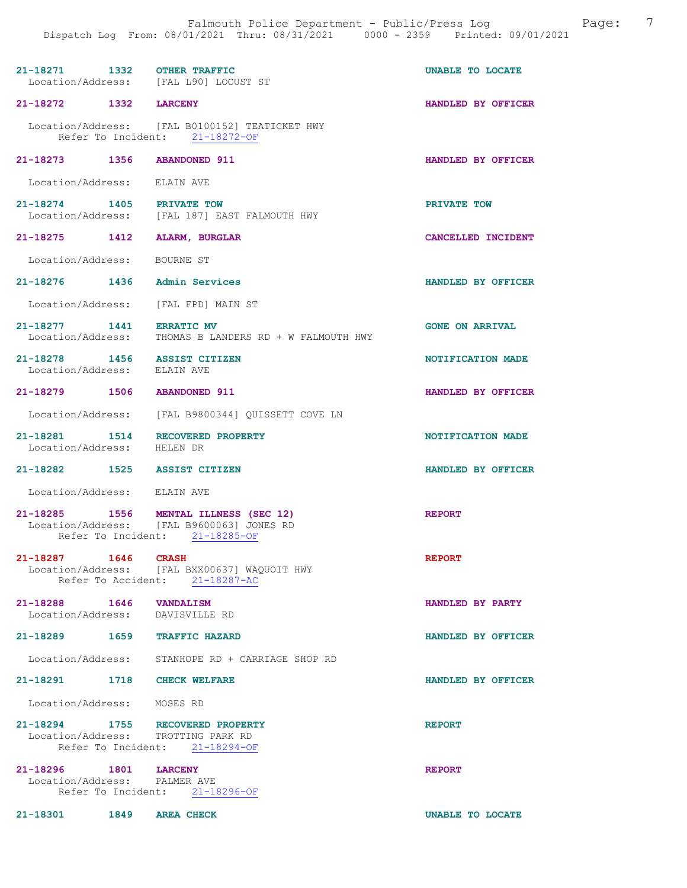| 21-18271 1332 OTHER TRAFFIC                                            | Location/Address: [FAL L90] LOCUST ST                                                                                | UNABLE TO LOCATE       |
|------------------------------------------------------------------------|----------------------------------------------------------------------------------------------------------------------|------------------------|
| 21-18272 1332 LARCENY                                                  |                                                                                                                      | HANDLED BY OFFICER     |
|                                                                        | Location/Address: [FAL B0100152] TEATICKET HWY<br>Refer To Incident: 21-18272-OF                                     |                        |
| 21-18273 1356 ABANDONED 911                                            |                                                                                                                      | HANDLED BY OFFICER     |
| Location/Address: ELAIN AVE                                            |                                                                                                                      |                        |
| 21-18274 1405 PRIVATE TOW                                              | Location/Address: [FAL 187] EAST FALMOUTH HWY                                                                        | PRIVATE TOW            |
| 21-18275 1412 ALARM, BURGLAR                                           |                                                                                                                      | CANCELLED INCIDENT     |
| Location/Address: BOURNE ST                                            |                                                                                                                      |                        |
| 21-18276 1436 Admin Services                                           |                                                                                                                      | HANDLED BY OFFICER     |
| Location/Address: [FAL FPD] MAIN ST                                    |                                                                                                                      |                        |
| 21-18277 1441 ERRATIC MV<br>Location/Address:                          | THOMAS B LANDERS RD + W FALMOUTH HWY                                                                                 | <b>GONE ON ARRIVAL</b> |
| 21-18278 1456 ASSIST CITIZEN<br>Location/Address:                      | ELAIN AVE                                                                                                            | NOTIFICATION MADE      |
| 21-18279 1506 ABANDONED 911                                            |                                                                                                                      | HANDLED BY OFFICER     |
|                                                                        | Location/Address: [FAL B9800344] QUISSETT COVE LN                                                                    |                        |
| 21-18281  1514  RECOVERED PROPERTY<br>Location/Address: HELEN DR       |                                                                                                                      | NOTIFICATION MADE      |
| 21-18282 1525 ASSIST CITIZEN                                           |                                                                                                                      | HANDLED BY OFFICER     |
| Location/Address: ELAIN AVE                                            |                                                                                                                      |                        |
|                                                                        | 21-18285 1556 MENTAL ILLNESS (SEC 12)<br>Location/Address: [FAL B9600063] JONES RD<br>Refer To Incident: 21-18285-OF | <b>REPORT</b>          |
| 21-18287<br>1646                                                       | <b>CRASH</b><br>Location/Address: [FAL BXX00637] WAQUOIT HWY<br>Refer To Accident: 21-18287-AC                       | <b>REPORT</b>          |
| 21-18288 1646 VANDALISM<br>Location/Address: DAVISVILLE RD             |                                                                                                                      | HANDLED BY PARTY       |
| 21-18289 1659 TRAFFIC HAZARD                                           |                                                                                                                      | HANDLED BY OFFICER     |
| Location/Address:                                                      | STANHOPE RD + CARRIAGE SHOP RD                                                                                       |                        |
| 21-18291 1718 CHECK WELFARE                                            |                                                                                                                      | HANDLED BY OFFICER     |
| Location/Address: MOSES RD                                             |                                                                                                                      |                        |
| 21-18294 1755 RECOVERED PROPERTY<br>Location/Address: TROTTING PARK RD | Refer To Incident: 21-18294-OF                                                                                       | <b>REPORT</b>          |
| 21-18296 1801 LARCENY<br>Location/Address: PALMERAVE                   | Refer To Incident: 21-18296-OF                                                                                       | <b>REPORT</b>          |

21-18301 1849 AREA CHECK UNABLE TO LOCATE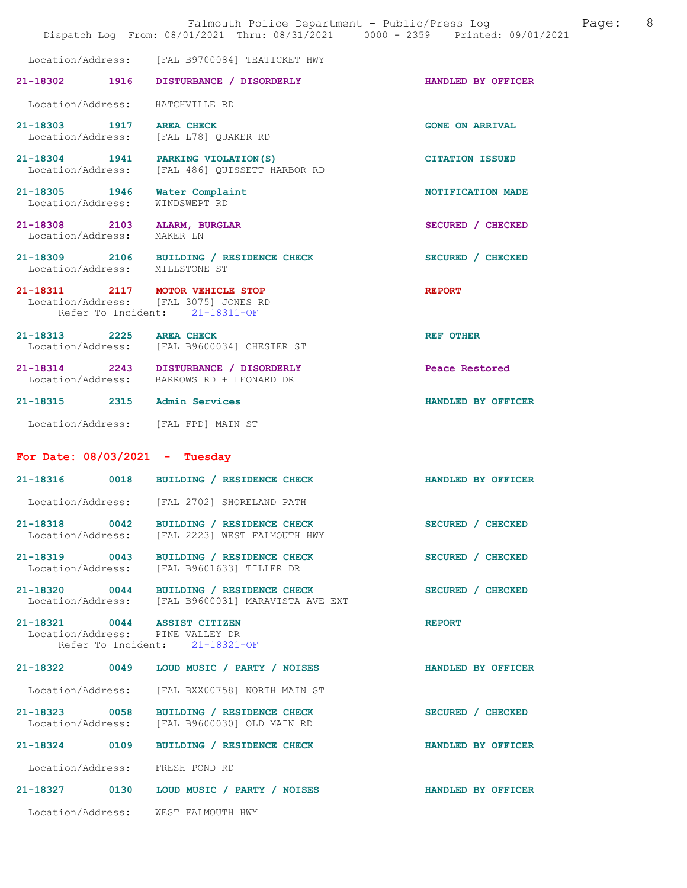|                                                   | Dispatch Log From: 08/01/2021 Thru: 08/31/2021 0000 - 2359 Printed: 09/01/2021                              | Falmouth Police Department - Public/Press Log<br>Page: | 8 |
|---------------------------------------------------|-------------------------------------------------------------------------------------------------------------|--------------------------------------------------------|---|
| Location/Address:                                 | [FAL B9700084] TEATICKET HWY                                                                                |                                                        |   |
| 21-18302 1916                                     | DISTURBANCE / DISORDERLY                                                                                    | HANDLED BY OFFICER                                     |   |
| Location/Address:                                 | HATCHVILLE RD                                                                                               |                                                        |   |
| 21-18303 1917 AREA CHECK                          | Location/Address: [FAL L78] QUAKER RD                                                                       | <b>GONE ON ARRIVAL</b>                                 |   |
|                                                   | 21-18304 1941 PARKING VIOLATION (S)<br>Location/Address: [FAL 486] QUISSETT HARBOR RD                       | <b>CITATION ISSUED</b>                                 |   |
| 21-18305 1946<br>Location/Address:                | Water Complaint<br>WINDSWEPT RD                                                                             | NOTIFICATION MADE                                      |   |
| 21-18308 2103 ALARM, BURGLAR<br>Location/Address: | MAKER LN                                                                                                    | SECURED / CHECKED                                      |   |
| Location/Address: MILLSTONE ST                    | 21-18309 2106 BUILDING / RESIDENCE CHECK                                                                    | SECURED / CHECKED                                      |   |
|                                                   | 21-18311 2117 MOTOR VEHICLE STOP<br>Location/Address: [FAL 3075] JONES RD<br>Refer To Incident: 21-18311-OF | <b>REPORT</b>                                          |   |
| 21-18313 2225 AREA CHECK                          | Location/Address: [FAL B9600034] CHESTER ST                                                                 | REF OTHER                                              |   |
|                                                   | 21-18314 2243 DISTURBANCE / DISORDERLY<br>Location/Address: BARROWS RD + LEONARD DR                         | Peace Restored                                         |   |
| 21-18315 2315 Admin Services                      |                                                                                                             | HANDLED BY OFFICER                                     |   |
|                                                   | Location/Address: [FAL FPD] MAIN ST                                                                         |                                                        |   |
| For Date: $08/03/2021$ - Tuesday                  |                                                                                                             |                                                        |   |
|                                                   | 21-18316 0018 BUILDING / RESIDENCE CHECK                                                                    | HANDLED BY OFFICER                                     |   |
|                                                   | Location/Address: [FAL 2702] SHORELAND PATH                                                                 |                                                        |   |
|                                                   | 21-18318 0042 BUILDING / RESIDENCE CHECK<br>Location/Address: [FAL 2223] WEST FALMOUTH HWY                  | SECURED / CHECKED                                      |   |
|                                                   | 21-18319 0043 BUILDING / RESIDENCE CHECK<br>Location/Address: [FAL B9601633] TILLER DR                      | SECURED / CHECKED                                      |   |
|                                                   | 21-18320 0044 BUILDING / RESIDENCE CHECK<br>Location/Address: [FAL B9600031] MARAVISTA AVE EXT              | SECURED / CHECKED                                      |   |
| 21-18321 0044 ASSIST CITIZEN                      | Location/Address: PINE VALLEY DR<br>Refer To Incident: 21-18321-OF                                          | <b>REPORT</b>                                          |   |
|                                                   | 21-18322 0049 LOUD MUSIC / PARTY / NOISES                                                                   | HANDLED BY OFFICER                                     |   |
| Location/Address:                                 | [FAL BXX00758] NORTH MAIN ST                                                                                |                                                        |   |
|                                                   | 21-18323 0058 BUILDING / RESIDENCE CHECK<br>Location/Address: [FAL B9600030] OLD MAIN RD                    | SECURED / CHECKED                                      |   |
| 21-18324 0109                                     | BUILDING / RESIDENCE CHECK                                                                                  | HANDLED BY OFFICER                                     |   |
| Location/Address: FRESH POND RD                   |                                                                                                             |                                                        |   |
|                                                   | 21-18327 0130 LOUD MUSIC / PARTY / NOISES                                                                   | HANDLED BY OFFICER                                     |   |
|                                                   | Location/Address: WEST FALMOUTH HWY                                                                         |                                                        |   |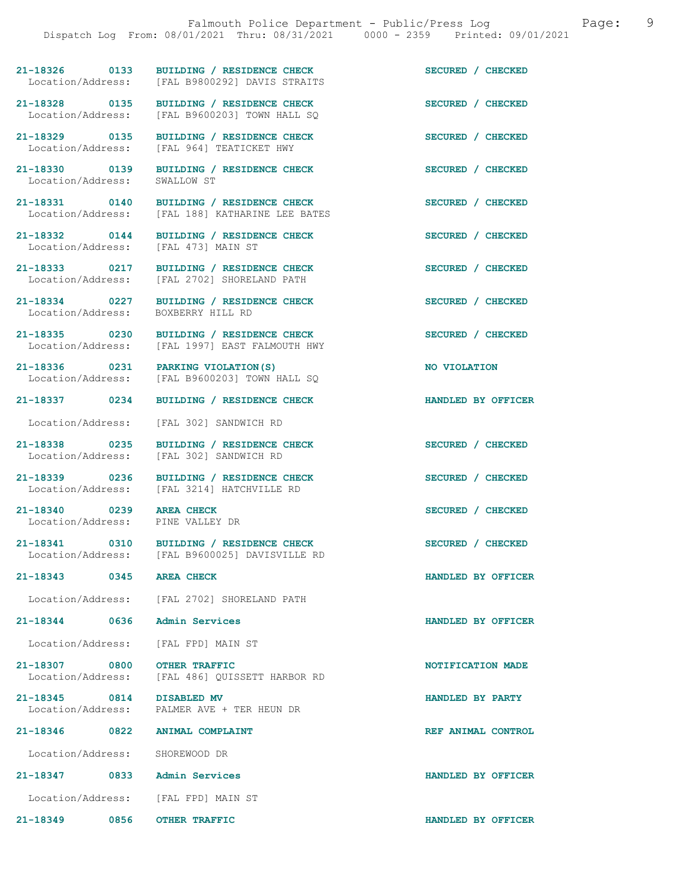21-18326 0133 BUILDING / RESIDENCE CHECK SECURED / CHECKED Location/Address: [FAL B9800292] DAVIS STRAITS

21-18328 0135 BUILDING / RESIDENCE CHECK<br>
Location/Address: [FAL B9600203] TOWN HALL SO

Location/Address: SWALLOW ST

Location/Address:

Location/Address:

21-18340 0239 AREA CHECK SECURED / CHECKED<br>
Location/Address: PINE VALLEY DR Location/Address:

Location/Address: SHOREWOOD DR

21-18347 0833 Admin Services HANDLED BY OFFICER

Location/Address: [FAL FPD] MAIN ST

21-18349 0856 OTHER TRAFFIC HANDLED BY OFFICER

[FAL B9600203] TOWN HALL SO 21-18329 0135 BUILDING / RESIDENCE CHECK SECURED / CHECKED Location/Address: [FAL 964] TEATICKET HWY

[FAL B9800292] DAVIS STRAITS

21-18330 0139 BUILDING / RESIDENCE CHECK SECURED / CHECKED

21-18331 0140 BUILDING / RESIDENCE CHECK SECURED / CHECKED Location/Address: [FAL 188] KATHARINE LEE BATES [FAL 188] KATHARINE LEE BATES

21-18332 0144 BUILDING / RESIDENCE CHECK SECURED / CHECKED Location/Address: [FAL 473] MAIN ST

21-18333 0217 BUILDING / RESIDENCE CHECK SECURED / CHECKED Location/Address: [FAL 2702] SHORELAND PATH Location/Address: [FAL 2702] SHORELAND PATH

21-18334 0227 BUILDING / RESIDENCE CHECK SECURED / CHECKED Location/Address: BOXBERRY HILL RD

21-18335 0230 BUILDING / RESIDENCE CHECK SECURED / CHECKED Location/Address: [FAL 1997] EAST FALMOUTH HWY

21-18336 0231 PARKING VIOLATION(S) 100 NO VIOLATION<br>
Location/Address: [FAL B9600203] TOWN HALL SQ [FAL B9600203] TOWN HALL SQ

21-18337 0234 BUILDING / RESIDENCE CHECK HANDLED BY OFFICER

Location/Address: [FAL 302] SANDWICH RD

21-18338 0235 BUILDING / RESIDENCE CHECK SECURED / CHECKED Location/Address: [FAL 302] SANDWICH RD [FAL 302] SANDWICH RD

21-18339 0236 BUILDING / RESIDENCE CHECK SECURED / CHECKED Location/Address: [FAL 3214] HATCHVILLE RD [FAL 3214] HATCHVILLE RD

21-18341 0310 BUILDING / RESIDENCE CHECK SECURED / CHECKED Location/Address: [FAL B9600025] DAVISVILLE RD [FAL B9600025] DAVISVILLE RD

Location/Address: [FAL 2702] SHORELAND PATH

21-18344 0636 Admin Services HANDLED BY OFFICER

Location/Address: [FAL FPD] MAIN ST

21-18307 0800 OTHER TRAFFIC<br>
Location/Address: [FAL 486] OUISSETT HARBOR RD<br>
NOTIFICATION MADE [FAL 486] QUISSETT HARBOR RD

21-18345 0814 DISABLED MV HANDLED BY PARTY Location/Address: PALMER AVE + TER HEUN DR

21-18346 0822 ANIMAL COMPLAINT REF ANIMAL CONTROL

21-18343 0345 AREA CHECK HANDLED BY OFFICER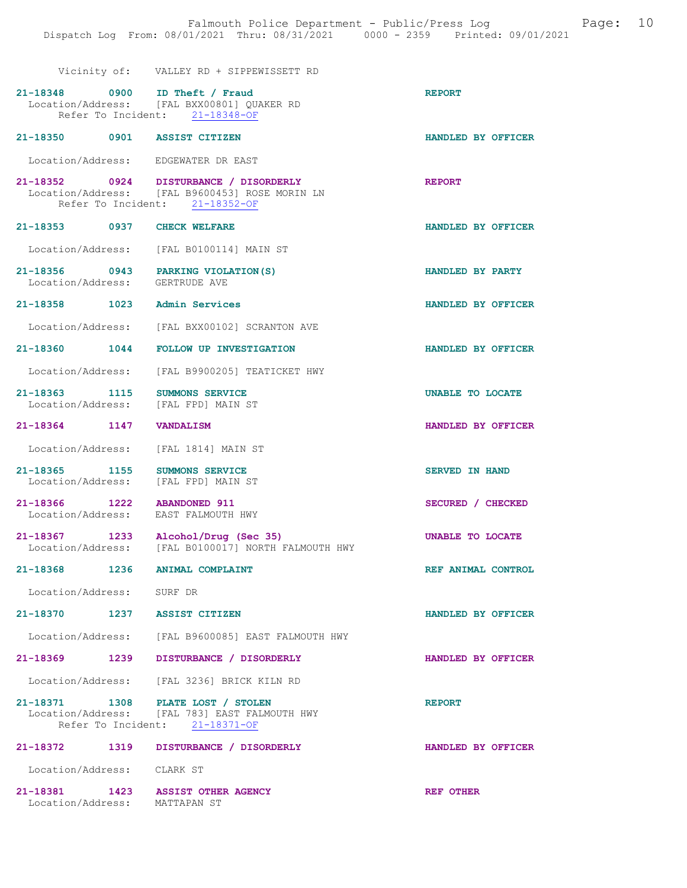|                                                                       | Vicinity of: VALLEY RD + SIPPEWISSETT RD                                                                                   |                       |
|-----------------------------------------------------------------------|----------------------------------------------------------------------------------------------------------------------------|-----------------------|
| 21-18348 0900 ID Theft / Fraud                                        | Location/Address: [FAL BXX00801] QUAKER RD<br>Refer To Incident: 21-18348-OF                                               | <b>REPORT</b>         |
| 21-18350 0901 ASSIST CITIZEN                                          |                                                                                                                            | HANDLED BY OFFICER    |
| Location/Address: EDGEWATER DR EAST                                   |                                                                                                                            |                       |
|                                                                       | 21-18352 0924 DISTURBANCE / DISORDERLY<br>Location/Address: [FAL B9600453] ROSE MORIN LN<br>Refer To Incident: 21-18352-OF | <b>REPORT</b>         |
| 21-18353 0937 CHECK WELFARE                                           |                                                                                                                            | HANDLED BY OFFICER    |
|                                                                       | Location/Address: [FAL B0100114] MAIN ST                                                                                   |                       |
| 21-18356 0943 PARKING VIOLATION (S)<br>Location/Address: GERTRUDE AVE |                                                                                                                            | HANDLED BY PARTY      |
| 21-18358 1023                                                         | Admin Services                                                                                                             | HANDLED BY OFFICER    |
|                                                                       | Location/Address: [FAL BXX00102] SCRANTON AVE                                                                              |                       |
| 21-18360 1044                                                         | <b>FOLLOW UP INVESTIGATION</b>                                                                                             | HANDLED BY OFFICER    |
|                                                                       | Location/Address: [FAL B9900205] TEATICKET HWY                                                                             |                       |
| 21-18363 1115 SUMMONS SERVICE<br>Location/Address: [FAL FPD] MAIN ST  |                                                                                                                            | UNABLE TO LOCATE      |
| 21-18364 1147                                                         | <b>VANDALISM</b>                                                                                                           | HANDLED BY OFFICER    |
| Location/Address:                                                     | [FAL 1814] MAIN ST                                                                                                         |                       |
| 21-18365 1155<br>Location/Address: [FAL FPD] MAIN ST                  | <b>SUMMONS SERVICE</b>                                                                                                     | <b>SERVED IN HAND</b> |
| 21-18366 1222 ABANDONED 911<br>Location/Address: EAST FALMOUTH HWY    |                                                                                                                            | SECURED / CHECKED     |
|                                                                       | . .                                                                                                                        |                       |

21-18367 1233 Alcohol/Drug (Sec 35) UNABLE TO LOCATE Location/Address: [FAL B0100017] NORTH FALMOUTH HWY

21-18368 1236 ANIMAL COMPLAINT REF ANIMAL CONTROL

Location/Address: SURF DR

- 21-18370 1237 ASSIST CITIZEN HANDLED BY OFFICER Location/Address: [FAL B9600085] EAST FALMOUTH HWY
- 21-18369 1239 DISTURBANCE / DISORDERLY HANDLED BY OFFICER

Location/Address: [FAL 3236] BRICK KILN RD

21-18371 1308 PLATE LOST / STOLEN REPORT Location/Address: [FAL 783] EAST FALMOUTH HWY Refer To Incident: 21-18371-OF

21-18372 1319 DISTURBANCE / DISORDERLY HANDLED BY OFFICER Location/Address: CLARK ST 21-18381 1423 ASSIST OTHER AGENCY REF OTHER Location/Address: MATTAPAN ST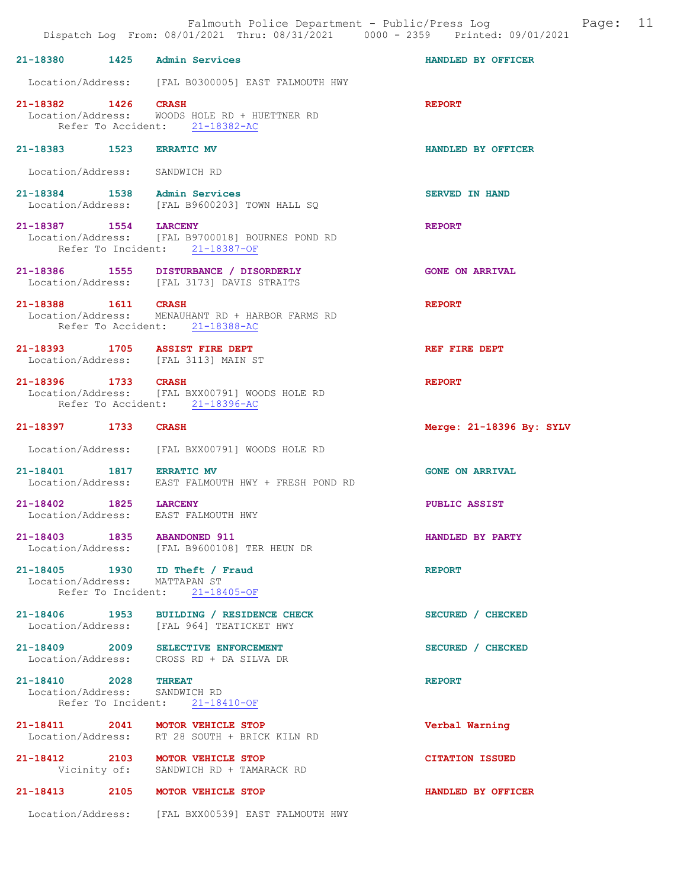21-18380 1425 Admin Services HANDLED BY OFFICER Location/Address: [FAL B0300005] EAST FALMOUTH HWY 21-18382 1426 CRASH <br>Location/Address: WOODS HOLE RD + HUETTNER RD Location/Address: WOODS HOLE RD + HUETTNER RD Refer To Accident: 21-18382-AC 21-18383 1523 ERRATIC MV HANDLED BY OFFICER Location/Address: SANDWICH RD 21-18384 1538 Admin Services SERVED IN HAND Location/Address: [FAL B9600203] TOWN HALL SQ 21-18387 1554 LARCENY REPORT Location/Address: [FAL B9700018] BOURNES POND RD [FAL B9700018] BOURNES POND RD Refer To Incident: 21-18387-OF 21-18386 1555 DISTURBANCE / DISORDERLY GONE ON ARRIVAL Location/Address: [FAL 3173] DAVIS STRAITS [FAL 3173] DAVIS STRAITS 21-18388 1611 CRASH REPORT Location/Address: MENAUHANT RD + HARBOR FARMS RD Refer To Accident: 21-18388-AC 21-18393 1705 ASSIST FIRE DEPT REF FIRE DEPT Location/Address: [FAL 3113] MAIN ST 21-18396 1733 CRASH REPORT Location/Address: [FAL BXX00791] WOODS HOLE RD Refer To Accident: 21-18396-AC 21-18397 1733 CRASH Merge: 21-18396 By: SYLV Location/Address: [FAL BXX00791] WOODS HOLE RD 21-18401 1817 ERRATIC MV GONE ON ARRIVAL Location/Address: EAST FALMOUTH HWY + FRESH POND RD 21-18402 1825 LARCENY PUBLIC ASSIST Location/Address: EAST FALMOUTH HWY 21-18403 1835 ABANDONED 911 HANDLED BY PARTY Location/Address: [FAL B9600108] TER HEUN DR 21-18405 1930 ID Theft / Fraud REPORT Location/Address: MATTAPAN ST Location/Address: Refer To Incident: 21-18405-OF 21-18406 1953 BUILDING / RESIDENCE CHECK SECURED / CHECKED Location/Address: [FAL 964] TEATICKET HWY 21-18409 2009 SELECTIVE ENFORCEMENT SECURED / CHECKED Location/Address: CROSS RD + DA SILVA DR Location/Address: CROSS RD + DA SILVA DR 21-18410 2028 THREAT REPORT Location/Address: SANDWICH RD Refer To Incident: 21-18410-OF 21-18411 2041 MOTOR VEHICLE STOP Verbal Warning Location/Address: RT 28 SOUTH + BRICK KILN RD 21-18412 2103 MOTOR VEHICLE STOP CITATION ISSUED<br>Vicinity of: SANDWICH RD + TAMARACK RD SANDWICH RD + TAMARACK RD

21-18413 2105 MOTOR VEHICLE STOP HANDLED BY OFFICER

Location/Address: [FAL BXX00539] EAST FALMOUTH HWY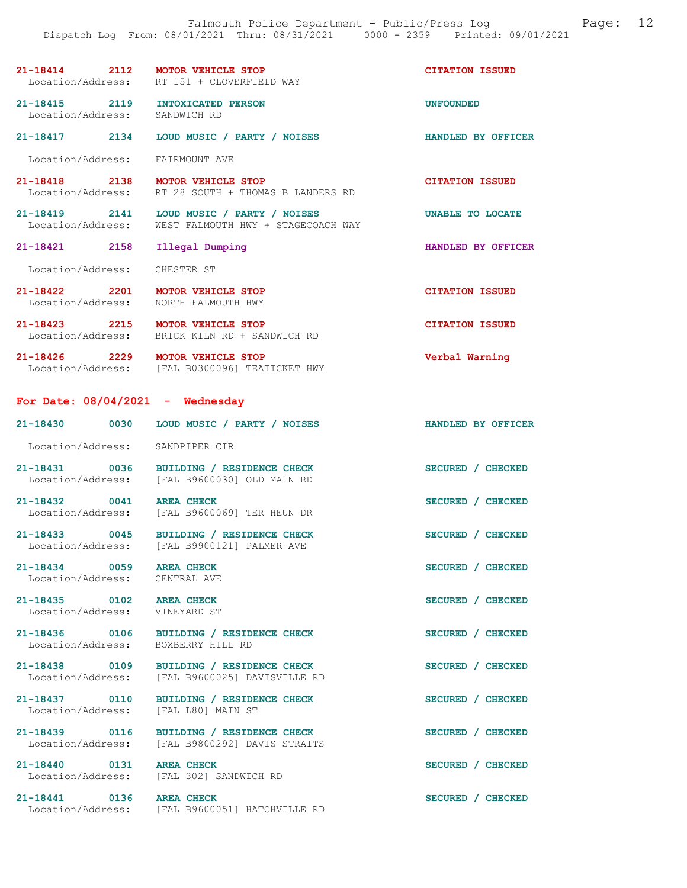| 21-18414          | 2112 | <b>MOTOR VEHICLE STOP</b> | <b>CITATION ISSUED</b> |
|-------------------|------|---------------------------|------------------------|
| Location/Address: |      | RT 151 + CLOVERFIELD WAY  |                        |

21-18415 2119 INTOXICATED PERSON UNFOUNDED<br>
Location/Address: SANDWICH RD Location/Address:

21-18417 2134 LOUD MUSIC / PARTY / NOISES HANDLED BY OFFICER

Location/Address: FAIRMOUNT AVE

21-18418 2138 MOTOR VEHICLE STOP CITATION ISSUED<br>Location/Address: RT 28 SOUTH + THOMAS B LANDERS RD RT 28 SOUTH + THOMAS B LANDERS RD

21-18419 2141 LOUD MUSIC / PARTY / NOISES UNABLE TO LOCATE Location/Address: WEST FALMOUTH HWY + STAGECOACH WAY

Location/Address: CHESTER ST

21-18422 2201 MOTOR VEHICLE STOP CITATION ISSUED<br>
Location/Address: NORTH FALMOUTH HWY Location/Address:

21-18423 2215 MOTOR VEHICLE STOP CITATION ISSUED Location/Address: BRICK KILN RD + SANDWICH RD

21-18426 2229 MOTOR VEHICLE STOP Verbal Warning Location/Address: [FAL B0300096] TEATICKET HWY

For Date:  $08/04/2021$  - Wednesday

21-18430 0030 LOUD MUSIC / PARTY / NOISES HANDLED BY OFFICER Location/Address: SANDPIPER CIR

21-18431 0036 BUILDING / RESIDENCE CHECK SECURED / CHECKED Location/Address: [FAL B9600030] OLD MAIN RD

21-18432 0041 AREA CHECK SECURED / CHECKED<br>Location/Address: [FAL B9600069] TER HEUN DR [FAL B9600069] TER HEUN DR

21-18433 0045 BUILDING / RESIDENCE CHECK SECURED / CHECKED Location/Address: [FAL B9900121] PALMER AVE

Location/Address: CENTRAL AVE

21-18435 0102 AREA CHECK SECURED / CHECKED Location/Address: VINEYARD ST

Location/Address: [FAL L80] MAIN ST

21-18440 0131 AREA CHECK SECURED / CHECKED<br>
Location/Address: [FAL 302] SANDWICH RD

21-18436 0106 BUILDING / RESIDENCE CHECK SECURED / CHECKED Location/Address: BOXBERRY HILL RD Location/Address: BOXBERRY HILL RD

21-18438 0109 BUILDING / RESIDENCE CHECK SECURED / CHECKED Location/Address: [FAL B9600025] DAVISVILLE RD [FAL B9600025] DAVISVILLE RD

21-18437 0110 BUILDING / RESIDENCE CHECK SECURED / CHECKED

21-18439 0116 BUILDING / RESIDENCE CHECK SECURED / CHECKED Location/Address: [FAL B9800292] DAVIS STRAITS

[FAL 302] SANDWICH RD

21-18441 0136 AREA CHECK SECURED / CHECKED Location/Address: [FAL B9600051] HATCHVILLE RD

21-18421 2158 Illegal Dumping HANDLED BY OFFICER

21-18434 0059 AREA CHECK SECURED / CHECKED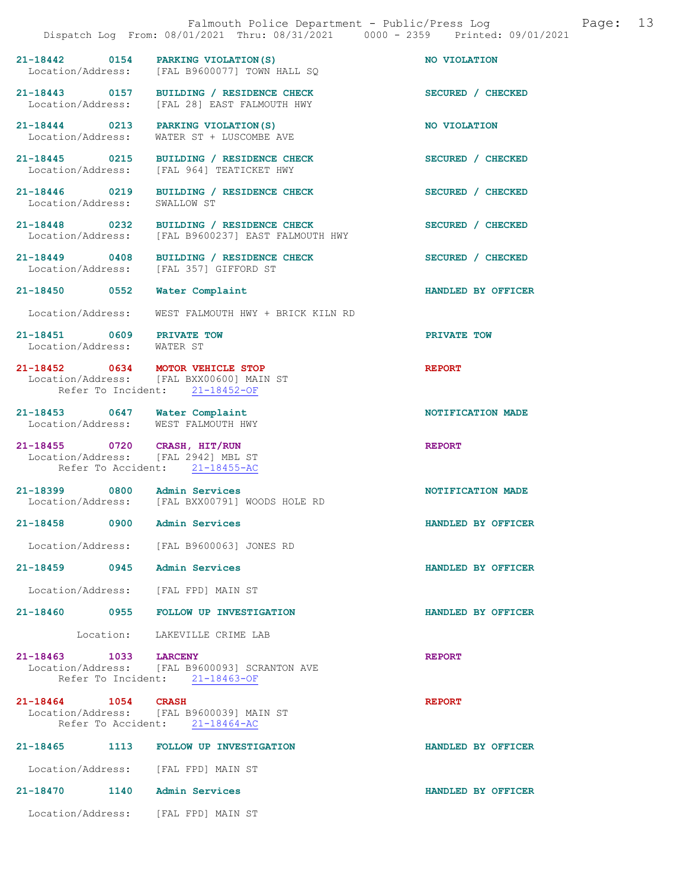|                                                                      | Falmouth Police Department - Public/Press Log<br>Dispatch Log From: 08/01/2021 Thru: 08/31/2021 0000 - 2359 Printed: 09/01/2021 | Page:              | 13 |
|----------------------------------------------------------------------|---------------------------------------------------------------------------------------------------------------------------------|--------------------|----|
|                                                                      | 21-18442 0154 PARKING VIOLATION (S)<br>Location/Address: [FAL B9600077] TOWN HALL SQ                                            | NO VIOLATION       |    |
|                                                                      | 21-18443 0157 BUILDING / RESIDENCE CHECK<br>Location/Address: [FAL 28] EAST FALMOUTH HWY                                        | SECURED / CHECKED  |    |
|                                                                      | 21-18444 0213 PARKING VIOLATION (S)<br>Location/Address: WATER ST + LUSCOMBE AVE                                                | NO VIOLATION       |    |
|                                                                      | 21-18445 0215 BUILDING / RESIDENCE CHECK<br>Location/Address: [FAL 964] TEATICKET HWY                                           | SECURED / CHECKED  |    |
| Location/Address: SWALLOW ST                                         | 21-18446 0219 BUILDING / RESIDENCE CHECK                                                                                        | SECURED / CHECKED  |    |
|                                                                      | 21-18448 0232 BUILDING / RESIDENCE CHECK<br>Location/Address: [FAL B9600237] EAST FALMOUTH HWY                                  | SECURED / CHECKED  |    |
| Location/Address: [FAL 357] GIFFORD ST                               | 21-18449 0408 BUILDING / RESIDENCE CHECK                                                                                        | SECURED / CHECKED  |    |
| 21-18450 0552                                                        | Water Complaint                                                                                                                 | HANDLED BY OFFICER |    |
|                                                                      | Location/Address: WEST FALMOUTH HWY + BRICK KILN RD                                                                             |                    |    |
| 21-18451 0609 PRIVATE TOW<br>Location/Address: WATER ST              |                                                                                                                                 | PRIVATE TOW        |    |
| 21-18452 0634 MOTOR VEHICLE STOP                                     | Location/Address: [FAL BXX00600] MAIN ST<br>Refer To Incident: 21-18452-OF                                                      | <b>REPORT</b>      |    |
| 21-18453 0647 Water Complaint<br>Location/Address: WEST FALMOUTH HWY |                                                                                                                                 | NOTIFICATION MADE  |    |
| 21-18455 0720 CRASH, HIT/RUN<br>Location/Address: [FAL 2942] MBL ST  | Refer To Accident: 21-18455-AC                                                                                                  | <b>REPORT</b>      |    |
| 21-18399 0800 Admin Services                                         | Location/Address: [FAL BXX00791] WOODS HOLE RD                                                                                  | NOTIFICATION MADE  |    |
| 21-18458 0900                                                        | Admin Services                                                                                                                  | HANDLED BY OFFICER |    |
|                                                                      | Location/Address: [FAL B9600063] JONES RD                                                                                       |                    |    |
| 21-18459 0945 Admin Services                                         |                                                                                                                                 | HANDLED BY OFFICER |    |
| Location/Address: [FAL FPD] MAIN ST                                  |                                                                                                                                 |                    |    |
|                                                                      | 21-18460 0955 FOLLOW UP INVESTIGATION                                                                                           | HANDLED BY OFFICER |    |
|                                                                      | Location: LAKEVILLE CRIME LAB                                                                                                   |                    |    |
| 21-18463 1033 LARCENY                                                | Location/Address: [FAL B9600093] SCRANTON AVE<br>Refer To Incident: 21-18463-OF                                                 | <b>REPORT</b>      |    |
| 21-18464 1054 CRASH                                                  | Location/Address: [FAL B9600039] MAIN ST<br>Refer To Accident: 21-18464-AC                                                      | <b>REPORT</b>      |    |
|                                                                      | 21-18465 1113 FOLLOW UP INVESTIGATION                                                                                           | HANDLED BY OFFICER |    |
| Location/Address: [FAL FPD] MAIN ST                                  |                                                                                                                                 |                    |    |
| 21-18470 1140 Admin Services                                         |                                                                                                                                 | HANDLED BY OFFICER |    |
| Location/Address: [FAL FPD] MAIN ST                                  |                                                                                                                                 |                    |    |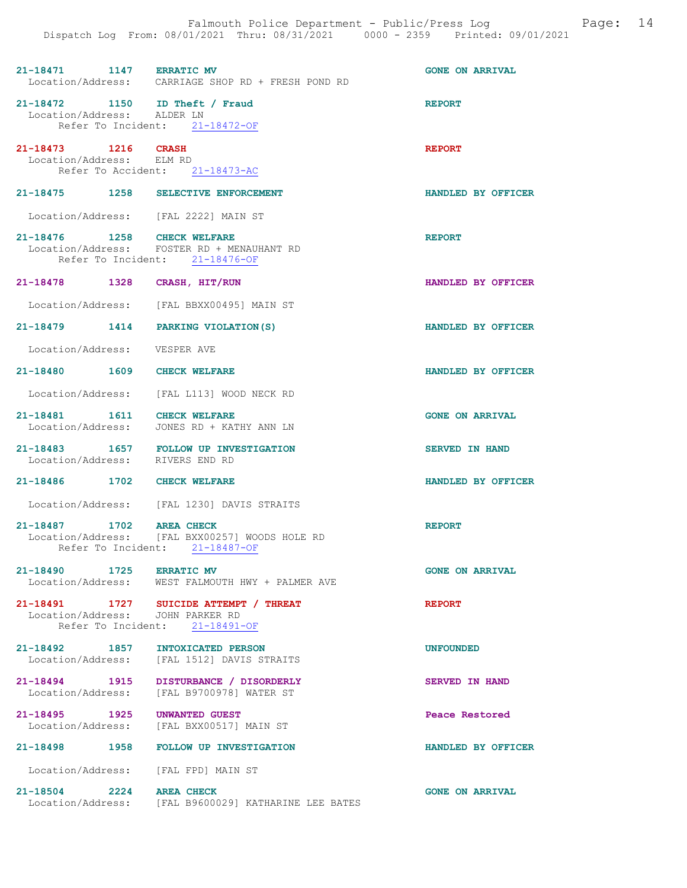| 21-18471 1147 ERRATIC MV                                     | Location/Address: CARRIAGE SHOP RD + FRESH POND RD                                                           | <b>GONE ON ARRIVAL</b> |
|--------------------------------------------------------------|--------------------------------------------------------------------------------------------------------------|------------------------|
| 21-18472 1150 ID Theft / Fraud<br>Location/Address: ALDER LN | Refer To Incident: 21-18472-OF                                                                               | <b>REPORT</b>          |
| 21-18473 1216 CRASH<br>Location/Address: ELM RD              | Refer To Accident: 21-18473-AC                                                                               | <b>REPORT</b>          |
|                                                              | 21-18475 1258 SELECTIVE ENFORCEMENT                                                                          | HANDLED BY OFFICER     |
|                                                              | Location/Address: [FAL 2222] MAIN ST                                                                         |                        |
| 21-18476 1258 CHECK WELFARE                                  | Location/Address: FOSTER RD + MENAUHANT RD<br>Refer To Incident: 21-18476-OF                                 | <b>REPORT</b>          |
| 21-18478 1328 CRASH, HIT/RUN                                 |                                                                                                              | HANDLED BY OFFICER     |
|                                                              | Location/Address: [FAL BBXX00495] MAIN ST                                                                    |                        |
|                                                              | 21-18479 1414 PARKING VIOLATION (S)                                                                          | HANDLED BY OFFICER     |
| Location/Address: VESPER AVE                                 |                                                                                                              |                        |
| 21-18480 1609 CHECK WELFARE                                  |                                                                                                              | HANDLED BY OFFICER     |
|                                                              | Location/Address: [FAL L113] WOOD NECK RD                                                                    |                        |
|                                                              | 21-18481   1611   CHECK WELFARE<br>Location/Address:   JONES RD + KATHY ANN LN                               | <b>GONE ON ARRIVAL</b> |
|                                                              | 21-18483   1657   FOLLOW UP INVESTIGATION<br>Location/Address: RIVERS END RD                                 | <b>SERVED IN HAND</b>  |
| 21-18486 1702 CHECK WELFARE                                  |                                                                                                              | HANDLED BY OFFICER     |
|                                                              | Location/Address: [FAL 1230] DAVIS STRAITS                                                                   |                        |
| 21-18487 1702 AREA CHECK                                     | Location/Address: [FAL BXX00257] WOODS HOLE RD<br>Refer To Incident: 21-18487-OF                             | <b>REPORT</b>          |
| 21-18490 1725 ERRATIC MV                                     | Location/Address: WEST FALMOUTH HWY + PALMER AVE                                                             | <b>GONE ON ARRIVAL</b> |
|                                                              | 21-18491 1727 SUICIDE ATTEMPT / THREAT<br>Location/Address: JOHN PARKER RD<br>Refer To Incident: 21-18491-OF | <b>REPORT</b>          |
| 21-18492 1857 INTOXICATED PERSON                             | Location/Address: [FAL 1512] DAVIS STRAITS                                                                   | <b>UNFOUNDED</b>       |
|                                                              | 21-18494 1915 DISTURBANCE / DISORDERLY<br>Location/Address: [FAL B9700978] WATER ST                          | <b>SERVED IN HAND</b>  |
| 21-18495 1925 UNWANTED GUEST                                 | Location/Address: [FAL BXX00517] MAIN ST                                                                     | Peace Restored         |
|                                                              | 21-18498 1958 FOLLOW UP INVESTIGATION                                                                        | HANDLED BY OFFICER     |
|                                                              | Location/Address: [FAL FPD] MAIN ST                                                                          |                        |
| 21-18504 2224 AREA CHECK<br>Location/Address:                | [FAL B9600029] KATHARINE LEE BATES                                                                           | <b>GONE ON ARRIVAL</b> |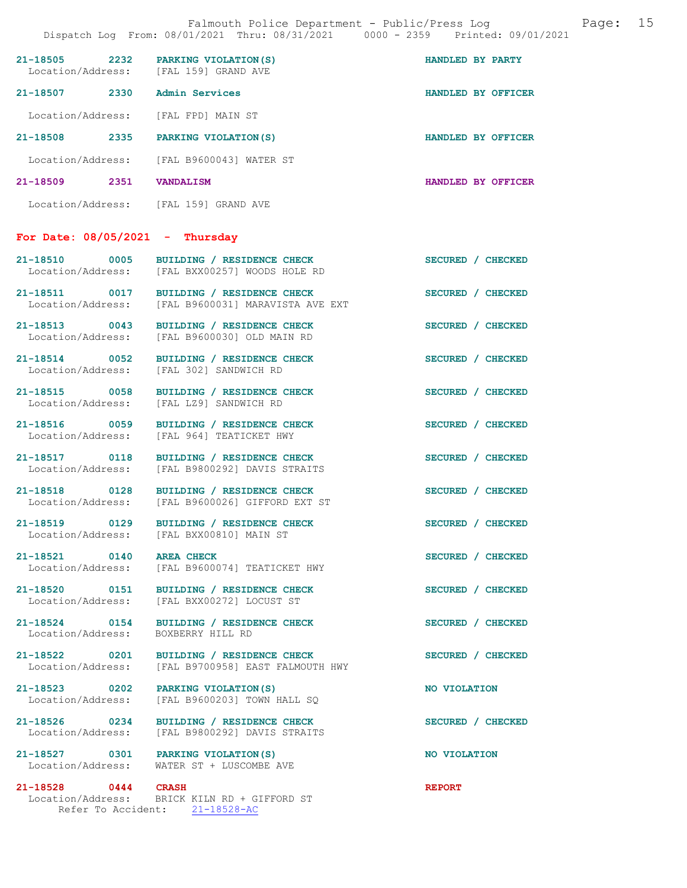| 21-18505<br>Location/Address: | 2232 | PARKING VIOLATION (S)<br>[FAL 159] GRAND AVE | HANDLED BY PARTY |                    |
|-------------------------------|------|----------------------------------------------|------------------|--------------------|
| 21-18507                      | 2330 | Admin Services                               |                  | HANDLED BY OFFICER |
| Location/Address:             |      | [FAL FPD] MAIN ST                            |                  |                    |
| 21-18508                      | 2335 | PARKING VIOLATION (S)                        |                  | HANDLED BY OFFICER |
| Location/Address:             |      | [FAL B9600043] WATER ST                      |                  |                    |
| 21-18509                      | 2351 | <b>VANDALISM</b>                             |                  | HANDLED BY OFFICER |
| Location/Address:             |      | [FAL 159] GRAND AVE                          |                  |                    |

## For Date: 08/05/2021 - Thursday

| 21-18510<br>Location/Address: | 0005 | BUILDING / RESIDENCE CHECK<br>[FAL BXX00257] WOODS HOLE RD | SECURED / CHECKED |
|-------------------------------|------|------------------------------------------------------------|-------------------|
| 21-18511                      | 0017 | BUILDING / RESIDENCE CHECK                                 | SECURED / CHECKED |

- Location/Address: [FAL B9600031] MARAVISTA AVE EXT
- Location/Address: [FAL B9600030] OLD MAIN RD
- 
- 
- 
- 
- 
- 
- 
- 
- Location/Address:
- 
- 
- 
- 21-18527 0301 PARKING VIOLATION(S) NO VIOLATION
	- Location/Address: WATER ST + LUSCOMBE AVE
- 21-18528 0444 CRASH REPORT Location/Address: BRICK KILN RD + GIFFORD ST Refer To Accident: 21-18528-AC
- 21-18513 0043 BUILDING / RESIDENCE CHECK SECURED / CHECKED
- 21-18514 0052 BUILDING / RESIDENCE CHECK SECURED / CHECKED Location/Address: [FAL 302] SANDWICH RD
- 21-18515 0058 BUILDING / RESIDENCE CHECK SECURED / CHECKED Location/Address: [FAL LZ9] SANDWICH RD [FAL LZ9] SANDWICH RD
- 21-18516 0059 BUILDING / RESIDENCE CHECK SECURED / CHECKED Location/Address: [FAL 964] TEATICKET HWY [FAL 964] TEATICKET HWY
- 21-18517 0118 BUILDING / RESIDENCE CHECK<br>
Location/Address: [FAL B9800292] DAVIS STRAITS [FAL B9800292] DAVIS STRAITS
- 21-18518 0128 BUILDING / RESIDENCE CHECK SECURED / CHECKED Location/Address: [FAL B9600026] GIFFORD EXT ST
- 21-18519 0129 BUILDING / RESIDENCE CHECK SECURED / CHECKED Location/Address: [FAL BXX00810] MAIN ST
- 21-18521 0140 AREA CHECK 3ECURED / CHECKED<br>
Location/Address: [FAL B9600074] TEATICKET HWY [FAL B9600074] TEATICKET HWY
- 21-18520 0151 BUILDING / RESIDENCE CHECK SECURED / CHECKED Location/Address: [FAL BXX00272] LOCUST ST [FAL BXX00272] LOCUST ST
- 21-18524 0154 BUILDING / RESIDENCE CHECK SECURED / CHECKED Location / Address: BOXBERRY HILL RD
- 21-18522 0201 BUILDING / RESIDENCE CHECK SECURED / CHECKED Location/Address: [FAL B9700958] EAST FALMOUTH HWY
- 21-18523 0202 PARKING VIOLATION(S) NO VIOLATION Location/Address: [FAL B9600203] TOWN HALL SQ
- 21-18526 0234 BUILDING / RESIDENCE CHECK SECURED / CHECKED Location/Address: [FAL B9800292] DAVIS STRAITS
	-
- 
- 
-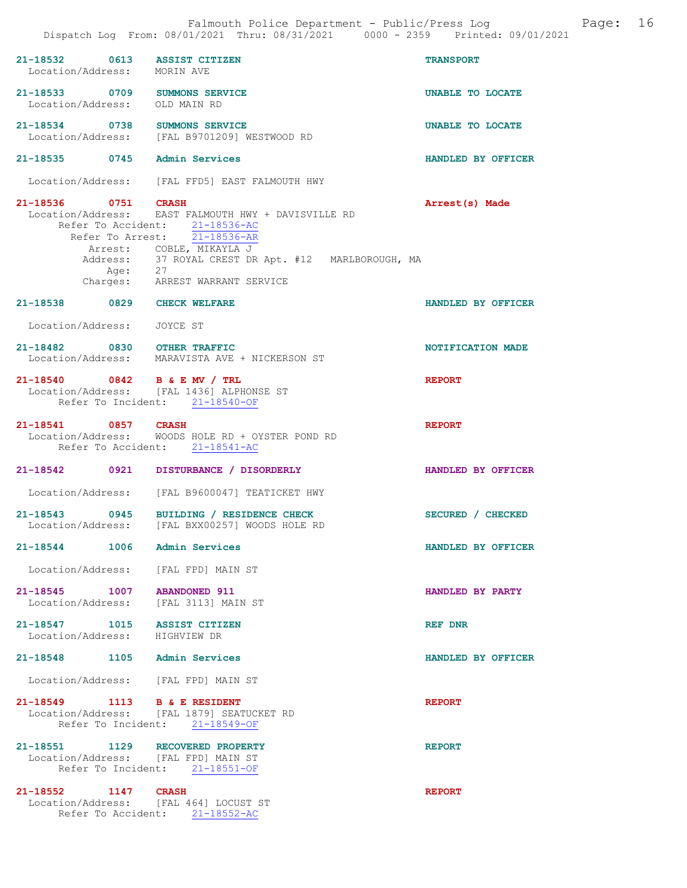|                               |         | Dispatch Log From: 08/01/2021 Thru: 08/31/2021 0000 - 2359 Printed: 09/01/2021                                                                                                                                                              |                           |
|-------------------------------|---------|---------------------------------------------------------------------------------------------------------------------------------------------------------------------------------------------------------------------------------------------|---------------------------|
| Location/Address: MORIN AVE   |         | 21-18532 0613 ASSIST CITIZEN                                                                                                                                                                                                                | <b>TRANSPORT</b>          |
| Location/Address: OLD MAIN RD |         | 21-18533 0709 SUMMONS SERVICE                                                                                                                                                                                                               | UNABLE TO LOCATE          |
|                               |         | 21-18534 0738 SUMMONS SERVICE<br>Location/Address: [FAL B9701209] WESTWOOD RD                                                                                                                                                               | UNABLE TO LOCATE          |
|                               |         | 21-18535 0745 Admin Services                                                                                                                                                                                                                | HANDLED BY OFFICER        |
|                               |         | Location/Address: [FAL FFD5] EAST FALMOUTH HWY                                                                                                                                                                                              |                           |
| 21-18536 0751 CRASH           | Age: 27 | Location/Address: EAST FALMOUTH HWY + DAVISVILLE RD<br>Refer To Accident: 21-18536-AC<br>Refer To Arrest: 21-18536-AR<br>Arrest: COBLE, MIKAYLA J<br>Address: 37 ROYAL CREST DR Apt. #12 MARLBOROUGH, MA<br>Charges: ARREST WARRANT SERVICE | Arrest(s) Made            |
|                               |         | 21-18538 0829 CHECK WELFARE                                                                                                                                                                                                                 | HANDLED BY OFFICER        |
| Location/Address: JOYCE ST    |         |                                                                                                                                                                                                                                             |                           |
|                               |         | 21-18482 0830 OTHER TRAFFIC<br>Location/Address: MARAVISTA AVE + NICKERSON ST                                                                                                                                                               | NOTIFICATION MADE         |
|                               |         | 21-18540 0842 B & E MV / TRL<br>Location/Address: [FAL 1436] ALPHONSE ST<br>Refer To Incident: 21-18540-OF                                                                                                                                  | <b>REPORT</b>             |
| 21-18541 0857 CRASH           |         | Location/Address: WOODS HOLE RD + OYSTER POND RD<br>Refer To Accident: 21-18541-AC                                                                                                                                                          | <b>REPORT</b>             |
|                               |         | 21-18542 0921 DISTURBANCE / DISORDERLY                                                                                                                                                                                                      | <b>HANDLED BY OFFICER</b> |
|                               |         | Location/Address: [FAL B9600047] TEATICKET HWY                                                                                                                                                                                              |                           |
|                               |         | 21-18543 0945 BUILDING / RESIDENCE CHECK<br>Location/Address: [FAL BXX00257] WOODS HOLE RD                                                                                                                                                  | SECURED / CHECKED         |
|                               |         | 21-18544 1006 Admin Services                                                                                                                                                                                                                | HANDLED BY OFFICER        |
|                               |         | Location/Address: [FAL FPD] MAIN ST                                                                                                                                                                                                         |                           |
| 21-18545 1007 ABANDONED 911   |         | Location/Address: [FAL 3113] MAIN ST                                                                                                                                                                                                        | HANDLED BY PARTY          |
| Location/Address: HIGHVIEW DR |         | 21-18547 1015 ASSIST CITIZEN                                                                                                                                                                                                                | REF DNR                   |
|                               |         | 21-18548 1105 Admin Services                                                                                                                                                                                                                | HANDLED BY OFFICER        |
|                               |         | Location/Address: [FAL FPD] MAIN ST                                                                                                                                                                                                         |                           |
|                               |         | 21-18549 1113 B & E RESIDENT<br>Location/Address: [FAL 1879] SEATUCKET RD<br>Refer To Incident: 21-18549-OF                                                                                                                                 | <b>REPORT</b>             |
|                               |         | 21-18551 1129 RECOVERED PROPERTY<br>Location/Address: [FAL FPD] MAIN ST<br>Refer To Incident: 21-18551-OF                                                                                                                                   | <b>REPORT</b>             |
| 21-18552 1147 CRASH           |         | Location/Address: [FAL 464] LOCUST ST<br>Refer To Accident: 21-18552-AC                                                                                                                                                                     | <b>REPORT</b>             |

Falmouth Police Department - Public/Press Log and Page: 16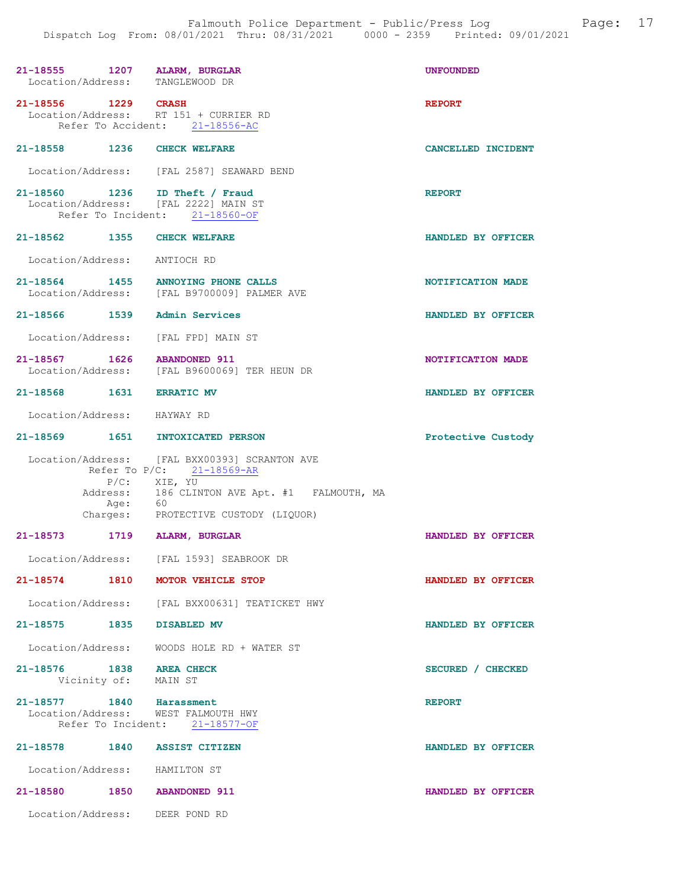| 21-18555 1207 ALARM, BURGLAR<br>Location/Address: TANGLEWOOD DR        |                                                                                                                                                                                                   | <b>UNFOUNDED</b>   |
|------------------------------------------------------------------------|---------------------------------------------------------------------------------------------------------------------------------------------------------------------------------------------------|--------------------|
| 21-18556 1229 CRASH                                                    | Location/Address: RT 151 + CURRIER RD<br>Refer To Accident: 21-18556-AC                                                                                                                           | <b>REPORT</b>      |
| 21-18558 1236 CHECK WELFARE                                            |                                                                                                                                                                                                   | CANCELLED INCIDENT |
|                                                                        | Location/Address: [FAL 2587] SEAWARD BEND                                                                                                                                                         |                    |
| 21-18560 1236 ID Theft / Fraud<br>Location/Address: [FAL 2222] MAIN ST | Refer To Incident: 21-18560-OF                                                                                                                                                                    | <b>REPORT</b>      |
| 21-18562 1355 CHECK WELFARE                                            |                                                                                                                                                                                                   | HANDLED BY OFFICER |
| Location/Address: ANTIOCH RD                                           |                                                                                                                                                                                                   |                    |
| 21-18564 1455 ANNOYING PHONE CALLS                                     | Location/Address: [FAL B9700009] PALMER AVE                                                                                                                                                       | NOTIFICATION MADE  |
| 21-18566 1539 Admin Services                                           |                                                                                                                                                                                                   | HANDLED BY OFFICER |
| Location/Address: [FAL FPD] MAIN ST                                    |                                                                                                                                                                                                   |                    |
| 21-18567 1626 ABANDONED 911                                            | Location/Address: [FAL B9600069] TER HEUN DR                                                                                                                                                      | NOTIFICATION MADE  |
| 21-18568 1631 ERRATIC MV                                               |                                                                                                                                                                                                   | HANDLED BY OFFICER |
| Location/Address: HAYWAY RD                                            |                                                                                                                                                                                                   |                    |
| 21-18569 1651 INTOXICATED PERSON                                       |                                                                                                                                                                                                   | Protective Custody |
|                                                                        | Location/Address: [FAL BXX00393] SCRANTON AVE<br>Refer To $P/C$ : 21-18569-AR<br>P/C: XIE, YU<br>Address: 186 CLINTON AVE Apt. #1 FALMOUTH, MA<br>Age: 60<br>Charges: PROTECTIVE CUSTODY (LIQUOR) |                    |
| 21-18573 1719 ALARM, BURGLAR                                           |                                                                                                                                                                                                   | HANDLED BY OFFICER |
|                                                                        | Location/Address: [FAL 1593] SEABROOK DR                                                                                                                                                          |                    |
| 21-18574                                                               | 1810 MOTOR VEHICLE STOP                                                                                                                                                                           | HANDLED BY OFFICER |
|                                                                        | Location/Address: [FAL BXX00631] TEATICKET HWY                                                                                                                                                    |                    |
| 21-18575 1835 DISABLED MV                                              |                                                                                                                                                                                                   | HANDLED BY OFFICER |
|                                                                        | Location/Address: WOODS HOLE RD + WATER ST                                                                                                                                                        |                    |
| 21-18576 1838 AREA CHECK<br>Vicinity of: MAIN ST                       |                                                                                                                                                                                                   | SECURED / CHECKED  |
| 21-18577 1840 Harassment<br>Location/Address: WEST FALMOUTH HWY        | Refer To Incident: 21-18577-OF                                                                                                                                                                    | <b>REPORT</b>      |
| 21-18578 1840 ASSIST CITIZEN                                           |                                                                                                                                                                                                   | HANDLED BY OFFICER |
| Location/Address: HAMILTON ST                                          |                                                                                                                                                                                                   |                    |
| 21-18580 1850 ABANDONED 911                                            |                                                                                                                                                                                                   | HANDLED BY OFFICER |
| Location/Address: DEER POND RD                                         |                                                                                                                                                                                                   |                    |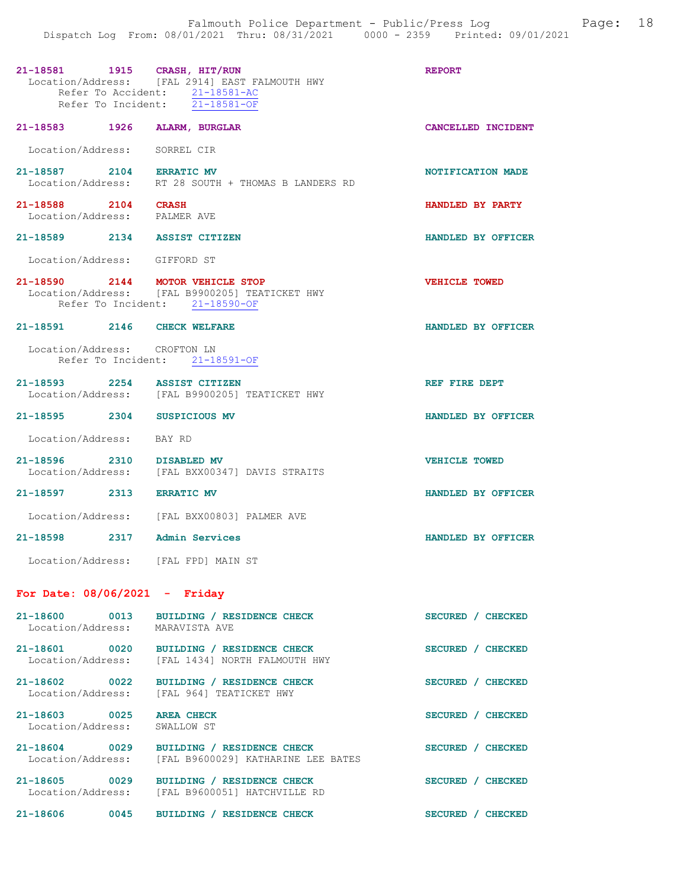| 21-18581 1915 CRASH, HIT/RUN                        | Location/Address: [FAL 2914] EAST FALMOUTH HWY<br>Refer To Accident: 21-18581-AC<br>Refer To Incident: 21-18581-OF | <b>REPORT</b>        |
|-----------------------------------------------------|--------------------------------------------------------------------------------------------------------------------|----------------------|
| 21-18583 1926 ALARM, BURGLAR                        |                                                                                                                    | CANCELLED INCIDENT   |
| Location/Address: SORREL CIR                        |                                                                                                                    |                      |
| 21-18587 2104 ERRATIC MV                            | Location/Address: RT 28 SOUTH + THOMAS B LANDERS RD                                                                | NOTIFICATION MADE    |
| 21-18588 2104 CRASH<br>Location/Address: PALMER AVE |                                                                                                                    | HANDLED BY PARTY     |
| 21-18589 2134 ASSIST CITIZEN                        |                                                                                                                    | HANDLED BY OFFICER   |
| Location/Address: GIFFORD ST                        |                                                                                                                    |                      |
| 21-18590 2144 MOTOR VEHICLE STOP                    | Location/Address: [FAL B9900205] TEATICKET HWY<br>Refer To Incident: 21-18590-OF                                   | <b>VEHICLE TOWED</b> |
| 21-18591 2146 CHECK WELFARE                         |                                                                                                                    | HANDLED BY OFFICER   |
| Location/Address: CROFTON LN                        | Refer To Incident: 21-18591-OF                                                                                     |                      |
| 21-18593 2254 ASSIST CITIZEN                        | Location/Address: [FAL B9900205] TEATICKET HWY                                                                     | REF FIRE DEPT        |
| 21-18595 2304 SUSPICIOUS MV                         |                                                                                                                    | HANDLED BY OFFICER   |
| Location/Address: BAY RD                            |                                                                                                                    |                      |
| 21-18596 2310 DISABLED MV                           | Location/Address: [FAL BXX00347] DAVIS STRAITS                                                                     | <b>VEHICLE TOWED</b> |
| 21-18597 2313 ERRATIC MV                            |                                                                                                                    | HANDLED BY OFFICER   |
|                                                     | Location/Address: [FAL BXX00803] PALMER AVE                                                                        |                      |
| $21 - 18598$                                        | 2317 Admin Services                                                                                                | HANDLED BY OFFICER   |
| Location/Address: [FAL FPD] MAIN ST                 |                                                                                                                    |                      |
| For Date: $08/06/2021$ - Friday                     |                                                                                                                    |                      |
| 21-18600<br>0013<br>Location/Address:               | BUILDING / RESIDENCE CHECK<br>MARAVISTA AVE                                                                        | SECURED / CHECKED    |
| 21-18601<br>0020<br>Location/Address:               | BUILDING / RESIDENCE CHECK<br>[FAL 1434] NORTH FALMOUTH HWY                                                        | SECURED / CHECKED    |

21-18602 0022 BUILDING / RESIDENCE CHECK SECURED / CHECKED Location/Address: [FAL 964] TEATICKET HWY

21-18603 0025 AREA CHECK SECURED / CHECKED SECURED / CHECKED Location/Address:

21-18604 0029 BUILDING / RESIDENCE CHECK SECURED / CHECKED Location/Address: [FAL B9600029] KATHARINE LEE BATES 21-18605 0029 BUILDING / RESIDENCE CHECK SECURED / CHECKED Location/Address: [FAL B9600051] HATCHVILLE RD

21-18606 0045 BUILDING / RESIDENCE CHECK SECURED / CHECKED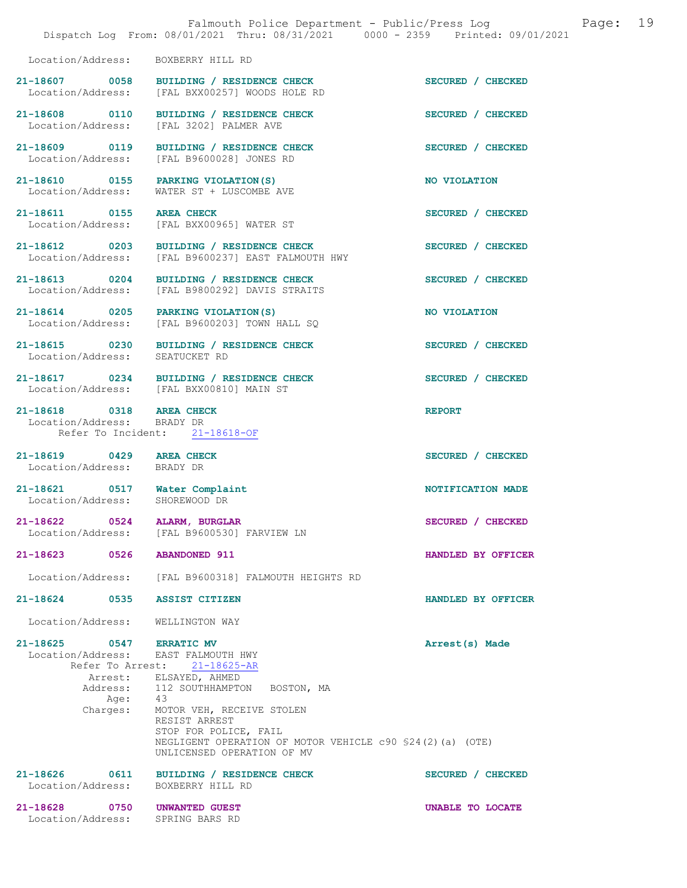|                                                                 | Falmouth Police Department - Public/Press Log<br>Dispatch Log From: 08/01/2021 Thru: 08/31/2021 0000 - 2359 Printed: 09/01/2021                                                                                                  | 19<br>Page:        |
|-----------------------------------------------------------------|----------------------------------------------------------------------------------------------------------------------------------------------------------------------------------------------------------------------------------|--------------------|
| Location/Address:                                               | BOXBERRY HILL RD                                                                                                                                                                                                                 |                    |
|                                                                 | 21-18607 0058 BUILDING / RESIDENCE CHECK<br>Location/Address: [FAL BXX00257] WOODS HOLE RD                                                                                                                                       | SECURED / CHECKED  |
|                                                                 | 21-18608 0110 BUILDING / RESIDENCE CHECK<br>Location/Address: [FAL 3202] PALMER AVE                                                                                                                                              | SECURED / CHECKED  |
|                                                                 | 21-18609 0119 BUILDING / RESIDENCE CHECK<br>Location/Address: [FAL B9600028] JONES RD                                                                                                                                            | SECURED / CHECKED  |
|                                                                 | 21-18610 0155 PARKING VIOLATION(S)<br>Location/Address: WATER ST + LUSCOMBE AVE                                                                                                                                                  | NO VIOLATION       |
| 21-18611 0155 AREA CHECK                                        | Location/Address: [FAL BXX00965] WATER ST                                                                                                                                                                                        | SECURED / CHECKED  |
|                                                                 | 21-18612 0203 BUILDING / RESIDENCE CHECK<br>Location/Address: [FAL B9600237] EAST FALMOUTH HWY                                                                                                                                   | SECURED / CHECKED  |
| 21-18613 0204<br>Location/Address:                              | BUILDING / RESIDENCE CHECK<br>[FAL B9800292] DAVIS STRAITS                                                                                                                                                                       | SECURED / CHECKED  |
|                                                                 | 21-18614 0205 PARKING VIOLATION (S)<br>Location/Address: [FAL B9600203] TOWN HALL SQ                                                                                                                                             | NO VIOLATION       |
| Location/Address:                                               | 21-18615 0230 BUILDING / RESIDENCE CHECK<br>SEATUCKET RD                                                                                                                                                                         | SECURED / CHECKED  |
| Location/Address: [FAL BXX00810] MAIN ST                        | 21-18617 0234 BUILDING / RESIDENCE CHECK                                                                                                                                                                                         | SECURED / CHECKED  |
| 21-18618 0318 AREA CHECK<br>Location/Address: BRADY DR          | Refer To Incident: 21-18618-OF                                                                                                                                                                                                   | <b>REPORT</b>      |
| 21-18619 0429 AREA CHECK<br>Location/Address: BRADY DR          |                                                                                                                                                                                                                                  | SECURED / CHECKED  |
| 21-18621 0517 Water Complaint<br>Location/Address: SHOREWOOD DR |                                                                                                                                                                                                                                  | NOTIFICATION MADE  |
| 21-18622 0524 ALARM, BURGLAR                                    | Location/Address: [FAL B9600530] FARVIEW LN                                                                                                                                                                                      | SECURED / CHECKED  |
| 21-18623 0526 ABANDONED 911                                     |                                                                                                                                                                                                                                  | HANDLED BY OFFICER |
|                                                                 | Location/Address: [FAL B9600318] FALMOUTH HEIGHTS RD                                                                                                                                                                             |                    |
| 21-18624 0535                                                   | <b>ASSIST CITIZEN</b>                                                                                                                                                                                                            | HANDLED BY OFFICER |
| Location/Address:                                               | WELLINGTON WAY                                                                                                                                                                                                                   |                    |
| 21-18625 0547 ERRATIC MV<br>Location/Address: EAST FALMOUTH HWY | Refer To Arrest: 21-18625-AR                                                                                                                                                                                                     | Arrest(s) Made     |
| Age: 43<br>Charges:                                             | Arrest: ELSAYED, AHMED<br>Address: 112 SOUTHHAMPTON BOSTON, MA<br>MOTOR VEH, RECEIVE STOLEN<br>RESIST ARREST<br>STOP FOR POLICE, FAIL<br>NEGLIGENT OPERATION OF MOTOR VEHICLE c90 \$24(2)(a) (OTE)<br>UNLICENSED OPERATION OF MV |                    |
| 21-18626 0611<br>Location/Address:                              | BUILDING / RESIDENCE CHECK<br>BOXBERRY HILL RD                                                                                                                                                                                   | SECURED / CHECKED  |
| 21-18628 0750 UNWANTED GUEST<br>Location/Address:               | SPRING BARS RD                                                                                                                                                                                                                   | UNABLE TO LOCATE   |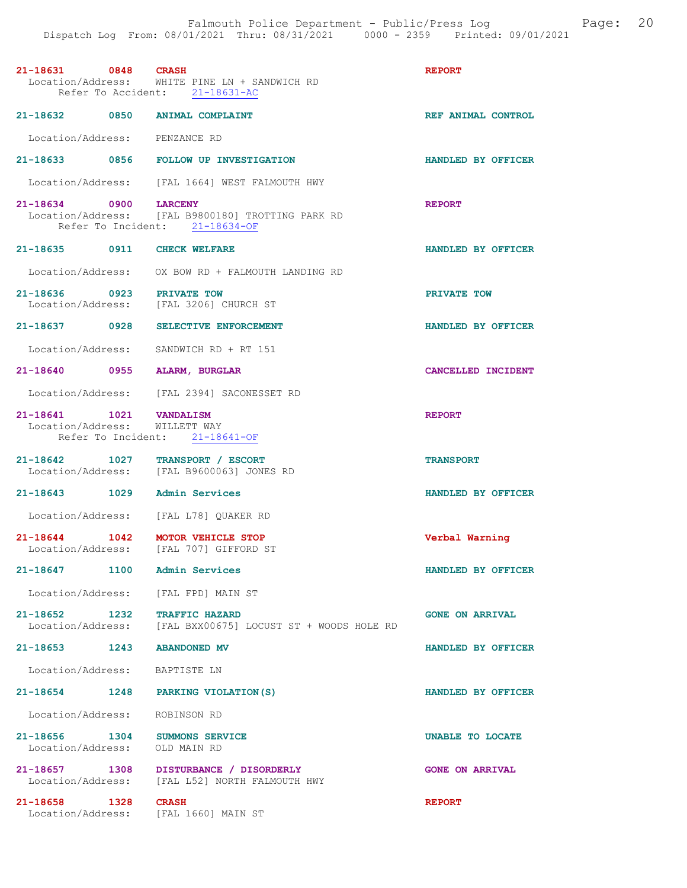| 21-18631 0848 CRASH                                            | Location/Address: WHITE PINE LN + SANDWICH RD<br>Refer To Accident: 21-18631-AC            | <b>REPORT</b>             |
|----------------------------------------------------------------|--------------------------------------------------------------------------------------------|---------------------------|
| 21-18632 0850 ANIMAL COMPLAINT                                 |                                                                                            | REF ANIMAL CONTROL        |
| Location/Address: PENZANCE RD                                  |                                                                                            |                           |
|                                                                | 21-18633 0856 FOLLOW UP INVESTIGATION                                                      | HANDLED BY OFFICER        |
|                                                                | Location/Address: [FAL 1664] WEST FALMOUTH HWY                                             |                           |
| 21-18634 0900 LARCENY                                          | Location/Address: [FAL B9800180] TROTTING PARK RD<br>Refer To Incident: 21-18634-OF        | <b>REPORT</b>             |
| 21-18635 0911 CHECK WELFARE                                    |                                                                                            | HANDLED BY OFFICER        |
|                                                                | Location/Address: OX BOW RD + FALMOUTH LANDING RD                                          |                           |
| 21-18636 0923 PRIVATE TOW                                      | Location/Address: [FAL 3206] CHURCH ST                                                     | PRIVATE TOW               |
|                                                                | 21-18637 0928 SELECTIVE ENFORCEMENT                                                        | HANDLED BY OFFICER        |
| Location/Address:                                              | SANDWICH RD + RT 151                                                                       |                           |
| 21-18640 0955                                                  | <b>ALARM, BURGLAR</b>                                                                      | <b>CANCELLED INCIDENT</b> |
|                                                                | Location/Address: [FAL 2394] SACONESSET RD                                                 |                           |
| 21-18641 1021 VANDALISM<br>Location/Address: WILLETT WAY       | Refer To Incident: 21-18641-OF                                                             | <b>REPORT</b>             |
| 21-18642 1027 TRANSPORT / ESCORT                               | Location/Address: [FAL B9600063] JONES RD                                                  | <b>TRANSPORT</b>          |
| 21-18643 1029                                                  | Admin Services                                                                             | HANDLED BY OFFICER        |
| Location/Address: [FAL L78] QUAKER RD                          |                                                                                            |                           |
| 21-18644 1042 MOTOR VEHICLE STOP                               | Location/Address: [FAL 707] GIFFORD ST                                                     | Verbal Warning            |
| 21-18647 1100 Admin Services                                   |                                                                                            | <b>HANDLED BY OFFICER</b> |
| Location/Address: [FAL FPD] MAIN ST                            |                                                                                            |                           |
|                                                                | 21-18652 1232 TRAFFIC HAZARD<br>Location/Address: [FAL BXX00675] LOCUST ST + WOODS HOLE RD | <b>GONE ON ARRIVAL</b>    |
| 21-18653 1243                                                  | <b>ABANDONED MV</b>                                                                        | HANDLED BY OFFICER        |
| Location/Address: BAPTISTE LN                                  |                                                                                            |                           |
| 21-18654 1248 PARKING VIOLATION (S)                            |                                                                                            | HANDLED BY OFFICER        |
| Location/Address: ROBINSON RD                                  |                                                                                            |                           |
| 21-18656 1304 SUMMONS SERVICE<br>Location/Address: OLD MAIN RD |                                                                                            | UNABLE TO LOCATE          |
|                                                                | 21-18657 1308 DISTURBANCE / DISORDERLY<br>Location/Address: [FAL L52] NORTH FALMOUTH HWY   | <b>GONE ON ARRIVAL</b>    |
| 21-18658 1328<br>Location/Address: [FAL 1660] MAIN ST          | <b>CRASH</b>                                                                               | <b>REPORT</b>             |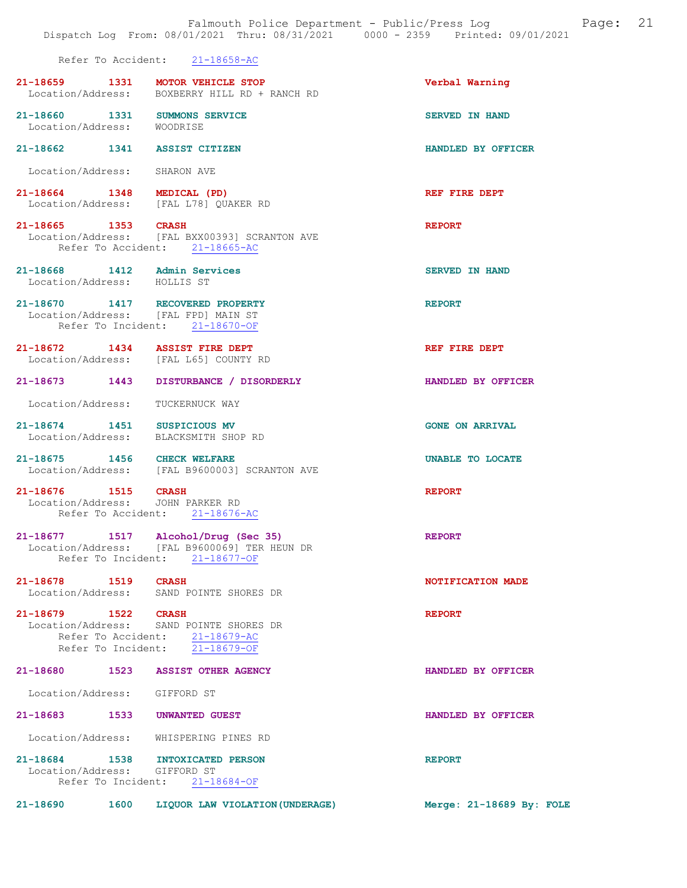|                                    | Dispatch Log From: 08/01/2021 Thru: 08/31/2021 0000 - 2359 Printed: 09/01/2021                                        |                          |
|------------------------------------|-----------------------------------------------------------------------------------------------------------------------|--------------------------|
|                                    | Refer To Accident: 21-18658-AC                                                                                        |                          |
|                                    | 21-18659 1331 MOTOR VEHICLE STOP<br>Location/Address: BOXBERRY HILL RD + RANCH RD                                     | Verbal Warning           |
| Location/Address: WOODRISE         | 21-18660 1331 SUMMONS SERVICE                                                                                         | SERVED IN HAND           |
|                                    | 21-18662 1341 ASSIST CITIZEN                                                                                          | HANDLED BY OFFICER       |
|                                    | Location/Address: SHARON AVE                                                                                          |                          |
|                                    | 21-18664 1348 MEDICAL (PD)<br>Location/Address: [FAL L78] QUAKER RD                                                   | REF FIRE DEPT            |
| 21-18665 1353 CRASH                | Location/Address: [FAL BXX00393] SCRANTON AVE<br>Refer To Accident: 21-18665-AC                                       | <b>REPORT</b>            |
| Location/Address: HOLLIS ST        | 21-18668 1412 Admin Services                                                                                          | <b>SERVED IN HAND</b>    |
|                                    | 21-18670 1417 RECOVERED PROPERTY<br>Location/Address: [FAL FPD] MAIN ST<br>Refer To Incident: 21-18670-OF             | <b>REPORT</b>            |
|                                    | 21-18672 1434 ASSIST FIRE DEPT<br>Location/Address: [FAL L65] COUNTY RD                                               | REF FIRE DEPT            |
| 21-18673 1443                      | DISTURBANCE / DISORDERLY                                                                                              | HANDLED BY OFFICER       |
| Location/Address:                  | TUCKERNUCK WAY                                                                                                        |                          |
|                                    | 21-18674 1451 SUSPICIOUS MV<br>Location/Address: BLACKSMITH SHOP RD                                                   | <b>GONE ON ARRIVAL</b>   |
|                                    | 21-18675 1456 CHECK WELFARE<br>Location/Address: [FAL B9600003] SCRANTON AVE                                          | UNABLE TO LOCATE         |
| 21-18676 1515 CRASH                | Location/Address: JOHN PARKER RD<br>Refer To Accident: 21-18676-AC                                                    | <b>REPORT</b>            |
|                                    | 21-18677 1517 Alcohol/Drug (Sec 35)<br>Location/Address: [FAL B9600069] TER HEUN DR<br>Refer To Incident: 21-18677-OF | <b>REPORT</b>            |
| 21-18678 1519<br>Location/Address: | <b>CRASH</b><br>SAND POINTE SHORES DR                                                                                 | NOTIFICATION MADE        |
| 21-18679 1522<br>Location/Address: | <b>CRASH</b><br>SAND POINTE SHORES DR<br>Refer To Accident: 21-18679-AC<br>Refer To Incident: 21-18679-OF             | <b>REPORT</b>            |
| 21-18680<br>1523                   | <b>ASSIST OTHER AGENCY</b>                                                                                            | HANDLED BY OFFICER       |
| Location/Address: GIFFORD ST       |                                                                                                                       |                          |
| $21 - 18683$                       | 1533<br><b>UNWANTED GUEST</b>                                                                                         | HANDLED BY OFFICER       |
| Location/Address:                  | WHISPERING PINES RD                                                                                                   |                          |
| 21-18684 1538                      | <b>INTOXICATED PERSON</b><br>Location/Address: GIFFORD ST<br>Refer To Incident: 21-18684-OF                           | <b>REPORT</b>            |
| 21-18690<br>1600                   | LIQUOR LAW VIOLATION (UNDERAGE)                                                                                       | Merge: 21-18689 By: FOLE |

Falmouth Police Department - Public/Press Log and Page: 21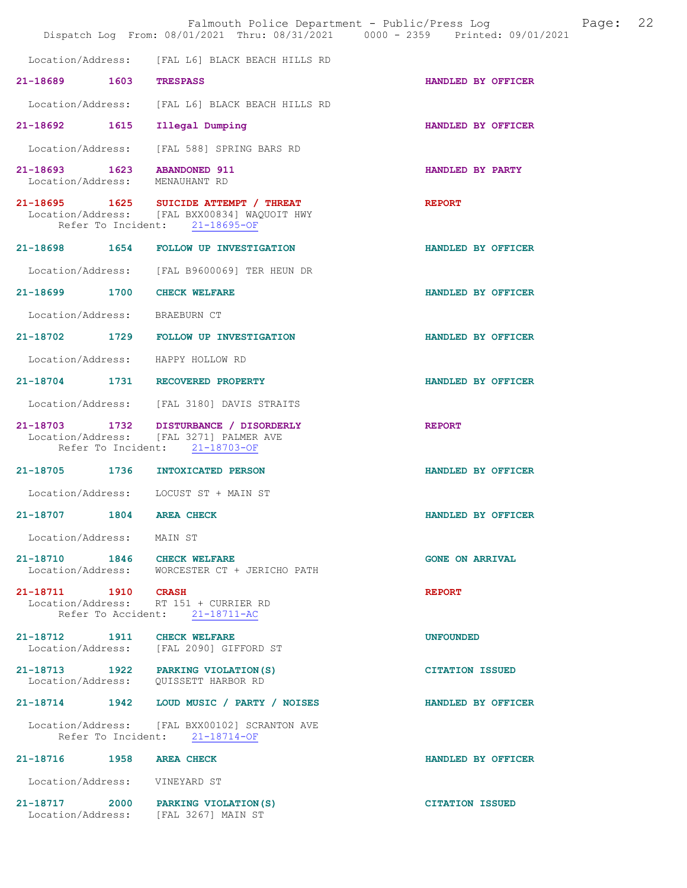|                               |                                                                                                                          | Falmouth Police Department - Public/Press Log Fage: 22<br>Dispatch Log From: 08/01/2021 Thru: 08/31/2021 0000 - 2359 Printed: 09/01/2021 |  |
|-------------------------------|--------------------------------------------------------------------------------------------------------------------------|------------------------------------------------------------------------------------------------------------------------------------------|--|
|                               | Location/Address: [FAL L6] BLACK BEACH HILLS RD                                                                          |                                                                                                                                          |  |
| 21-18689 1603 TRESPASS        |                                                                                                                          | HANDLED BY OFFICER                                                                                                                       |  |
|                               | Location/Address: [FAL L6] BLACK BEACH HILLS RD                                                                          |                                                                                                                                          |  |
|                               | 21-18692 1615 Illegal Dumping                                                                                            | HANDLED BY OFFICER                                                                                                                       |  |
|                               | Location/Address: [FAL 588] SPRING BARS RD                                                                               |                                                                                                                                          |  |
|                               | 21-18693 1623 ABANDONED 911<br>Location/Address: MENAUHANT RD                                                            | HANDLED BY PARTY                                                                                                                         |  |
|                               | 21-18695 1625 SUICIDE ATTEMPT / THREAT<br>Location/Address: [FAL BXX00834] WAQUOIT HWY<br>Refer To Incident: 21-18695-OF | <b>REPORT</b>                                                                                                                            |  |
|                               | 21-18698 1654 FOLLOW UP INVESTIGATION                                                                                    | HANDLED BY OFFICER                                                                                                                       |  |
|                               | Location/Address: [FAL B9600069] TER HEUN DR                                                                             |                                                                                                                                          |  |
|                               | 21-18699 1700 CHECK WELFARE                                                                                              | HANDLED BY OFFICER                                                                                                                       |  |
| Location/Address: BRAEBURN CT |                                                                                                                          |                                                                                                                                          |  |
|                               | 21-18702 1729 FOLLOW UP INVESTIGATION                                                                                    | HANDLED BY OFFICER                                                                                                                       |  |
|                               | Location/Address: HAPPY HOLLOW RD                                                                                        |                                                                                                                                          |  |
|                               | 21-18704 1731 RECOVERED PROPERTY                                                                                         | HANDLED BY OFFICER                                                                                                                       |  |
|                               | Location/Address: [FAL 3180] DAVIS STRAITS                                                                               |                                                                                                                                          |  |
|                               | 21-18703 1732 DISTURBANCE / DISORDERLY<br>Location/Address: [FAL 3271] PALMER AVE<br>Refer To Incident: 21-18703-OF      | <b>REPORT</b>                                                                                                                            |  |
|                               | 21-18705 1736 INTOXICATED PERSON                                                                                         | HANDLED BY OFFICER                                                                                                                       |  |
|                               | Location/Address: LOCUST ST + MAIN ST                                                                                    |                                                                                                                                          |  |
| 21-18707 1804 AREA CHECK      |                                                                                                                          | HANDLED BY OFFICER                                                                                                                       |  |
| Location/Address: MAIN ST     |                                                                                                                          |                                                                                                                                          |  |
|                               | 21-18710 1846 CHECK WELFARE<br>Location/Address: WORCESTER CT + JERICHO PATH                                             | <b>GONE ON ARRIVAL</b>                                                                                                                   |  |
| 21-18711 1910 CRASH           | Location/Address: RT 151 + CURRIER RD<br>Refer To Accident: 21-18711-AC                                                  | <b>REPORT</b>                                                                                                                            |  |
|                               | 21-18712 1911 CHECK WELFARE<br>Location/Address: [FAL 2090] GIFFORD ST                                                   | <b>UNFOUNDED</b>                                                                                                                         |  |
|                               | 21-18713 1922 PARKING VIOLATION(S)                                                                                       | <b>CITATION ISSUED</b>                                                                                                                   |  |
|                               | 21-18714 1942 LOUD MUSIC / PARTY / NOISES                                                                                | HANDLED BY OFFICER                                                                                                                       |  |
|                               | Location/Address: [FAL BXX00102] SCRANTON AVE<br>Refer To Incident: 21-18714-OF                                          |                                                                                                                                          |  |
| 21-18716 1958 AREA CHECK      |                                                                                                                          | HANDLED BY OFFICER                                                                                                                       |  |
| Location/Address: VINEYARD ST |                                                                                                                          |                                                                                                                                          |  |
|                               | 21-18717 2000 PARKING VIOLATION (S)<br>Location/Address: [FAL 3267] MAIN ST                                              | <b>CITATION ISSUED</b>                                                                                                                   |  |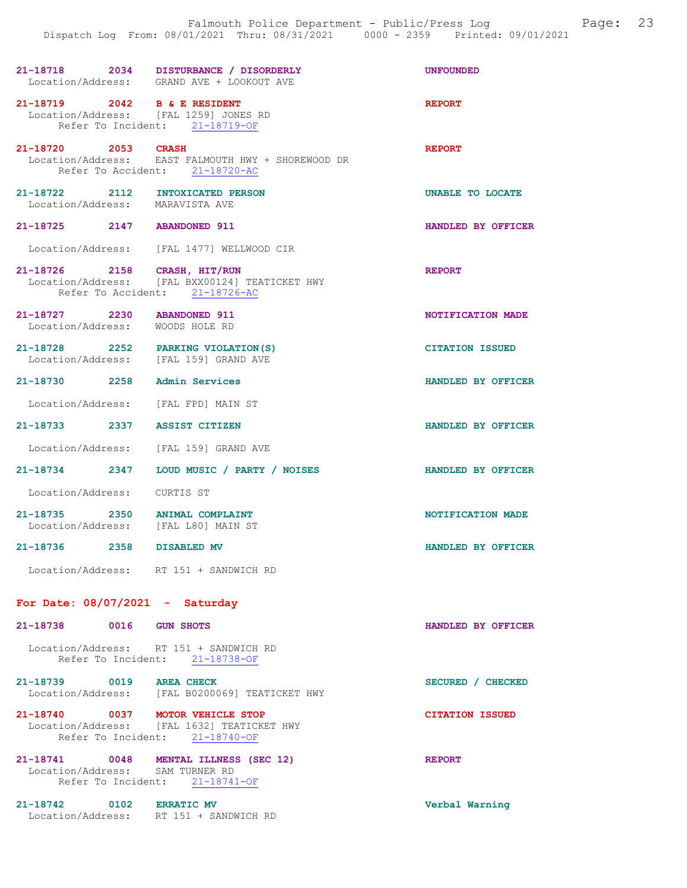|                                                                       | 21-18718 2034 DISTURBANCE / DISORDERLY<br>Location/Address: GRAND AVE + LOOKOUT AVE                              | <b>UNFOUNDED</b>       |
|-----------------------------------------------------------------------|------------------------------------------------------------------------------------------------------------------|------------------------|
| 21-18719 2042 B & E RESIDENT                                          | Location/Address: [FAL 1259] JONES RD<br>Refer To Incident: 21-18719-OF                                          | <b>REPORT</b>          |
|                                                                       | 21-18720 2053 CRASH<br>Location/Address: EAST FALMOUTH HWY + SHOREWOOD DR<br>Refer To Accident: 21-18720-AC      | <b>REPORT</b>          |
| 21-18722 2112 INTOXICATED PERSON<br>Location/Address: MARAVISTA AVE   |                                                                                                                  | UNABLE TO LOCATE       |
| 21-18725 2147 ABANDONED 911                                           |                                                                                                                  | HANDLED BY OFFICER     |
|                                                                       | Location/Address: [FAL 1477] WELLWOOD CIR                                                                        |                        |
|                                                                       | 21-18726 2158 CRASH, HIT/RUN<br>Location/Address: [FAL BXX00124] TEATICKET HWY<br>Refer To Accident: 21-18726-AC | <b>REPORT</b>          |
| 21-18727 2230 ABANDONED 911<br>Location/Address: WOODS HOLE RD        |                                                                                                                  | NOTIFICATION MADE      |
|                                                                       | 21-18728 2252 PARKING VIOLATION(S)<br>Location/Address: [FAL 159] GRAND AVE                                      | <b>CITATION ISSUED</b> |
| 21-18730 2258 Admin Services                                          |                                                                                                                  | HANDLED BY OFFICER     |
| Location/Address: [FAL FPD] MAIN ST                                   |                                                                                                                  |                        |
| 21-18733 2337 ASSIST CITIZEN                                          |                                                                                                                  | HANDLED BY OFFICER     |
|                                                                       | Location/Address: [FAL 159] GRAND AVE                                                                            |                        |
|                                                                       | 21-18734 2347 LOUD MUSIC / PARTY / NOISES                                                                        | HANDLED BY OFFICER     |
| Location/Address: CURTIS ST                                           |                                                                                                                  |                        |
| 21-18735 2350 ANIMAL COMPLAINT<br>Location/Address: [FAL L80] MAIN ST |                                                                                                                  | NOTIFICATION MADE      |
| 21-18736 2358 DISABLED MV                                             |                                                                                                                  | HANDLED BY OFFICER     |
|                                                                       | Location/Address: RT 151 + SANDWICH RD                                                                           |                        |
| For Date: $08/07/2021$ - Saturday                                     |                                                                                                                  |                        |
| 21-18738 0016 GUN SHOTS                                               |                                                                                                                  | HANDLED BY OFFICER     |
|                                                                       | Location/Address: RT 151 + SANDWICH RD<br>Refer To Incident: 21-18738-OF                                         |                        |
| 21-18739 0019 AREA CHECK                                              | Location/Address: [FAL B0200069] TEATICKET HWY                                                                   | SECURED / CHECKED      |
| 21-18740 0037 MOTOR VEHICLE STOP                                      | Location/Address: [FAL 1632] TEATICKET HWY<br>Refer To Incident: 21-18740-OF                                     | <b>CITATION ISSUED</b> |
| Location/Address: SAM TURNER RD                                       | 21-18741 0048 MENTAL ILLNESS (SEC 12)<br>Refer To Incident: 21-18741-OF                                          | <b>REPORT</b>          |

21-18742 0102 ERRATIC MV Verbal Warning Location/Address: RT 151 + SANDWICH RD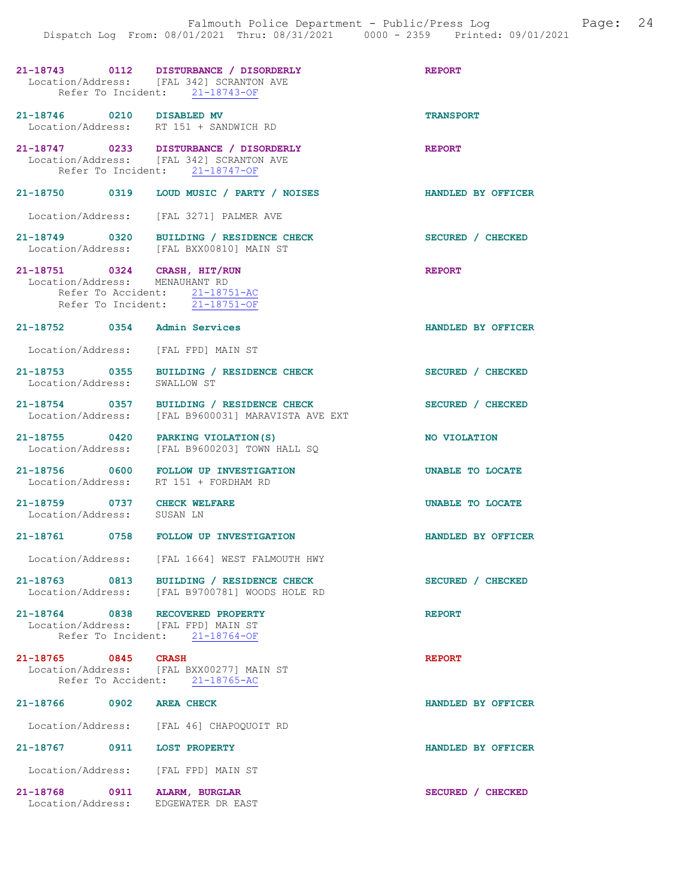|                                                                         | 21-18743 0112 DISTURBANCE / DISORDERLY<br>Location/Address: [FAL 342] SCRANTON AVE<br>Refer To Incident: 21-18743-OF | <b>REPORT</b>             |
|-------------------------------------------------------------------------|----------------------------------------------------------------------------------------------------------------------|---------------------------|
| 21-18746 0210 DISABLED MV                                               | Location/Address: RT 151 + SANDWICH RD                                                                               | <b>TRANSPORT</b>          |
|                                                                         | 21-18747 0233 DISTURBANCE / DISORDERLY<br>Location/Address: [FAL 342] SCRANTON AVE<br>Refer To Incident: 21-18747-OF | <b>REPORT</b>             |
|                                                                         | 21-18750 0319 LOUD MUSIC / PARTY / NOISES                                                                            | <b>HANDLED BY OFFICER</b> |
|                                                                         | Location/Address: [FAL 3271] PALMER AVE                                                                              |                           |
|                                                                         | 21-18749 0320 BUILDING / RESIDENCE CHECK<br>Location/Address: [FAL BXX00810] MAIN ST                                 | SECURED / CHECKED         |
| 21-18751 0324 CRASH, HIT/RUN<br>Location/Address: MENAUHANT RD          | Refer To Accident: 21-18751-AC<br>Refer To Incident: 21-18751-OF                                                     | <b>REPORT</b>             |
| 21-18752 0354 Admin Services                                            |                                                                                                                      | HANDLED BY OFFICER        |
| Location/Address: [FAL FPD] MAIN ST                                     |                                                                                                                      |                           |
|                                                                         | 21-18753 0355 BUILDING / RESIDENCE CHECK<br>Location/Address: SWALLOW ST                                             | SECURED / CHECKED         |
|                                                                         | 21-18754 0357 BUILDING / RESIDENCE CHECK<br>Location/Address: [FAL B9600031] MARAVISTA AVE EXT                       | SECURED / CHECKED         |
| 21-18755 0420 PARKING VIOLATION (S)                                     | Location/Address: [FAL B9600203] TOWN HALL SQ                                                                        | NO VIOLATION              |
| Location/Address: RT 151 + FORDHAM RD                                   | 21-18756 0600 FOLLOW UP INVESTIGATION                                                                                | UNABLE TO LOCATE          |
| 21-18759 0737 CHECK WELFARE<br>Location/Address: SUSAN LN               |                                                                                                                      | UNABLE TO LOCATE          |
|                                                                         | 21-18761 0758 FOLLOW UP INVESTIGATION                                                                                | HANDLED BY OFFICER        |
|                                                                         | Location/Address: [FAL 1664] WEST FALMOUTH HWY                                                                       |                           |
|                                                                         | 21-18763 0813 BUILDING / RESIDENCE CHECK<br>Location/Address: [FAL B9700781] WOODS HOLE RD                           | SECURED / CHECKED         |
| 21-18764 0838 RECOVERED PROPERTY<br>Location/Address: [FAL FPD] MAIN ST | Refer To Incident: 21-18764-OF                                                                                       | <b>REPORT</b>             |
| 21-18765 0845 CRASH                                                     | Location/Address: [FAL BXX00277] MAIN ST<br>Refer To Accident: 21-18765-AC                                           | <b>REPORT</b>             |
| 21-18766 0902 AREA CHECK                                                |                                                                                                                      | HANDLED BY OFFICER        |
|                                                                         | Location/Address: [FAL 46] CHAPOQUOIT RD                                                                             |                           |
| 21-18767 0911 LOST PROPERTY                                             |                                                                                                                      | HANDLED BY OFFICER        |
| Location/Address: [FAL FPD] MAIN ST                                     |                                                                                                                      |                           |
| 21-18768 0911 ALARM, BURGLAR<br>Location/Address:                       | EDGEWATER DR EAST                                                                                                    | SECURED / CHECKED         |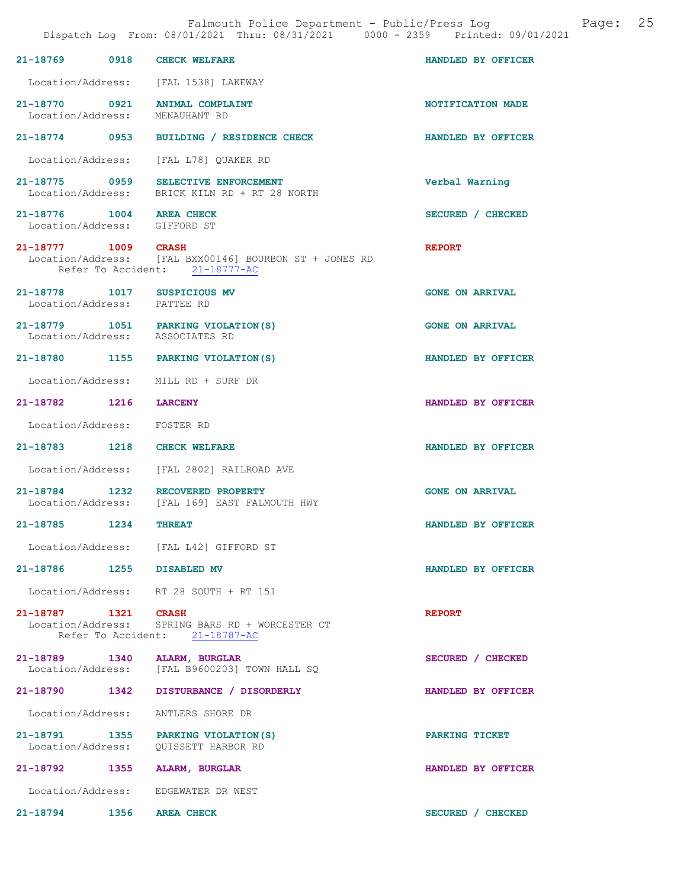|                                                          |      | Dispatch Log From: 08/01/2021 Thru: 08/31/2021 0000 - 2359 Printed: 09/01/2021                                  | Falmouth Police Department - Public/Press Log Fage: 25 |  |
|----------------------------------------------------------|------|-----------------------------------------------------------------------------------------------------------------|--------------------------------------------------------|--|
|                                                          |      | 21-18769 0918 CHECK WELFARE                                                                                     | HANDLED BY OFFICER                                     |  |
|                                                          |      | Location/Address: [FAL 1538] LAKEWAY                                                                            |                                                        |  |
|                                                          |      | 21-18770 0921 ANIMAL COMPLAINT<br>Location/Address: MENAUHANT RD                                                | NOTIFICATION MADE                                      |  |
|                                                          |      | 21-18774 0953 BUILDING / RESIDENCE CHECK                                                                        | <b>HANDLED BY OFFICER</b>                              |  |
|                                                          |      | Location/Address: [FAL L78] QUAKER RD                                                                           |                                                        |  |
|                                                          |      | 21-18775 0959 SELECTIVE ENFORCEMENT<br>Location/Address: BRICK KILN RD + RT 28 NORTH                            | Verbal Warning                                         |  |
| 21-18776 1004 AREA CHECK<br>Location/Address: GIFFORD ST |      |                                                                                                                 | SECURED / CHECKED                                      |  |
|                                                          |      | 21-18777 1009 CRASH<br>Location/Address: [FAL BXX00146] BOURBON ST + JONES RD<br>Refer To Accident: 21-18777-AC | <b>REPORT</b>                                          |  |
| Location/Address: PATTEE RD                              |      | 21-18778    1017    SUSPICIOUS MV                                                                               | <b>GONE ON ARRIVAL</b>                                 |  |
|                                                          |      | 21-18779 1051 PARKING VIOLATION (S)<br>Location/Address: ASSOCIATES RD                                          | <b>GONE ON ARRIVAL</b>                                 |  |
|                                                          |      | 21-18780 1155 PARKING VIOLATION(S)                                                                              | HANDLED BY OFFICER                                     |  |
|                                                          |      | Location/Address: MILL RD + SURF DR                                                                             |                                                        |  |
| 21-18782 1216 LARCENY                                    |      |                                                                                                                 | HANDLED BY OFFICER                                     |  |
| Location/Address: FOSTER RD                              |      |                                                                                                                 |                                                        |  |
|                                                          |      | 21-18783 1218 CHECK WELFARE                                                                                     | HANDLED BY OFFICER                                     |  |
|                                                          |      | Location/Address: [FAL 2802] RAILROAD AVE                                                                       |                                                        |  |
|                                                          |      | 21-18784 1232 RECOVERED PROPERTY<br>Location/Address: [FAL 169] EAST FALMOUTH HWY                               | <b>GONE ON ARRIVAL</b>                                 |  |
| 21-18785                                                 | 1234 | <b>THREAT</b>                                                                                                   | HANDLED BY OFFICER                                     |  |
|                                                          |      | Location/Address: [FAL L42] GIFFORD ST                                                                          |                                                        |  |
|                                                          |      | 21-18786 1255 DISABLED MV                                                                                       | HANDLED BY OFFICER                                     |  |
|                                                          |      | Location/Address: RT 28 SOUTH + RT 151                                                                          |                                                        |  |
| 21-18787 1321 CRASH                                      |      | Location/Address: SPRING BARS RD + WORCESTER CT<br>Refer To Accident: 21-18787-AC                               | <b>REPORT</b>                                          |  |
|                                                          |      | 21-18789 1340 ALARM, BURGLAR<br>Location/Address: [FAL B9600203] TOWN HALL SQ                                   | SECURED / CHECKED                                      |  |
|                                                          |      | 21-18790 1342 DISTURBANCE / DISORDERLY                                                                          | HANDLED BY OFFICER                                     |  |
| Location/Address:                                        |      | ANTLERS SHORE DR                                                                                                |                                                        |  |
|                                                          |      | 21-18791 1355 PARKING VIOLATION (S)                                                                             | PARKING TICKET                                         |  |
|                                                          |      | 21-18792 1355 ALARM, BURGLAR                                                                                    | HANDLED BY OFFICER                                     |  |
|                                                          |      | Location/Address: EDGEWATER DR WEST                                                                             |                                                        |  |
| 21-18794 1356 AREA CHECK                                 |      |                                                                                                                 | SECURED / CHECKED                                      |  |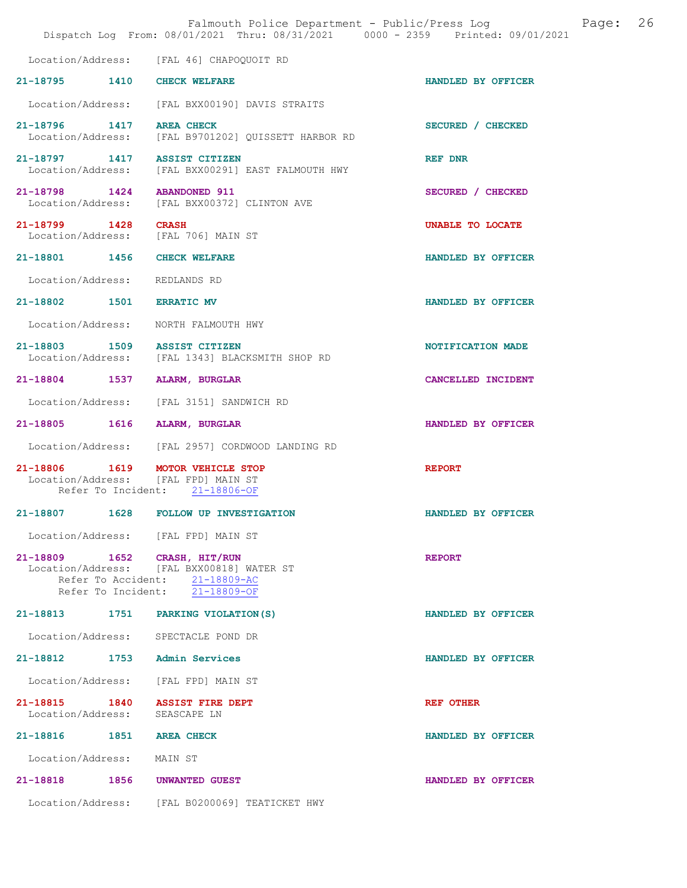|                                                                 |      | Falmouth Police Department - Public/Press Log<br>Dispatch Log From: 08/01/2021 Thru: 08/31/2021 0000 - 2359 Printed: 09/01/2021 | 26<br>Page:        |
|-----------------------------------------------------------------|------|---------------------------------------------------------------------------------------------------------------------------------|--------------------|
|                                                                 |      | Location/Address: [FAL 46] CHAPOQUOIT RD                                                                                        |                    |
| 21-18795 1410                                                   |      | <b>CHECK WELFARE</b>                                                                                                            | HANDLED BY OFFICER |
|                                                                 |      | Location/Address: [FAL BXX00190] DAVIS STRAITS                                                                                  |                    |
| $21 - 18796$<br>Location/Address:                               | 1417 | <b>AREA CHECK</b><br>[FAL B9701202] QUISSETT HARBOR RD                                                                          | SECURED / CHECKED  |
| 21-18797 1417<br>Location/Address:                              |      | <b>ASSIST CITIZEN</b><br>[FAL BXX00291] EAST FALMOUTH HWY                                                                       | REF DNR            |
| 21-18798 1424<br>Location/Address:                              |      | <b>ABANDONED 911</b><br>[FAL BXX00372] CLINTON AVE                                                                              | SECURED / CHECKED  |
| 21-18799 1428<br>Location/Address:                              |      | <b>CRASH</b><br>[FAL 706] MAIN ST                                                                                               | UNABLE TO LOCATE   |
| 21-18801 1456                                                   |      | <b>CHECK WELFARE</b>                                                                                                            | HANDLED BY OFFICER |
| Location/Address:                                               |      | REDLANDS RD                                                                                                                     |                    |
| 21-18802 1501                                                   |      | <b>ERRATIC MV</b>                                                                                                               | HANDLED BY OFFICER |
| Location/Address:                                               |      | NORTH FALMOUTH HWY                                                                                                              |                    |
| 21-18803 1509<br>Location/Address:                              |      | <b>ASSIST CITIZEN</b><br>[FAL 1343] BLACKSMITH SHOP RD                                                                          | NOTIFICATION MADE  |
| 21-18804 1537                                                   |      | ALARM, BURGLAR                                                                                                                  | CANCELLED INCIDENT |
| Location/Address:                                               |      | [FAL 3151] SANDWICH RD                                                                                                          |                    |
| 21-18805 1616                                                   |      | ALARM, BURGLAR                                                                                                                  | HANDLED BY OFFICER |
| Location/Address:                                               |      | [FAL 2957] CORDWOOD LANDING RD                                                                                                  |                    |
| 21-18806 1619                                                   |      | MOTOR VEHICLE STOP<br>Location/Address: [FAL FPD] MAIN ST<br>Refer To Incident: 21-18806-OF                                     | <b>REPORT</b>      |
|                                                                 |      | 21-18807 1628 FOLLOW UP INVESTIGATION                                                                                           | HANDLED BY OFFICER |
|                                                                 |      | Location/Address: [FAL FPD] MAIN ST                                                                                             |                    |
| 21-18809 1652 CRASH, HIT/RUN                                    |      | Location/Address: [FAL BXX00818] WATER ST<br>Refer To Accident: 21-18809-AC<br>Refer To Incident: 21-18809-OF                   | <b>REPORT</b>      |
| 21-18813 1751                                                   |      | PARKING VIOLATION (S)                                                                                                           | HANDLED BY OFFICER |
|                                                                 |      | Location/Address: SPECTACLE POND DR                                                                                             |                    |
| 21-18812 1753 Admin Services                                    |      |                                                                                                                                 | HANDLED BY OFFICER |
|                                                                 |      | Location/Address: [FAL FPD] MAIN ST                                                                                             |                    |
| 21-18815 1840 ASSIST FIRE DEPT<br>Location/Address: SEASCAPE LN |      |                                                                                                                                 | <b>REF OTHER</b>   |
| 21-18816 1851 AREA CHECK                                        |      |                                                                                                                                 | HANDLED BY OFFICER |
| Location/Address:                                               |      | MAIN ST                                                                                                                         |                    |
| 21-18818 1856 UNWANTED GUEST                                    |      |                                                                                                                                 | HANDLED BY OFFICER |
|                                                                 |      | Location/Address: [FAL B0200069] TEATICKET HWY                                                                                  |                    |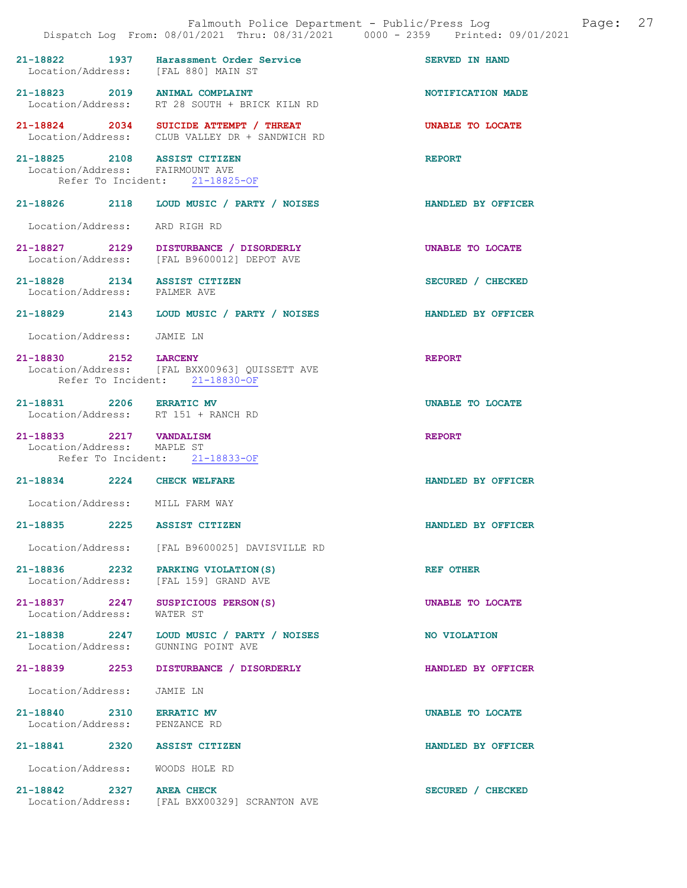|                                                                 | Dispatch Log From: 08/01/2021 Thru: 08/31/2021 0000 - 2359 Printed: 09/01/2021           | Falmouth Police Department - Public/Press Log | Page: | 27 |
|-----------------------------------------------------------------|------------------------------------------------------------------------------------------|-----------------------------------------------|-------|----|
| Location/Address: [FAL 880] MAIN ST                             | 21-18822 1937 Harassment Order Service                                                   | <b>SERVED IN HAND</b>                         |       |    |
| 21-18823 2019 ANIMAL COMPLAINT                                  | Location/Address: RT 28 SOUTH + BRICK KILN RD                                            | NOTIFICATION MADE                             |       |    |
|                                                                 | 21-18824 2034 SUICIDE ATTEMPT / THREAT<br>Location/Address: CLUB VALLEY DR + SANDWICH RD | UNABLE TO LOCATE                              |       |    |
| 21-18825 2108 ASSIST CITIZEN<br>Location/Address: FAIRMOUNT AVE | Refer To Incident: 21-18825-OF                                                           | <b>REPORT</b>                                 |       |    |
|                                                                 | 21-18826 2118 LOUD MUSIC / PARTY / NOISES                                                | HANDLED BY OFFICER                            |       |    |
| Location/Address: ARD RIGH RD                                   |                                                                                          |                                               |       |    |
|                                                                 | 21-18827 2129 DISTURBANCE / DISORDERLY<br>Location/Address: [FAL B9600012] DEPOT AVE     | UNABLE TO LOCATE                              |       |    |
| 21-18828 2134 ASSIST CITIZEN<br>Location/Address: PALMER AVE    |                                                                                          | SECURED / CHECKED                             |       |    |
|                                                                 | 21-18829 2143 LOUD MUSIC / PARTY / NOISES                                                | HANDLED BY OFFICER                            |       |    |
| Location/Address: JAMIE LN                                      |                                                                                          |                                               |       |    |
| 21-18830 2152 LARCENY                                           | Location/Address: [FAL BXX00963] QUISSETT AVE<br>Refer To Incident: 21-18830-OF          | <b>REPORT</b>                                 |       |    |
| 21-18831 2206 ERRATIC MV<br>Location/Address: RT 151 + RANCH RD |                                                                                          | UNABLE TO LOCATE                              |       |    |
| 21-18833 2217 VANDALISM<br>Location/Address: MAPLE ST           | Refer To Incident: 21-18833-OF                                                           | <b>REPORT</b>                                 |       |    |
| 21-18834 2224 CHECK WELFARE                                     |                                                                                          | HANDLED BY OFFICER                            |       |    |
| Location/Address: MILL FARM WAY                                 |                                                                                          |                                               |       |    |
| 21-18835<br>2225                                                | <b>ASSIST CITIZEN</b>                                                                    | HANDLED BY OFFICER                            |       |    |
|                                                                 | Location/Address: [FAL B9600025] DAVISVILLE RD                                           |                                               |       |    |
| 21-18836 2232 PARKING VIOLATION(S)                              | Location/Address: [FAL 159] GRAND AVE                                                    | <b>REF OTHER</b>                              |       |    |
| 21-18837 2247 SUSPICIOUS PERSON(S)<br>Location/Address:         | WATER ST                                                                                 | UNABLE TO LOCATE                              |       |    |
| Location/Address: GUNNING POINT AVE                             | 21-18838 2247 LOUD MUSIC / PARTY / NOISES                                                | NO VIOLATION                                  |       |    |
| 21-18839<br>2253                                                | DISTURBANCE / DISORDERLY                                                                 | HANDLED BY OFFICER                            |       |    |
| Location/Address:                                               | JAMIE LN                                                                                 |                                               |       |    |
| 21-18840 2310 ERRATIC MV<br>Location/Address:                   | PENZANCE RD                                                                              | UNABLE TO LOCATE                              |       |    |
| 21-18841 2320 ASSIST CITIZEN                                    |                                                                                          | HANDLED BY OFFICER                            |       |    |
| Location/Address:                                               | WOODS HOLE RD                                                                            |                                               |       |    |
| 21-18842 2327 AREA CHECK                                        | Location/Address: [FAL BXX00329] SCRANTON AVE                                            | SECURED / CHECKED                             |       |    |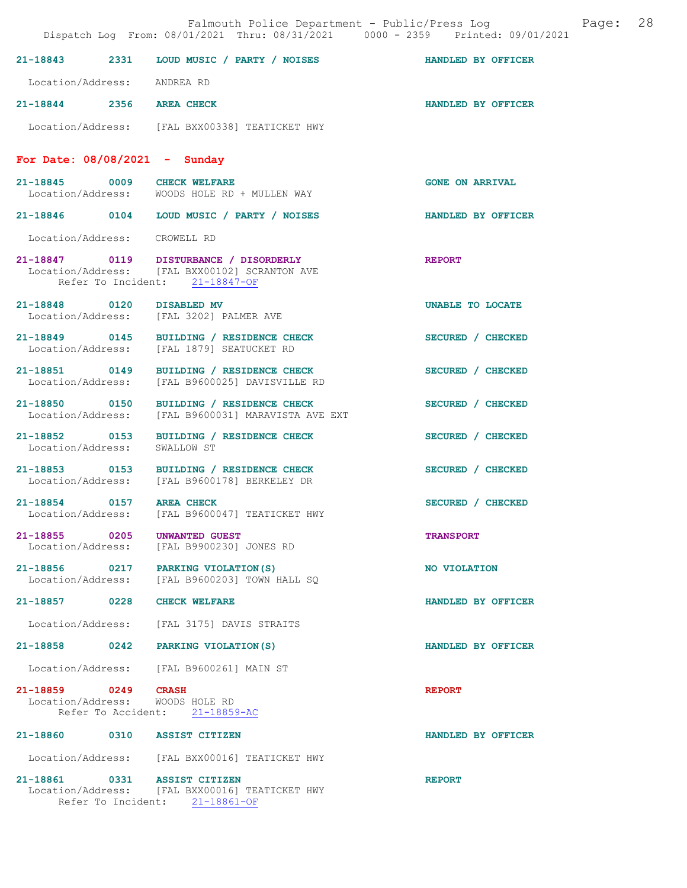|                                                        | Dispatch Log From: 08/01/2021 Thru: 08/31/2021 0000 - 2359 Printed: 09/01/2021                                            | Falmouth Police Department - Public/Press Log Fage: 28 |  |
|--------------------------------------------------------|---------------------------------------------------------------------------------------------------------------------------|--------------------------------------------------------|--|
|                                                        | 21-18843 2331 LOUD MUSIC / PARTY / NOISES HANDLED BY OFFICER                                                              |                                                        |  |
| Location/Address: ANDREA RD                            |                                                                                                                           |                                                        |  |
| 21-18844 2356 AREA CHECK                               |                                                                                                                           | HANDLED BY OFFICER                                     |  |
|                                                        | Location/Address: [FAL BXX00338] TEATICKET HWY                                                                            |                                                        |  |
| For Date: $08/08/2021 -$ Sunday                        |                                                                                                                           |                                                        |  |
|                                                        | 21-18845 0009 CHECK WELFARE<br>Location/Address: WOODS HOLE RD + MULLEN WAY                                               | <b>GONE ON ARRIVAL</b>                                 |  |
|                                                        | 21-18846  0104  LOUD MUSIC / PARTY / NOISES                                                                               | <b>HANDLED BY OFFICER</b>                              |  |
| Location/Address: CROWELL RD                           |                                                                                                                           |                                                        |  |
|                                                        | 21-18847 0119 DISTURBANCE / DISORDERLY<br>Location/Address: [FAL BXX00102] SCRANTON AVE<br>Refer To Incident: 21-18847-OF | <b>REPORT</b>                                          |  |
|                                                        | 21-18848 0120 DISABLED MV<br>Location/Address: [FAL 3202] PALMER AVE                                                      | UNABLE TO LOCATE                                       |  |
|                                                        | 21-18849 0145 BUILDING / RESIDENCE CHECK<br>Location/Address: [FAL 1879] SEATUCKET RD                                     | SECURED / CHECKED                                      |  |
|                                                        | 21-18851 0149 BUILDING / RESIDENCE CHECK<br>Location/Address: [FAL B9600025] DAVISVILLE RD                                | SECURED / CHECKED                                      |  |
|                                                        | 21-18850 0150 BUILDING / RESIDENCE CHECK<br>Location/Address: [FAL B9600031] MARAVISTA AVE EXT                            | SECURED / CHECKED                                      |  |
| Location/Address: SWALLOW ST                           | 21-18852 0153 BUILDING / RESIDENCE CHECK                                                                                  | SECURED / CHECKED                                      |  |
|                                                        | 21-18853 0153 BUILDING / RESIDENCE CHECK<br>Location/Address: [FAL B9600178] BERKELEY DR                                  | SECURED / CHECKED                                      |  |
| 21-18854 0157 AREA CHECK                               | Location/Address: [FAL B9600047] TEATICKET HWY                                                                            | SECURED / CHECKED                                      |  |
| 21-18855 0205 UNWANTED GUEST                           | Location/Address: [FAL B9900230] JONES RD                                                                                 | <b>TRANSPORT</b>                                       |  |
|                                                        | 21-18856 0217 PARKING VIOLATION(S)<br>Location/Address: [FAL B9600203] TOWN HALL SQ                                       | NO VIOLATION                                           |  |
| 21-18857 0228 CHECK WELFARE                            |                                                                                                                           | HANDLED BY OFFICER                                     |  |
|                                                        | Location/Address: [FAL 3175] DAVIS STRAITS                                                                                |                                                        |  |
|                                                        | 21-18858 0242 PARKING VIOLATION(S)                                                                                        | HANDLED BY OFFICER                                     |  |
|                                                        | Location/Address: [FAL B9600261] MAIN ST                                                                                  |                                                        |  |
| 21-18859 0249 CRASH<br>Location/Address: WOODS HOLE RD | Refer To Accident: 21-18859-AC                                                                                            | <b>REPORT</b>                                          |  |
| 21-18860 0310 ASSIST CITIZEN                           |                                                                                                                           | HANDLED BY OFFICER                                     |  |
|                                                        | Location/Address: [FAL BXX00016] TEATICKET HWY                                                                            |                                                        |  |
| 21-18861 0331 ASSIST CITIZEN                           | Location/Address: [FAL BXX00016] TEATICKET HWY<br>Refer To Incident: 21-18861-OF                                          | <b>REPORT</b>                                          |  |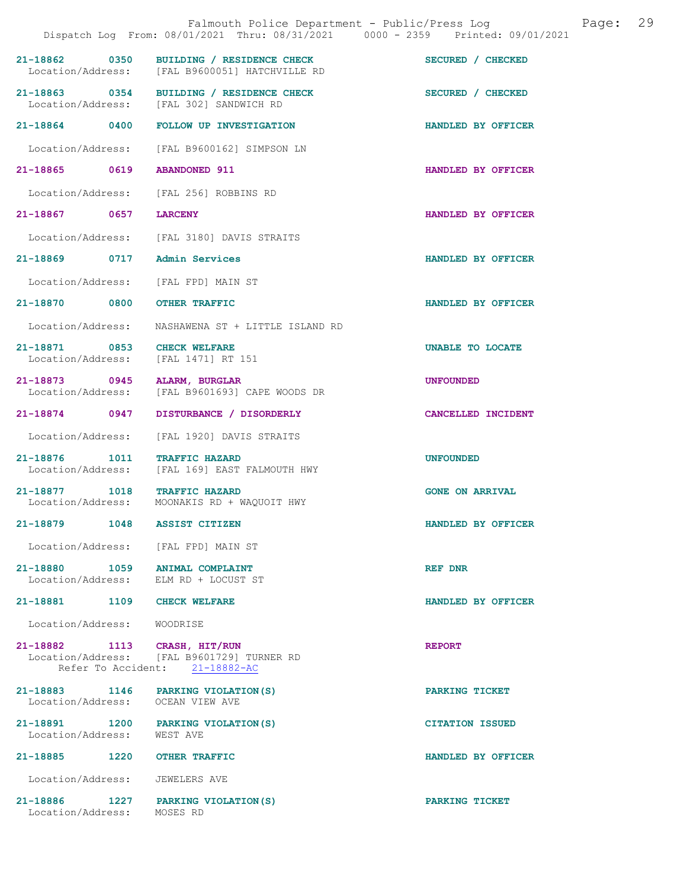|                                    |      | Falmouth Police Department - Public/Press Log<br>Dispatch Log From: 08/01/2021 Thru: 08/31/2021 0000 - 2359 Printed: 09/01/2021 | 29<br>Page:            |
|------------------------------------|------|---------------------------------------------------------------------------------------------------------------------------------|------------------------|
| 21-18862 0350                      |      | BUILDING / RESIDENCE CHECK<br>Location/Address: [FAL B9600051] HATCHVILLE RD                                                    | SECURED / CHECKED      |
|                                    |      | 21-18863 0354 BUILDING / RESIDENCE CHECK<br>Location/Address: [FAL 302] SANDWICH RD                                             | SECURED / CHECKED      |
| 21-18864 0400                      |      | <b>FOLLOW UP INVESTIGATION</b>                                                                                                  | HANDLED BY OFFICER     |
| Location/Address:                  |      | [FAL B9600162] SIMPSON LN                                                                                                       |                        |
| 21-18865 0619                      |      | <b>ABANDONED 911</b>                                                                                                            | HANDLED BY OFFICER     |
| Location/Address:                  |      | [FAL 256] ROBBINS RD                                                                                                            |                        |
| 21-18867 0657                      |      | <b>LARCENY</b>                                                                                                                  | HANDLED BY OFFICER     |
|                                    |      | Location/Address: [FAL 3180] DAVIS STRAITS                                                                                      |                        |
| 21-18869                           | 0717 | Admin Services                                                                                                                  | HANDLED BY OFFICER     |
| Location/Address:                  |      | [FAL FPD] MAIN ST                                                                                                               |                        |
| 21-18870 0800                      |      | <b>OTHER TRAFFIC</b>                                                                                                            | HANDLED BY OFFICER     |
| Location/Address:                  |      | NASHAWENA ST + LITTLE ISLAND RD                                                                                                 |                        |
| 21-18871 0853<br>Location/Address: |      | <b>CHECK WELFARE</b><br>[FAL 1471] RT 151                                                                                       | UNABLE TO LOCATE       |
| 21-18873 0945<br>Location/Address: |      | <b>ALARM, BURGLAR</b><br>[FAL B9601693] CAPE WOODS DR                                                                           | <b>UNFOUNDED</b>       |
| 21-18874 0947                      |      | DISTURBANCE / DISORDERLY                                                                                                        | CANCELLED INCIDENT     |
| Location/Address:                  |      | [FAL 1920] DAVIS STRAITS                                                                                                        |                        |
| $21 - 18876$                       | 1011 | <b>TRAFFIC HAZARD</b><br>Location/Address: [FAL 169] EAST FALMOUTH HWY                                                          | <b>UNFOUNDED</b>       |
| 21-18877 1018                      |      | <b>TRAFFIC HAZARD</b><br>Location/Address: MOONAKIS RD + WAQUOIT HWY                                                            | <b>GONE ON ARRIVAL</b> |
| 21-18879                           | 1048 | <b>ASSIST CITIZEN</b>                                                                                                           | HANDLED BY OFFICER     |
|                                    |      | Location/Address: [FAL FPD] MAIN ST                                                                                             |                        |
|                                    |      | 21-18880 1059 ANIMAL COMPLAINT<br>Location/Address: ELM RD + LOCUST ST                                                          | REF DNR                |
| 21-18881 1109 CHECK WELFARE        |      |                                                                                                                                 | HANDLED BY OFFICER     |
| Location/Address: WOODRISE         |      |                                                                                                                                 |                        |
| 21-18882 1113 CRASH, HIT/RUN       |      | Location/Address: [FAL B9601729] TURNER RD<br>Refer To Accident: 21-18882-AC                                                    | <b>REPORT</b>          |
| Location/Address: OCEAN VIEW AVE   |      | 21-18883 1146 PARKING VIOLATION (S)                                                                                             | PARKING TICKET         |
| Location/Address: WEST AVE         |      | 21-18891 1200 PARKING VIOLATION (S)                                                                                             | <b>CITATION ISSUED</b> |
| 21-18885 1220 OTHER TRAFFIC        |      |                                                                                                                                 | HANDLED BY OFFICER     |
| Location/Address:                  |      | JEWELERS AVE                                                                                                                    |                        |
| Location/Address: MOSES RD         |      | 21-18886 1227 PARKING VIOLATION (S)                                                                                             | PARKING TICKET         |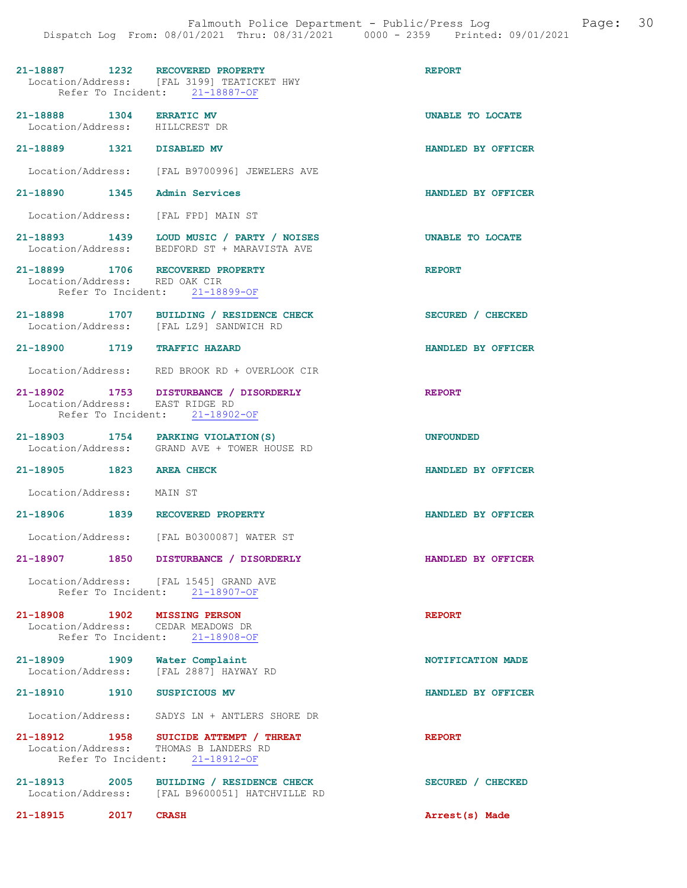|                                                                    | 21-18887 1232 RECOVERED PROPERTY<br>Location/Address: [FAL 3199] TEATICKET HWY<br>Refer To Incident: 21-18887-OF  | <b>REPORT</b>      |
|--------------------------------------------------------------------|-------------------------------------------------------------------------------------------------------------------|--------------------|
| 21-18888 1304 ERRATIC MV<br>Location/Address: HILLCREST DR         |                                                                                                                   | UNABLE TO LOCATE   |
| 21-18889 1321 DISABLED MV                                          |                                                                                                                   | HANDLED BY OFFICER |
|                                                                    | Location/Address: [FAL B9700996] JEWELERS AVE                                                                     |                    |
| 21-18890 1345 Admin Services                                       |                                                                                                                   | HANDLED BY OFFICER |
| Location/Address: [FAL FPD] MAIN ST                                |                                                                                                                   |                    |
|                                                                    | 21-18893 1439 LOUD MUSIC / PARTY / NOISES<br>Location/Address: BEDFORD ST + MARAVISTA AVE                         | UNABLE TO LOCATE   |
| 21-18899 1706 RECOVERED PROPERTY<br>Location/Address: RED OAK CIR  |                                                                                                                   | <b>REPORT</b>      |
|                                                                    | Refer To Incident: 21-18899-OF                                                                                    |                    |
|                                                                    | 21-18898 1707 BUILDING / RESIDENCE CHECK<br>Location/Address: [FAL LZ9] SANDWICH RD                               | SECURED / CHECKED  |
| 21-18900 1719 TRAFFIC HAZARD                                       |                                                                                                                   | HANDLED BY OFFICER |
|                                                                    | Location/Address: RED BROOK RD + OVERLOOK CIR                                                                     |                    |
| Location/Address: EAST RIDGE RD                                    | 21-18902 1753 DISTURBANCE / DISORDERLY<br>Refer To Incident: 21-18902-OF                                          | <b>REPORT</b>      |
|                                                                    | 21-18903 1754 PARKING VIOLATION (S)                                                                               | <b>UNFOUNDED</b>   |
|                                                                    | Location/Address: GRAND AVE + TOWER HOUSE RD                                                                      |                    |
| 21-18905 1823 AREA CHECK                                           |                                                                                                                   | HANDLED BY OFFICER |
| Location/Address: MAIN ST                                          |                                                                                                                   |                    |
| 21-18906 1839 RECOVERED PROPERTY                                   |                                                                                                                   | HANDLED BY OFFICER |
|                                                                    | Location/Address: [FAL B0300087] WATER ST                                                                         |                    |
|                                                                    | 21-18907 1850 DISTURBANCE / DISORDERLY                                                                            | HANDLED BY OFFICER |
|                                                                    | Location/Address: [FAL 1545] GRAND AVE<br>Refer To Incident: 21-18907-OF                                          |                    |
| 21-18908 1902 MISSING PERSON<br>Location/Address: CEDAR MEADOWS DR | Refer To Incident: 21-18908-OF                                                                                    | <b>REPORT</b>      |
| 21-18909 1909 Water Complaint                                      | Location/Address: [FAL 2887] HAYWAY RD                                                                            | NOTIFICATION MADE  |
| 21-18910 1910 SUSPICIOUS MV                                        |                                                                                                                   | HANDLED BY OFFICER |
|                                                                    | Location/Address: SADYS LN + ANTLERS SHORE DR                                                                     |                    |
|                                                                    | 21-18912 1958 SUICIDE ATTEMPT / THREAT<br>Location/Address: THOMAS B LANDERS RD<br>Refer To Incident: 21-18912-OF | <b>REPORT</b>      |
|                                                                    | 21-18913 2005 BUILDING / RESIDENCE CHECK<br>Location/Address: [FAL B9600051] HATCHVILLE RD                        | SECURED / CHECKED  |
| 21-18915 2017                                                      | <b>CRASH</b>                                                                                                      | Arrest(s) Made     |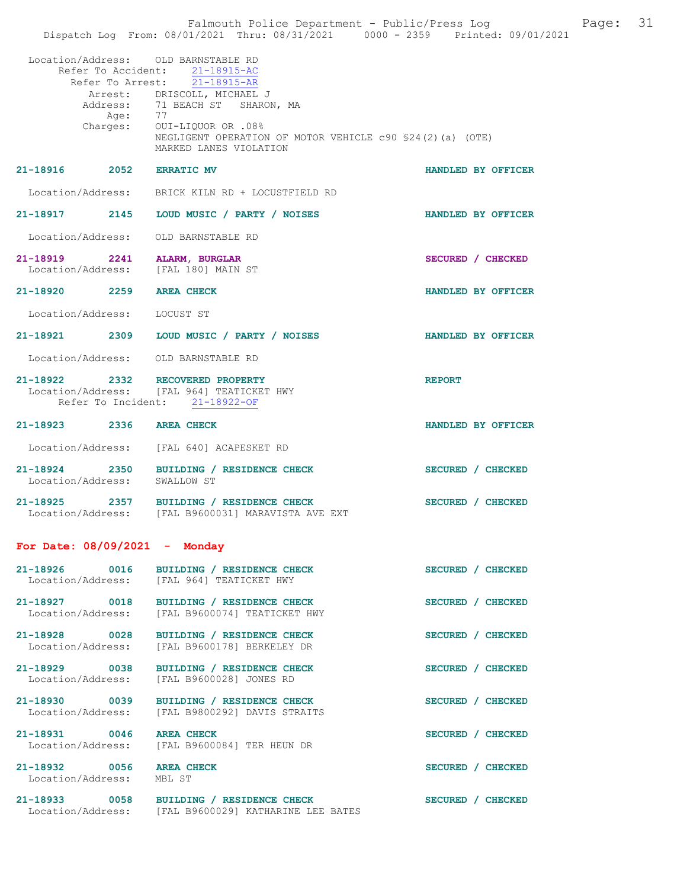|                                               | Falmouth Police Department - Public/Press Log<br>Dispatch Log From: 08/01/2021 Thru: 08/31/2021 0000 - 2359 Printed: 09/01/2021 | Page:              | 31 |
|-----------------------------------------------|---------------------------------------------------------------------------------------------------------------------------------|--------------------|----|
| Location/Address:                             | OLD BARNSTABLE RD<br>Refer To Accident: 21-18915-AC<br>Refer To Arrest: 21-18915-AR                                             |                    |    |
|                                               | Arrest: DRISCOLL, MICHAEL J<br>Address: 71 BEACH ST SHARON, MA                                                                  |                    |    |
|                                               | Age: 77<br>Charges: OUI-LIQUOR OR .08%<br>NEGLIGENT OPERATION OF MOTOR VEHICLE c90 \$24(2)(a) (OTE)<br>MARKED LANES VIOLATION   |                    |    |
| 21-18916 2052 ERRATIC MV                      |                                                                                                                                 | HANDLED BY OFFICER |    |
|                                               | Location/Address: BRICK KILN RD + LOCUSTFIELD RD                                                                                |                    |    |
|                                               | 21-18917 2145 LOUD MUSIC / PARTY / NOISES                                                                                       | HANDLED BY OFFICER |    |
| Location/Address:                             | OLD BARNSTABLE RD                                                                                                               |                    |    |
|                                               | 21-18919 2241 ALARM, BURGLAR<br>Location/Address: [FAL 180] MAIN ST                                                             | SECURED / CHECKED  |    |
| 21-18920 2259 AREA CHECK                      |                                                                                                                                 | HANDLED BY OFFICER |    |
| Location/Address: LOCUST ST                   |                                                                                                                                 |                    |    |
|                                               | 21-18921 2309 LOUD MUSIC / PARTY / NOISES                                                                                       | HANDLED BY OFFICER |    |
| Location/Address:                             | OLD BARNSTABLE RD                                                                                                               |                    |    |
|                                               | 21-18922 2332 RECOVERED PROPERTY<br>Location/Address: [FAL 964] TEATICKET HWY<br>Refer To Incident: 21-18922-OF                 | <b>REPORT</b>      |    |
| 21-18923 2336 AREA CHECK                      |                                                                                                                                 | HANDLED BY OFFICER |    |
|                                               | Location/Address: [FAL 640] ACAPESKET RD                                                                                        |                    |    |
| Location/Address: SWALLOW ST                  | 21-18924 2350 BUILDING / RESIDENCE CHECK                                                                                        | SECURED / CHECKED  |    |
|                                               | 21-18925 2357 BUILDING / RESIDENCE CHECK<br>Location/Address: [FAL B9600031] MARAVISTA AVE EXT                                  | SECURED / CHECKED  |    |
|                                               | For Date: $08/09/2021$ - Monday                                                                                                 |                    |    |
| 21-18926 0016                                 | BUILDING / RESIDENCE CHECK<br>Location/Address: [FAL 964] TEATICKET HWY                                                         | SECURED / CHECKED  |    |
|                                               | 21-18927 0018 BUILDING / RESIDENCE CHECK<br>Location/Address: [FAL B9600074] TEATICKET HWY                                      | SECURED / CHECKED  |    |
| 21-18928 0028<br>Location/Address:            | BUILDING / RESIDENCE CHECK<br>[FAL B9600178] BERKELEY DR                                                                        | SECURED / CHECKED  |    |
| 21-18929 0038<br>Location/Address:            | BUILDING / RESIDENCE CHECK<br>[FAL B9600028] JONES RD                                                                           | SECURED / CHECKED  |    |
| 21-18930 0039<br>Location/Address:            | BUILDING / RESIDENCE CHECK<br>[FAL B9800292] DAVIS STRAITS                                                                      | SECURED / CHECKED  |    |
| Location/Address:                             | 21-18931 0046 AREA CHECK<br>[FAL B9600084] TER HEUN DR                                                                          | SECURED / CHECKED  |    |
| 21-18932 0056 AREA CHECK<br>Location/Address: | MBL ST                                                                                                                          | SECURED / CHECKED  |    |
|                                               | 21-18933 0058 BUILDING / RESIDENCE CHECK<br>Location/Address: [FAL B9600029] KATHARINE LEE BATES                                | SECURED / CHECKED  |    |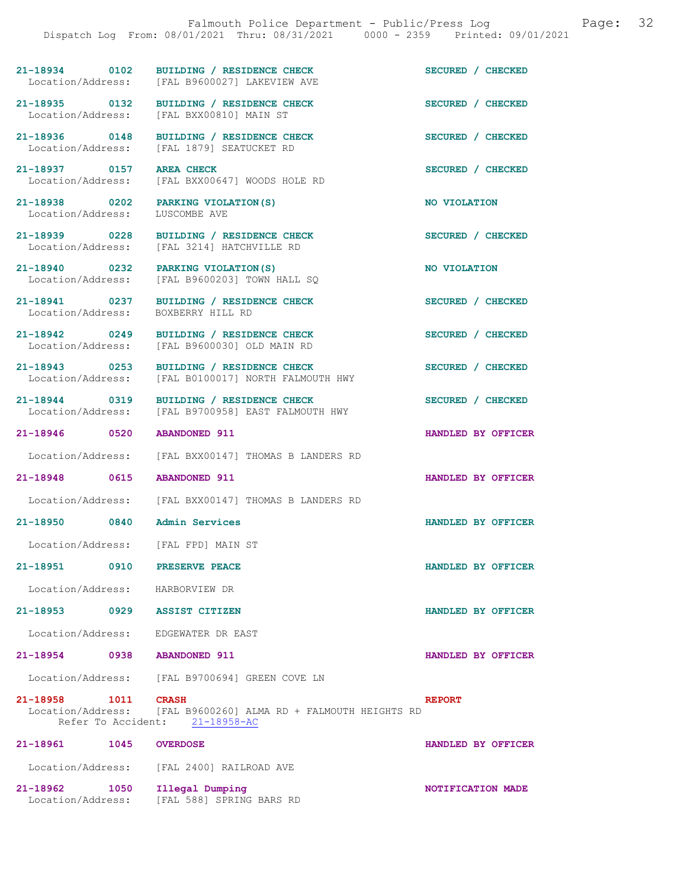21-18934 0102 BUILDING / RESIDENCE CHECK SECURED / CHECKED Location/Address: [FAL B9600027] LAKEVIEW AVE [FAL B9600027] LAKEVIEW AVE

21-18935 0132 BUILDING / RESIDENCE CHECK<br>
Location/Address: [FAL BXX00810] MAIN ST

21-18936 0148 BUILDING / RESIDENCE CHECK SECURED / CHECKED Location/Address: [FAL 1879] SEATUCKET RD

21-18937 0157 AREA CHECK SECURED / CHECKED

Location/Address: LUSCOMBE AVE

Location/Address: BOXBERRY HILL RD

Location/Address: [FAL B9600030] OLD MAIN RD

Location/Address: [FAL B0100017] NORTH FALMOUTH HWY

Location/Address: [FAL BXX00147] THOMAS B LANDERS RD

21-18948 0615 ABANDONED 911 HANDLED BY OFFICER

Location/Address: [FAL BXX00147] THOMAS B LANDERS RD

21-18950 0840 Admin Services HANDLED BY OFFICER

Location/Address: [FAL FPD] MAIN ST

Location/Address: HARBORVIEW DR

21-18953 0929 ASSIST CITIZEN HANDLED BY OFFICER

Location/Address: EDGEWATER DR EAST

21-18954 0938 ABANDONED 911 HANDLED BY OFFICER

Location/Address: [FAL B9700694] GREEN COVE LN

21-18958 1011 CRASH REPORT Location/Address: [FAL B9600260] ALMA RD + FALMOUTH HEIGHTS RD Refer To Accident: 21-18961 1045 OVERDOSE HANDLED BY OFFICER

Location/Address: [FAL 2400] RAILROAD AVE

21-18962 1050 Illegal Dumping 1000 NOTIFICATION MADE [FAL 588] SPRING BARS RD

 Location/Address: [FAL BXX00647] WOODS HOLE RD 21-18938 0202 PARKING VIOLATION(S) NO VIOLATION

21-18939 0228 BUILDING / RESIDENCE CHECK SECURED / CHECKED Location/Address: [FAL 3214] HATCHVILLE RD

Location/Address: [FAL BXX00810] MAIN ST

[FAL 1879] SEATUCKET RD

[FAL 3214] HATCHVILLE RD

21-18940 0232 PARKING VIOLATION(S) NO VIOLATION Location/Address: [FAL B9600203] TOWN HALL SQ

21-18941 0237 BUILDING / RESIDENCE CHECK SECURED / CHECKED

21-18942 0249 BUILDING / RESIDENCE CHECK SECURED / CHECKED

21-18943 0253 BUILDING / RESIDENCE CHECK SECURED / CHECKED

21-18944 0319 BUILDING / RESIDENCE CHECK<br>
Location/Address: [FAL B9700958] EAST FALMOUTH HWY [FAL B9700958] EAST FALMOUTH HWY

21-18946 0520 ABANDONED 911 HANDLED BY OFFICER

21-18951 0910 PRESERVE PEACE HANDLED BY OFFICER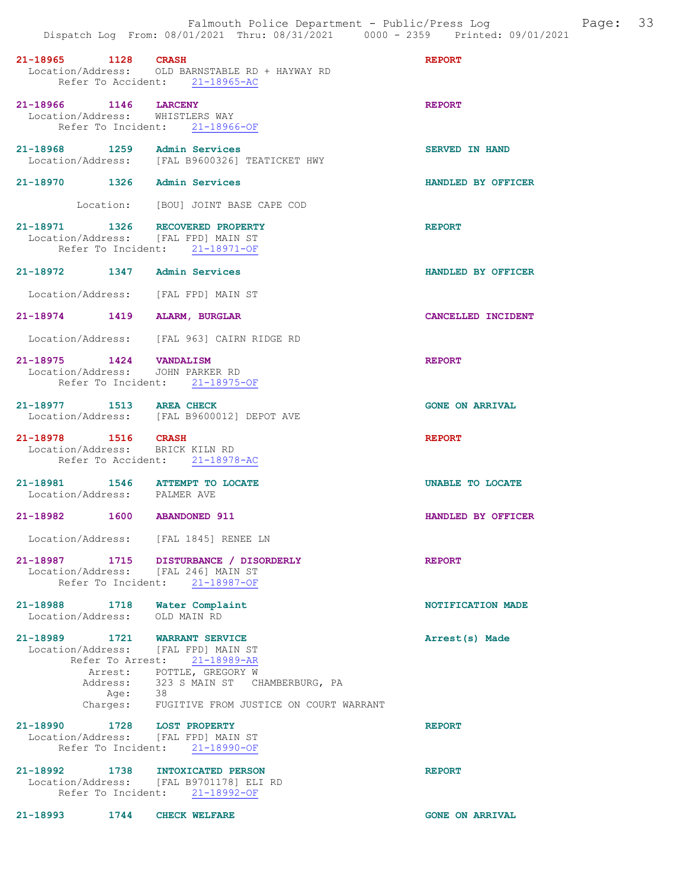| 21-18965 1128 CRASH                                                     | Location/Address: OLD BARNSTABLE RD + HAYWAY RD<br>Refer To Accident: 21-18965-AC | <b>REPORT</b>          |
|-------------------------------------------------------------------------|-----------------------------------------------------------------------------------|------------------------|
| 21-18966 1146 LARCENY<br>Location/Address: WHISTLERS WAY                | Refer To Incident: 21-18966-OF                                                    | <b>REPORT</b>          |
| 21-18968 1259 Admin Services                                            | Location/Address: [FAL B9600326] TEATICKET HWY                                    | <b>SERVED IN HAND</b>  |
| 21-18970 1326 Admin Services                                            |                                                                                   | HANDLED BY OFFICER     |
|                                                                         | Location: [BOU] JOINT BASE CAPE COD                                               |                        |
| 21-18971 1326 RECOVERED PROPERTY<br>Location/Address: [FAL FPD] MAIN ST | Refer To Incident: 21-18971-OF                                                    | <b>REPORT</b>          |
| 21-18972 1347 Admin Services                                            |                                                                                   | HANDLED BY OFFICER     |
| Location/Address: [FAL FPD] MAIN ST                                     |                                                                                   |                        |
| 21-18974 1419 ALARM, BURGLAR                                            |                                                                                   | CANCELLED INCIDENT     |
|                                                                         | Location/Address: [FAL 963] CAIRN RIDGE RD                                        |                        |
| 21-18975 1424 VANDALISM<br>Location/Address: JOHN PARKER RD             | Refer To Incident: 21-18975-OF                                                    | <b>REPORT</b>          |
| 21-18977 1513 AREA CHECK                                                | Location/Address: [FAL B9600012] DEPOT AVE                                        | <b>GONE ON ARRIVAL</b> |
| 21-18978 1516 CRASH<br>Location/Address: BRICK KILN RD                  | Refer To Accident: 21-18978-AC                                                    | <b>REPORT</b>          |
| 21-18981 1546 ATTEMPT TO LOCATE<br>Location/Address: PALMER AVE         |                                                                                   | UNABLE TO LOCATE       |
| 21-18982 1600 ABANDONED 911                                             |                                                                                   | HANDLED BY OFFICER     |
| Location/Address: [FAL 1845] RENEE LN                                   |                                                                                   |                        |
| Location/Address: [FAL 246] MAIN ST                                     | 21-18987 1715 DISTURBANCE / DISORDERLY<br>Refer To Incident: 21-18987-OF          | <b>REPORT</b>          |
| 21-18988 1718 Water Complaint<br>Location/Address: OLD MAIN RD          |                                                                                   | NOTIFICATION MADE      |
| 21-18989 1721 WARRANT SERVICE<br>Location/Address: [FAL FPD] MAIN ST    | Refer To Arrest: 21-18989-AR                                                      | Arrest(s) Made         |
|                                                                         | Arrest: POTTLE, GREGORY W<br>Address: 323 S MAIN ST CHAMBERBURG, PA               |                        |
| Age: 38                                                                 | Charges: FUGITIVE FROM JUSTICE ON COURT WARRANT                                   |                        |
| 21-18990 1728 LOST PROPERTY<br>Location/Address: [FAL FPD] MAIN ST      | Refer To Incident: 21-18990-OF                                                    | <b>REPORT</b>          |
| 21-18992 1738 INTOXICATED PERSON                                        | Location/Address: [FAL B9701178] ELI RD<br>Refer To Incident: 21-18992-OF         | <b>REPORT</b>          |

21-18993 1744 CHECK WELFARE **120 CHECK WELFARE CONE** ON ARRIVAL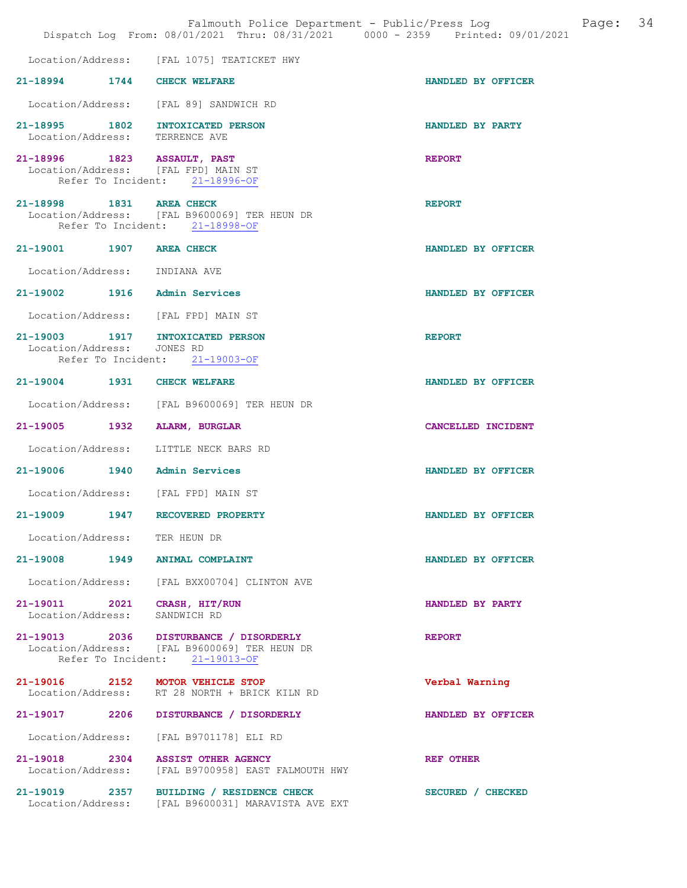|                                | Dispatch Log From: 08/01/2021 Thru: 08/31/2021 0000 - 2359 Printed: 09/01/2021                                           | Falmouth Police Department - Public/Press Log | Page: 34 |
|--------------------------------|--------------------------------------------------------------------------------------------------------------------------|-----------------------------------------------|----------|
|                                | Location/Address: [FAL 1075] TEATICKET HWY                                                                               |                                               |          |
| 21-18994 1744 CHECK WELFARE    |                                                                                                                          | HANDLED BY OFFICER                            |          |
|                                | Location/Address: [FAL 89] SANDWICH RD                                                                                   |                                               |          |
| Location/Address: TERRENCE AVE | 21-18995 1802 INTOXICATED PERSON                                                                                         | HANDLED BY PARTY                              |          |
|                                | 21-18996 1823 ASSAULT, PAST<br>Location/Address: [FAL FPD] MAIN ST<br>Refer To Incident: 21-18996-OF                     | <b>REPORT</b>                                 |          |
| 21-18998 1831 AREA CHECK       | Location/Address: [FAL B9600069] TER HEUN DR<br>Refer To Incident: 21-18998-OF                                           | <b>REPORT</b>                                 |          |
| 21-19001 1907 AREA CHECK       |                                                                                                                          | HANDLED BY OFFICER                            |          |
| Location/Address: INDIANA AVE  |                                                                                                                          |                                               |          |
|                                | 21-19002 1916 Admin Services                                                                                             | HANDLED BY OFFICER                            |          |
|                                | Location/Address: [FAL FPD] MAIN ST                                                                                      |                                               |          |
| Location/Address: JONES RD     | 21-19003 1917 INTOXICATED PERSON<br>Refer To Incident: 21-19003-OF                                                       | <b>REPORT</b>                                 |          |
| 21-19004 1931 CHECK WELFARE    |                                                                                                                          | HANDLED BY OFFICER                            |          |
|                                | Location/Address: [FAL B9600069] TER HEUN DR                                                                             |                                               |          |
|                                | 21-19005 1932 ALARM, BURGLAR                                                                                             | CANCELLED INCIDENT                            |          |
|                                | Location/Address: LITTLE NECK BARS RD                                                                                    |                                               |          |
|                                | 21-19006 1940 Admin Services                                                                                             | HANDLED BY OFFICER                            |          |
|                                | Location/Address: [FAL FPD] MAIN ST                                                                                      |                                               |          |
| $21 - 19009$<br>1947           | RECOVERED PROPERTY                                                                                                       | HANDLED BY OFFICER                            |          |
| Location/Address: TER HEUN DR  |                                                                                                                          |                                               |          |
|                                | 21-19008 1949 ANIMAL COMPLAINT                                                                                           | HANDLED BY OFFICER                            |          |
|                                | Location/Address: [FAL BXX00704] CLINTON AVE                                                                             |                                               |          |
| Location/Address:              | 21-19011 2021 CRASH, HIT/RUN<br>SANDWICH RD                                                                              | HANDLED BY PARTY                              |          |
|                                | 21-19013 2036 DISTURBANCE / DISORDERLY<br>Location/Address: [FAL B9600069] TER HEUN DR<br>Refer To Incident: 21-19013-OF | <b>REPORT</b>                                 |          |
|                                | 21-19016 2152 MOTOR VEHICLE STOP<br>Location/Address: RT 28 NORTH + BRICK KILN RD                                        | Verbal Warning                                |          |
|                                | 21-19017 2206 DISTURBANCE / DISORDERLY                                                                                   | HANDLED BY OFFICER                            |          |
|                                | Location/Address: [FAL B9701178] ELI RD                                                                                  |                                               |          |
| Location/Address:              | 21-19018 2304 ASSIST OTHER AGENCY<br>[FAL B9700958] EAST FALMOUTH HWY                                                    | REF OTHER                                     |          |
| Location/Address:              | 21-19019 2357 BUILDING / RESIDENCE CHECK<br>[FAL B9600031] MARAVISTA AVE EXT                                             | SECURED / CHECKED                             |          |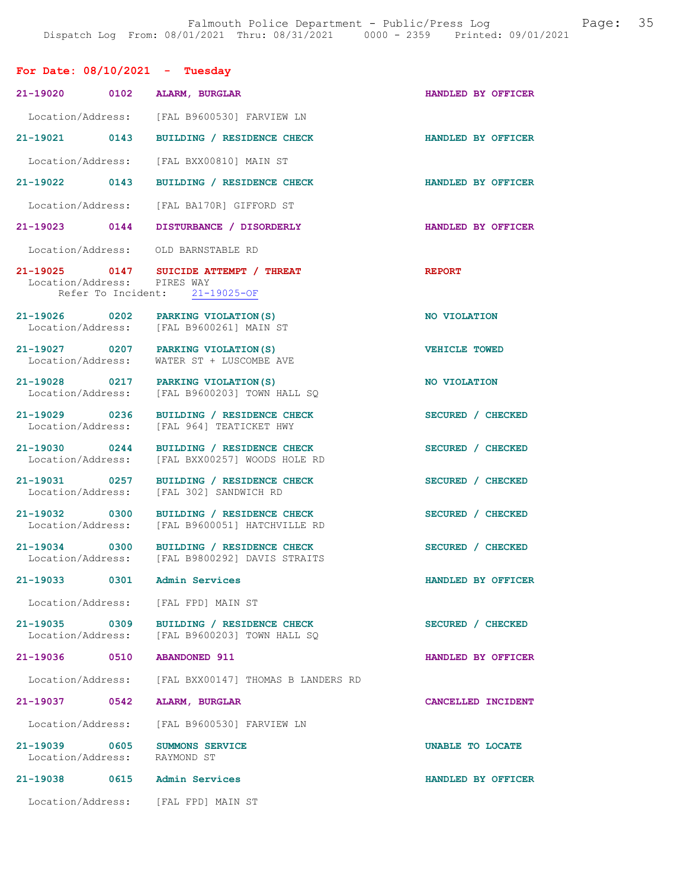| For Date: $08/10/2021$ - Tuesday                         |                                                                                            |                      |
|----------------------------------------------------------|--------------------------------------------------------------------------------------------|----------------------|
| 21-19020 0102                                            | ALARM, BURGLAR                                                                             | HANDLED BY OFFICER   |
|                                                          | Location/Address: [FAL B9600530] FARVIEW LN                                                |                      |
| 21-19021 0143                                            | BUILDING / RESIDENCE CHECK                                                                 | HANDLED BY OFFICER   |
|                                                          | Location/Address: [FAL BXX00810] MAIN ST                                                   |                      |
| 21-19022 0143                                            | BUILDING / RESIDENCE CHECK                                                                 | HANDLED BY OFFICER   |
|                                                          | Location/Address: [FAL BA170R] GIFFORD ST                                                  |                      |
| 21-19023 0144                                            | DISTURBANCE / DISORDERLY                                                                   | HANDLED BY OFFICER   |
| Location/Address: OLD BARNSTABLE RD                      |                                                                                            |                      |
| Location/Address: PIRES WAY                              | 21-19025 0147 SUICIDE ATTEMPT / THREAT<br>Refer To Incident: 21-19025-OF                   | <b>REPORT</b>        |
| 21-19026 0202 PARKING VIOLATION(S)                       | Location/Address: [FAL B9600261] MAIN ST                                                   | NO VIOLATION         |
| Location/Address:                                        | 21-19027 0207 PARKING VIOLATION (S)<br>WATER ST + LUSCOMBE AVE                             | <b>VEHICLE TOWED</b> |
| 21-19028 0217 PARKING VIOLATION (S)<br>Location/Address: | [FAL B9600203] TOWN HALL SQ                                                                | NO VIOLATION         |
| 21-19029 0236<br>Location/Address:                       | BUILDING / RESIDENCE CHECK<br>[FAL 964] TEATICKET HWY                                      | SECURED / CHECKED    |
| 21-19030 0244<br>Location/Address:                       | BUILDING / RESIDENCE CHECK<br>[FAL BXX00257] WOODS HOLE RD                                 | SECURED / CHECKED    |
| 21-19031 0257<br>Location/Address:                       | BUILDING / RESIDENCE CHECK<br>[FAL 302] SANDWICH RD                                        | SECURED / CHECKED    |
| 21-19032 0300                                            | BUILDING / RESIDENCE CHECK<br>Location/Address: [FAL B9600051] HATCHVILLE RD               | SECURED / CHECKED    |
|                                                          | 21-19034 0300 BUILDING / RESIDENCE CHECK<br>Location/Address: [FAL B9800292] DAVIS STRAITS | SECURED / CHECKED    |
| 21-19033 0301 Admin Services                             |                                                                                            | HANDLED BY OFFICER   |
| Location/Address: [FAL FPD] MAIN ST                      |                                                                                            |                      |
| 21-19035 0309<br>Location/Address:                       | BUILDING / RESIDENCE CHECK<br>[FAL B9600203] TOWN HALL SQ                                  | SECURED / CHECKED    |
| 21-19036 0510 ABANDONED 911                              |                                                                                            | HANDLED BY OFFICER   |
|                                                          | Location/Address: [FAL BXX00147] THOMAS B LANDERS RD                                       |                      |
| 21-19037 0542                                            | ALARM, BURGLAR                                                                             | CANCELLED INCIDENT   |
|                                                          | Location/Address: [FAL B9600530] FARVIEW LN                                                |                      |
| 21-19039 0605<br>Location/Address: RAYMOND ST            | <b>SUMMONS SERVICE</b>                                                                     | UNABLE TO LOCATE     |
| 21-19038 0615 Admin Services                             |                                                                                            | HANDLED BY OFFICER   |
| Location/Address: [FAL FPD] MAIN ST                      |                                                                                            |                      |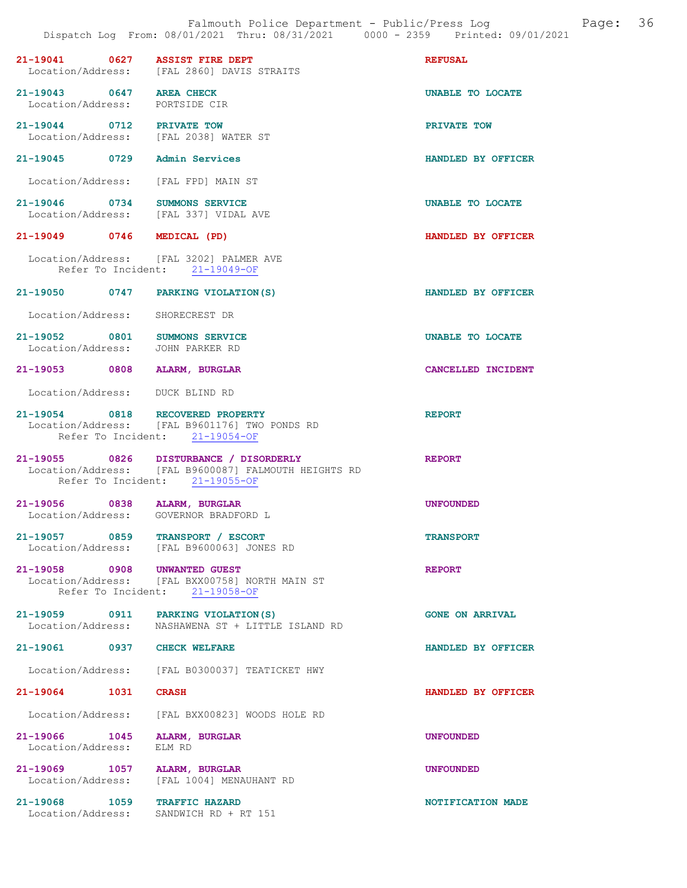| 21-19041 0627 ASSIST FIRE DEPT                                         | Location/Address: [FAL 2860] DAVIS STRAITS                                                                                       | <b>REFUSAL</b>            |
|------------------------------------------------------------------------|----------------------------------------------------------------------------------------------------------------------------------|---------------------------|
| 21-19043 0647 AREA CHECK<br>Location/Address: PORTSIDE CIR             |                                                                                                                                  | <b>UNABLE TO LOCATE</b>   |
| 21-19044 0712 PRIVATE TOW<br>Location/Address: [FAL 2038] WATER ST     |                                                                                                                                  | PRIVATE TOW               |
| 21-19045 0729 Admin Services                                           |                                                                                                                                  | HANDLED BY OFFICER        |
| Location/Address: [FAL FPD] MAIN ST                                    |                                                                                                                                  |                           |
| 21-19046 0734 SUMMONS SERVICE<br>Location/Address: [FAL 337] VIDAL AVE |                                                                                                                                  | UNABLE TO LOCATE          |
| 21-19049 0746 MEDICAL (PD)                                             |                                                                                                                                  | HANDLED BY OFFICER        |
|                                                                        | Location/Address: [FAL 3202] PALMER AVE<br>Refer To Incident: 21-19049-OF                                                        |                           |
| 21-19050 0747 PARKING VIOLATION (S)                                    |                                                                                                                                  | HANDLED BY OFFICER        |
| Location/Address: SHORECREST DR                                        |                                                                                                                                  |                           |
| 21-19052 0801 SUMMONS SERVICE<br>Location/Address: JOHN PARKER RD      |                                                                                                                                  | UNABLE TO LOCATE          |
| 21-19053 0808 ALARM, BURGLAR                                           |                                                                                                                                  | CANCELLED INCIDENT        |
| Location/Address: DUCK BLIND RD                                        |                                                                                                                                  |                           |
| 21-19054 0818 RECOVERED PROPERTY                                       | Location/Address: [FAL B9601176] TWO PONDS RD<br>Refer To Incident: 21-19054-OF                                                  | <b>REPORT</b>             |
|                                                                        | 21-19055 0826 DISTURBANCE / DISORDERLY<br>Location/Address: [FAL B9600087] FALMOUTH HEIGHTS RD<br>Refer To Incident: 21-19055-OF | <b>REPORT</b>             |
| 21-19056 0838 ALARM, BURGLAR<br>Location/Address: GOVERNOR BRADFORD L  |                                                                                                                                  | <b>UNFOUNDED</b>          |
| 21-19057 0859 TRANSPORT / ESCORT                                       | Location/Address: [FAL B9600063] JONES RD                                                                                        | <b>TRANSPORT</b>          |
| 21-19058 0908 UNWANTED GUEST                                           | Location/Address: [FAL BXX00758] NORTH MAIN ST<br>Refer To Incident: 21-19058-OF                                                 | <b>REPORT</b>             |
| 21-19059 0911 PARKING VIOLATION (S)                                    | Location/Address: NASHAWENA ST + LITTLE ISLAND RD                                                                                | <b>GONE ON ARRIVAL</b>    |
| 21-19061 0937 CHECK WELFARE                                            |                                                                                                                                  | HANDLED BY OFFICER        |
|                                                                        | Location/Address: [FAL B0300037] TEATICKET HWY                                                                                   |                           |
| 21-19064 1031                                                          | <b>CRASH</b>                                                                                                                     | <b>HANDLED BY OFFICER</b> |
|                                                                        | Location/Address: [FAL BXX00823] WOODS HOLE RD                                                                                   |                           |
| 21-19066 1045<br>Location/Address:                                     | ALARM, BURGLAR<br>ELM RD                                                                                                         | <b>UNFOUNDED</b>          |
| 21-19069 1057 ALARM, BURGLAR<br>Location/Address:                      | [FAL 1004] MENAUHANT RD                                                                                                          | <b>UNFOUNDED</b>          |
| 21-19068 1059 TRAFFIC HAZARD<br>Location/Address:                      | SANDWICH RD + RT 151                                                                                                             | NOTIFICATION MADE         |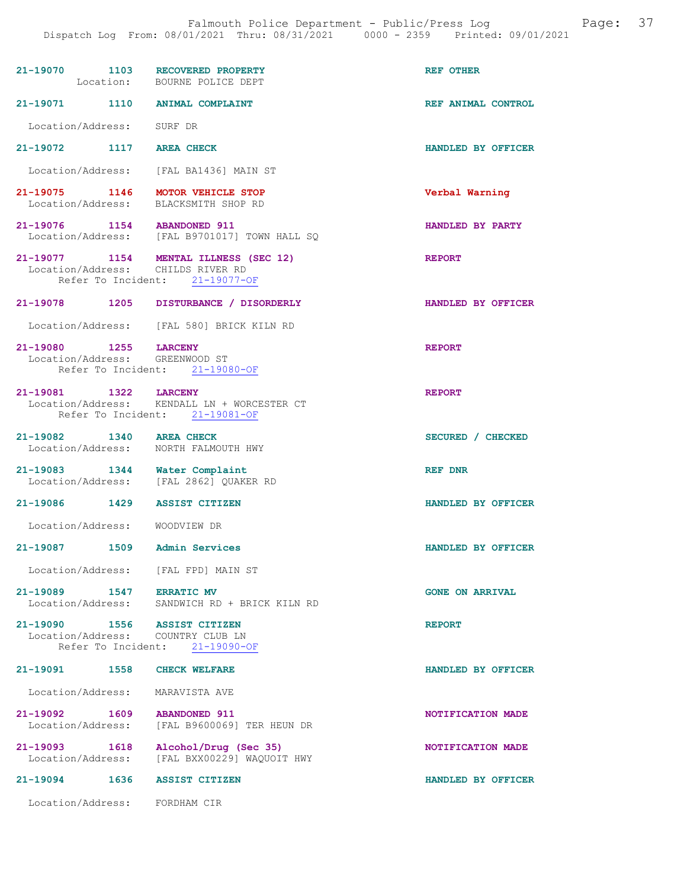| 21-19070 1103 RECOVERED PROPERTY                                  | Location: BOURNE POLICE DEPT                                                  | <b>REF OTHER</b>       |
|-------------------------------------------------------------------|-------------------------------------------------------------------------------|------------------------|
| 21-19071 1110 ANIMAL COMPLAINT                                    |                                                                               | REF ANIMAL CONTROL     |
| Location/Address: SURF DR                                         |                                                                               |                        |
| $21 - 19072$                                                      | 1117 AREA CHECK                                                               | HANDLED BY OFFICER     |
|                                                                   | Location/Address: [FAL BA1436] MAIN ST                                        |                        |
| 21-19075 1146 MOTOR VEHICLE STOP<br>Location/Address:             | BLACKSMITH SHOP RD                                                            | Verbal Warning         |
| 21-19076 1154 ABANDONED 911                                       | Location/Address: [FAL B9701017] TOWN HALL SQ                                 | HANDLED BY PARTY       |
| Location/Address: CHILDS RIVER RD                                 | 21-19077 1154 MENTAL ILLNESS (SEC 12)<br>Refer To Incident: 21-19077-OF       | <b>REPORT</b>          |
|                                                                   | 21-19078 1205 DISTURBANCE / DISORDERLY                                        | HANDLED BY OFFICER     |
|                                                                   | Location/Address: [FAL 580] BRICK KILN RD                                     |                        |
| 21-19080 1255 LARCENY<br>Location/Address: GREENWOOD ST           | Refer To Incident: 21-19080-OF                                                | <b>REPORT</b>          |
| 21-19081 1322 LARCENY                                             | Location/Address: KENDALL LN + WORCESTER CT<br>Refer To Incident: 21-19081-OF | <b>REPORT</b>          |
| 21-19082 1340 AREA CHECK<br>Location/Address: NORTH FALMOUTH HWY  |                                                                               | SECURED / CHECKED      |
| $21-19083$ 1344 Water Complaint                                   | Location/Address: [FAL 2862] QUAKER RD                                        | <b>REF DNR</b>         |
| 21-19086 1429 ASSIST CITIZEN                                      |                                                                               | HANDLED BY OFFICER     |
| Location/Address: WOODVIEW DR                                     |                                                                               |                        |
| 21-19087<br>1509                                                  | Admin Services                                                                | HANDLED BY OFFICER     |
| Location/Address: [FAL FPD] MAIN ST                               |                                                                               |                        |
| 21-19089 1547 ERRATIC MV                                          | Location/Address: SANDWICH RD + BRICK KILN RD                                 | <b>GONE ON ARRIVAL</b> |
| 21-19090 1556 ASSIST CITIZEN<br>Location/Address: COUNTRY CLUB LN | Refer To Incident: 21-19090-OF                                                | <b>REPORT</b>          |
| 21-19091 1558                                                     | <b>CHECK WELFARE</b>                                                          | HANDLED BY OFFICER     |
| Location/Address:                                                 | MARAVISTA AVE                                                                 |                        |
| $21 - 19092$<br>1609<br>Location/Address:                         | <b>ABANDONED 911</b><br>[FAL B9600069] TER HEUN DR                            | NOTIFICATION MADE      |
| 21-19093 1618<br>Location/Address:                                | Alcohol/Drug (Sec 35)<br>[FAL BXX00229] WAQUOIT HWY                           | NOTIFICATION MADE      |
| 21-19094 1636 ASSIST CITIZEN                                      |                                                                               | HANDLED BY OFFICER     |
| Location/Address: FORDHAM CIR                                     |                                                                               |                        |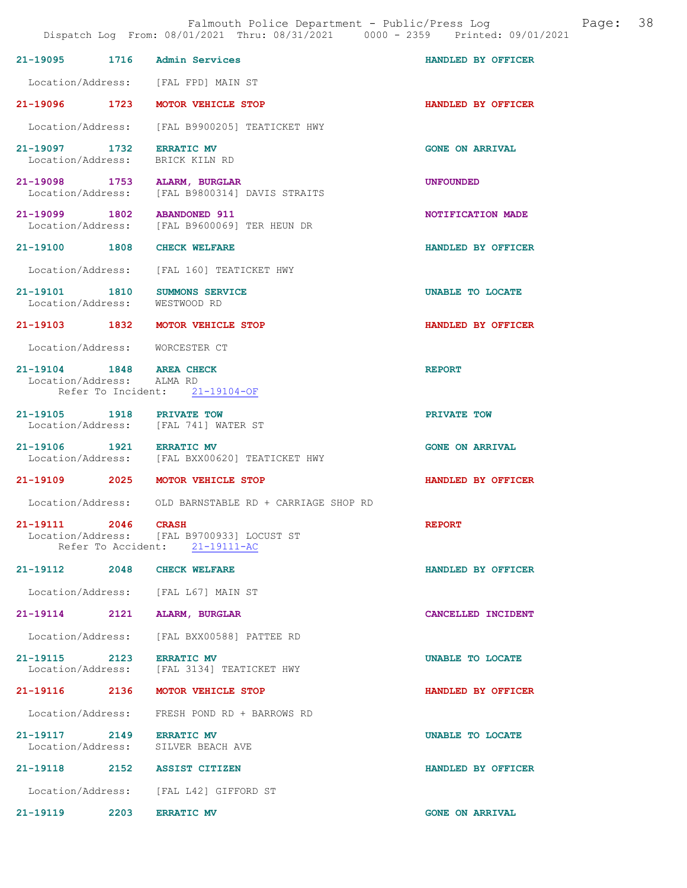|                                                       |      | Falmouth Police Department - Public/Press Log<br>Dispatch Log From: 08/01/2021 Thru: 08/31/2021 0000 - 2359 Printed: 09/01/2021 | Page:                  | 38 |
|-------------------------------------------------------|------|---------------------------------------------------------------------------------------------------------------------------------|------------------------|----|
|                                                       |      | 21-19095 1716 Admin Services                                                                                                    | HANDLED BY OFFICER     |    |
|                                                       |      | Location/Address: [FAL FPD] MAIN ST                                                                                             |                        |    |
|                                                       |      | 21-19096 1723 MOTOR VEHICLE STOP                                                                                                | HANDLED BY OFFICER     |    |
| Location/Address:                                     |      | [FAL B9900205] TEATICKET HWY                                                                                                    |                        |    |
| 21-19097 1732<br>Location/Address:                    |      | <b>ERRATIC MV</b><br>BRICK KILN RD                                                                                              | <b>GONE ON ARRIVAL</b> |    |
| Location/Address:                                     |      | 21-19098 1753 ALARM, BURGLAR<br>[FAL B9800314] DAVIS STRAITS                                                                    | <b>UNFOUNDED</b>       |    |
|                                                       |      | 21-19099 1802 ABANDONED 911<br>Location/Address: [FAL B9600069] TER HEUN DR                                                     | NOTIFICATION MADE      |    |
| 21-19100 1808                                         |      | <b>CHECK WELFARE</b>                                                                                                            | HANDLED BY OFFICER     |    |
|                                                       |      | Location/Address: [FAL 160] TEATICKET HWY                                                                                       |                        |    |
|                                                       |      | 21-19101 1810 SUMMONS SERVICE<br>Location/Address: WESTWOOD RD                                                                  | UNABLE TO LOCATE       |    |
|                                                       |      | 21-19103 1832 MOTOR VEHICLE STOP                                                                                                | HANDLED BY OFFICER     |    |
|                                                       |      | Location/Address: WORCESTER CT                                                                                                  |                        |    |
| 21-19104 1848 AREA CHECK<br>Location/Address: ALMA RD |      | Refer To Incident: 21-19104-OF                                                                                                  | <b>REPORT</b>          |    |
|                                                       |      | 21-19105 1918 PRIVATE TOW<br>Location/Address: [FAL 741] WATER ST                                                               | PRIVATE TOW            |    |
| 21-19106 1921 ERRATIC MV                              |      | Location/Address: [FAL BXX00620] TEATICKET HWY                                                                                  | <b>GONE ON ARRIVAL</b> |    |
|                                                       |      | 21-19109 2025 MOTOR VEHICLE STOP                                                                                                | HANDLED BY OFFICER     |    |
|                                                       |      | Location/Address: OLD BARNSTABLE RD + CARRIAGE SHOP RD                                                                          |                        |    |
| 21-19111                                              | 2046 | <b>CRASH</b><br>Location/Address: [FAL B9700933] LOCUST ST<br>Refer To Accident: 21-19111-AC                                    | <b>REPORT</b>          |    |
| 21-19112 2048                                         |      | <b>CHECK WELFARE</b>                                                                                                            | HANDLED BY OFFICER     |    |
|                                                       |      | Location/Address: [FAL L67] MAIN ST                                                                                             |                        |    |
| 21-19114 2121                                         |      | ALARM, BURGLAR                                                                                                                  | CANCELLED INCIDENT     |    |
| Location/Address:                                     |      | [FAL BXX00588] PATTEE RD                                                                                                        |                        |    |
| 21-19115 2123 ERRATIC MV                              |      | Location/Address: [FAL 3134] TEATICKET HWY                                                                                      | UNABLE TO LOCATE       |    |
| 21-19116 2136                                         |      | MOTOR VEHICLE STOP                                                                                                              | HANDLED BY OFFICER     |    |
| Location/Address:                                     |      | FRESH POND RD + BARROWS RD                                                                                                      |                        |    |
| 21-19117 2149<br>Location/Address:                    |      | <b>ERRATIC MV</b><br>SILVER BEACH AVE                                                                                           | UNABLE TO LOCATE       |    |
|                                                       |      | 21-19118 2152 ASSIST CITIZEN                                                                                                    | HANDLED BY OFFICER     |    |
|                                                       |      | Location/Address: [FAL L42] GIFFORD ST                                                                                          |                        |    |
| 21-19119                                              | 2203 | <b>ERRATIC MV</b>                                                                                                               | <b>GONE ON ARRIVAL</b> |    |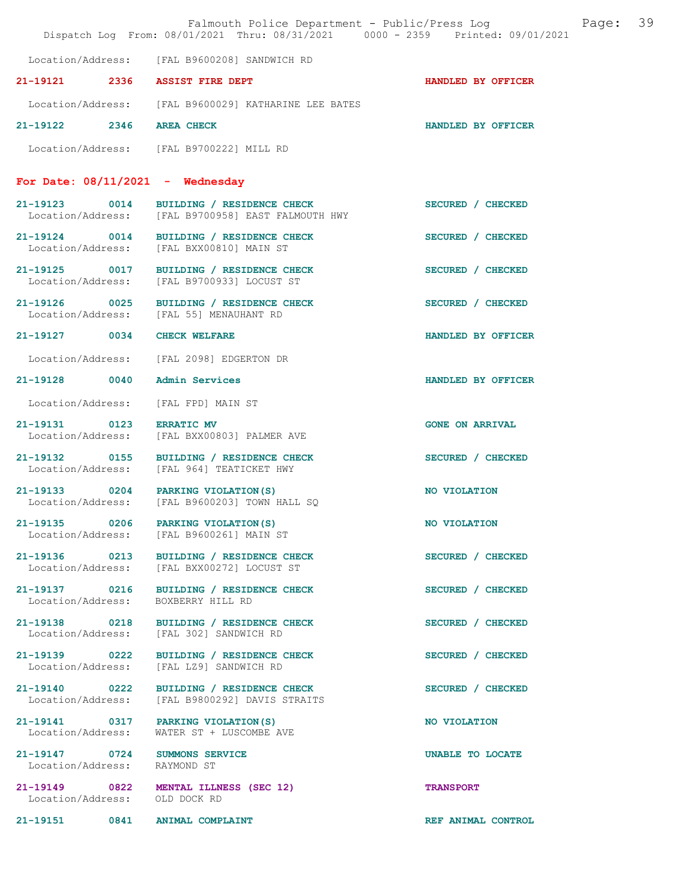|                                    | Falmouth Police Department - Public/Press Log and Page:<br>Dispatch Log From: 08/01/2021 Thru: 08/31/2021 0000 - 2359 Printed: 09/01/2021 |                        | 39 |
|------------------------------------|-------------------------------------------------------------------------------------------------------------------------------------------|------------------------|----|
|                                    | Location/Address: [FAL B9600208] SANDWICH RD                                                                                              |                        |    |
| 21-19121 2336                      | <b>ASSIST FIRE DEPT</b>                                                                                                                   | HANDLED BY OFFICER     |    |
|                                    | Location/Address: [FAL B9600029] KATHARINE LEE BATES                                                                                      |                        |    |
| 21-19122 2346                      | <b>AREA CHECK</b>                                                                                                                         | HANDLED BY OFFICER     |    |
|                                    | Location/Address: [FAL B9700222] MILL RD                                                                                                  |                        |    |
|                                    | For Date: $08/11/2021$ - Wednesday                                                                                                        |                        |    |
| 21-19123 0014                      | BUILDING / RESIDENCE CHECK<br>Location/Address: [FAL B9700958] EAST FALMOUTH HWY                                                          | SECURED / CHECKED      |    |
| 21-19124 0014<br>Location/Address: | BUILDING / RESIDENCE CHECK<br>[FAL BXX00810] MAIN ST                                                                                      | SECURED / CHECKED      |    |
| 21-19125 0017<br>Location/Address: | BUILDING / RESIDENCE CHECK<br>[FAL B9700933] LOCUST ST                                                                                    | SECURED / CHECKED      |    |
| 21-19126 0025<br>Location/Address: | BUILDING / RESIDENCE CHECK<br>[FAL 55] MENAUHANT RD                                                                                       | SECURED / CHECKED      |    |
| 21-19127 0034                      | <b>CHECK WELFARE</b>                                                                                                                      | HANDLED BY OFFICER     |    |
|                                    | Location/Address: [FAL 2098] EDGERTON DR                                                                                                  |                        |    |
| 21-19128 0040                      | <b>Admin Services</b>                                                                                                                     | HANDLED BY OFFICER     |    |
| Location/Address:                  | [FAL FPD] MAIN ST                                                                                                                         |                        |    |
| 21-19131 0123<br>Location/Address: | <b>ERRATIC MV</b><br>[FAL BXX00803] PALMER AVE                                                                                            | <b>GONE ON ARRIVAL</b> |    |
| 21-19132 0155<br>Location/Address: | BUILDING / RESIDENCE CHECK<br>[FAL 964] TEATICKET HWY                                                                                     | SECURED / CHECKED      |    |
|                                    | 21-19133 0204 PARKING VIOLATION (S)<br>Location/Address: [FAL B9600203] TOWN HALL SQ                                                      | NO VIOLATION           |    |
|                                    | 21-19135 0206 PARKING VIOLATION (S)<br>Location/Address: [FAL B9600261] MAIN ST                                                           | NO VIOLATION           |    |
|                                    | 21-19136 0213 BUILDING / RESIDENCE CHECK<br>Location/Address: [FAL BXX00272] LOCUST ST                                                    | SECURED / CHECKED      |    |
| 21-19137 0216<br>Location/Address: | BUILDING / RESIDENCE CHECK<br>BOXBERRY HILL RD                                                                                            | SECURED / CHECKED      |    |
|                                    | 21-19138 0218 BUILDING / RESIDENCE CHECK<br>Location/Address: [FAL 302] SANDWICH RD                                                       | SECURED / CHECKED      |    |
| 21-19139 0222<br>Location/Address: | BUILDING / RESIDENCE CHECK<br>[FAL LZ9] SANDWICH RD                                                                                       | SECURED / CHECKED      |    |
| 21-19140 0222<br>Location/Address: | BUILDING / RESIDENCE CHECK<br>[FAL B9800292] DAVIS STRAITS                                                                                | SECURED / CHECKED      |    |
| 21-19141 0317<br>Location/Address: | PARKING VIOLATION (S)<br>WATER ST + LUSCOMBE AVE                                                                                          | NO VIOLATION           |    |
| Location/Address: RAYMOND ST       | 21-19147 0724 SUMMONS SERVICE                                                                                                             | UNABLE TO LOCATE       |    |
| Location/Address: OLD DOCK RD      | 21-19149 0822 MENTAL ILLNESS (SEC 12)                                                                                                     | <b>TRANSPORT</b>       |    |
|                                    | 21-19151 0841 ANIMAL COMPLAINT                                                                                                            | REF ANIMAL CONTROL     |    |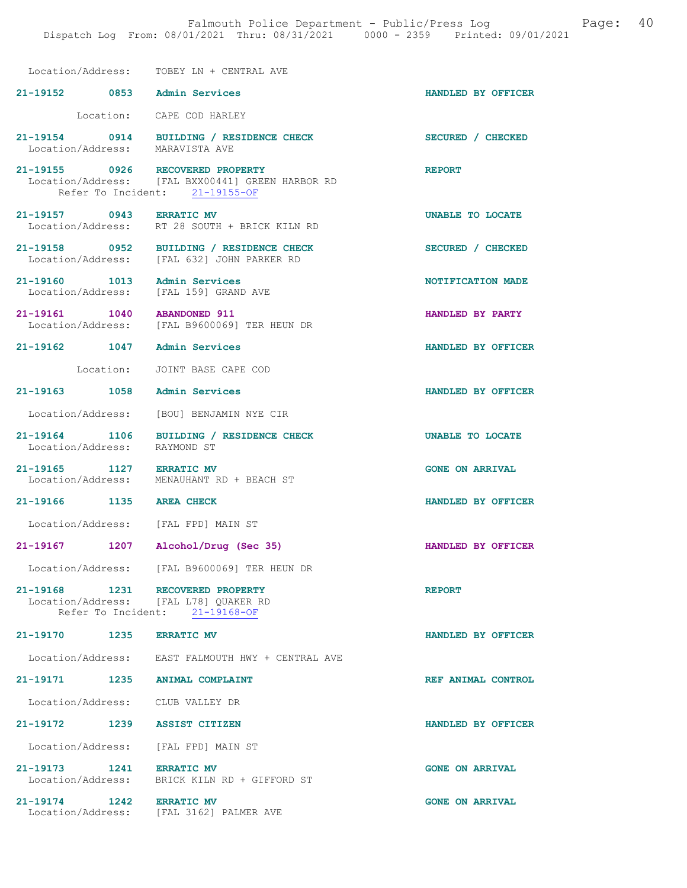|                                   | Location/Address: TOBEY LN + CENTRAL AVE                                                                               |                        |
|-----------------------------------|------------------------------------------------------------------------------------------------------------------------|------------------------|
| 21-19152 0853 Admin Services      |                                                                                                                        | HANDLED BY OFFICER     |
|                                   | Location: CAPE COD HARLEY                                                                                              |                        |
| Location/Address: MARAVISTA AVE   | 21-19154 0914 BUILDING / RESIDENCE CHECK                                                                               | SECURED / CHECKED      |
|                                   | 21-19155 0926 RECOVERED PROPERTY<br>Location/Address: [FAL BXX00441] GREEN HARBOR RD<br>Refer To Incident: 21-19155-OF | <b>REPORT</b>          |
| 21-19157 0943 ERRATIC MV          | Location/Address: RT 28 SOUTH + BRICK KILN RD                                                                          | UNABLE TO LOCATE       |
|                                   | 21-19158 0952 BUILDING / RESIDENCE CHECK<br>Location/Address: [FAL 632] JOHN PARKER RD                                 | SECURED / CHECKED      |
| 21-19160 1013 Admin Services      | Location/Address: [FAL 159] GRAND AVE                                                                                  | NOTIFICATION MADE      |
| 21-19161   1040   ABANDONED   911 | Location/Address: [FAL B9600069] TER HEUN DR                                                                           | HANDLED BY PARTY       |
| 21-19162 1047 Admin Services      |                                                                                                                        | HANDLED BY OFFICER     |
|                                   | Location: JOINT BASE CAPE COD                                                                                          |                        |
| 21-19163 1058 Admin Services      |                                                                                                                        | HANDLED BY OFFICER     |
|                                   | Location/Address: [BOU] BENJAMIN NYE CIR                                                                               |                        |
| Location/Address:                 | 21-19164 1106 BUILDING / RESIDENCE CHECK<br>RAYMOND ST                                                                 | UNABLE TO LOCATE       |
| 21-19165 1127 ERRATIC MV          | Location/Address: MENAUHANT RD + BEACH ST                                                                              | <b>GONE ON ARRIVAL</b> |
| 21-19166 1135 AREA CHECK          |                                                                                                                        | HANDLED BY OFFICER     |
|                                   | Location/Address: [FAL FPD] MAIN ST                                                                                    |                        |
| 21-19167 1207                     | Alcohol/Drug (Sec 35)                                                                                                  | HANDLED BY OFFICER     |
|                                   | Location/Address: [FAL B9600069] TER HEUN DR                                                                           |                        |
|                                   | 21-19168 1231 RECOVERED PROPERTY<br>Location/Address: [FAL L78] QUAKER RD<br>Refer To Incident: 21-19168-OF            | <b>REPORT</b>          |
| 21-19170 1235 ERRATIC MV          |                                                                                                                        | HANDLED BY OFFICER     |
|                                   | Location/Address: EAST FALMOUTH HWY + CENTRAL AVE                                                                      |                        |
| 21-19171 1235 ANIMAL COMPLAINT    |                                                                                                                        | REF ANIMAL CONTROL     |
| Location/Address: CLUB VALLEY DR  |                                                                                                                        |                        |
| 21-19172 1239 ASSIST CITIZEN      |                                                                                                                        | HANDLED BY OFFICER     |
|                                   | Location/Address: [FAL FPD] MAIN ST                                                                                    |                        |
| 21-19173 1241 ERRATIC MV          | Location/Address: BRICK KILN RD + GIFFORD ST                                                                           | <b>GONE ON ARRIVAL</b> |
| 21-19174 1242 ERRATIC MV          | Location/Address: [FAL 3162] PALMER AVE                                                                                | <b>GONE ON ARRIVAL</b> |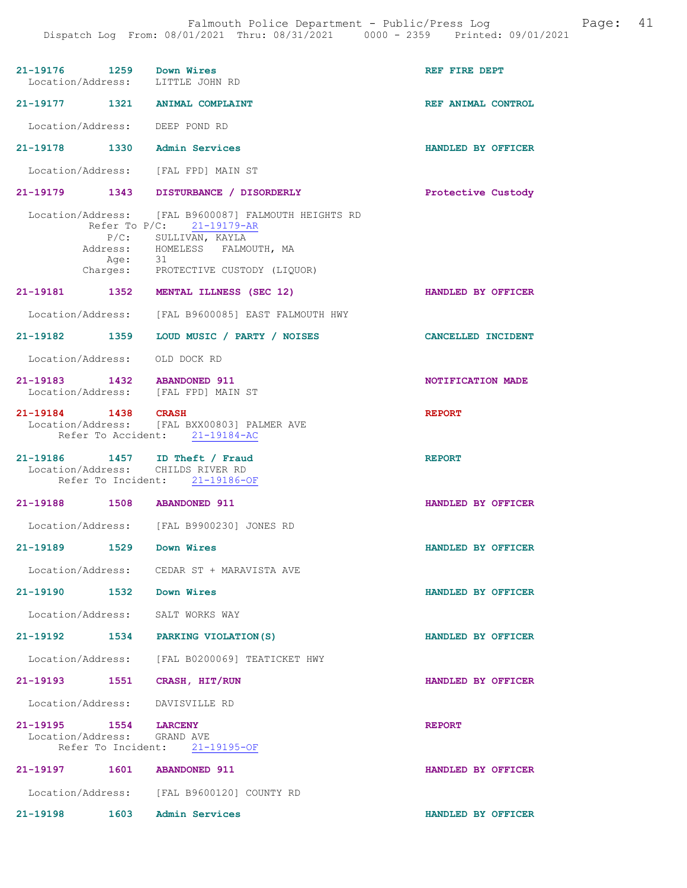Falmouth Police Department - Public/Press Log and Page: 41 Dispatch Log From: 08/01/2021 Thru: 08/31/2021 0000 - 2359 Printed: 09/01/2021

| 21-19176 1259 Down Wires                             |                    | Location/Address: LITTLE JOHN RD                                                                                                                                                    | REF FIRE DEPT             |
|------------------------------------------------------|--------------------|-------------------------------------------------------------------------------------------------------------------------------------------------------------------------------------|---------------------------|
|                                                      |                    | 21-19177 1321 ANIMAL COMPLAINT                                                                                                                                                      | REF ANIMAL CONTROL        |
|                                                      |                    | Location/Address: DEEP POND RD                                                                                                                                                      |                           |
|                                                      |                    | 21-19178 1330 Admin Services                                                                                                                                                        | HANDLED BY OFFICER        |
|                                                      |                    | Location/Address: [FAL FPD] MAIN ST                                                                                                                                                 |                           |
|                                                      |                    | 21-19179 1343 DISTURBANCE / DISORDERLY                                                                                                                                              | Protective Custody        |
|                                                      | Age: 31            | Location/Address: [FAL B9600087] FALMOUTH HEIGHTS RD<br>Refer To P/C: 21-19179-AR<br>P/C: SULLIVAN, KAYLA<br>Address: HOMELESS FALMOUTH, MA<br>Charges: PROTECTIVE CUSTODY (LIQUOR) |                           |
|                                                      |                    | 21-19181 1352 MENTAL ILLNESS (SEC 12)                                                                                                                                               | HANDLED BY OFFICER        |
|                                                      |                    | Location/Address: [FAL B9600085] EAST FALMOUTH HWY                                                                                                                                  |                           |
|                                                      |                    | 21-19182 1359 LOUD MUSIC / PARTY / NOISES                                                                                                                                           | <b>CANCELLED INCIDENT</b> |
|                                                      |                    | Location/Address: OLD DOCK RD                                                                                                                                                       |                           |
|                                                      |                    | 21-19183 1432 ABANDONED 911<br>Location/Address: [FAL FPD] MAIN ST                                                                                                                  | NOTIFICATION MADE         |
| 21-19184 1438 CRASH                                  |                    | Location/Address: [FAL BXX00803] PALMER AVE<br>Refer To Accident: 21-19184-AC                                                                                                       | <b>REPORT</b>             |
|                                                      |                    | 21-19186 1457 ID Theft / Fraud Location/Address: CHILDS RIVER RD<br>Refer To Incident: 21-19186-OF                                                                                  | <b>REPORT</b>             |
|                                                      |                    | 21-19188 1508 ABANDONED 911                                                                                                                                                         | HANDLED BY OFFICER        |
|                                                      |                    | Location/Address: [FAL B9900230] JONES RD                                                                                                                                           |                           |
| 21-19189                                             |                    | 1529 Down Wires                                                                                                                                                                     | HANDLED BY OFFICER        |
|                                                      |                    |                                                                                                                                                                                     |                           |
|                                                      |                    | Location/Address: CEDAR ST + MARAVISTA AVE                                                                                                                                          |                           |
| 21-19190 1532 Down Wires                             |                    |                                                                                                                                                                                     | HANDLED BY OFFICER        |
|                                                      |                    | Location/Address: SALT WORKS WAY                                                                                                                                                    |                           |
|                                                      |                    | 21-19192 1534 PARKING VIOLATION (S)                                                                                                                                                 | HANDLED BY OFFICER        |
|                                                      |                    | Location/Address: [FAL B0200069] TEATICKET HWY                                                                                                                                      |                           |
| 21-19193                                             | 1551               | CRASH, HIT/RUN                                                                                                                                                                      | HANDLED BY OFFICER        |
|                                                      |                    | Location/Address: DAVISVILLE RD                                                                                                                                                     |                           |
| 21-19195 1554 LARCENY<br>Location/Address: GRAND AVE | Refer To Incident: | $21 - 19195 - OF$                                                                                                                                                                   | <b>REPORT</b>             |
|                                                      |                    | 21-19197 1601 ABANDONED 911                                                                                                                                                         | HANDLED BY OFFICER        |
|                                                      |                    | Location/Address: [FAL B9600120] COUNTY RD                                                                                                                                          |                           |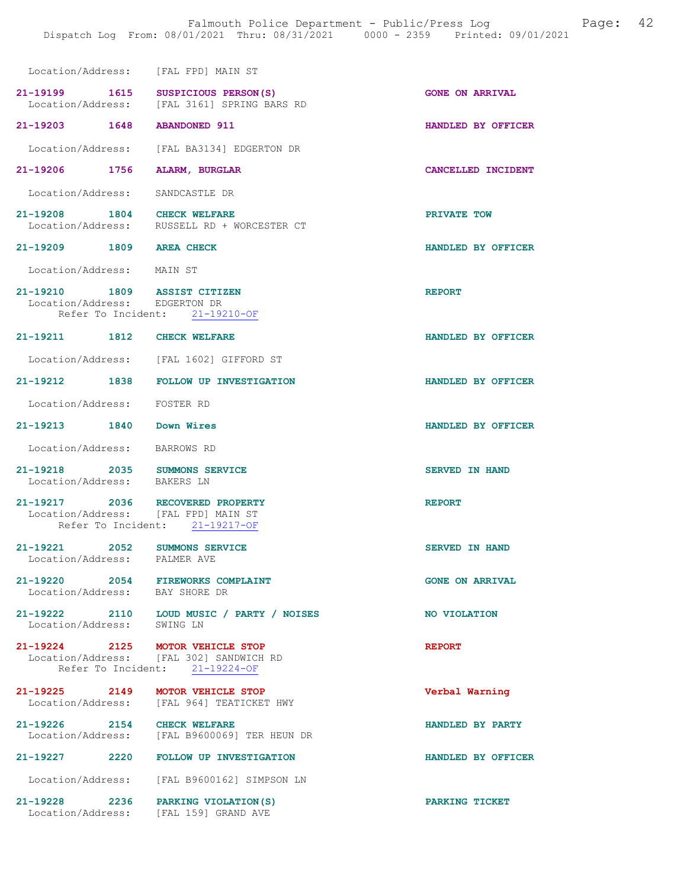| Location/Address: [FAL FPD] MAIN ST                                     |                                                                           |                        |
|-------------------------------------------------------------------------|---------------------------------------------------------------------------|------------------------|
| 21-19199 1615 SUSPICIOUS PERSON(S)                                      | Location/Address: [FAL 3161] SPRING BARS RD                               | <b>GONE ON ARRIVAL</b> |
| 21-19203 1648 ABANDONED 911                                             |                                                                           | HANDLED BY OFFICER     |
|                                                                         | Location/Address: [FAL BA3134] EDGERTON DR                                |                        |
| 21-19206 1756                                                           | ALARM, BURGLAR                                                            | CANCELLED INCIDENT     |
| Location/Address:                                                       | SANDCASTLE DR                                                             |                        |
| 21-19208 1804 CHECK WELFARE                                             | Location/Address: RUSSELL RD + WORCESTER CT                               | PRIVATE TOW            |
| 21-19209 1809 AREA CHECK                                                |                                                                           | HANDLED BY OFFICER     |
| Location/Address: MAIN ST                                               |                                                                           |                        |
| 21-19210 1809 ASSIST CITIZEN<br>Location/Address: EDGERTON DR           | Refer To Incident: 21-19210-OF                                            | <b>REPORT</b>          |
| 21-19211 1812 CHECK WELFARE                                             |                                                                           | HANDLED BY OFFICER     |
|                                                                         | Location/Address: [FAL 1602] GIFFORD ST                                   |                        |
|                                                                         | 21-19212 1838 FOLLOW UP INVESTIGATION                                     | HANDLED BY OFFICER     |
| Location/Address: FOSTER RD                                             |                                                                           |                        |
| 21-19213 1840 Down Wires                                                |                                                                           | HANDLED BY OFFICER     |
| Location/Address: BARROWS RD                                            |                                                                           |                        |
| 21-19218 2035 SUMMONS SERVICE<br>Location/Address: BAKERS LN            |                                                                           | <b>SERVED IN HAND</b>  |
| 21-19217 2036 RECOVERED PROPERTY<br>Location/Address: [FAL FPD] MAIN ST | Refer To Incident: 21-19217-OF                                            | <b>REPORT</b>          |
| 2052<br>21-19221<br>Location/Address: PALMER AVE                        | <b>SUMMONS SERVICE</b>                                                    | <b>SERVED IN HAND</b>  |
| 21-19220 2054 FIREWORKS COMPLAINT<br>Location/Address: BAY SHORE DR     |                                                                           | <b>GONE ON ARRIVAL</b> |
|                                                                         | 21-19222 2110 LOUD MUSIC / PARTY / NOISES<br>Location/Address: SWING LN   | NO VIOLATION           |
| 21-19224 2125 MOTOR VEHICLE STOP                                        | Location/Address: [FAL 302] SANDWICH RD<br>Refer To Incident: 21-19224-OF | <b>REPORT</b>          |
| 21-19225 2149 MOTOR VEHICLE STOP                                        | Location/Address: [FAL 964] TEATICKET HWY                                 | Verbal Warning         |
| 21-19226 2154 CHECK WELFARE                                             | Location/Address: [FAL B9600069] TER HEUN DR                              | HANDLED BY PARTY       |
|                                                                         | 21-19227 2220 FOLLOW UP INVESTIGATION                                     | HANDLED BY OFFICER     |
|                                                                         | Location/Address: [FAL B9600162] SIMPSON LN                               |                        |
| 21-19228 2236 PARKING VIOLATION (S)                                     | Location/Address: [FAL 159] GRAND AVE                                     | PARKING TICKET         |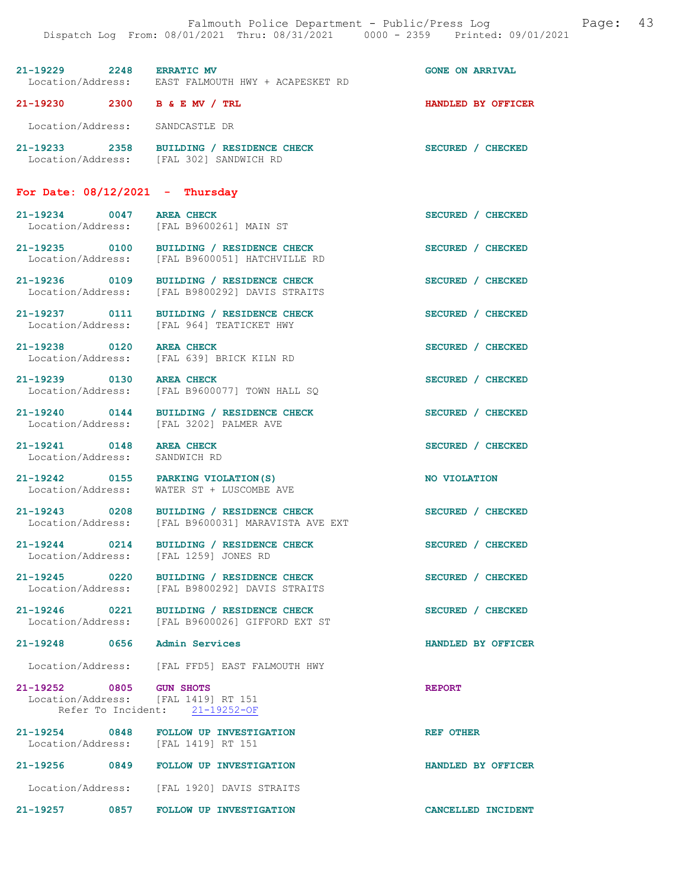| 21-19229 2248 ERRATIC MV                                       | Location/Address: EAST FALMOUTH HWY + ACAPESKET RD                                             | <b>GONE ON ARRIVAL</b> |
|----------------------------------------------------------------|------------------------------------------------------------------------------------------------|------------------------|
| 21-19230 2300 B & E MV / TRL                                   |                                                                                                | HANDLED BY OFFICER     |
| Location/Address: SANDCASTLE DR                                |                                                                                                |                        |
|                                                                | 21-19233 2358 BUILDING / RESIDENCE CHECK<br>Location/Address: [FAL 302] SANDWICH RD            | SECURED / CHECKED      |
| For Date: $08/12/2021$ - Thursday                              |                                                                                                |                        |
| 21-19234 0047                                                  | <b>AREA CHECK</b><br>Location/Address: [FAL B9600261] MAIN ST                                  | SECURED / CHECKED      |
|                                                                | 21-19235 0100 BUILDING / RESIDENCE CHECK<br>Location/Address: [FAL B9600051] HATCHVILLE RD     | SECURED / CHECKED      |
| 21-19236 0109<br>Location/Address:                             | <b>BUILDING / RESIDENCE CHECK</b><br>[FAL B9800292] DAVIS STRAITS                              | SECURED / CHECKED      |
| 21-19237 0111<br>Location/Address:                             | BUILDING / RESIDENCE CHECK<br>[FAL 964] TEATICKET HWY                                          | SECURED / CHECKED      |
| 21-19238 0120<br>Location/Address:                             | <b>AREA CHECK</b><br>[FAL 639] BRICK KILN RD                                                   | SECURED / CHECKED      |
| 21-19239 0130 AREA CHECK                                       | Location/Address: [FAL B9600077] TOWN HALL SQ                                                  | SECURED / CHECKED      |
| Location/Address:                                              | 21-19240 0144 BUILDING / RESIDENCE CHECK<br>[FAL 3202] PALMER AVE                              | SECURED / CHECKED      |
| 21-19241 0148<br>Location/Address: SANDWICH RD                 | <b>AREA CHECK</b>                                                                              | SECURED / CHECKED      |
|                                                                | 21-19242 0155 PARKING VIOLATION (S)<br>Location/Address: WATER ST + LUSCOMBE AVE               | NO VIOLATION           |
|                                                                | 21-19243 0208 BUILDING / RESIDENCE CHECK<br>Location/Address: [FAL B9600031] MARAVISTA AVE EXT | SECURED / CHECKED      |
| $21 - 19244$ 0214<br>Location/Address:                         | BUILDING / RESIDENCE CHECK<br>[FAL 1259] JONES RD                                              | SECURED / CHECKED      |
|                                                                | 21-19245 0220 BUILDING / RESIDENCE CHECK<br>Location/Address: [FAL B9800292] DAVIS STRAITS     | SECURED / CHECKED      |
|                                                                | 21-19246 0221 BUILDING / RESIDENCE CHECK<br>Location/Address: [FAL B9600026] GIFFORD EXT ST    | SECURED / CHECKED      |
| 21-19248 0656 Admin Services                                   |                                                                                                | HANDLED BY OFFICER     |
|                                                                | Location/Address: [FAL FFD5] EAST FALMOUTH HWY                                                 |                        |
| 21-19252 0805 GUN SHOTS<br>Location/Address: [FAL 1419] RT 151 | Refer To Incident: 21-19252-OF                                                                 | <b>REPORT</b>          |
| Location/Address: [FAL 1419] RT 151                            | 21-19254 0848 FOLLOW UP INVESTIGATION                                                          | <b>REF OTHER</b>       |
|                                                                | 21-19256 0849 FOLLOW UP INVESTIGATION                                                          | HANDLED BY OFFICER     |
|                                                                | Location/Address: [FAL 1920] DAVIS STRAITS                                                     |                        |
|                                                                | 21-19257 0857 FOLLOW UP INVESTIGATION                                                          | CANCELLED INCIDENT     |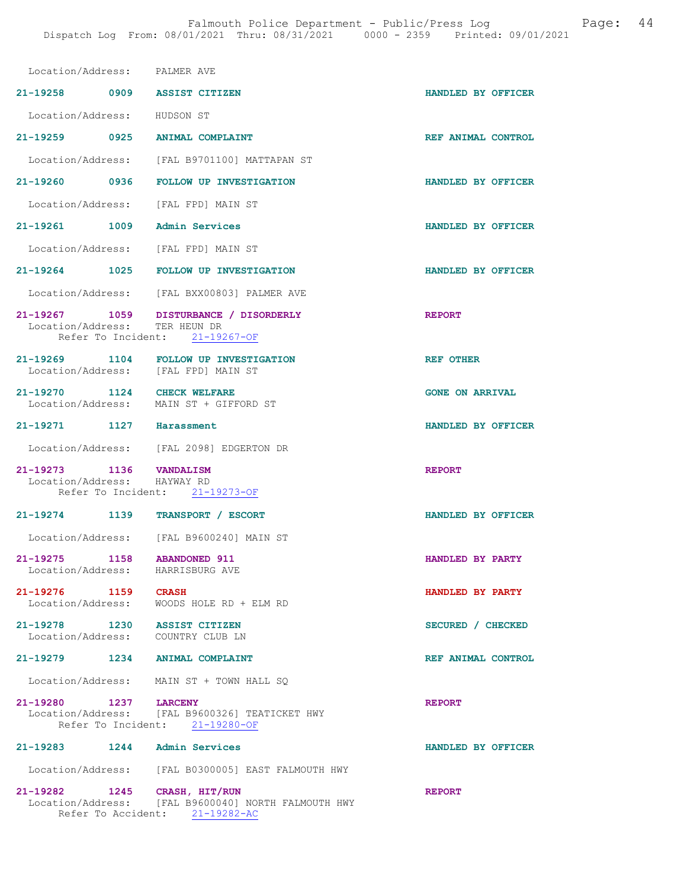| Location/Address: PALMER AVE                           |                                                                                                           |                        |
|--------------------------------------------------------|-----------------------------------------------------------------------------------------------------------|------------------------|
| 21-19258 0909 ASSIST CITIZEN                           |                                                                                                           | HANDLED BY OFFICER     |
| Location/Address: HUDSON ST                            |                                                                                                           |                        |
| 21-19259 0925 ANIMAL COMPLAINT                         |                                                                                                           | REF ANIMAL CONTROL     |
|                                                        | Location/Address: [FAL B9701100] MATTAPAN ST                                                              |                        |
|                                                        | 21-19260 0936 FOLLOW UP INVESTIGATION                                                                     | HANDLED BY OFFICER     |
| Location/Address: [FAL FPD] MAIN ST                    |                                                                                                           |                        |
| 21-19261 1009 Admin Services                           |                                                                                                           | HANDLED BY OFFICER     |
| Location/Address: [FAL FPD] MAIN ST                    |                                                                                                           |                        |
|                                                        | 21-19264 1025 FOLLOW UP INVESTIGATION                                                                     | HANDLED BY OFFICER     |
|                                                        | Location/Address: [FAL BXX00803] PALMER AVE                                                               |                        |
|                                                        | 21-19267 1059 DISTURBANCE / DISORDERLY<br>Location/Address: TER HEUN DR<br>Refer To Incident: 21-19267-OF | <b>REPORT</b>          |
|                                                        | 21-19269 1104 FOLLOW UP INVESTIGATION                                                                     | <b>REF OTHER</b>       |
| Location/Address: [FAL FPD] MAIN ST                    |                                                                                                           |                        |
| 21-19270 1124 CHECK WELFARE                            | Location/Address: MAIN ST + GIFFORD ST                                                                    | <b>GONE ON ARRIVAL</b> |
| 21-19271 1127 Harassment                               |                                                                                                           | HANDLED BY OFFICER     |
|                                                        | Location/Address: [FAL 2098] EDGERTON DR                                                                  |                        |
| 21-19273 1136 VANDALISM<br>Location/Address: HAYWAY RD |                                                                                                           | <b>REPORT</b>          |
|                                                        | Refer To Incident: 21-19273-OF                                                                            |                        |
| 21-19274 1139 TRANSPORT / ESCORT                       |                                                                                                           | HANDLED BY OFFICER     |
|                                                        | Location/Address: [FAL B9600240] MAIN ST                                                                  |                        |
| 21-19275 1158 ABANDONED 911<br>Location/Address:       | HARRISBURG AVE                                                                                            | HANDLED BY PARTY       |
| 21-19276 1159 CRASH<br>Location/Address:               | WOODS HOLE RD + ELM RD                                                                                    | HANDLED BY PARTY       |
| 21-19278 1230 ASSIST CITIZEN                           |                                                                                                           | SECURED / CHECKED      |
| Location/Address: COUNTRY CLUB LN                      |                                                                                                           |                        |
| 21-19279                                               | 1234 ANIMAL COMPLAINT                                                                                     | REF ANIMAL CONTROL     |
|                                                        | Location/Address: MAIN ST + TOWN HALL SQ                                                                  |                        |
| 21-19280 1237 LARCENY                                  | Location/Address: [FAL B9600326] TEATICKET HWY<br>Refer To Incident: 21-19280-OF                          | <b>REPORT</b>          |
| $21 - 19283$ 1244                                      | <b>Admin Services</b>                                                                                     | HANDLED BY OFFICER     |
|                                                        | Location/Address: [FAL B0300005] EAST FALMOUTH HWY                                                        |                        |
|                                                        |                                                                                                           |                        |

Refer To Accident: 21-19282-AC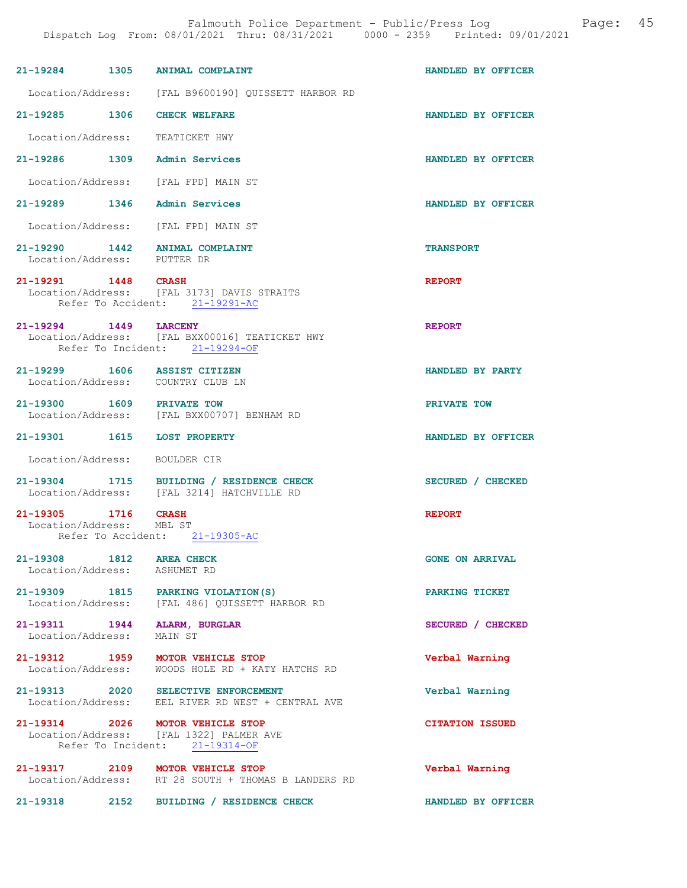|                                               | 21-19284 1305 ANIMAL COMPLAINT                                                                                | HANDLED BY OFFICER     |
|-----------------------------------------------|---------------------------------------------------------------------------------------------------------------|------------------------|
|                                               | Location/Address: [FAL B9600190] QUISSETT HARBOR RD                                                           |                        |
| 21-19285 1306                                 | <b>CHECK WELFARE</b>                                                                                          | HANDLED BY OFFICER     |
| Location/Address:                             | TEATICKET HWY                                                                                                 |                        |
| 21-19286 1309                                 | Admin Services                                                                                                | HANDLED BY OFFICER     |
|                                               | Location/Address: [FAL FPD] MAIN ST                                                                           |                        |
|                                               | 21-19289 1346 Admin Services                                                                                  | HANDLED BY OFFICER     |
|                                               | Location/Address: [FAL FPD] MAIN ST                                                                           |                        |
| Location/Address: PUTTER DR                   | 21-19290 1442 ANIMAL COMPLAINT                                                                                | <b>TRANSPORT</b>       |
| 21-19291 1448 CRASH                           | Location/Address: [FAL 3173] DAVIS STRAITS<br>Refer To Accident: 21-19291-AC                                  | <b>REPORT</b>          |
| 21-19294 1449 LARCENY                         | Location/Address: [FAL BXX00016] TEATICKET HWY<br>Refer To Incident: 21-19294-OF                              | <b>REPORT</b>          |
|                                               | 21-19299 1606 ASSIST CITIZEN<br>Location/Address: COUNTRY CLUB LN                                             | HANDLED BY PARTY       |
| 21-19300 1609 PRIVATE TOW                     | Location/Address: [FAL BXX00707] BENHAM RD                                                                    | PRIVATE TOW            |
| 21-19301 1615 LOST PROPERTY                   |                                                                                                               | HANDLED BY OFFICER     |
| Location/Address: BOULDER CIR                 |                                                                                                               |                        |
|                                               | 21-19304 1715 BUILDING / RESIDENCE CHECK<br>Location/Address: [FAL 3214] HATCHVILLE RD                        | SECURED / CHECKED      |
| 21-19305 1716<br>Location/Address: MBL ST     | <b>CRASH</b>                                                                                                  | <b>REPORT</b>          |
|                                               | Refer To Accident: 21-19305-AC                                                                                |                        |
| 21-19308 1812 AREA CHECK<br>Location/Address: | ASHUMET RD                                                                                                    | <b>GONE ON ARRIVAL</b> |
|                                               | 21-19309 1815 PARKING VIOLATION(S)<br>Location/Address: [FAL 486] QUISSETT HARBOR RD                          | PARKING TICKET         |
| Location/Address:                             | 21-19311 1944 ALARM, BURGLAR<br>MAIN ST                                                                       | SECURED / CHECKED      |
| 21-19312 1959<br>Location/Address:            | MOTOR VEHICLE STOP<br>WOODS HOLE RD + KATY HATCHS RD                                                          | Verbal Warning         |
|                                               | 21-19313 2020 SELECTIVE ENFORCEMENT<br>Location/Address: EEL RIVER RD WEST + CENTRAL AVE                      | Verbal Warning         |
|                                               | 21-19314 2026 MOTOR VEHICLE STOP<br>Location/Address: [FAL 1322] PALMER AVE<br>Refer To Incident: 21-19314-OF | <b>CITATION ISSUED</b> |
|                                               | 21-19317 2109 MOTOR VEHICLE STOP<br>Location/Address: RT 28 SOUTH + THOMAS B LANDERS RD                       | Verbal Warning         |
| 21-19318 2152                                 | BUILDING / RESIDENCE CHECK                                                                                    | HANDLED BY OFFICER     |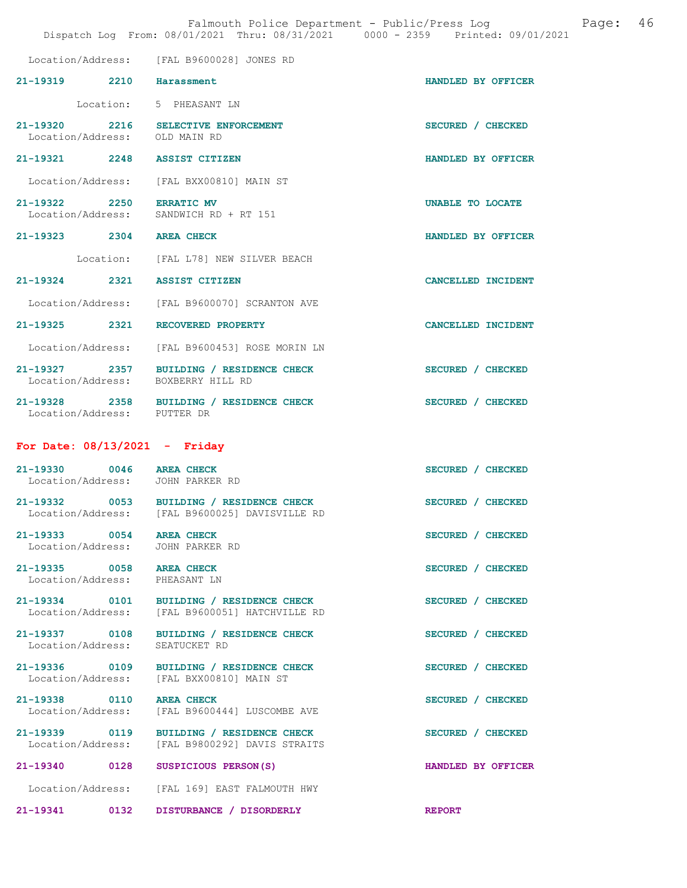|                                                           |      | Falmouth Police Department - Public/Press Log<br>Dispatch Log From: 08/01/2021 Thru: 08/31/2021 0000 - 2359 Printed: 09/01/2021 | -46<br>Page:       |
|-----------------------------------------------------------|------|---------------------------------------------------------------------------------------------------------------------------------|--------------------|
|                                                           |      | Location/Address: [FAL B9600028] JONES RD                                                                                       |                    |
| 21-19319 2210 Harassment                                  |      |                                                                                                                                 | HANDLED BY OFFICER |
|                                                           |      | Location: 5 PHEASANT LN                                                                                                         |                    |
|                                                           |      | 21-19320 2216 SELECTIVE ENFORCEMENT<br>Location/Address: OLD MAIN RD                                                            | SECURED / CHECKED  |
|                                                           |      | 21-19321 2248 ASSIST CITIZEN                                                                                                    | HANDLED BY OFFICER |
|                                                           |      | Location/Address: [FAL BXX00810] MAIN ST                                                                                        |                    |
| 21-19322 2250 ERRATIC MV                                  |      | Location/Address: SANDWICH RD + RT 151                                                                                          | UNABLE TO LOCATE   |
| 21-19323 2304 AREA CHECK                                  |      |                                                                                                                                 | HANDLED BY OFFICER |
|                                                           |      | Location: [FAL L78] NEW SILVER BEACH                                                                                            |                    |
|                                                           |      | 21-19324 2321 ASSIST CITIZEN                                                                                                    | CANCELLED INCIDENT |
|                                                           |      | Location/Address: [FAL B9600070] SCRANTON AVE                                                                                   |                    |
|                                                           |      | 21-19325 2321 RECOVERED PROPERTY                                                                                                | CANCELLED INCIDENT |
|                                                           |      | Location/Address: [FAL B9600453] ROSE MORIN LN                                                                                  |                    |
|                                                           |      | 21-19327 2357 BUILDING / RESIDENCE CHECK<br>Location/Address: BOXBERRY HILL RD                                                  | SECURED / CHECKED  |
| Location/Address: PUTTER DR                               |      | 21-19328 2358 BUILDING / RESIDENCE CHECK                                                                                        | SECURED / CHECKED  |
| For Date: $08/13/2021$ - Friday                           |      |                                                                                                                                 |                    |
| 21-19330 0046 AREA CHECK                                  |      | Location/Address: JOHN PARKER RD                                                                                                | SECURED / CHECKED  |
|                                                           |      | 21-19332 0053 BUILDING / RESIDENCE CHECK<br>Location/Address: [FAL B9600025] DAVISVILLE RD                                      | SECURED / CHECKED  |
| 21-19333 0054 AREA CHECK                                  |      | Location/Address: JOHN PARKER RD                                                                                                | SECURED / CHECKED  |
| 21-19335 0058 AREA CHECK<br>Location/Address: PHEASANT LN |      |                                                                                                                                 | SECURED / CHECKED  |
| Location/Address:                                         |      | 21-19334 0101 BUILDING / RESIDENCE CHECK<br>[FAL B9600051] HATCHVILLE RD                                                        | SECURED / CHECKED  |
| 21-19337 0108<br>Location/Address:                        |      | BUILDING / RESIDENCE CHECK<br>SEATUCKET RD                                                                                      | SECURED / CHECKED  |
| 21-19336 0109<br>Location/Address:                        |      | BUILDING / RESIDENCE CHECK<br>[FAL BXX00810] MAIN ST                                                                            | SECURED / CHECKED  |
| 21-19338 0110<br>Location/Address:                        |      | <b>AREA CHECK</b><br>[FAL B9600444] LUSCOMBE AVE                                                                                | SECURED / CHECKED  |
| 21-19339 0119<br>Location/Address:                        |      | BUILDING / RESIDENCE CHECK<br>[FAL B9800292] DAVIS STRAITS                                                                      | SECURED / CHECKED  |
| 21-19340                                                  | 0128 | SUSPICIOUS PERSON(S)                                                                                                            | HANDLED BY OFFICER |
|                                                           |      | Location/Address: [FAL 169] EAST FALMOUTH HWY                                                                                   |                    |
| 21-19341 0132                                             |      | DISTURBANCE / DISORDERLY                                                                                                        | <b>REPORT</b>      |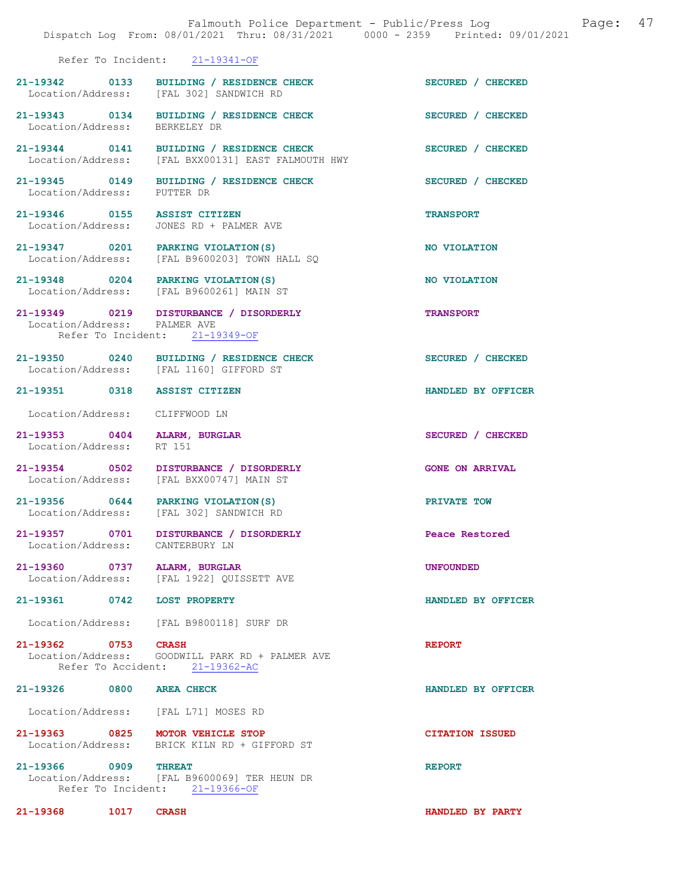|                                    | Falmouth Police Department - Public/Press Log Falmouth Page: 47<br>Dispatch Log From: 08/01/2021 Thru: 08/31/2021 0000 - 2359 Printed: 09/01/2021 |                        |  |
|------------------------------------|---------------------------------------------------------------------------------------------------------------------------------------------------|------------------------|--|
|                                    | Refer To Incident: 21-19341-OF                                                                                                                    |                        |  |
|                                    | 21-19342 0133 BUILDING / RESIDENCE CHECK<br>Location/Address: [FAL 302] SANDWICH RD                                                               | SECURED / CHECKED      |  |
| Location/Address: BERKELEY DR      | 21-19343 0134 BUILDING / RESIDENCE CHECK                                                                                                          | SECURED / CHECKED      |  |
|                                    | 21-19344 0141 BUILDING / RESIDENCE CHECK<br>Location/Address: [FAL BXX00131] EAST FALMOUTH HWY                                                    | SECURED / CHECKED      |  |
| Location/Address: PUTTER DR        | 21-19345 0149 BUILDING / RESIDENCE CHECK                                                                                                          | SECURED / CHECKED      |  |
|                                    | 21-19346 0155 ASSIST CITIZEN<br>Location/Address: JONES RD + PALMER AVE                                                                           | <b>TRANSPORT</b>       |  |
|                                    | 21-19347 0201 PARKING VIOLATION (S)<br>Location/Address: [FAL B9600203] TOWN HALL SQ                                                              | NO VIOLATION           |  |
|                                    | 21-19348 0204 PARKING VIOLATION(S)<br>Location/Address: [FAL B9600261] MAIN ST                                                                    | NO VIOLATION           |  |
| Location/Address: PALMER AVE       | 21-19349 0219 DISTURBANCE / DISORDERLY<br>Refer To Incident: 21-19349-OF                                                                          | <b>TRANSPORT</b>       |  |
|                                    | 21-19350 0240 BUILDING / RESIDENCE CHECK<br>Location/Address: [FAL 1160] GIFFORD ST                                                               | SECURED / CHECKED      |  |
| 21-19351 0318 ASSIST CITIZEN       |                                                                                                                                                   | HANDLED BY OFFICER     |  |
| Location/Address: CLIFFWOOD LN     |                                                                                                                                                   |                        |  |
| Location/Address:                  | 21-19353 0404 ALARM, BURGLAR<br>RT 151                                                                                                            | SECURED / CHECKED      |  |
|                                    | 21-19354 0502 DISTURBANCE / DISORDERLY<br>Location/Address: [FAL BXX00747] MAIN ST                                                                | <b>GONE ON ARRIVAL</b> |  |
|                                    | 21-19356 0644 PARKING VIOLATION (S)<br>Location/Address: [FAL 302] SANDWICH RD                                                                    | PRIVATE TOW            |  |
| 21-19357 0701<br>Location/Address: | DISTURBANCE / DISORDERLY<br>CANTERBURY LN                                                                                                         | Peace Restored         |  |
| 21-19360 0737 ALARM, BURGLAR       | Location/Address: [FAL 1922] QUISSETT AVE                                                                                                         | <b>UNFOUNDED</b>       |  |
| 21-19361 0742 LOST PROPERTY        |                                                                                                                                                   | HANDLED BY OFFICER     |  |
|                                    | Location/Address: [FAL B9800118] SURF DR                                                                                                          |                        |  |
| 21-19362 0753 CRASH                | Location/Address: GOODWILL PARK RD + PALMER AVE<br>Refer To Accident: 21-19362-AC                                                                 | <b>REPORT</b>          |  |
| 21-19326 0800 AREA CHECK           |                                                                                                                                                   | HANDLED BY OFFICER     |  |
|                                    | Location/Address: [FAL L71] MOSES RD                                                                                                              |                        |  |
|                                    | 21-19363 0825 MOTOR VEHICLE STOP<br>Location/Address: BRICK KILN RD + GIFFORD ST                                                                  | <b>CITATION ISSUED</b> |  |
| 21-19366 0909 THREAT               | Location/Address: [FAL B9600069] TER HEUN DR<br>Refer To Incident: 21-19366-OF                                                                    | <b>REPORT</b>          |  |
| 21-19368<br>1017                   | <b>CRASH</b>                                                                                                                                      | HANDLED BY PARTY       |  |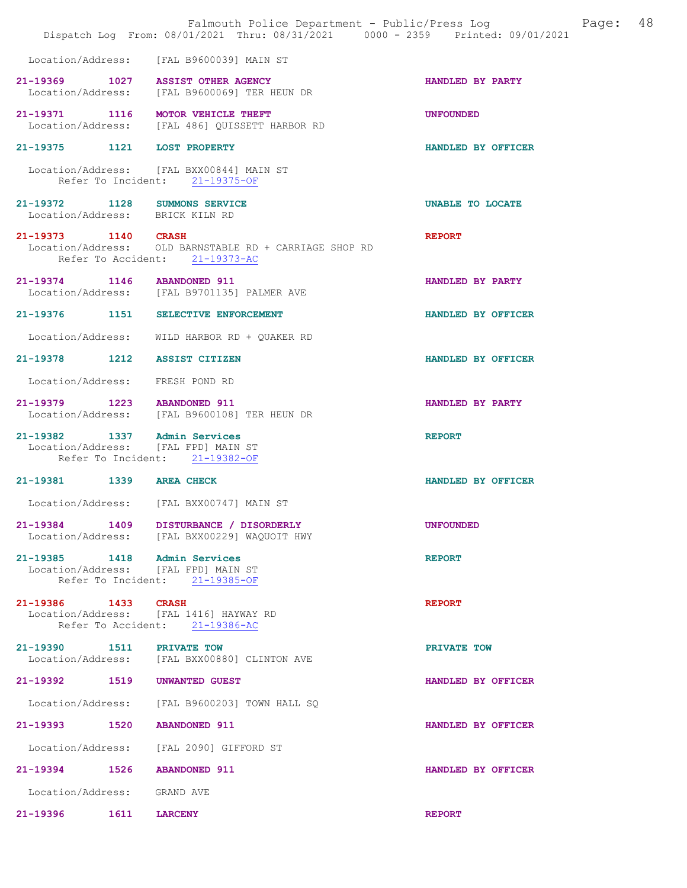|                                                                     | Falmouth Police Department - Public/Press Log<br>Dispatch Log From: 08/01/2021 Thru: 08/31/2021 0000 - 2359 Printed: 09/01/2021 | 48<br>Page:        |
|---------------------------------------------------------------------|---------------------------------------------------------------------------------------------------------------------------------|--------------------|
| Location/Address:                                                   | [FAL B9600039] MAIN ST                                                                                                          |                    |
| 21-19369 1027 ASSIST OTHER AGENCY                                   | Location/Address: [FAL B9600069] TER HEUN DR                                                                                    | HANDLED BY PARTY   |
| 21-19371 1116                                                       | MOTOR VEHICLE THEFT<br>Location/Address: [FAL 486] QUISSETT HARBOR RD                                                           | <b>UNFOUNDED</b>   |
| 21-19375 1121 LOST PROPERTY                                         |                                                                                                                                 | HANDLED BY OFFICER |
|                                                                     | Location/Address: [FAL BXX00844] MAIN ST<br>Refer To Incident: 21-19375-OF                                                      |                    |
| 21-19372 1128 SUMMONS SERVICE<br>Location/Address: BRICK KILN RD    |                                                                                                                                 | UNABLE TO LOCATE   |
| 21-19373 1140 CRASH<br>Refer To Accident:                           | Location/Address: OLD BARNSTABLE RD + CARRIAGE SHOP RD<br>$21 - 19373 - AC$                                                     | <b>REPORT</b>      |
| 21-19374 1146 ABANDONED 911                                         | Location/Address: [FAL B9701135] PALMER AVE                                                                                     | HANDLED BY PARTY   |
| $21 - 19376$<br>1151                                                | SELECTIVE ENFORCEMENT                                                                                                           | HANDLED BY OFFICER |
| Location/Address:                                                   | WILD HARBOR RD + QUAKER RD                                                                                                      |                    |
| 21-19378 1212                                                       | <b>ASSIST CITIZEN</b>                                                                                                           | HANDLED BY OFFICER |
| Location/Address:                                                   | FRESH POND RD                                                                                                                   |                    |
| 21-19379 1223 ABANDONED 911                                         | Location/Address: [FAL B9600108] TER HEUN DR                                                                                    | HANDLED BY PARTY   |
| 21-19382 1337 Admin Services<br>Location/Address: [FAL FPD] MAIN ST | Refer To Incident: 21-19382-OF                                                                                                  | <b>REPORT</b>      |
| 21-19381 1339 AREA CHECK                                            |                                                                                                                                 | HANDLED BY OFFICER |
| Location/Address:                                                   | [FAL BXX00747] MAIN ST                                                                                                          |                    |
|                                                                     | 21-19384 1409 DISTURBANCE / DISORDERLY<br>Location/Address: [FAL BXX00229] WAQUOIT HWY                                          | <b>UNFOUNDED</b>   |
| 21-19385 1418 Admin Services<br>Location/Address: [FAL FPD] MAIN ST | Refer To Incident: 21-19385-OF                                                                                                  | <b>REPORT</b>      |
| 21-19386 1433                                                       | <b>CRASH</b><br>Location/Address: [FAL 1416] HAYWAY RD<br>Refer To Accident: 21-19386-AC                                        | <b>REPORT</b>      |
| 21-19390 1511 PRIVATE TOW                                           | Location/Address: [FAL BXX00880] CLINTON AVE                                                                                    | PRIVATE TOW        |
| 21-19392<br>1519                                                    | <b>UNWANTED GUEST</b>                                                                                                           | HANDLED BY OFFICER |
| Location/Address:                                                   | [FAL B9600203] TOWN HALL SQ                                                                                                     |                    |
| 21-19393<br>1520                                                    | <b>ABANDONED 911</b>                                                                                                            | HANDLED BY OFFICER |
|                                                                     | Location/Address: [FAL 2090] GIFFORD ST                                                                                         |                    |
| 21-19394 1526                                                       | <b>ABANDONED 911</b>                                                                                                            | HANDLED BY OFFICER |
| Location/Address:                                                   | GRAND AVE                                                                                                                       |                    |
| 21-19396<br>1611                                                    | <b>LARCENY</b>                                                                                                                  | <b>REPORT</b>      |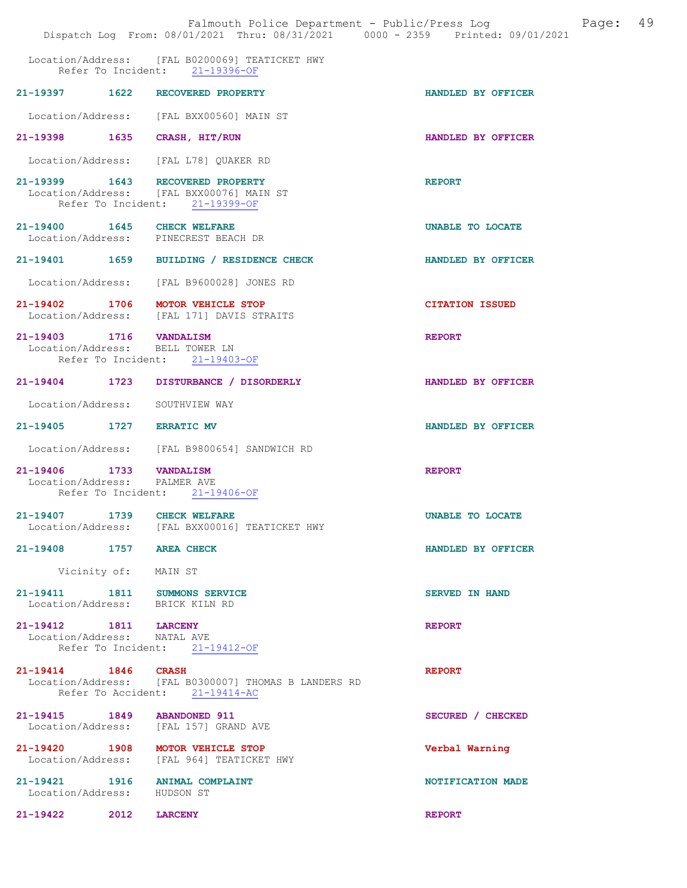|                                                                  | Falmouth Police Department - Public/Press Log Falmouth Page: 49<br>Dispatch Log From: 08/01/2021 Thru: 08/31/2021 0000 - 2359 Printed: 09/01/2021 |                        |
|------------------------------------------------------------------|---------------------------------------------------------------------------------------------------------------------------------------------------|------------------------|
|                                                                  | Location/Address: [FAL B0200069] TEATICKET HWY<br>Refer To Incident: 21-19396-OF                                                                  |                        |
|                                                                  | 21-19397 1622 RECOVERED PROPERTY                                                                                                                  | HANDLED BY OFFICER     |
|                                                                  | Location/Address: [FAL BXX00560] MAIN ST                                                                                                          |                        |
| 21-19398 1635 CRASH, HIT/RUN                                     |                                                                                                                                                   | HANDLED BY OFFICER     |
|                                                                  | Location/Address: [FAL L78] QUAKER RD                                                                                                             |                        |
|                                                                  | 21-19399 1643 RECOVERED PROPERTY<br>Location/Address: [FAL BXX00076] MAIN ST<br>Refer To Incident: 21-19399-OF                                    | <b>REPORT</b>          |
| 21-19400 1645 CHECK WELFARE                                      | Location/Address: PINECREST BEACH DR                                                                                                              | UNABLE TO LOCATE       |
|                                                                  | 21-19401 1659 BUILDING / RESIDENCE CHECK                                                                                                          | HANDLED BY OFFICER     |
| Location/Address:                                                | [FAL B9600028] JONES RD                                                                                                                           |                        |
|                                                                  | 21-19402 1706 MOTOR VEHICLE STOP<br>Location/Address: [FAL 171] DAVIS STRAITS                                                                     | <b>CITATION ISSUED</b> |
| 21-19403 1716 VANDALISM<br>Location/Address: BELL TOWER LN       |                                                                                                                                                   | <b>REPORT</b>          |
|                                                                  | Refer To Incident: 21-19403-OF                                                                                                                    |                        |
|                                                                  | 21-19404 1723 DISTURBANCE / DISORDERLY                                                                                                            | HANDLED BY OFFICER     |
| Location/Address: SOUTHVIEW WAY                                  |                                                                                                                                                   |                        |
| 21-19405 1727 ERRATIC MV                                         |                                                                                                                                                   | HANDLED BY OFFICER     |
|                                                                  | Location/Address: [FAL B9800654] SANDWICH RD                                                                                                      |                        |
| 21-19406 1733 VANDALISM<br>Location/Address: PALMER AVE          |                                                                                                                                                   | <b>REPORT</b>          |
|                                                                  | Refer To Incident: 21-19406-OF                                                                                                                    |                        |
| 21-19407 1739 CHECK WELFARE                                      | Location/Address: [FAL BXX00016] TEATICKET HWY                                                                                                    | UNABLE TO LOCATE       |
| 21-19408 1757 AREA CHECK                                         |                                                                                                                                                   | HANDLED BY OFFICER     |
| Vicinity of: MAIN ST                                             |                                                                                                                                                   |                        |
| 21-19411 1811 SUMMONS SERVICE<br>Location/Address: BRICK KILN RD |                                                                                                                                                   | <b>SERVED IN HAND</b>  |
| 21-19412 1811 LARCENY<br>Location/Address: NATAL AVE             | Refer To Incident: 21-19412-OF                                                                                                                    | <b>REPORT</b>          |
| 21-19414 1846 CRASH                                              | Location/Address: [FAL B0300007] THOMAS B LANDERS RD<br>Refer To Accident: 21-19414-AC                                                            | <b>REPORT</b>          |
| 21-19415 1849 ABANDONED 911                                      | Location/Address: [FAL 157] GRAND AVE                                                                                                             | SECURED / CHECKED      |
|                                                                  | 21-19420 1908 MOTOR VEHICLE STOP<br>Location/Address: [FAL 964] TEATICKET HWY                                                                     | Verbal Warning         |
| Location/Address: HUDSON ST                                      | 21-19421 1916 ANIMAL COMPLAINT                                                                                                                    | NOTIFICATION MADE      |
| 21-19422 2012                                                    | <b>LARCENY</b>                                                                                                                                    | <b>REPORT</b>          |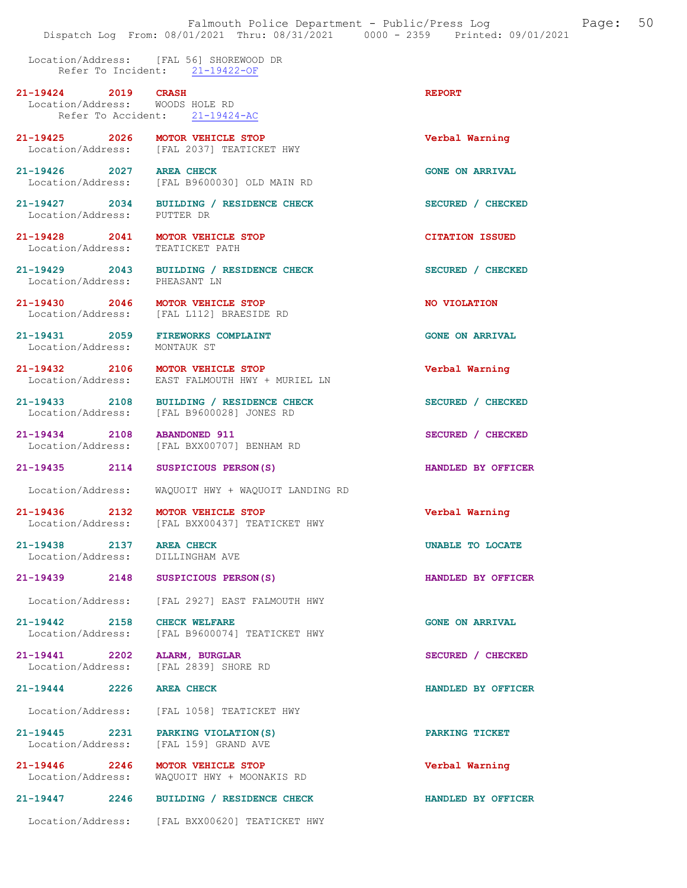Location/Address: [FAL 56] SHOREWOOD DR Refer To Incident: 21-19422-OF

21-19424 2019 CRASH 2001 21-19424 Location/Address: WOODS HOLE RD<br>Refer To Accident: 21-19424-AC Refer To Accident:

21-19425 2026 MOTOR VEHICLE STOP Verbal Warning Location/Address: [FAL 2037] TEATICKET HWY

21-19426 2027 AREA CHECK 2008 2027 AREA CHECK GONE ON ARRIVAL

[FAL B9600030] OLD MAIN RD

21-19427 2034 BUILDING / RESIDENCE CHECK SECURED / CHECKED Location/Address: PUTTER DR

21-19428 2041 MOTOR VEHICLE STOP CITATION ISSUED Location/Address: TEATICKET PATH

21-19429 2043 BUILDING / RESIDENCE CHECK SECURED / CHECKED Location/Address: PHEASANT LN

21-19430 2046 MOTOR VEHICLE STOP NO VIOLATION Location/Address: [FAL L112] BRAESIDE RD

21-19431 2059 FIREWORKS COMPLAINT CONE ON ARRIVAL Location/Address: MONTAUK ST Location/Address:

21-19432 2106 MOTOR VEHICLE STOP Verbal Warning Location/Address: EAST FALMOUTH HWY + MURIEL LN

21-19433 2108 BUILDING / RESIDENCE CHECK SECURED / CHECKED Location/Address: [FAL B9600028] JONES RD

21-19434 2108 ABANDONED 911 SECURED / CHECKED Location/Address: [FAL BXX00707] BENHAM RD

21-19435 2114 SUSPICIOUS PERSON(S) HANDLED BY OFFICER

Location/Address: WAQUOIT HWY + WAQUOIT LANDING RD

21-19436 2132 MOTOR VEHICLE STOP Verbal Warning Location/Address: [FAL BXX00437] TEATICKET HWY

21-19438 2137 AREA CHECK UNABLE TO LOCATE Location/Address: DILLINGHAM AVE Location/Address:

21-19439 2148 SUSPICIOUS PERSON(S) HANDLED BY OFFICER

Location/Address: [FAL 2927] EAST FALMOUTH HWY

21-19442 2158 CHECK WELFARE CONE ON ARRIVAL Location/Address: [FAL B9600074] TEATICKET HWY [FAL B9600074] TEATICKET HWY

21-19441 2202 ALARM, BURGLAR<br>
Location/Address: [FAL 2839] SHORE RD<br>
SECURED / CHECKED [FAL 2839] SHORE RD

Location/Address: [FAL 1058] TEATICKET HWY

21-19445 2231 PARKING VIOLATION(S) PARKING TICKET<br>
Location/Address: [FAL 159] GRAND AVE [FAL 159] GRAND AVE

21-19446 2246 MOTOR VEHICLE STOP Verbal Warning Location/Address: WAQUOIT HWY + MOONAKIS RD

21-19447 2246 BUILDING / RESIDENCE CHECK HANDLED BY OFFICER

Location/Address: [FAL BXX00620] TEATICKET HWY

21-19444 2226 AREA CHECK HANDLED BY OFFICER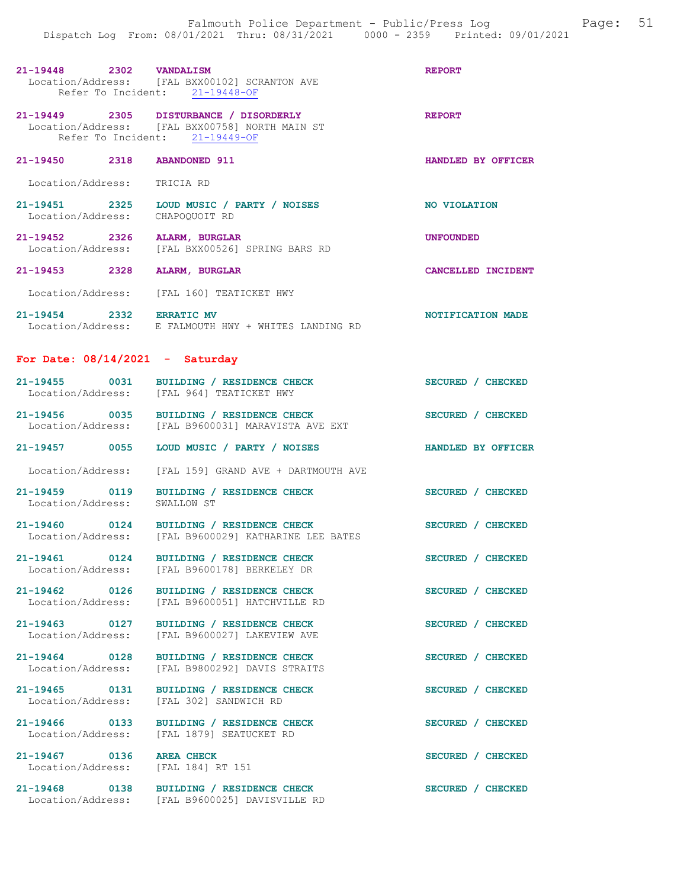| 21-19448          | 2302               | <b>VANDALISM</b>            |  | <b>REPORT</b> |
|-------------------|--------------------|-----------------------------|--|---------------|
| Location/Address: |                    | [FAL BXX00102] SCRANTON AVE |  |               |
|                   | Refer To Incident: | $21 - 19448 - OF$           |  |               |

21-19449 2305 DISTURBANCE / DISORDERLY REPORT Location/Address: [FAL BXX00758] NORTH MAIN ST<br>Refer To Incident: 21-19449-OF Refer To Incident:

# 21-19450 2318 ABANDONED 911 HANDLED BY OFFICER

Location/Address: TRICIA RD

- 21-19451 2325 LOUD MUSIC / PARTY / NOISES NO VIOLATION<br>
Location/Address: CHAPOQUOIT RD Location/Address:
- 21-19452 2326 ALARM, BURGLAR UNFOUNDED Location/Address: [FAL BXX00526] SPRING BARS RD
- 21-19453 2328 ALARM, BURGLAR CANCELLED INCIDENT
- Location/Address: [FAL 160] TEATICKET HWY
- 21-19454 2332 ERRATIC MV 2001 1997 21-19454 Location/Address: E FALMOUTH HWY + WHITES LANDING RD

#### For Date:  $08/14/2021$  - Saturday

| $21 - 19455$      | 0031 | BUILDING / RESIDENCE CHECK          | <b>CHECKED</b>     |
|-------------------|------|-------------------------------------|--------------------|
| Location/Address: |      | [FAL 964] TEATICKET HWY             | SECURED /          |
| $21 - 19456$      | 0035 | BUILDING / RESIDENCE CHECK          | <b>CHECKED</b>     |
| Location/Address: |      | [FAL B9600031] MARAVISTA AVE EXT    | <b>SECURED</b>     |
| $21 - 19457$      | 0055 | LOUD MUSIC / PARTY / NOISES         | HANDLED BY OFFICER |
| Location/Address: |      | [FAL 159] GRAND AVE + DARTMOUTH AVE |                    |

- 21-19459 0119 BUILDING / RESIDENCE CHECK SECURED / CHECKED Location/Address: SWALLOW ST Location/Address:
- 21-19460 0124 BUILDING / RESIDENCE CHECK SECURED / CHECKED Location/Address: [FAL B9600029] KATHARINE LEE BATES [FAL B9600029] KATHARINE LEE BATES
- 21-19461 0124 BUILDING / RESIDENCE CHECK SECURED / CHECKED Location/Address: [FAL B9600178] BERKELEY DR [FAL B9600178] BERKELEY DR
- 21-19462 0126 BUILDING / RESIDENCE CHECK SECURED / CHECKED Location/Address: [FAL B9600051] HATCHVILLE RD
- 
- 21-19463 0127 BUILDING / RESIDENCE CHECK SECURED / CHECKED Location/Address: [FAL B9600027] LAKEVIEW AVE
- 21-19464 0128 BUILDING / RESIDENCE CHECK SECURED / CHECKED<br>
Location/Address: [FAL B9800292] DAVIS STRAITS
- 21-19465 0131 BUILDING / RESIDENCE CHECK SECURED / CHECKED Location/Address: [FAL 302] SANDWICH RD
- 21-19466 0133 BUILDING / RESIDENCE CHECK SECURED / CHECKED Location/Address: [FAL 1879] SEATUCKET RD
- Location/Address: [FAL 184] RT 151
- 
- 21-19467 0136 AREA CHECK SECURED / CHECKED

[FAL 302] SANDWICH RD

[FAL B9600051] HATCHVILLE RD

[FAL B9600027] LAKEVIEW AVE

Location/Address: [FAL B9800292] DAVIS STRAITS

- 
- 21-19468 0138 BUILDING / RESIDENCE CHECK<br>
Location/Address: [FAL B9600025] DAVISVILLE RD [FAL B9600025] DAVISVILLE RD

- 
- 
-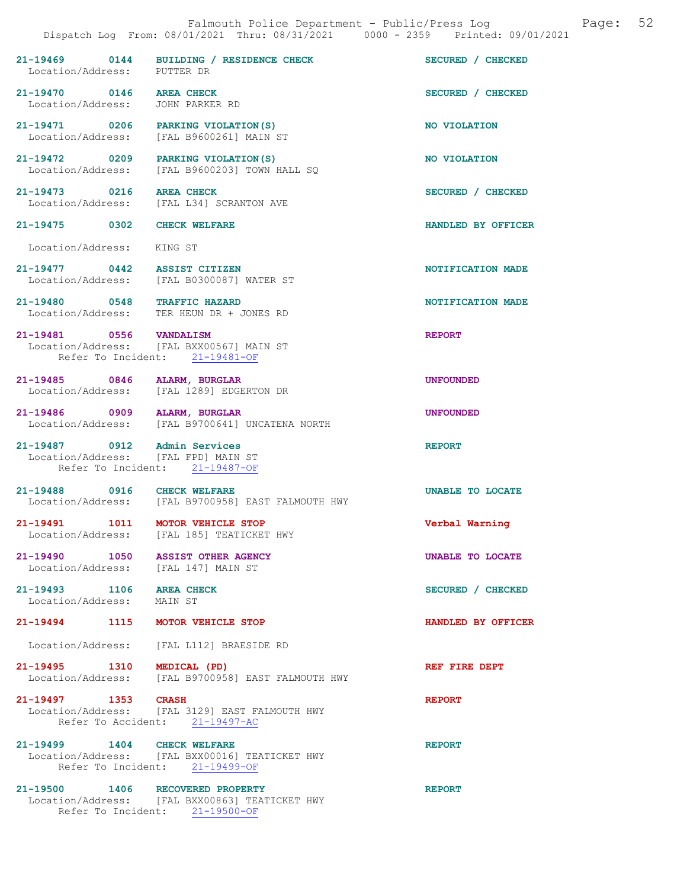| Location/Address: PUTTER DR                                              | 21-19469 0144 BUILDING / RESIDENCE CHECK                                         | SECURED / CHECKED       |
|--------------------------------------------------------------------------|----------------------------------------------------------------------------------|-------------------------|
| 21-19470 0146 AREA CHECK<br>Location/Address: JOHN PARKER RD             |                                                                                  | SECURED / CHECKED       |
|                                                                          | 21-19471 0206 PARKING VIOLATION (S)<br>Location/Address: [FAL B9600261] MAIN ST  | NO VIOLATION            |
| 21-19472 0209 PARKING VIOLATION (S)                                      | Location/Address: [FAL B9600203] TOWN HALL SO                                    | NO VIOLATION            |
| 21-19473 0216 AREA CHECK                                                 | Location/Address: [FAL L34] SCRANTON AVE                                         | SECURED / CHECKED       |
| 21-19475 0302 CHECK WELFARE                                              |                                                                                  | HANDLED BY OFFICER      |
| Location/Address: KING ST                                                |                                                                                  |                         |
| 21-19477 0442 ASSIST CITIZEN                                             | Location/Address: [FAL B0300087] WATER ST                                        | NOTIFICATION MADE       |
| 21-19480 0548 TRAFFIC HAZARD                                             | Location/Address: TER HEUN DR + JONES RD                                         | NOTIFICATION MADE       |
| 21-19481 0556 VANDALISM                                                  | Location/Address: [FAL BXX00567] MAIN ST<br>Refer To Incident: 21-19481-OF       | <b>REPORT</b>           |
|                                                                          | 21-19485 0846 ALARM, BURGLAR<br>Location/Address: [FAL 1289] EDGERTON DR         | <b>UNFOUNDED</b>        |
| 21-19486 0909 ALARM, BURGLAR                                             | Location/Address: [FAL B9700641] UNCATENA NORTH                                  | <b>UNFOUNDED</b>        |
| 21-19487 0912 Admin Services<br>Location/Address: [FAL FPD] MAIN ST      | Refer To Incident: 21-19487-OF                                                   | <b>REPORT</b>           |
| 21-19488 0916 CHECK WELFARE                                              | Location/Address: [FAL B9700958] EAST FALMOUTH HWY                               | <b>UNABLE TO LOCATE</b> |
| 21-19491 1011 MOTOR VEHICLE STOP                                         | Location/Address: [FAL 185] TEATICKET HWY                                        | Verbal Warning          |
| 21-19490 1050 ASSIST OTHER AGENCY<br>Location/Address: [FAL 147] MAIN ST |                                                                                  | UNABLE TO LOCATE        |
| 21-19493 1106 AREA CHECK<br>Location/Address: MAIN ST                    |                                                                                  | SECURED / CHECKED       |
| 21-19494 1115 MOTOR VEHICLE STOP                                         |                                                                                  | HANDLED BY OFFICER      |
|                                                                          | Location/Address: [FAL L112] BRAESIDE RD                                         |                         |
| 21-19495 1310 MEDICAL (PD)                                               | Location/Address: [FAL B9700958] EAST FALMOUTH HWY                               | REF FIRE DEPT           |
| 21-19497 1353 CRASH                                                      | Location/Address: [FAL 3129] EAST FALMOUTH HWY<br>Refer To Accident: 21-19497-AC | <b>REPORT</b>           |
| 21-19499 1404 CHECK WELFARE                                              | Location/Address: [FAL BXX00016] TEATICKET HWY<br>Refer To Incident: 21-19499-OF | <b>REPORT</b>           |
| 21-19500 1406 RECOVERED PROPERTY                                         |                                                                                  | <b>REPORT</b>           |

Location/Address: [FAL BXX00863] TEATICKET HWY

Refer To Incident: 21-19500-OF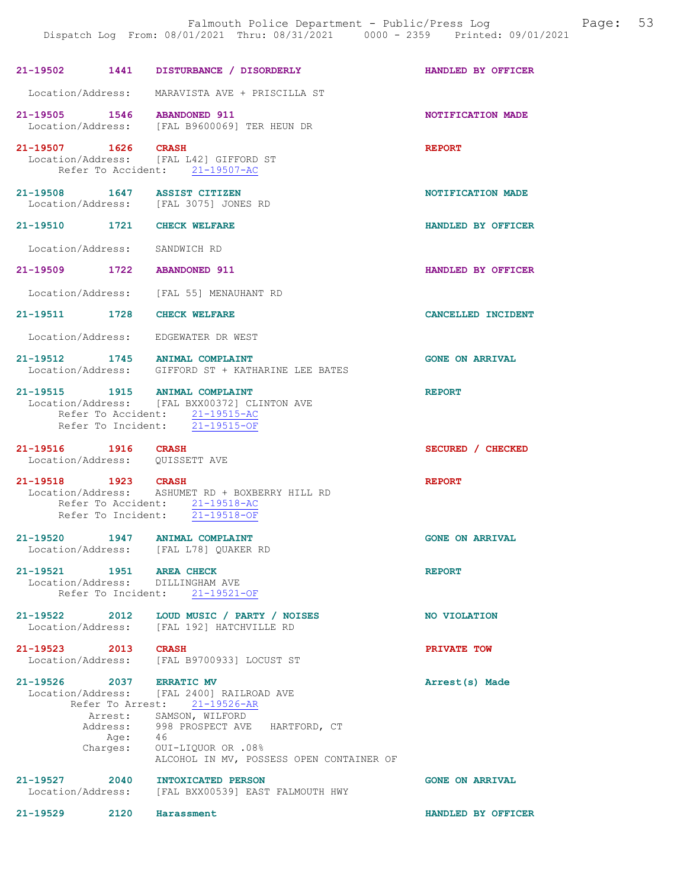|                                                 |                  | Falmouth Police Department - Public/Press Log<br>Dispatch Log From: 08/01/2021 Thru: 08/31/2021 0000 - 2359 Printed: 09/01/2021                                                                                          | 53<br>Page:            |
|-------------------------------------------------|------------------|--------------------------------------------------------------------------------------------------------------------------------------------------------------------------------------------------------------------------|------------------------|
|                                                 |                  | 21-19502 1441 DISTURBANCE / DISORDERLY                                                                                                                                                                                   | HANDLED BY OFFICER     |
| Location/Address:                               |                  | MARAVISTA AVE + PRISCILLA ST                                                                                                                                                                                             |                        |
| 21-19505 1546 ABANDONED 911                     |                  | Location/Address: [FAL B9600069] TER HEUN DR                                                                                                                                                                             | NOTIFICATION MADE      |
| 21-19507 1626 CRASH                             |                  | Location/Address: [FAL L42] GIFFORD ST<br>Refer To Accident: 21-19507-AC                                                                                                                                                 | <b>REPORT</b>          |
|                                                 |                  | 21-19508 1647 ASSIST CITIZEN<br>Location/Address: [FAL 3075] JONES RD                                                                                                                                                    | NOTIFICATION MADE      |
| 21-19510 1721 CHECK WELFARE                     |                  |                                                                                                                                                                                                                          | HANDLED BY OFFICER     |
| Location/Address:                               |                  | SANDWICH RD                                                                                                                                                                                                              |                        |
| 21-19509 1722                                   |                  | <b>ABANDONED 911</b>                                                                                                                                                                                                     | HANDLED BY OFFICER     |
|                                                 |                  | Location/Address: [FAL 55] MENAUHANT RD                                                                                                                                                                                  |                        |
| 21-19511 1728                                   |                  | <b>CHECK WELFARE</b>                                                                                                                                                                                                     | CANCELLED INCIDENT     |
|                                                 |                  | Location/Address: EDGEWATER DR WEST                                                                                                                                                                                      |                        |
|                                                 |                  | 21-19512 1745 ANIMAL COMPLAINT<br>Location/Address: GIFFORD ST + KATHARINE LEE BATES                                                                                                                                     | <b>GONE ON ARRIVAL</b> |
|                                                 |                  | 21-19515 1915 ANIMAL COMPLAINT<br>Location/Address: [FAL BXX00372] CLINTON AVE<br>Refer To Accident: 21-19515-AC<br>Refer To Incident: $\overline{21-19515-OF}$                                                          | <b>REPORT</b>          |
| 21-19516 1916<br>Location/Address: QUISSETT AVE |                  | <b>CRASH</b>                                                                                                                                                                                                             | SECURED / CHECKED      |
| 21-19518 1923 CRASH                             |                  | Location/Address: ASHUMET RD + BOXBERRY HILL RD<br>Refer To Accident: 21-19518-AC<br>Refer To Incident: 21-19518-OF                                                                                                      | <b>REPORT</b>          |
|                                                 |                  | 21-19520 1947 ANIMAL COMPLAINT<br>Location/Address: [FAL L78] OUAKER RD                                                                                                                                                  | <b>GONE ON ARRIVAL</b> |
| 21-19521 1951 AREA CHECK<br>Location/Address:   |                  | DILLINGHAM AVE<br>Refer To Incident: 21-19521-OF                                                                                                                                                                         | <b>REPORT</b>          |
| 21-19522 2012                                   |                  | LOUD MUSIC / PARTY / NOISES<br>Location/Address: [FAL 192] HATCHVILLE RD                                                                                                                                                 | NO VIOLATION           |
| 21-19523 2013                                   |                  | <b>CRASH</b><br>Location/Address: [FAL B9700933] LOCUST ST                                                                                                                                                               | PRIVATE TOW            |
| 21-19526 2037 ERRATIC MV                        | Age:<br>Charges: | Location/Address: [FAL 2400] RAILROAD AVE<br>Refer To Arrest: 21-19526-AR<br>Arrest: SAMSON, WILFORD<br>Address: 998 PROSPECT AVE HARTFORD, CT<br>- 46<br>0UI-LIOUOR OR .08%<br>ALCOHOL IN MV, POSSESS OPEN CONTAINER OF | Arrest(s) Made         |
| $21 - 19527$<br>Location/Address:               | 2040             | <b>INTOXICATED PERSON</b><br>[FAL BXX00539] EAST FALMOUTH HWY                                                                                                                                                            | <b>GONE ON ARRIVAL</b> |
| 21-19529                                        | 2120             | Harassment                                                                                                                                                                                                               | HANDLED BY OFFICER     |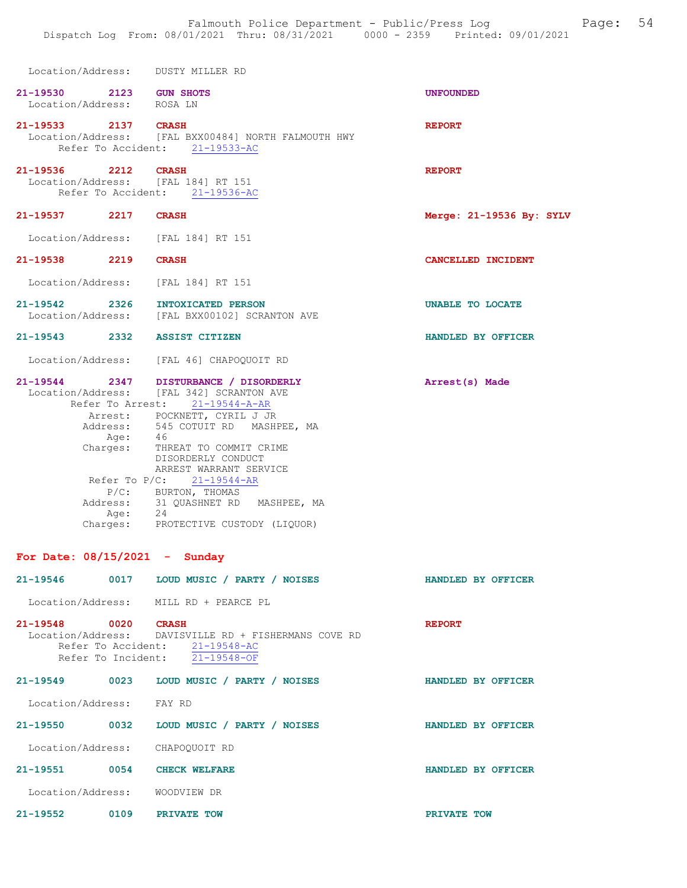|                     |                           | Location/Address: DUSTY MILLER RD                                                                                                                                                                                             |                            |
|---------------------|---------------------------|-------------------------------------------------------------------------------------------------------------------------------------------------------------------------------------------------------------------------------|----------------------------|
| 21-19530            | Location/Address: ROSA LN | 2123 GUN SHOTS                                                                                                                                                                                                                | <b>UNFOUNDED</b>           |
|                     | 21-19533 2137 CRASH       | Location/Address: [FAL BXX00484] NORTH FALMOUTH HWY<br>Refer To Accident: 21-19533-AC                                                                                                                                         | <b>REPORT</b>              |
| 21-19536 2212 CRASH |                           | Location/Address: [FAL 184] RT 151<br>Refer To Accident: 21-19536-AC                                                                                                                                                          | <b>REPORT</b>              |
|                     | 21-19537 2217             | <b>CRASH</b>                                                                                                                                                                                                                  | Merge: $21-19536$ By: SYLV |
|                     |                           | Location/Address: [FAL 184] RT 151                                                                                                                                                                                            |                            |
|                     | 21-19538 2219 CRASH       |                                                                                                                                                                                                                               | CANCELLED INCIDENT         |
|                     |                           | Location/Address: [FAL 184] RT 151                                                                                                                                                                                            |                            |
|                     |                           | 21-19542 2326 INTOXICATED PERSON<br>Location/Address: [FAL BXX00102] SCRANTON AVE                                                                                                                                             | UNABLE TO LOCATE           |
|                     |                           | 21-19543 2332 ASSIST CITIZEN                                                                                                                                                                                                  | HANDLED BY OFFICER         |
|                     |                           | Location/Address: [FAL 46] CHAPOQUOIT RD                                                                                                                                                                                      |                            |
|                     | Age: 46                   | 21-19544 2347 DISTURBANCE / DISORDERLY<br>Location/Address: [FAL 342] SCRANTON AVE<br>Refer To Arrest: 21-19544-A-AR<br>Arrest: POCKNETT, CYRIL J JR<br>Address: 545 COTUIT RD MASHPEE, MA<br>Charges: THREAT TO COMMIT CRIME | Arrest(s) Made             |
|                     |                           | DISORDERLY CONDUCT<br>ARREST WARRANT SERVICE<br>Refer To $P/C$ : 21-19544-AR<br>P/C: BURTON, THOMAS<br>Address: 31 QUASHNET RD MASHPEE, MA<br>Age: 24<br>Charges: PROTECTIVE CUSTODY (LIQUOR)                                 |                            |
|                     |                           | For Date: $08/15/2021$ - Sunday                                                                                                                                                                                               |                            |
|                     |                           | 21-19546 0017 LOUD MUSIC / PARTY / NOISES                                                                                                                                                                                     | HANDLED BY OFFICER         |
|                     |                           | Location/Address: MILL RD + PEARCE PL                                                                                                                                                                                         |                            |
| 21-19548 0020 CRASH |                           | Location/Address: DAVISVILLE RD + FISHERMANS COVE RD<br>Refer To Accident: 21-19548-AC<br>Refer To Incident: 21-19548-OF                                                                                                      | <b>REPORT</b>              |
|                     |                           | 21-19549 0023 LOUD MUSIC / PARTY / NOISES                                                                                                                                                                                     | HANDLED BY OFFICER         |
|                     | Location/Address: FAY RD  |                                                                                                                                                                                                                               |                            |
|                     |                           | 21-19550 0032 LOUD MUSIC / PARTY / NOISES                                                                                                                                                                                     | HANDLED BY OFFICER         |
|                     |                           | Location/Address: CHAPOQUOIT RD                                                                                                                                                                                               |                            |
|                     |                           | 21-19551 0054 CHECK WELFARE                                                                                                                                                                                                   | HANDLED BY OFFICER         |
|                     |                           | Location/Address: WOODVIEW DR                                                                                                                                                                                                 |                            |
|                     |                           | 21-19552 0109 PRIVATE TOW                                                                                                                                                                                                     | PRIVATE TOW                |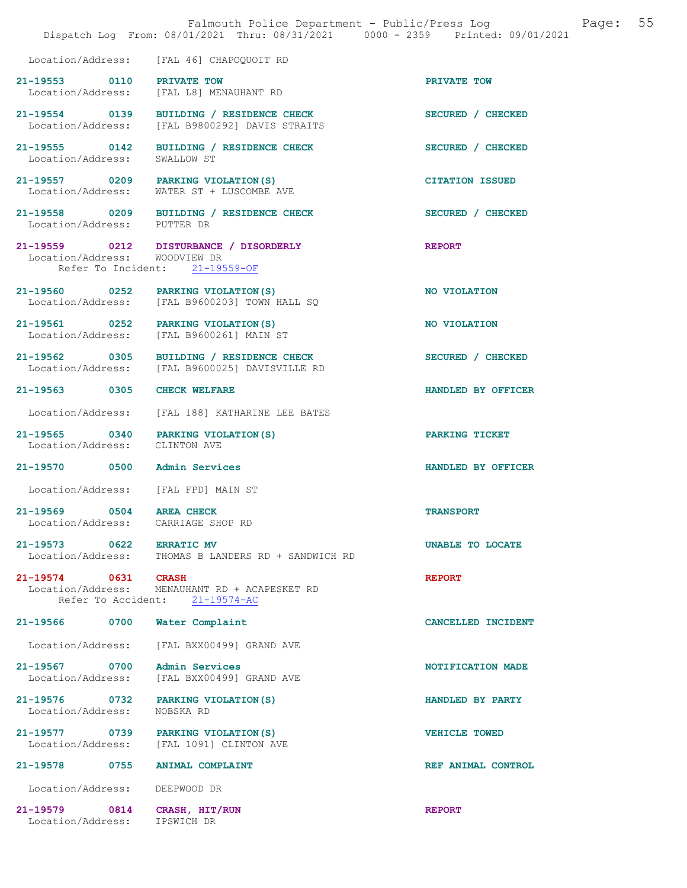|                                                                     | Falmouth Police Department - Public/Press Log<br>Dispatch Log From: 08/01/2021 Thru: 08/31/2021 0000 - 2359 Printed: 09/01/2021 | 55<br>Page:            |
|---------------------------------------------------------------------|---------------------------------------------------------------------------------------------------------------------------------|------------------------|
|                                                                     | Location/Address: [FAL 46] CHAPOQUOIT RD                                                                                        |                        |
| 21-19553 0110 PRIVATE TOW                                           | Location/Address: [FAL L8] MENAUHANT RD                                                                                         | PRIVATE TOW            |
| Location/Address:                                                   | 21-19554 0139 BUILDING / RESIDENCE CHECK<br>[FAL B9800292] DAVIS STRAITS                                                        | SECURED / CHECKED      |
| Location/Address:                                                   | 21-19555 0142 BUILDING / RESIDENCE CHECK<br>SWALLOW ST                                                                          | SECURED / CHECKED      |
| Location/Address:                                                   | 21-19557 0209 PARKING VIOLATION (S)<br>WATER ST + LUSCOMBE AVE                                                                  | <b>CITATION ISSUED</b> |
| Location/Address: PUTTER DR                                         | 21-19558 0209 BUILDING / RESIDENCE CHECK                                                                                        | SECURED / CHECKED      |
| Location/Address: WOODVIEW DR                                       | 21-19559 0212 DISTURBANCE / DISORDERLY<br>Refer To Incident: 21-19559-OF                                                        | <b>REPORT</b>          |
| 21-19560 0252 PARKING VIOLATION (S)                                 | Location/Address: [FAL B9600203] TOWN HALL SQ                                                                                   | NO VIOLATION           |
| 21-19561 0252 PARKING VIOLATION (S)                                 | Location/Address: [FAL B9600261] MAIN ST                                                                                        | NO VIOLATION           |
|                                                                     | 21-19562 0305 BUILDING / RESIDENCE CHECK<br>Location/Address: [FAL B9600025] DAVISVILLE RD                                      | SECURED / CHECKED      |
| 21-19563 0305 CHECK WELFARE                                         |                                                                                                                                 | HANDLED BY OFFICER     |
| Location/Address:                                                   | [FAL 188] KATHARINE LEE BATES                                                                                                   |                        |
| 21-19565 0340 PARKING VIOLATION(S)<br>Location/Address: CLINTON AVE |                                                                                                                                 | PARKING TICKET         |
| 21-19570 0500 Admin Services                                        |                                                                                                                                 | HANDLED BY OFFICER     |
| Location/Address: [FAL FPD] MAIN ST                                 |                                                                                                                                 |                        |
| 21-19569 0504<br>Location/Address:                                  | <b>AREA CHECK</b><br>CARRIAGE SHOP RD                                                                                           | <b>TRANSPORT</b>       |
| 21-19573 0622 ERRATIC MV<br>Location/Address:                       | THOMAS B LANDERS RD + SANDWICH RD                                                                                               | UNABLE TO LOCATE       |
| 21-19574 0631 CRASH                                                 | Location/Address: MENAUHANT RD + ACAPESKET RD<br>Refer To Accident: 21-19574-AC                                                 | <b>REPORT</b>          |
| 21-19566 0700                                                       | Water Complaint                                                                                                                 | CANCELLED INCIDENT     |
| Location/Address:                                                   | [FAL BXX00499] GRAND AVE                                                                                                        |                        |
| 21-19567 0700<br>Location/Address:                                  | <b>Admin Services</b><br>[FAL BXX00499] GRAND AVE                                                                               | NOTIFICATION MADE      |
| 21-19576 0732<br>Location/Address:                                  | PARKING VIOLATION (S)<br>NOBSKA RD                                                                                              | HANDLED BY PARTY       |
| 21-19577 0739 PARKING VIOLATION (S)<br>Location/Address:            | [FAL 1091] CLINTON AVE                                                                                                          | <b>VEHICLE TOWED</b>   |
| 21-19578 0755                                                       | <b>ANIMAL COMPLAINT</b>                                                                                                         | REF ANIMAL CONTROL     |
| Location/Address:                                                   | DEEPWOOD DR                                                                                                                     |                        |
| 21-19579 0814<br>Location/Address:                                  | CRASH, HIT/RUN<br>IPSWICH DR                                                                                                    | <b>REPORT</b>          |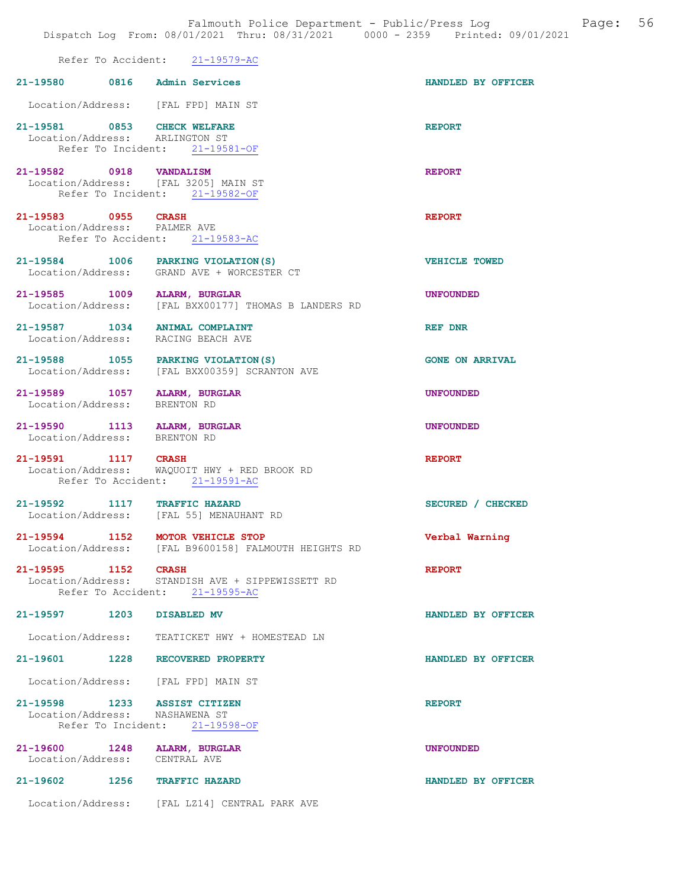|                         | Dispatch Log From: 08/01/2021 Thru: 08/31/2021 0000 - 2359 Printed: 09/01/2021                   |                        |
|-------------------------|--------------------------------------------------------------------------------------------------|------------------------|
|                         | Refer To Accident: 21-19579-AC                                                                   |                        |
|                         | 21-19580 0816 Admin Services                                                                     | HANDLED BY OFFICER     |
|                         | Location/Address: [FAL FPD] MAIN ST                                                              |                        |
|                         | 21-19581 0853 CHECK WELFARE<br>Location/Address: ARLINGTON ST<br>Refer To Incident: 21-19581-OF  | <b>REPORT</b>          |
| 21-19582 0918 VANDALISM | Location/Address: [FAL 3205] MAIN ST<br>Refer To Incident: 21-19582-OF                           | <b>REPORT</b>          |
| 21-19583 0955 CRASH     | Location/Address: PALMER AVE<br>Refer To Accident: 21-19583-AC                                   | <b>REPORT</b>          |
|                         | 21-19584 1006 PARKING VIOLATION (S)<br>Location/Address: GRAND AVE + WORCESTER CT                | <b>VEHICLE TOWED</b>   |
|                         | 21-19585 1009 ALARM, BURGLAR<br>Location/Address: [FAL BXX00177] THOMAS B LANDERS RD             | <b>UNFOUNDED</b>       |
|                         | 21-19587 1034 ANIMAL COMPLAINT<br>Location/Address: RACING BEACH AVE                             | <b>REF DNR</b>         |
|                         | 21-19588 1055 PARKING VIOLATION (S)<br>Location/Address: [FAL BXX00359] SCRANTON AVE             | <b>GONE ON ARRIVAL</b> |
|                         | 21-19589 1057 ALARM, BURGLAR<br>Location/Address: BRENTON RD                                     | <b>UNFOUNDED</b>       |
|                         | 21-19590 1113 ALARM, BURGLAR<br>Location/Address: BRENTON RD                                     | <b>UNFOUNDED</b>       |
| 21-19591 1117 CRASH     | Location/Address: WAQUOIT HWY + RED BROOK RD<br>Refer To Accident: 21-19591-AC                   | <b>REPORT</b>          |
|                         | 21-19592 1117 TRAFFIC HAZARD<br>Location/Address: [FAL 55] MENAUHANT RD                          | SECURED / CHECKED      |
|                         | 21-19594 1152 MOTOR VEHICLE STOP<br>Location/Address: [FAL B9600158] FALMOUTH HEIGHTS RD         | Verbal Warning         |
| 21-19595 1152 CRASH     | Location/Address: STANDISH AVE + SIPPEWISSETT RD<br>Refer To Accident: 21-19595-AC               | <b>REPORT</b>          |
|                         | 21-19597 1203 DISABLED MV                                                                        | HANDLED BY OFFICER     |
| Location/Address:       | TEATICKET HWY + HOMESTEAD LN<br>21-19601 1228 RECOVERED PROPERTY                                 | HANDLED BY OFFICER     |
|                         | Location/Address: [FAL FPD] MAIN ST                                                              |                        |
|                         | 21-19598 1233 ASSIST CITIZEN<br>Location/Address: NASHAWENA ST<br>Refer To Incident: 21-19598-OF | <b>REPORT</b>          |
|                         | 21-19600 1248 ALARM, BURGLAR<br>Location/Address: CENTRAL AVE                                    | <b>UNFOUNDED</b>       |
| 21-19602 1256           | <b>TRAFFIC HAZARD</b>                                                                            | HANDLED BY OFFICER     |
|                         | Location/Address: [FAL LZ14] CENTRAL PARK AVE                                                    |                        |

Falmouth Police Department - Public/Press Log and Page: 56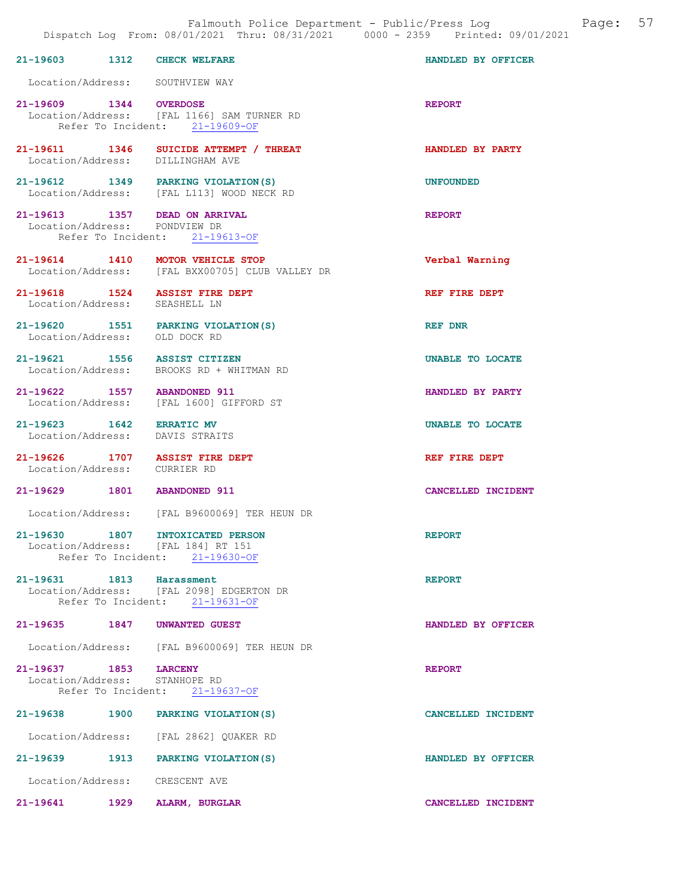|                        |      | 21-19603 1312 CHECK WELFARE                                                                            | HANDLED BY OFFICER |
|------------------------|------|--------------------------------------------------------------------------------------------------------|--------------------|
|                        |      | Location/Address: SOUTHVIEW WAY                                                                        |                    |
| 21-19609 1344 OVERDOSE |      | Location/Address: [FAL 1166] SAM TURNER RD<br>Refer To Incident: 21-19609-OF                           | <b>REPORT</b>      |
|                        |      | 21-19611 1346 SUICIDE ATTEMPT / THREAT<br>Location/Address: DILLINGHAM AVE                             | HANDLED BY PARTY   |
|                        |      | 21-19612 1349 PARKING VIOLATION (S)<br>Location/Address: [FAL L113] WOOD NECK RD                       | <b>UNFOUNDED</b>   |
|                        |      | 21-19613 1357 DEAD ON ARRIVAL<br>Location/Address: PONDVIEW DR<br>Refer To Incident: 21-19613-OF       | <b>REPORT</b>      |
|                        |      | 21-19614 1410 MOTOR VEHICLE STOP<br>Location/Address: [FAL BXX00705] CLUB VALLEY DR                    | Verbal Warning     |
|                        |      | 21-19618  1524  ASSIST FIRE DEPT<br>Location/Address: SEASHELL LN                                      | REF FIRE DEPT      |
|                        |      | 21-19620 1551 PARKING VIOLATION(S)<br>Location/Address: OLD DOCK RD                                    | REF DNR            |
|                        |      | 21-19621 1556 ASSIST CITIZEN<br>Location/Address: BROOKS RD + WHITMAN RD                               | UNABLE TO LOCATE   |
|                        |      | 21-19622 1557 ABANDONED 911<br>Location/Address: [FAL 1600] GIFFORD ST                                 | HANDLED BY PARTY   |
| $21 - 19623$ 1642      |      | <b>ERRATIC MV</b><br>Location/Address: DAVIS STRAITS                                                   | UNABLE TO LOCATE   |
|                        |      | 21-19626 1707 ASSIST FIRE DEPT<br>Location/Address: CURRIER RD                                         | REF FIRE DEPT      |
|                        |      | 21-19629 1801 ABANDONED 911                                                                            | CANCELLED INCIDENT |
|                        |      | Location/Address: [FAL B9600069] TER HEUN DR                                                           |                    |
| 21-19630               | 1807 | INTOXICATED PERSON<br>Location/Address: [FAL 184] RT 151<br>Refer To Incident: 21-19630-OF             | <b>REPORT</b>      |
|                        |      | 21-19631 1813 Harassment<br>Location/Address: [FAL 2098] EDGERTON DR<br>Refer To Incident: 21-19631-OF | <b>REPORT</b>      |
|                        |      | 21-19635 1847 UNWANTED GUEST                                                                           | HANDLED BY OFFICER |
|                        |      | Location/Address: [FAL B9600069] TER HEUN DR                                                           |                    |
| 21-19637 1853 LARCENY  |      | Location/Address: STANHOPE RD<br>Refer To Incident: 21-19637-OF                                        | <b>REPORT</b>      |
|                        |      | 21-19638 1900 PARKING VIOLATION (S)                                                                    | CANCELLED INCIDENT |
|                        |      | Location/Address: [FAL 2862] QUAKER RD                                                                 |                    |
|                        |      | 21-19639 1913 PARKING VIOLATION(S)                                                                     | HANDLED BY OFFICER |
|                        |      | Location/Address: CRESCENT AVE                                                                         |                    |
|                        |      | 21-19641 1929 ALARM, BURGLAR                                                                           | CANCELLED INCIDENT |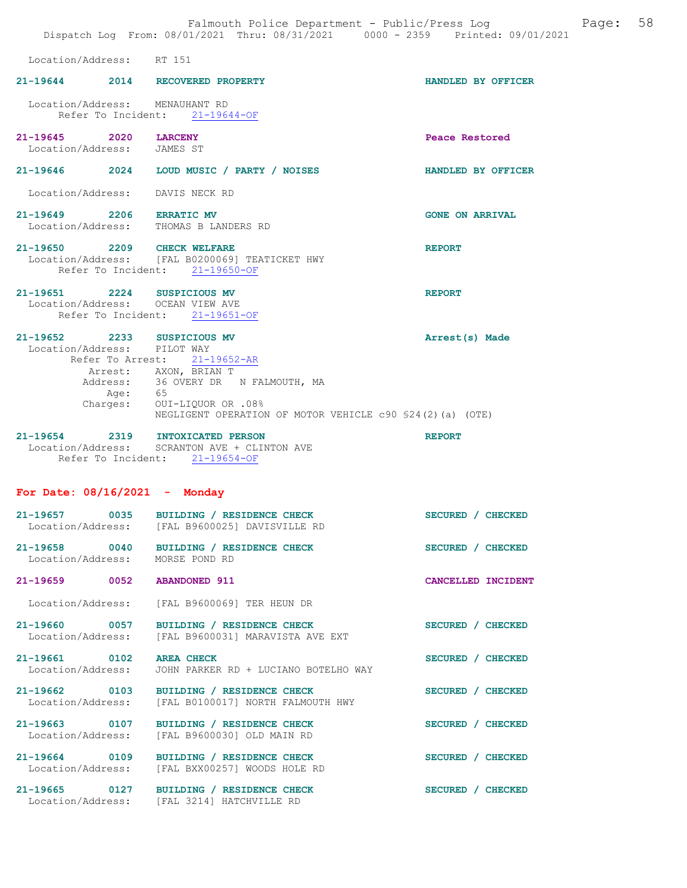|                                                                 | Falmouth Police Department - Public/Press Log<br>Dispatch Log From: 08/01/2021 Thru: 08/31/2021 0000 - 2359 Printed: 09/01/2021                                                                                         |                        | Page: | 58 |
|-----------------------------------------------------------------|-------------------------------------------------------------------------------------------------------------------------------------------------------------------------------------------------------------------------|------------------------|-------|----|
| Location/Address: RT 151                                        |                                                                                                                                                                                                                         |                        |       |    |
|                                                                 | 21-19644 2014 RECOVERED PROPERTY                                                                                                                                                                                        | HANDLED BY OFFICER     |       |    |
| Location/Address: MENAUHANT RD                                  | Refer To Incident: 21-19644-OF                                                                                                                                                                                          |                        |       |    |
| 21-19645 2020<br>Location/Address: JAMES ST                     | <b>LARCENY</b>                                                                                                                                                                                                          | Peace Restored         |       |    |
|                                                                 | 21-19646 2024 LOUD MUSIC / PARTY / NOISES                                                                                                                                                                               | HANDLED BY OFFICER     |       |    |
| Location/Address:                                               | DAVIS NECK RD                                                                                                                                                                                                           |                        |       |    |
| 21-19649 2206 ERRATIC MV<br>Location/Address:                   | THOMAS B LANDERS RD                                                                                                                                                                                                     | <b>GONE ON ARRIVAL</b> |       |    |
| 21-19650 2209 CHECK WELFARE                                     | Location/Address: [FAL B0200069] TEATICKET HWY<br>Refer To Incident: 21-19650-OF                                                                                                                                        | <b>REPORT</b>          |       |    |
| 21-19651 2224 SUSPICIOUS MV<br>Location/Address: OCEAN VIEW AVE | Refer To Incident: 21-19651-OF                                                                                                                                                                                          | <b>REPORT</b>          |       |    |
| $21 - 19652$<br>2233<br>Location/Address: PILOT WAY<br>Charges: | SUSPICIOUS MV<br>Refer To Arrest: 21-19652-AR<br>Arrest: AXON, BRIAN T<br>Address: 36 OVERY DR N FALMOUTH, MA<br>Age:    65<br>rges:    OUI-LIQUOR OR .08%<br>NEGLIGENT OPERATION OF MOTOR VEHICLE c90 \$24(2)(a) (OTE) | Arrest(s) Made         |       |    |
|                                                                 | 21-19654 2319 INTOXICATED PERSON<br>Location/Address: SCRANTON AVE + CLINTON AVE<br>Refer To Incident: 21-19654-OF                                                                                                      | <b>REPORT</b>          |       |    |
| For Date: $08/16/2021$ - Monday                                 |                                                                                                                                                                                                                         |                        |       |    |
| 21-19657<br>0035                                                | BUILDING / RESIDENCE CHECK<br>Location/Address: [FAL B9600025] DAVISVILLE RD                                                                                                                                            | SECURED / CHECKED      |       |    |
| 21-19658 0040<br>Location/Address:                              | BUILDING / RESIDENCE CHECK<br>MORSE POND RD                                                                                                                                                                             | SECURED / CHECKED      |       |    |
| 21-19659 0052                                                   | <b>ABANDONED 911</b>                                                                                                                                                                                                    | CANCELLED INCIDENT     |       |    |
| Location/Address:                                               | [FAL B9600069] TER HEUN DR                                                                                                                                                                                              |                        |       |    |
| 21-19660 0057<br>Location/Address:                              | BUILDING / RESIDENCE CHECK<br>[FAL B9600031] MARAVISTA AVE EXT                                                                                                                                                          | SECURED / CHECKED      |       |    |
| 21-19661 0102<br>Location/Address:                              | <b>AREA CHECK</b><br>JOHN PARKER RD + LUCIANO BOTELHO WAY                                                                                                                                                               | SECURED / CHECKED      |       |    |
| 21-19662 0103<br>Location/Address:                              | BUILDING / RESIDENCE CHECK<br>[FAL B0100017] NORTH FALMOUTH HWY                                                                                                                                                         | SECURED / CHECKED      |       |    |
| 21-19663 0107<br>Location/Address:                              | BUILDING / RESIDENCE CHECK<br>[FAL B9600030] OLD MAIN RD                                                                                                                                                                | SECURED / CHECKED      |       |    |
| 21-19664 0109<br>Location/Address:                              | BUILDING / RESIDENCE CHECK<br>[FAL BXX00257] WOODS HOLE RD                                                                                                                                                              | SECURED / CHECKED      |       |    |
| 21-19665 0127                                                   | BUILDING / RESIDENCE CHECK<br>Location/Address: [FAL 3214] HATCHVILLE RD                                                                                                                                                | SECURED / CHECKED      |       |    |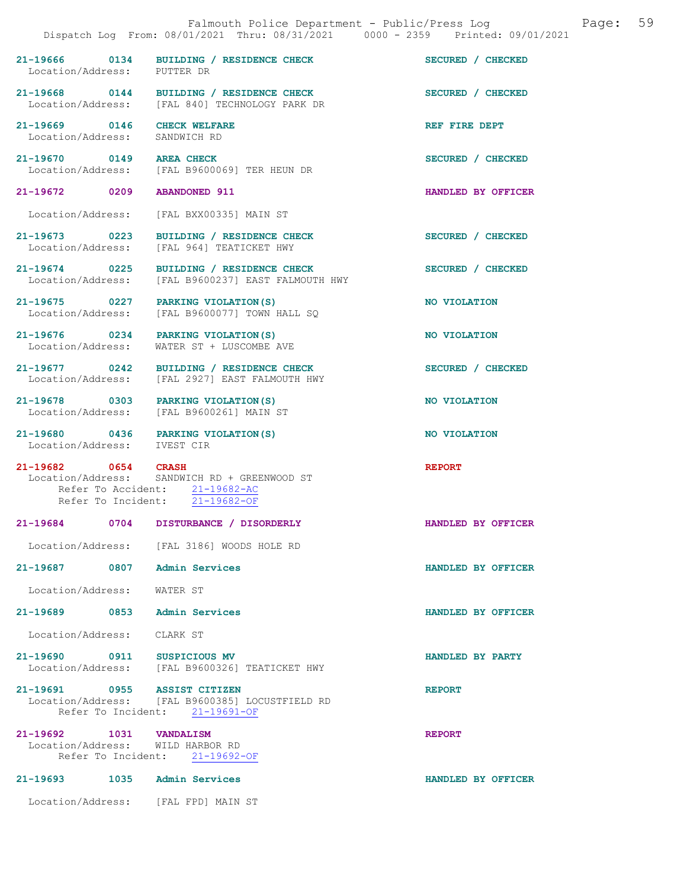|                                                              | Falmouth Police Department - Public/Press Log Tage:<br>Dispatch Log From: 08/01/2021 Thru: 08/31/2021 0000 - 2359 Printed: 09/01/2021 | 59                 |
|--------------------------------------------------------------|---------------------------------------------------------------------------------------------------------------------------------------|--------------------|
| Location/Address: PUTTER DR                                  | 21-19666 0134 BUILDING / RESIDENCE CHECK                                                                                              | SECURED / CHECKED  |
|                                                              | 21-19668 0144 BUILDING / RESIDENCE CHECK<br>Location/Address: [FAL 840] TECHNOLOGY PARK DR                                            | SECURED / CHECKED  |
| 21-19669 0146 CHECK WELFARE<br>Location/Address: SANDWICH RD |                                                                                                                                       | REF FIRE DEPT      |
| 21-19670 0149 AREA CHECK                                     | Location/Address: [FAL B9600069] TER HEUN DR                                                                                          | SECURED / CHECKED  |
| 21-19672 0209 ABANDONED 911                                  |                                                                                                                                       | HANDLED BY OFFICER |
|                                                              | Location/Address: [FAL BXX00335] MAIN ST                                                                                              |                    |
| Location/Address:                                            | 21-19673 0223 BUILDING / RESIDENCE CHECK<br>[FAL 964] TEATICKET HWY                                                                   | SECURED / CHECKED  |
|                                                              | 21-19674 0225 BUILDING / RESIDENCE CHECK<br>Location/Address: [FAL B9600237] EAST FALMOUTH HWY                                        | SECURED / CHECKED  |
| Location/Address:                                            | 21-19675 0227 PARKING VIOLATION(S)<br>[FAL B9600077] TOWN HALL SQ                                                                     | NO VIOLATION       |
|                                                              | 21-19676 0234 PARKING VIOLATION(S)<br>Location/Address: WATER ST + LUSCOMBE AVE                                                       | NO VIOLATION       |
|                                                              | 21-19677 0242 BUILDING / RESIDENCE CHECK<br>Location/Address: [FAL 2927] EAST FALMOUTH HWY                                            | SECURED / CHECKED  |
|                                                              | 21-19678 0303 PARKING VIOLATION(S)<br>Location/Address: [FAL B9600261] MAIN ST                                                        | NO VIOLATION       |
| Location/Address: IVEST CIR                                  | 21-19680 0436 PARKING VIOLATION(S)                                                                                                    | NO VIOLATION       |
| 21-19682 0654 CRASH                                          | Location/Address: SANDWICH RD + GREENWOOD ST<br>Refer To Accident: 21-19682-AC<br>Refer To Incident: 21-19682-OF                      | <b>REPORT</b>      |
| 21-19684 0704                                                | DISTURBANCE / DISORDERLY                                                                                                              | HANDLED BY OFFICER |
|                                                              | Location/Address: [FAL 3186] WOODS HOLE RD                                                                                            |                    |
| 21-19687 0807 Admin Services                                 |                                                                                                                                       | HANDLED BY OFFICER |
| Location/Address: WATER ST                                   |                                                                                                                                       |                    |
| 21-19689 0853 Admin Services                                 |                                                                                                                                       | HANDLED BY OFFICER |
| Location/Address: CLARK ST                                   |                                                                                                                                       |                    |
| 21-19690 0911 SUSPICIOUS MV                                  | Location/Address: [FAL B9600326] TEATICKET HWY                                                                                        | HANDLED BY PARTY   |
| 21-19691 0955 ASSIST CITIZEN                                 | Location/Address: [FAL B9600385] LOCUSTFIELD RD<br>Refer To Incident: 21-19691-OF                                                     | <b>REPORT</b>      |
| 21-19692 1031 VANDALISM<br>Location/Address: WILD HARBOR RD  | Refer To Incident: 21-19692-OF                                                                                                        | <b>REPORT</b>      |
| 21-19693 1035 Admin Services                                 |                                                                                                                                       | HANDLED BY OFFICER |
|                                                              | Location/Address: [FAL FPD] MAIN ST                                                                                                   |                    |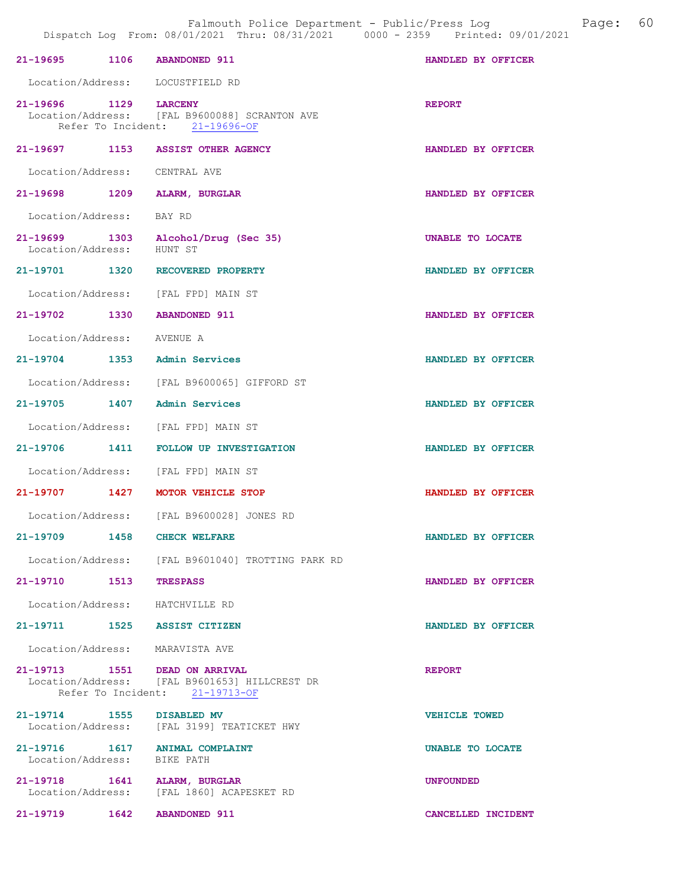| 21-19695 1106 ABANDONED 911                                   |                                                                                 | HANDLED BY OFFICER   |
|---------------------------------------------------------------|---------------------------------------------------------------------------------|----------------------|
| Location/Address: LOCUSTFIELD RD                              |                                                                                 |                      |
| 21-19696 1129 LARCENY                                         | Location/Address: [FAL B9600088] SCRANTON AVE<br>Refer To Incident: 21-19696-OF | <b>REPORT</b>        |
| 21-19697 1153 ASSIST OTHER AGENCY                             |                                                                                 | HANDLED BY OFFICER   |
| Location/Address: CENTRAL AVE                                 |                                                                                 |                      |
| 21-19698 1209                                                 | ALARM, BURGLAR                                                                  | HANDLED BY OFFICER   |
| Location/Address:                                             | BAY RD                                                                          |                      |
| Location/Address:                                             | 21-19699 1303 Alcohol/Drug (Sec 35)<br>HUNT ST                                  | UNABLE TO LOCATE     |
| 21-19701 1320 RECOVERED PROPERTY                              |                                                                                 | HANDLED BY OFFICER   |
| Location/Address: [FAL FPD] MAIN ST                           |                                                                                 |                      |
| 21-19702 1330                                                 | <b>ABANDONED 911</b>                                                            | HANDLED BY OFFICER   |
| Location/Address: AVENUE A                                    |                                                                                 |                      |
| 21-19704 1353 Admin Services                                  |                                                                                 | HANDLED BY OFFICER   |
|                                                               | Location/Address: [FAL B9600065] GIFFORD ST                                     |                      |
| 21-19705 1407                                                 | Admin Services                                                                  | HANDLED BY OFFICER   |
| Location/Address: [FAL FPD] MAIN ST                           |                                                                                 |                      |
| 21-19706<br>1411                                              | <b>FOLLOW UP INVESTIGATION</b>                                                  | HANDLED BY OFFICER   |
| Location/Address: [FAL FPD] MAIN ST                           |                                                                                 |                      |
| 21-19707 1427                                                 | MOTOR VEHICLE STOP                                                              | HANDLED BY OFFICER   |
|                                                               | Location/Address: [FAL B9600028] JONES RD                                       |                      |
| 21-19709 1458 CHECK WELFARE                                   |                                                                                 | HANDLED BY OFFICER   |
|                                                               | Location/Address: [FAL B9601040] TROTTING PARK RD                               |                      |
| 21-19710 1513                                                 | <b>TRESPASS</b>                                                                 | HANDLED BY OFFICER   |
| Location/Address: HATCHVILLE RD                               |                                                                                 |                      |
| 21-19711 1525 ASSIST CITIZEN                                  |                                                                                 | HANDLED BY OFFICER   |
| Location/Address: MARAVISTA AVE                               |                                                                                 |                      |
| 21-19713 1551 DEAD ON ARRIVAL                                 | Location/Address: [FAL B9601653] HILLCREST DR<br>Refer To Incident: 21-19713-OF | <b>REPORT</b>        |
| 21-19714 1555 DISABLED MV                                     | Location/Address: [FAL 3199] TEATICKET HWY                                      | <b>VEHICLE TOWED</b> |
| 21-19716 1617 ANIMAL COMPLAINT<br>Location/Address: BIKE PATH |                                                                                 | UNABLE TO LOCATE     |
| 21-19718   1641   ALARM, BURGLAR<br>Location/Address:         | [FAL 1860] ACAPESKET RD                                                         | <b>UNFOUNDED</b>     |
| 21-19719   1642   ABANDONED   911                             |                                                                                 | CANCELLED INCIDENT   |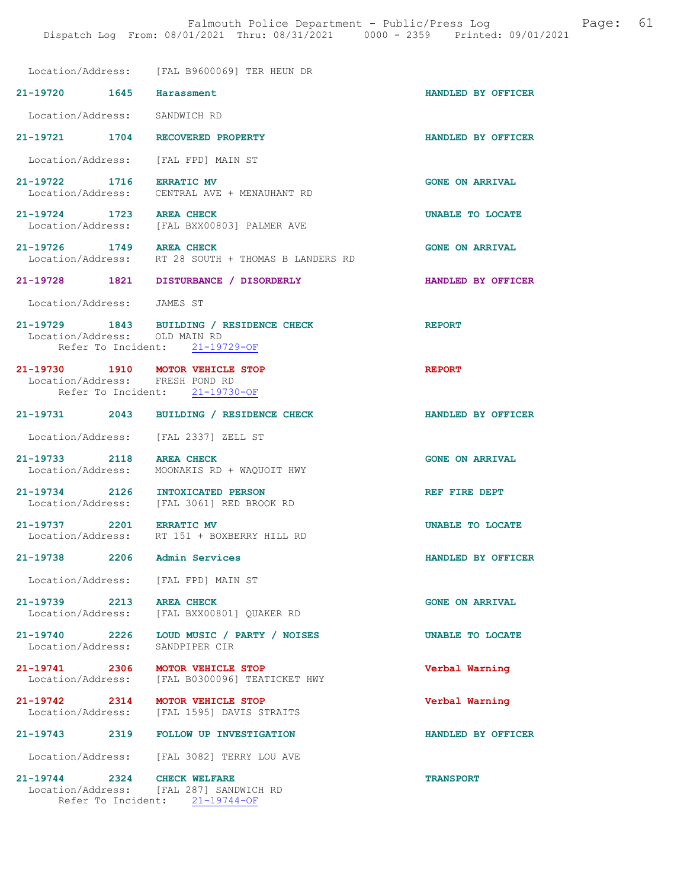Location/Address: [FAL B9600069] TER HEUN DR 21-19720 1645 Harassment HANDLED BY OFFICER

Location/Address: SANDWICH RD

21-19721 1704 RECOVERED PROPERTY HANDLED BY OFFICER

Location/Address: [FAL FPD] MAIN ST

21-19722 1716 ERRATIC MV GONE ON ARRIVAL CENTRAL AVE + MENAUHANT RD

21-19724 1723 AREA CHECK UNABLE TO LOCATE<br>
Location/Address: [FAL BXX00803] PALMER AVE [FAL BXX00803] PALMER AVE

21-19726 1749 AREA CHECK CHECK GONE ON ARRIVAL Location/Address: RT 28 SOUTH + THOMAS B LANDERS RD RT 28 SOUTH + THOMAS B LANDERS RD

- 21-19728 1821 DISTURBANCE / DISORDERLY HANDLED BY OFFICER
	- Location/Address: JAMES ST
- 21-19729 1843 BUILDING / RESIDENCE CHECK REPORT Location/Address: OLD MAIN RD<br>Refer To Incident: 21-19729-OF Refer To Incident:

### 21-19730 1910 MOTOR VEHICLE STOP REPORT Location/Address: FRESH POND RD Refer To Incident: 21-19730-OF

- 21-19731 2043 BUILDING / RESIDENCE CHECK HANDLED BY OFFICER
	- Location/Address: [FAL 2337] ZELL ST

21-19733 2118 AREA CHECK GONE ON ARRIVAL Location/Address: MOONAKIS RD + WAQUOIT HWY

21-19734 2126 INTOXICATED PERSON REF FIRE DEPT Location/Address: [FAL 3061] RED BROOK RD

21-19737 2201 ERRATIC MV UNABLE TO LOCATE<br>
Location/Address: RT 151 + BOXBERRY HILL RD RT 151 + BOXBERRY HILL RD

21-19738 2206 Admin Services HANDLED BY OFFICER

Location/Address: [FAL FPD] MAIN ST

21-19739 2213 AREA CHECK (2008) 2213 AREA CHECK (2008) 2213 CONE ON ARRIVAL [FAL BXX00801] QUAKER RD

21-19740 2226 LOUD MUSIC / PARTY / NOISES UNABLE TO LOCATE<br>
Location/Address: SANDPIPER CIR Location/Address:

21-19741 2306 MOTOR VEHICLE STOP Verbal Warning Location/Address: [FAL B0300096] TEATICKET HWY

21-19742 2314 MOTOR VEHICLE STOP Verbal Warning Location/Address: [FAL 1595] DAVIS STRAITS

21-19743 2319 FOLLOW UP INVESTIGATION HANDLED BY OFFICER

Location/Address: [FAL 3082] TERRY LOU AVE

21-19744 2324 CHECK WELFARE TRANSPORT Location/Address: [FAL 287] SANDWICH RD Refer To Incident: 21-19744-OF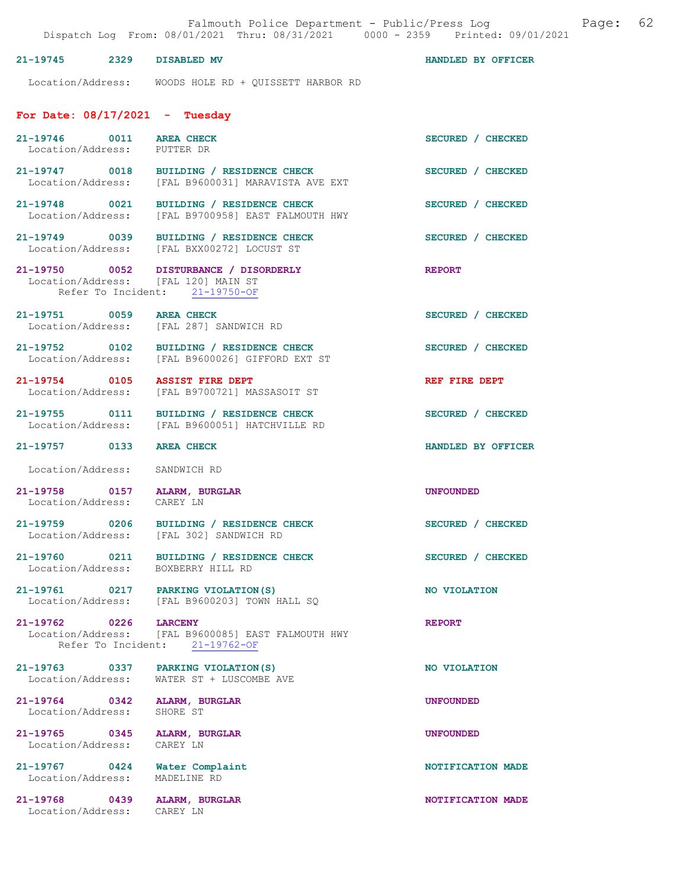# 21-19745 2329 DISABLED MV HANDLED BY OFFICER

Location/Address: WOODS HOLE RD + QUISSETT HARBOR RD

# For Date: 08/17/2021 - Tuesday

| 21-19746 0011 AREA CHECK<br>Location/Address: PUTTER DR |                                                                                                        | SECURED / CHECKED        |
|---------------------------------------------------------|--------------------------------------------------------------------------------------------------------|--------------------------|
|                                                         | 21-19747 0018 BUILDING / RESIDENCE CHECK<br>Location/Address: [FAL B9600031] MARAVISTA AVE EXT         | SECURED / CHECKED        |
| 21-19748 0021                                           | BUILDING / RESIDENCE CHECK<br>Location/Address: [FAL B9700958] EAST FALMOUTH HWY                       | SECURED / CHECKED        |
|                                                         | 21-19749 0039 BUILDING / RESIDENCE CHECK<br>Location/Address: [FAL BXX00272] LOCUST ST                 | SECURED / CHECKED        |
| Location/Address: [FAL 120] MAIN ST                     | 21-19750 0052 DISTURBANCE / DISORDERLY<br>Refer To Incident: 21-19750-OF                               | <b>REPORT</b>            |
| 21-19751 0059 AREA CHECK                                | Location/Address: [FAL 287] SANDWICH RD                                                                | SECURED / CHECKED        |
| 21-19752 0102                                           | BUILDING / RESIDENCE CHECK<br>Location/Address: [FAL B9600026] GIFFORD EXT ST                          | SECURED / CHECKED        |
| 21-19754 0105 ASSIST FIRE DEPT                          | Location/Address: [FAL B9700721] MASSASOIT ST                                                          | REF FIRE DEPT            |
|                                                         | 21-19755 0111 BUILDING / RESIDENCE CHECK<br>Location/Address: [FAL B9600051] HATCHVILLE RD             | SECURED / CHECKED        |
| 21-19757 0133 AREA CHECK                                |                                                                                                        | HANDLED BY OFFICER       |
| Location/Address:                                       | SANDWICH RD                                                                                            |                          |
|                                                         |                                                                                                        |                          |
| 21-19758 0157<br>Location/Address:                      | ALARM, BURGLAR<br>CAREY LN                                                                             | <b>UNFOUNDED</b>         |
| 21-19759 0206<br>Location/Address:                      | BUILDING / RESIDENCE CHECK<br>[FAL 302] SANDWICH RD                                                    | SECURED / CHECKED        |
| Location/Address: BOXBERRY HILL RD                      | 21-19760 0211 BUILDING / RESIDENCE CHECK                                                               | SECURED / CHECKED        |
| 21-19761 0217                                           | PARKING VIOLATION (S)<br>Location/Address: [FAL B9600203] TOWN HALL SQ                                 | NO VIOLATION             |
| $\overline{0226}$<br>$21 - 19762$                       | <b>LARCENY</b><br>Location/Address: [FAL B9600085] EAST FALMOUTH HWY<br>Refer To Incident: 21-19762-OF | <b>REPORT</b>            |
| 21-19763 0337<br>Location/Address:                      | PARKING VIOLATION (S)<br>WATER ST + LUSCOMBE AVE                                                       | NO VIOLATION             |
| 21-19764 0342<br>Location/Address:                      | ALARM, BURGLAR<br>SHORE ST                                                                             | <b>UNFOUNDED</b>         |
| 21-19765 0345<br>Location/Address:                      | <b>ALARM, BURGLAR</b><br>CAREY LN                                                                      | <b>UNFOUNDED</b>         |
| $21 - 19767$ 0424<br>Location/Address:                  | Water Complaint<br>MADELINE RD                                                                         | <b>NOTIFICATION MADE</b> |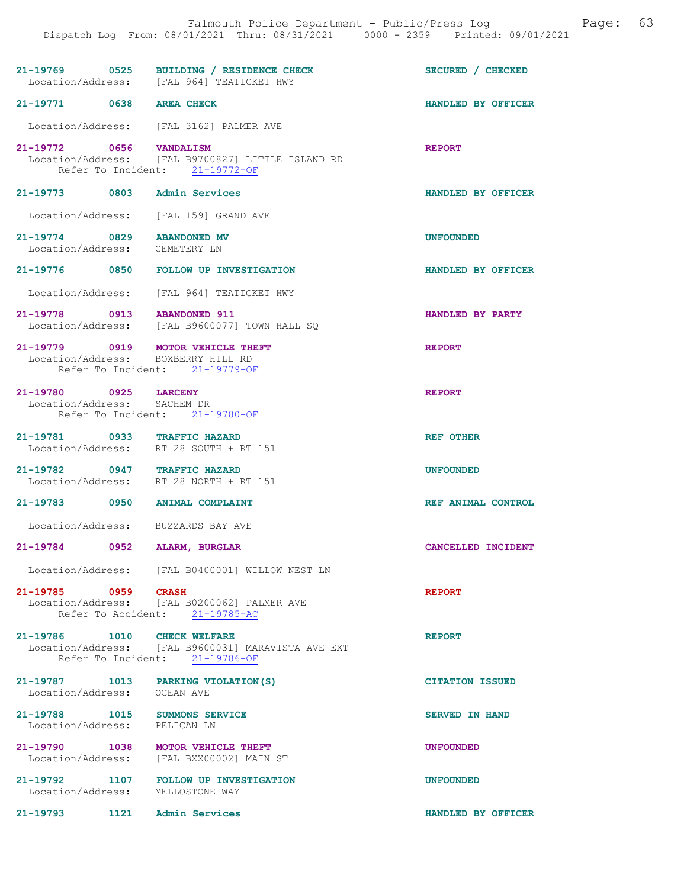|                                                               | 21-19769 0525 BUILDING / RESIDENCE CHECK<br>Location/Address: [FAL 964] TEATICKET HWY                     | SECURED / CHECKED      |
|---------------------------------------------------------------|-----------------------------------------------------------------------------------------------------------|------------------------|
| 21-19771 0638 AREA CHECK                                      |                                                                                                           | HANDLED BY OFFICER     |
|                                                               | Location/Address: [FAL 3162] PALMER AVE                                                                   |                        |
| 21-19772 0656 VANDALISM                                       | Location/Address: [FAL B9700827] LITTLE ISLAND RD<br>Refer To Incident: 21-19772-OF                       | <b>REPORT</b>          |
| 21-19773 0803 Admin Services                                  |                                                                                                           | HANDLED BY OFFICER     |
|                                                               | Location/Address: [FAL 159] GRAND AVE                                                                     |                        |
| 21-19774 0829 ABANDONED MV<br>Location/Address: CEMETERY LN   |                                                                                                           | <b>UNFOUNDED</b>       |
|                                                               | 21-19776 0850 FOLLOW UP INVESTIGATION                                                                     | HANDLED BY OFFICER     |
|                                                               | Location/Address: [FAL 964] TEATICKET HWY                                                                 |                        |
| 21-19778 0913 ABANDONED 911                                   | Location/Address: [FAL B9600077] TOWN HALL SQ                                                             | HANDLED BY PARTY       |
|                                                               | 21-19779 0919 MOTOR VEHICLE THEFT<br>Location/Address: BOXBERRY HILL RD<br>Refer To Incident: 21-19779-OF | <b>REPORT</b>          |
| 21-19780 0925 LARCENY                                         |                                                                                                           | <b>REPORT</b>          |
| Location/Address: SACHEM DR                                   | Refer To Incident: 21-19780-OF                                                                            |                        |
| 21-19781 0933 TRAFFIC HAZARD                                  | Location/Address: RT 28 SOUTH + RT 151                                                                    | <b>REF OTHER</b>       |
|                                                               | 21-19782 0947 TRAFFIC HAZARD                                                                              | <b>UNFOUNDED</b>       |
|                                                               | Location/Address: RT 28 NORTH + RT 151                                                                    |                        |
|                                                               | 21-19783 0950 ANIMAL COMPLAINT                                                                            | REF ANIMAL CONTROL     |
|                                                               | Location/Address: BUZZARDS BAY AVE                                                                        |                        |
| 21-19784<br>$\overline{\text{0952}}$                          | ALARM, BURGLAR                                                                                            | CANCELLED INCIDENT     |
|                                                               | Location/Address: [FAL B0400001] WILLOW NEST LN                                                           |                        |
| 21-19785 0959 CRASH                                           | Location/Address: [FAL B0200062] PALMER AVE<br>Refer To Accident: 21-19785-AC                             | <b>REPORT</b>          |
| 21-19786 1010 CHECK WELFARE                                   | Location/Address: [FAL B9600031] MARAVISTA AVE EXT<br>Refer To Incident: 21-19786-OF                      | <b>REPORT</b>          |
| Location/Address: OCEAN AVE                                   | 21-19787 1013 PARKING VIOLATION (S)                                                                       | <b>CITATION ISSUED</b> |
| 21-19788 1015 SUMMONS SERVICE<br>Location/Address: PELICAN LN |                                                                                                           | <b>SERVED IN HAND</b>  |
|                                                               | 21-19790 1038 MOTOR VEHICLE THEFT<br>Location/Address: [FAL BXX00002] MAIN ST                             | <b>UNFOUNDED</b>       |
|                                                               | 21-19792 1107 FOLLOW UP INVESTIGATION<br>Location/Address: MELLOSTONE WAY                                 | <b>UNFOUNDED</b>       |
| 21-19793 1121 Admin Services                                  |                                                                                                           | HANDLED BY OFFICER     |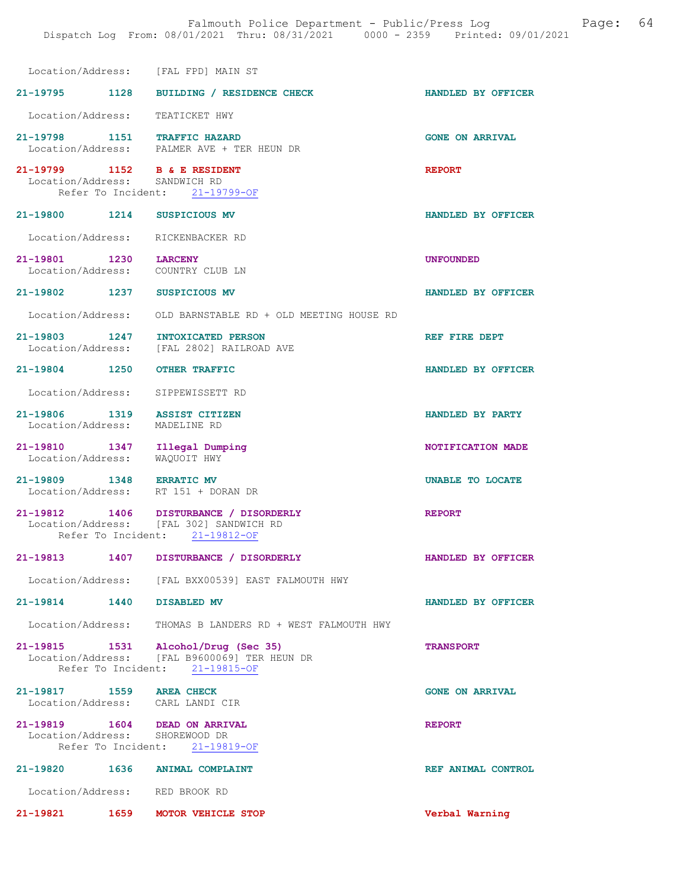| Location/Address: [FAL FPD] MAIN ST                                 |                                                                                                                       |                         |
|---------------------------------------------------------------------|-----------------------------------------------------------------------------------------------------------------------|-------------------------|
|                                                                     | 21-19795 1128 BUILDING / RESIDENCE CHECK                                                                              | HANDLED BY OFFICER      |
| Location/Address: TEATICKET HWY                                     |                                                                                                                       |                         |
| 21-19798 1151 TRAFFIC HAZARD                                        | Location/Address: PALMER AVE + TER HEUN DR                                                                            | <b>GONE ON ARRIVAL</b>  |
| 21-19799 1152 B & E RESIDENT<br>Location/Address: SANDWICH RD       | Refer To Incident: 21-19799-OF                                                                                        | <b>REPORT</b>           |
| 21-19800 1214 SUSPICIOUS MV                                         |                                                                                                                       | HANDLED BY OFFICER      |
| Location/Address: RICKENBACKER RD                                   |                                                                                                                       |                         |
| 21-19801 1230 LARCENY<br>Location/Address:                          | COUNTRY CLUB LN                                                                                                       | <b>UNFOUNDED</b>        |
| 21-19802 1237                                                       | SUSPICIOUS MV                                                                                                         | HANDLED BY OFFICER      |
|                                                                     | Location/Address: OLD BARNSTABLE RD + OLD MEETING HOUSE RD                                                            |                         |
|                                                                     | 21-19803 1247 INTOXICATED PERSON<br>Location/Address: [FAL 2802] RAILROAD AVE                                         | REF FIRE DEPT           |
| 21-19804 1250                                                       | <b>OTHER TRAFFIC</b>                                                                                                  | HANDLED BY OFFICER      |
| Location/Address:                                                   | SIPPEWISSETT RD                                                                                                       |                         |
| 21-19806 1319 ASSIST CITIZEN<br>Location/Address: MADELINE RD       |                                                                                                                       | HANDLED BY PARTY        |
| 21-19810 1347<br>Location/Address:                                  | Illegal Dumping<br>WAQUOIT HWY                                                                                        | NOTIFICATION MADE       |
| 21-19809 1348 ERRATIC MV<br>Location/Address: RT 151 + DORAN DR     |                                                                                                                       | <b>UNABLE TO LOCATE</b> |
|                                                                     | 21-19812 1406 DISTURBANCE / DISORDERLY<br>Location/Address: [FAL 302] SANDWICH RD<br>Refer To Incident: 21-19812-OF   | <b>REPORT</b>           |
| 21-19813<br>1407                                                    | DISTURBANCE / DISORDERLY                                                                                              | HANDLED BY OFFICER      |
|                                                                     | Location/Address: [FAL BXX00539] EAST FALMOUTH HWY                                                                    |                         |
| 21-19814 1440 DISABLED MV                                           |                                                                                                                       | HANDLED BY OFFICER      |
|                                                                     | Location/Address: THOMAS B LANDERS RD + WEST FALMOUTH HWY                                                             |                         |
|                                                                     | 21-19815 1531 Alcohol/Drug (Sec 35)<br>Location/Address: [FAL B9600069] TER HEUN DR<br>Refer To Incident: 21-19815-OF | <b>TRANSPORT</b>        |
| 21-19817 1559 AREA CHECK<br>Location/Address: CARL LANDI CIR        |                                                                                                                       | <b>GONE ON ARRIVAL</b>  |
| 21-19819   1604   DEAD ON ARRIVAL<br>Location/Address: SHOREWOOD DR | Refer To Incident: 21-19819-OF                                                                                        | <b>REPORT</b>           |
| 21-19820 1636 ANIMAL COMPLAINT                                      |                                                                                                                       | REF ANIMAL CONTROL      |
| Location/Address: RED BROOK RD                                      |                                                                                                                       |                         |
| 21-19821 1659 MOTOR VEHICLE STOP                                    |                                                                                                                       | Verbal Warning          |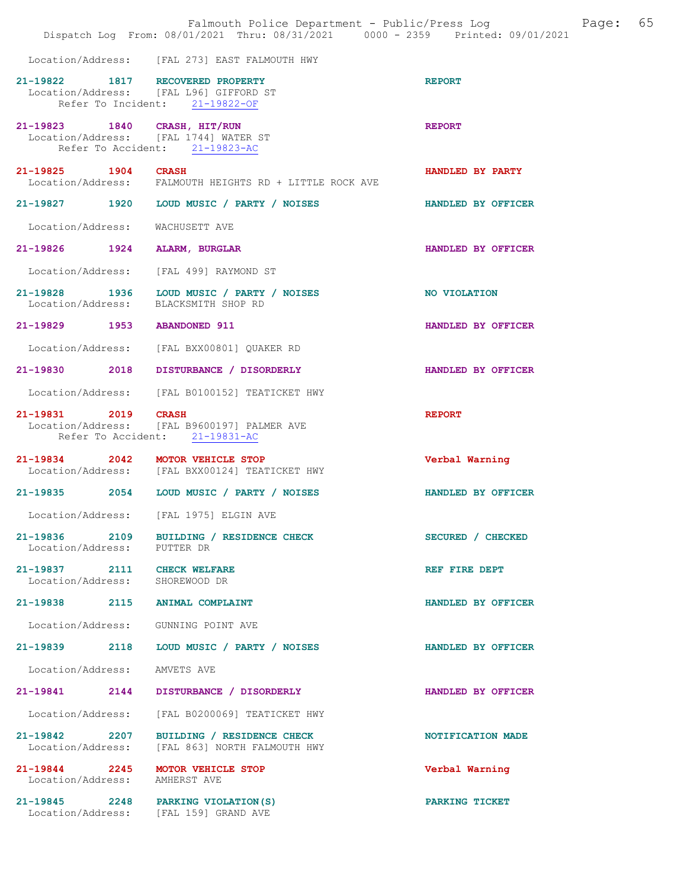|                                                    | Falmouth Police Department - Public/Press Log<br>Dispatch Log From: 08/01/2021 Thru: 08/31/2021 0000 - 2359 Printed: 09/01/2021 | 65<br>Page:        |
|----------------------------------------------------|---------------------------------------------------------------------------------------------------------------------------------|--------------------|
|                                                    | Location/Address: [FAL 273] EAST FALMOUTH HWY                                                                                   |                    |
| 21-19822 1817 RECOVERED PROPERTY                   | Location/Address: [FAL L96] GIFFORD ST<br>Refer To Incident: 21-19822-OF                                                        | <b>REPORT</b>      |
| 21-19823 1840 CRASH, HIT/RUN                       | Location/Address: [FAL 1744] WATER ST<br>Refer To Accident: 21-19823-AC                                                         | <b>REPORT</b>      |
| 21-19825 1904                                      | <b>CRASH</b><br>Location/Address: FALMOUTH HEIGHTS RD + LITTLE ROCK AVE                                                         | HANDLED BY PARTY   |
| 21-19827 1920                                      | LOUD MUSIC / PARTY / NOISES                                                                                                     | HANDLED BY OFFICER |
| Location/Address:                                  | WACHUSETT AVE                                                                                                                   |                    |
| 21-19826 1924                                      | ALARM, BURGLAR                                                                                                                  | HANDLED BY OFFICER |
| Location/Address:                                  | [FAL 499] RAYMOND ST                                                                                                            |                    |
| 21-19828 1936<br>Location/Address:                 | LOUD MUSIC / PARTY / NOISES<br>BLACKSMITH SHOP RD                                                                               | NO VIOLATION       |
| 21-19829 1953                                      | <b>ABANDONED 911</b>                                                                                                            | HANDLED BY OFFICER |
| Location/Address:                                  | [FAL BXX00801] QUAKER RD                                                                                                        |                    |
| 21-19830 2018                                      | DISTURBANCE / DISORDERLY                                                                                                        | HANDLED BY OFFICER |
| Location/Address:                                  | [FAL B0100152] TEATICKET HWY                                                                                                    |                    |
| 21-19831 2019                                      | <b>CRASH</b><br>Location/Address: [FAL B9600197] PALMER AVE<br>Refer To Accident: 21-19831-AC                                   | <b>REPORT</b>      |
| 21-19834 2042 MOTOR VEHICLE STOP                   | Location/Address: [FAL BXX00124] TEATICKET HWY                                                                                  | Verbal Warning     |
|                                                    | 21-19835 2054 LOUD MUSIC / PARTY / NOISES                                                                                       | HANDLED BY OFFICER |
| Location/Address:                                  | [FAL 1975] ELGIN AVE                                                                                                            |                    |
| Location/Address: PUTTER DR                        | 21-19836 2109 BUILDING / RESIDENCE CHECK                                                                                        | SECURED / CHECKED  |
| 21-19837 2111 CHECK WELFARE<br>Location/Address:   | SHOREWOOD DR                                                                                                                    | REF FIRE DEPT      |
| 21-19838<br>2115                                   | ANIMAL COMPLAINT                                                                                                                | HANDLED BY OFFICER |
| Location/Address: GUNNING POINT AVE                |                                                                                                                                 |                    |
| 21-19839 2118                                      | LOUD MUSIC / PARTY / NOISES                                                                                                     | HANDLED BY OFFICER |
| Location/Address:                                  | AMVETS AVE                                                                                                                      |                    |
| 21-19841 2144                                      | DISTURBANCE / DISORDERLY                                                                                                        | HANDLED BY OFFICER |
| Location/Address:                                  | [FAL B0200069] TEATICKET HWY                                                                                                    |                    |
| 21-19842 2207<br>Location/Address:                 | BUILDING / RESIDENCE CHECK<br>[FAL 863] NORTH FALMOUTH HWY                                                                      | NOTIFICATION MADE  |
| $21 - 19844$ 2245<br>Location/Address: AMHERST AVE | MOTOR VEHICLE STOP                                                                                                              | Verbal Warning     |
|                                                    | 21-19845 2248 PARKING VIOLATION (S)<br>Location/Address: [FAL 159] GRAND AVE                                                    | PARKING TICKET     |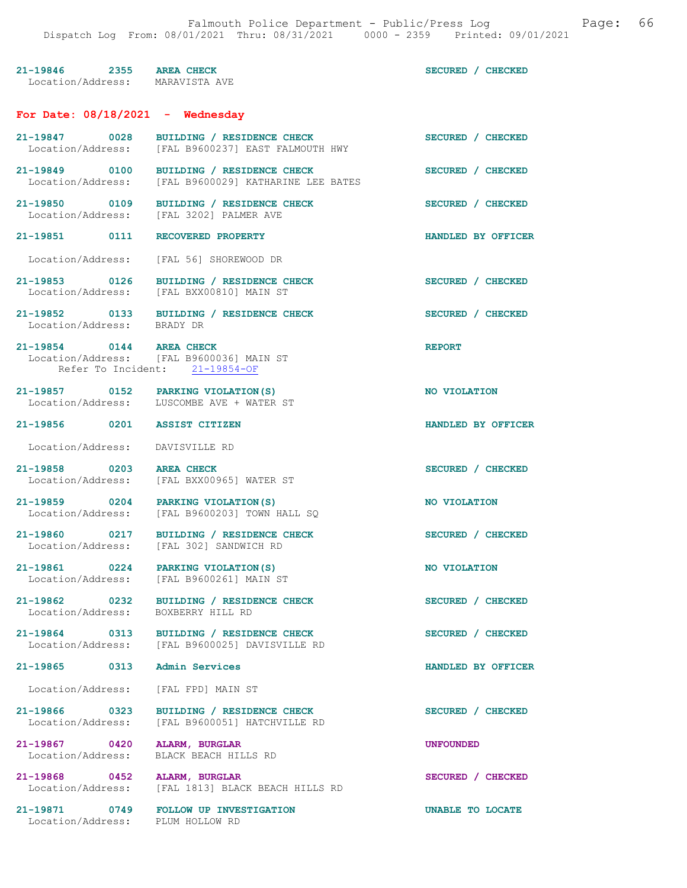|                                                             | Falmouth Police Department - Public/Press Log<br>Dispatch Log From: 08/01/2021 Thru: 08/31/2021 0000 - 2359 Printed: 09/01/2021 |                    |
|-------------------------------------------------------------|---------------------------------------------------------------------------------------------------------------------------------|--------------------|
| 21-19846 2355 AREA CHECK<br>Location/Address: MARAVISTA AVE |                                                                                                                                 | SECURED / CHECKED  |
| For Date: $08/18/2021$ - Wednesday                          |                                                                                                                                 |                    |
| 21-19847 0028                                               | BUILDING / RESIDENCE CHECK<br>Location/Address: [FAL B9600237] EAST FALMOUTH HWY                                                | SECURED / CHECKED  |
|                                                             | 21-19849 0100 BUILDING / RESIDENCE CHECK<br>Location/Address: [FAL B9600029] KATHARINE LEE BATES                                | SECURED / CHECKED  |
| 21-19850 0109                                               | BUILDING / RESIDENCE CHECK<br>Location/Address: [FAL 3202] PALMER AVE                                                           | SECURED / CHECKED  |
| 21-19851<br>0111                                            | RECOVERED PROPERTY                                                                                                              | HANDLED BY OFFICER |
|                                                             | Location/Address: [FAL 56] SHOREWOOD DR                                                                                         |                    |
| 21-19853 0126                                               | BUILDING / RESIDENCE CHECK<br>Location/Address: [FAL BXX00810] MAIN ST                                                          | SECURED / CHECKED  |
| Location/Address: BRADY DR                                  | 21-19852 0133 BUILDING / RESIDENCE CHECK                                                                                        | SECURED / CHECKED  |
| 21-19854 0144 AREA CHECK                                    | Location/Address: [FAL B9600036] MAIN ST<br>Refer To Incident: 21-19854-OF                                                      | <b>REPORT</b>      |
|                                                             | 21-19857 0152 PARKING VIOLATION (S)<br>Location/Address: LUSCOMBE AVE + WATER ST                                                | NO VIOLATION       |
| 21-19856<br>0201                                            | <b>ASSIST CITIZEN</b>                                                                                                           | HANDLED BY OFFICER |
| Location/Address: DAVISVILLE RD                             |                                                                                                                                 |                    |
| 21-19858<br>0203                                            | <b>AREA CHECK</b><br>Location/Address: [FAL BXX00965] WATER ST                                                                  | SECURED / CHECKED  |
| 21-19859 0204 PARKING VIOLATION (S)<br>Location/Address:    | [FAL B9600203] TOWN HALL SO                                                                                                     | NO VIOLATION       |
| 21-19860 0217<br>Location/Address:                          | BUILDING / RESIDENCE CHECK<br>[FAL 302] SANDWICH RD                                                                             | SECURED / CHECKED  |
| 21-19861 0224                                               | PARKING VIOLATION (S)<br>Location/Address: [FAL B9600261] MAIN ST                                                               | NO VIOLATION       |
| 21-19862 0232<br>Location/Address:                          | BUILDING / RESIDENCE CHECK<br>BOXBERRY HILL RD                                                                                  | SECURED / CHECKED  |
| 21-19864<br>0313                                            | BUILDING / RESIDENCE CHECK                                                                                                      | SECURED / CHECKED  |

Location/Address: [FAL B9600025] DAVISVILLE RD

21-19865 0313 Admin Services HANDLED BY OFFICER

Location/Address: [FAL FPD] MAIN ST

21-19867 0420 ALARM, BURGLAR UNFOUNDED

Location/Address: PLUM HOLLOW RD

21-19866 0323 BUILDING / RESIDENCE CHECK SECURED / CHECKED Location/Address: [FAL B9600051] HATCHVILLE RD [FAL B9600051] HATCHVILLE RD

Location/Address: BLACK BEACH HILLS RD

21-19868 0452 ALARM, BURGLAR SECURED / CHECKED Location/Address: [FAL 1813] BLACK BEACH HILLS RD

21-19871 0749 FOLLOW UP INVESTIGATION UNABLE TO LOCATE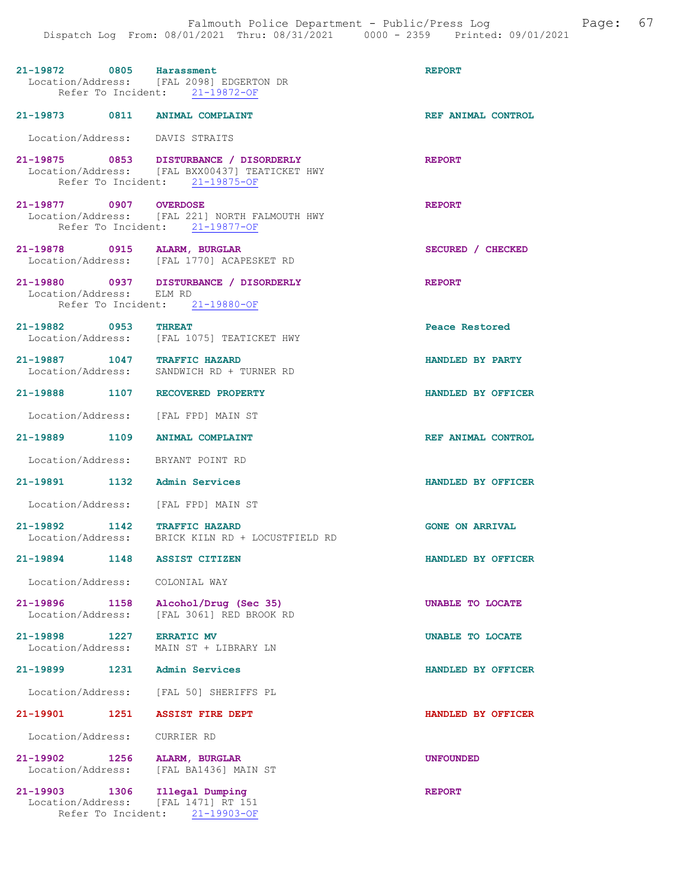|                                       | 21-19872 0805 Harassment<br>Location/Address: [FAL 2098] EDGERTON DR<br>Refer To Incident: 21-19872-OF                     | <b>REPORT</b>          |
|---------------------------------------|----------------------------------------------------------------------------------------------------------------------------|------------------------|
|                                       | 21-19873 0811 ANIMAL COMPLAINT                                                                                             | REF ANIMAL CONTROL     |
| Location/Address: DAVIS STRAITS       |                                                                                                                            |                        |
|                                       | 21-19875 0853 DISTURBANCE / DISORDERLY<br>Location/Address: [FAL BXX00437] TEATICKET HWY<br>Refer To Incident: 21-19875-OF | <b>REPORT</b>          |
| 21-19877 0907 OVERDOSE                | Location/Address: [FAL 221] NORTH FALMOUTH HWY<br>Refer To Incident: 21-19877-OF                                           | <b>REPORT</b>          |
| 21-19878 0915 ALARM, BURGLAR          | Location/Address: [FAL 1770] ACAPESKET RD                                                                                  | SECURED / CHECKED      |
| Location/Address: ELM RD              | 21-19880 0937 DISTURBANCE / DISORDERLY<br>Refer To Incident: 21-19880-OF                                                   | <b>REPORT</b>          |
| 21-19882 0953 THREAT                  | Location/Address: [FAL 1075] TEATICKET HWY                                                                                 | Peace Restored         |
|                                       | 21-19887 1047 TRAFFIC HAZARD<br>Location/Address: SANDWICH RD + TURNER RD                                                  | HANDLED BY PARTY       |
|                                       | 21-19888 1107 RECOVERED PROPERTY                                                                                           | HANDLED BY OFFICER     |
|                                       | Location/Address: [FAL FPD] MAIN ST                                                                                        |                        |
|                                       | 21-19889 1109 ANIMAL COMPLAINT                                                                                             | REF ANIMAL CONTROL     |
|                                       | Location/Address: BRYANT POINT RD                                                                                          |                        |
| 21-19891 1132 Admin Services          |                                                                                                                            | HANDLED BY OFFICER     |
|                                       | Location/Address: [FAL FPD] MAIN ST                                                                                        |                        |
| 21-19892 1142 TRAFFIC HAZARD          | Location/Address: BRICK KILN RD + LOCUSTFIELD RD                                                                           | <b>GONE ON ARRIVAL</b> |
| 21-19894 1148 ASSIST CITIZEN          |                                                                                                                            | HANDLED BY OFFICER     |
| Location/Address: COLONIAL WAY        |                                                                                                                            |                        |
| 21-19896 1158<br>Location/Address:    | Alcohol/Drug (Sec 35)<br>[FAL 3061] RED BROOK RD                                                                           | UNABLE TO LOCATE       |
| 21-19898<br>1227<br>Location/Address: | <b>ERRATIC MV</b><br>MAIN ST + LIBRARY LN                                                                                  | UNABLE TO LOCATE       |
| $21 - 19899$<br>1231                  | Admin Services                                                                                                             | HANDLED BY OFFICER     |
|                                       | Location/Address: [FAL 50] SHERIFFS PL                                                                                     |                        |
| 21-19901 1251                         | <b>ASSIST FIRE DEPT</b>                                                                                                    | HANDLED BY OFFICER     |
| Location/Address:                     | CURRIER RD                                                                                                                 |                        |
| 21-19902                              | 1256 ALARM, BURGLAR<br>Location/Address: [FAL BA1436] MAIN ST                                                              | <b>UNFOUNDED</b>       |
| 21-19903 1306                         | Illegal Dumping<br>Location/Address: [FAL 1471] RT 151<br>Refer To Incident: 21-19903-OF                                   | <b>REPORT</b>          |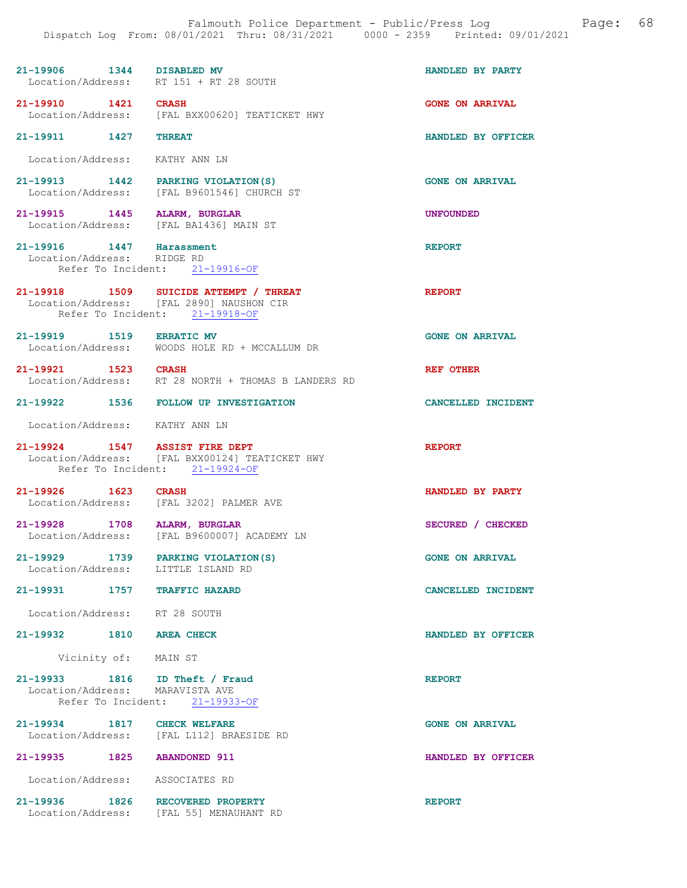## 21-19906 1344 DISABLED MV HANDLED BY PARTY Location/Address: RT 151 + RT 28 SOUTH Location/Address:

21-19910 1421 CRASH GONE ON ARRIVAL Location/Address: [FAL BXX00620] TEATICKET HWY

21-19911 1427 THREAT **HANDLED BY OFFICER** 

Location/Address: KATHY ANN LN

21-19913 1442 PARKING VIOLATION(S) GONE ON ARRIVAL<br>
Location/Address: [FAL B9601546] CHURCH ST [FAL B9601546] CHURCH ST

21-19915 1445 ALARM, BURGLAR UNFOUNDED Location/Address: [FAL BA1436] MAIN ST

21-19916 1447 Harassment REPORT Location/Address: RIDGE RD Location/Address: Refer To Incident: 21-19916-OF

21-19918 1509 SUICIDE ATTEMPT / THREAT REPORT Location/Address: [FAL 2890] NAUSHON CIR Refer To Incident: 21-19918-OF

21-19919 1519 ERRATIC MV (CONE ON ARRIVAL Location/Address: WOODS HOLE RD + MCCALLUM DR Location/Address: WOODS HOLE RD + MCCALLUM DR

21-19921 1523 CRASH REF OTHER Location/Address: RT 28 NORTH + THOMAS B LANDERS RD RT 28 NORTH + THOMAS B LANDERS RD

21-19922 1536 FOLLOW UP INVESTIGATION CANCELLED INCIDENT

Location/Address: KATHY ANN LN

21-19924 1547 ASSIST FIRE DEPT REPORT Location/Address: [FAL BXX00124] TEATICKET HWY Refer To Incident: 21-19924-OF

21-19926 1623 CRASH 1623 CRASH HANDLED BY PARTY Location/Address: [FAL 3202] PALMER AVE

21-19928 1708 ALARM, BURGLAR SECURED / CHECKED Location/Address: [FAL B9600007] ACADEMY LN

21-19929 1739 PARKING VIOLATION(S) GONE ON ARRIVAL<br>
Location/Address: LITTLE ISLAND RD Location/Address:

21-19931 1757 TRAFFIC HAZARD CANCELLED INCIDENT

Location/Address: RT 28 SOUTH

21-19932 1810 AREA CHECK HANDLED BY OFFICER

Vicinity of: MAIN ST

#### 21-19933 1816 ID Theft / Fraud REPORT Location/Address: MARAVISTA AVE<br>Refer To Incident: 21-19933-OF Refer To Incident:

21-19934 1817 CHECK WELFARE GONE ON ARRIVAL Location/Address: [FAL L112] BRAESIDE RD [FAL L112] BRAESIDE RD

Location/Address: ASSOCIATES RD

21-19936 1826 RECOVERED PROPERTY<br>
Location/Address: [FAL 55] MENAUHANT RD [FAL 55] MENAUHANT RD

21-19935 1825 ABANDONED 911 HANDLED BY OFFICER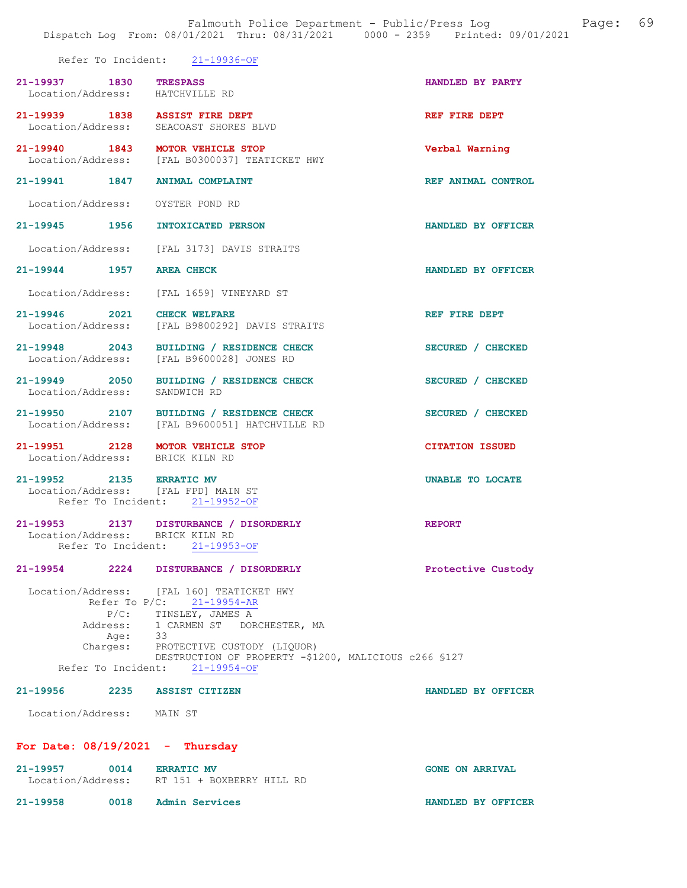|                                                           |                                         | Refer To Incident: 21-19936-OF                                                                                                                                                                                            |                         |
|-----------------------------------------------------------|-----------------------------------------|---------------------------------------------------------------------------------------------------------------------------------------------------------------------------------------------------------------------------|-------------------------|
| 21-19937 1830 TRESPASS<br>Location/Address: HATCHVILLE RD |                                         |                                                                                                                                                                                                                           | HANDLED BY PARTY        |
|                                                           |                                         | 21-19939 1838 ASSIST FIRE DEPT<br>Location/Address: SEACOAST SHORES BLVD                                                                                                                                                  | REF FIRE DEPT           |
|                                                           |                                         | 21-19940 1843 MOTOR VEHICLE STOP<br>Location/Address: [FAL B0300037] TEATICKET HWY                                                                                                                                        | Verbal Warning          |
|                                                           |                                         | 21-19941 1847 ANIMAL COMPLAINT                                                                                                                                                                                            | REF ANIMAL CONTROL      |
|                                                           |                                         | Location/Address: OYSTER POND RD                                                                                                                                                                                          |                         |
|                                                           |                                         | 21-19945 1956 INTOXICATED PERSON                                                                                                                                                                                          | HANDLED BY OFFICER      |
|                                                           |                                         | Location/Address: [FAL 3173] DAVIS STRAITS                                                                                                                                                                                |                         |
| 21-19944 1957 AREA CHECK                                  |                                         |                                                                                                                                                                                                                           | HANDLED BY OFFICER      |
|                                                           |                                         | Location/Address: [FAL 1659] VINEYARD ST                                                                                                                                                                                  |                         |
| $21 - 19946$ 2021<br>Location/Address:                    |                                         | <b>CHECK WELFARE</b><br>[FAL B9800292] DAVIS STRAITS                                                                                                                                                                      | REF FIRE DEPT           |
| 21-19948 2043                                             |                                         | BUILDING / RESIDENCE CHECK<br>Location/Address: [FAL B9600028] JONES RD                                                                                                                                                   | SECURED / CHECKED       |
| Location/Address: SANDWICH RD                             |                                         | 21-19949 2050 BUILDING / RESIDENCE CHECK                                                                                                                                                                                  | SECURED / CHECKED       |
|                                                           |                                         | 21-19950 2107 BUILDING / RESIDENCE CHECK<br>Location/Address: [FAL B9600051] HATCHVILLE RD                                                                                                                                | SECURED / CHECKED       |
|                                                           |                                         | 21-19951 2128 MOTOR VEHICLE STOP<br>Location/Address: BRICK KILN RD                                                                                                                                                       | <b>CITATION ISSUED</b>  |
|                                                           |                                         | 21-19952 2135 ERRATIC MV<br>Location/Address: [FAL FPD] MAIN ST<br>Refer To Incident: 21-19952-OF                                                                                                                         | <b>UNABLE TO LOCATE</b> |
|                                                           |                                         | 21-19953 2137 DISTURBANCE / DISORDERLY<br>Location/Address: BRICK KILN RD<br>Refer To Incident: 21-19953-OF                                                                                                               | <b>REPORT</b>           |
| $21 - 19954$                                              | 2224                                    | DISTURBANCE / DISORDERLY                                                                                                                                                                                                  | Protective Custody      |
|                                                           | Refer To $P/C$ :<br>Address:<br>Age: 33 | Location/Address: [FAL 160] TEATICKET HWY<br>$21 - 19954 - AR$<br>P/C: TINSLEY, JAMES A<br>1 CARMEN ST<br>DORCHESTER, MA<br>Charges: PROTECTIVE CUSTODY (LIQUOR)<br>DESTRUCTION OF PROPERTY -\$1200, MALICIOUS c266 \$127 |                         |
|                                                           | Refer To Incident:                      | $21 - 19954 - OF$                                                                                                                                                                                                         |                         |
| 21-19956                                                  |                                         | 2235 ASSIST CITIZEN                                                                                                                                                                                                       | HANDLED BY OFFICER      |
| Location/Address: MAIN ST                                 |                                         |                                                                                                                                                                                                                           |                         |
|                                                           |                                         | For Date: $08/19/2021$ - Thursday                                                                                                                                                                                         |                         |

| 21–19957          | 0014 | <b>ERRATIC MV</b>         | <b>GONE ON ARRIVAL</b> |
|-------------------|------|---------------------------|------------------------|
| Location/Address: |      | RT 151 + BOXBERRY HILL RD |                        |
| 21-19958          | 0018 | Admin Services            | HANDLED BY OFFICER     |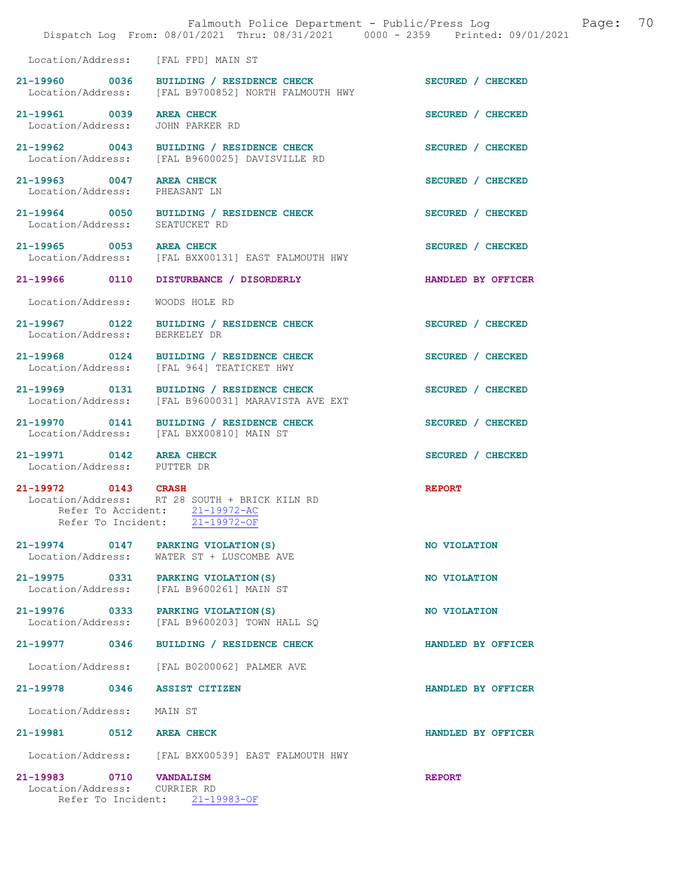|                                                         | Falmouth Police Department - Public/Press Log<br>Dispatch Log From: 08/01/2021 Thru: 08/31/2021 0000 - 2359 Printed: 09/01/2021 | 70<br>Page:        |
|---------------------------------------------------------|---------------------------------------------------------------------------------------------------------------------------------|--------------------|
| Location/Address: [FAL FPD] MAIN ST                     |                                                                                                                                 |                    |
|                                                         | 21-19960 0036 BUILDING / RESIDENCE CHECK<br>Location/Address: [FAL B9700852] NORTH FALMOUTH HWY                                 | SECURED / CHECKED  |
| 21-19961 0039<br>Location/Address:                      | <b>AREA CHECK</b><br>JOHN PARKER RD                                                                                             | SECURED / CHECKED  |
|                                                         | 21-19962 0043 BUILDING / RESIDENCE CHECK<br>Location/Address: [FAL B9600025] DAVISVILLE RD                                      | SECURED / CHECKED  |
| 21-19963 0047 AREA CHECK<br>Location/Address:           | PHEASANT LN                                                                                                                     | SECURED / CHECKED  |
| 21-19964 0050<br>Location/Address:                      | BUILDING / RESIDENCE CHECK<br>SEATUCKET RD                                                                                      | SECURED / CHECKED  |
| 21-19965 0053                                           | <b>AREA CHECK</b><br>Location/Address: [FAL BXX00131] EAST FALMOUTH HWY                                                         | SECURED / CHECKED  |
| 21-19966 0110                                           | DISTURBANCE / DISORDERLY                                                                                                        | HANDLED BY OFFICER |
| Location/Address:                                       | WOODS HOLE RD                                                                                                                   |                    |
| Location/Address: BERKELEY DR                           | 21-19967 0122 BUILDING / RESIDENCE CHECK                                                                                        | SECURED / CHECKED  |
|                                                         | 21-19968 0124 BUILDING / RESIDENCE CHECK<br>Location/Address: [FAL 964] TEATICKET HWY                                           | SECURED / CHECKED  |
|                                                         | 21-19969 0131 BUILDING / RESIDENCE CHECK<br>Location/Address: [FAL B9600031] MARAVISTA AVE EXT                                  | SECURED / CHECKED  |
|                                                         | 21-19970 0141 BUILDING / RESIDENCE CHECK<br>Location/Address: [FAL BXX00810] MAIN ST                                            | SECURED / CHECKED  |
| 21-19971 0142 AREA CHECK<br>Location/Address: PUTTER DR |                                                                                                                                 | SECURED / CHECKED  |
| 21-19972 0143 CRASH<br>Refer To Incident:               | Location/Address: RT 28 SOUTH + BRICK KILN RD<br>Refer To Accident: 21-19972-AC<br>$21 - 19972 - OF$                            | <b>REPORT</b>      |
| 21-19974 0147<br>Location/Address:                      | PARKING VIOLATION (S)<br>WATER ST + LUSCOMBE AVE                                                                                | NO VIOLATION       |
| 21-19975 0331<br>Location/Address:                      | PARKING VIOLATION (S)<br>[FAL B9600261] MAIN ST                                                                                 | NO VIOLATION       |
| 21-19976 0333<br>Location/Address:                      | PARKING VIOLATION (S)<br>[FAL B9600203] TOWN HALL SQ                                                                            | NO VIOLATION       |
| $21 - 19977$<br>0346                                    | BUILDING / RESIDENCE CHECK                                                                                                      | HANDLED BY OFFICER |
| Location/Address:                                       | [FAL B0200062] PALMER AVE                                                                                                       |                    |
| 21-19978 0346                                           | <b>ASSIST CITIZEN</b>                                                                                                           | HANDLED BY OFFICER |
| Location/Address:                                       | MAIN ST                                                                                                                         |                    |
| 21-19981 0512 AREA CHECK                                |                                                                                                                                 | HANDLED BY OFFICER |
| Location/Address:                                       | [FAL BXX00539] EAST FALMOUTH HWY                                                                                                |                    |
| 21-19983 0710 VANDALISM<br>Location/Address: CURRIER RD | Refer To Incident: 21-19983-OF                                                                                                  | <b>REPORT</b>      |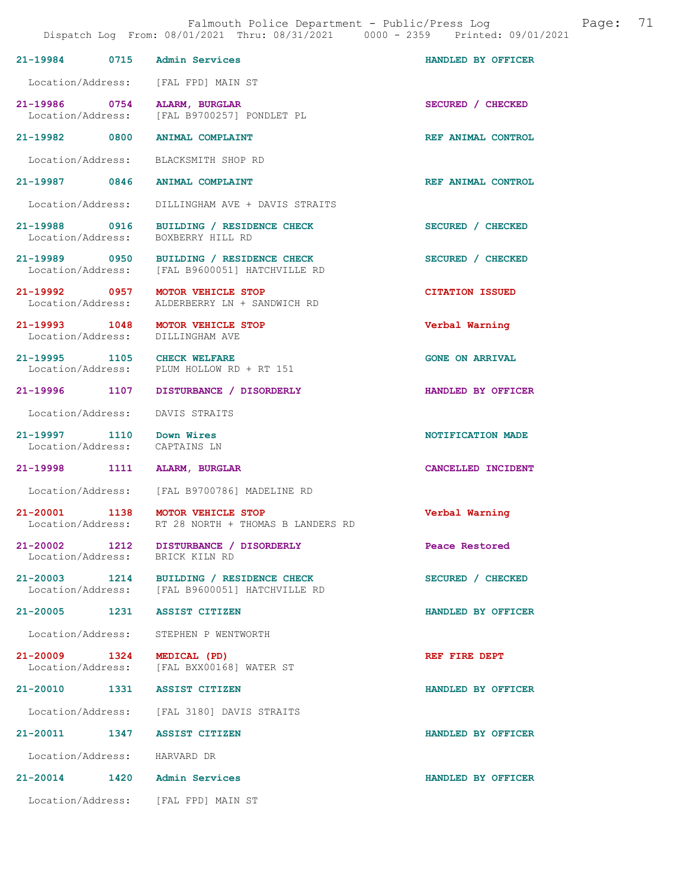|                                                           |      | Dispatch Log From: 08/01/2021 Thru: 08/31/2021 0000 - 2359 Printed: 09/01/2021             |                        |
|-----------------------------------------------------------|------|--------------------------------------------------------------------------------------------|------------------------|
|                                                           |      | 21-19984 0715 Admin Services                                                               | HANDLED BY OFFICER     |
|                                                           |      | Location/Address: [FAL FPD] MAIN ST                                                        |                        |
|                                                           |      | 21-19986 0754 ALARM, BURGLAR<br>Location/Address: [FAL B9700257] PONDLET PL                | SECURED / CHECKED      |
|                                                           |      | 21-19982 0800 ANIMAL COMPLAINT                                                             | REF ANIMAL CONTROL     |
|                                                           |      | Location/Address: BLACKSMITH SHOP RD                                                       |                        |
| 21-19987 0846                                             |      | <b>ANIMAL COMPLAINT</b>                                                                    | REF ANIMAL CONTROL     |
|                                                           |      | Location/Address: DILLINGHAM AVE + DAVIS STRAITS                                           |                        |
|                                                           |      | 21-19988 0916 BUILDING / RESIDENCE CHECK<br>Location/Address: BOXBERRY HILL RD             | SECURED / CHECKED      |
|                                                           |      | 21-19989 0950 BUILDING / RESIDENCE CHECK<br>Location/Address: [FAL B9600051] HATCHVILLE RD | SECURED / CHECKED      |
|                                                           |      | 21-19992 0957 MOTOR VEHICLE STOP<br>Location/Address: ALDERBERRY LN + SANDWICH RD          | <b>CITATION ISSUED</b> |
|                                                           |      | 21-19993 1048 MOTOR VEHICLE STOP<br>Location/Address: DILLINGHAM AVE                       | Verbal Warning         |
|                                                           |      | 21-19995 1105 CHECK WELFARE<br>Location/Address: PLUM HOLLOW RD + RT 151                   | <b>GONE ON ARRIVAL</b> |
|                                                           |      | 21-19996 1107 DISTURBANCE / DISORDERLY                                                     | HANDLED BY OFFICER     |
|                                                           |      | Location/Address: DAVIS STRAITS                                                            |                        |
| 21-19997 1110 Down Wires<br>Location/Address: CAPTAINS LN |      |                                                                                            | NOTIFICATION MADE      |
|                                                           |      | 21-19998 1111 ALARM, BURGLAR                                                               | CANCELLED INCIDENT     |
|                                                           |      | Location/Address: [FAL B9700786] MADELINE RD                                               |                        |
|                                                           |      | 21-20001 1138 MOTOR VEHICLE STOP<br>Location/Address: RT 28 NORTH + THOMAS B LANDERS RD    | Verbal Warning         |
| 21-20002<br>Location/Address:                             | 1212 | DISTURBANCE / DISORDERLY<br>BRICK KILN RD                                                  | Peace Restored         |
|                                                           |      | 21-20003 1214 BUILDING / RESIDENCE CHECK<br>Location/Address: [FAL B9600051] HATCHVILLE RD | SECURED / CHECKED      |
|                                                           |      | 21-20005 1231 ASSIST CITIZEN                                                               | HANDLED BY OFFICER     |
|                                                           |      | Location/Address: STEPHEN P WENTWORTH                                                      |                        |
| 21-20009 1324                                             |      | MEDICAL (PD)<br>Location/Address: [FAL BXX00168] WATER ST                                  | REF FIRE DEPT          |
|                                                           |      | 21-20010 1331 ASSIST CITIZEN                                                               | HANDLED BY OFFICER     |
|                                                           |      | Location/Address: [FAL 3180] DAVIS STRAITS                                                 |                        |
|                                                           |      | 21-20011 1347 ASSIST CITIZEN                                                               | HANDLED BY OFFICER     |
| Location/Address: HARVARD DR                              |      |                                                                                            |                        |
| $21 - 20014$                                              |      | 1420 Admin Services                                                                        | HANDLED BY OFFICER     |
|                                                           |      | Location/Address: [FAL FPD] MAIN ST                                                        |                        |

Falmouth Police Department - Public/Press Log and Page: 71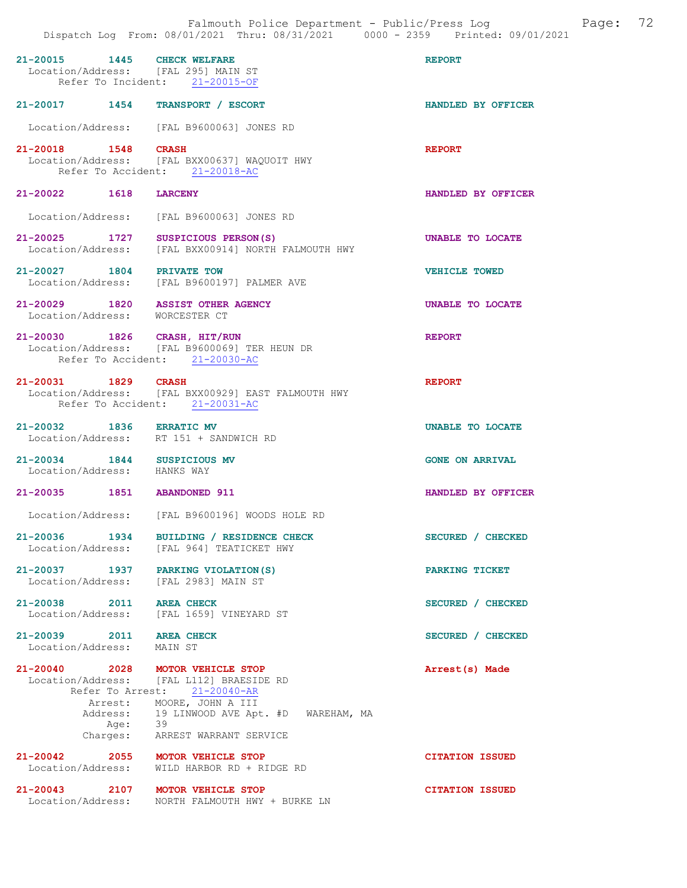|                                                                     | Falmouth Police Department - Public/Press Log<br>Dispatch Log From: 08/01/2021 Thru: 08/31/2021 0000 - 2359 Printed: 09/01/2021                                        | 72<br>Page:            |
|---------------------------------------------------------------------|------------------------------------------------------------------------------------------------------------------------------------------------------------------------|------------------------|
| 1445<br>$21 - 20015$<br>Location/Address: [FAL 295] MAIN ST         | <b>CHECK WELFARE</b><br>Refer To Incident: 21-20015-OF                                                                                                                 | <b>REPORT</b>          |
| 21-20017 1454 TRANSPORT / ESCORT                                    |                                                                                                                                                                        | HANDLED BY OFFICER     |
|                                                                     | Location/Address: [FAL B9600063] JONES RD                                                                                                                              |                        |
| $21 - 20018$<br>$1548$ CRASH                                        | Location/Address: [FAL BXX00637] WAQUOIT HWY<br>Refer To Accident: 21-20018-AC                                                                                         | <b>REPORT</b>          |
| 21-20022 1618                                                       | <b>LARCENY</b>                                                                                                                                                         | HANDLED BY OFFICER     |
| Location/Address:                                                   | [FAL B9600063] JONES RD                                                                                                                                                |                        |
| 21-20025 1727                                                       | SUSPICIOUS PERSON (S)<br>Location/Address: [FAL BXX00914] NORTH FALMOUTH HWY                                                                                           | UNABLE TO LOCATE       |
| 21-20027 1804 PRIVATE TOW                                           | Location/Address: [FAL B9600197] PALMER AVE                                                                                                                            | <b>VEHICLE TOWED</b>   |
| 21-20029 1820 ASSIST OTHER AGENCY<br>Location/Address: WORCESTER CT |                                                                                                                                                                        | UNABLE TO LOCATE       |
| 21-20030 1826 CRASH, HIT/RUN                                        | Location/Address: [FAL B9600069] TER HEUN DR<br>Refer To Accident: 21-20030-AC                                                                                         | <b>REPORT</b>          |
| 21-20031 1829 CRASH                                                 | Location/Address: [FAL BXX00929] EAST FALMOUTH HWY<br>Refer To Accident: 21-20031-AC                                                                                   | <b>REPORT</b>          |
| 21-20032 1836 ERRATIC MV                                            | Location/Address: RT 151 + SANDWICH RD                                                                                                                                 | UNABLE TO LOCATE       |
| 21-20034 1844 SUSPICIOUS MV<br>Location/Address: HANKS WAY          |                                                                                                                                                                        | <b>GONE ON ARRIVAL</b> |
| 21-20035 1851 ABANDONED 911                                         |                                                                                                                                                                        | HANDLED BY OFFICER     |
|                                                                     | Location/Address: [FAL B9600196] WOODS HOLE RD                                                                                                                         |                        |
| 21-20036 1934                                                       | BUILDING / RESIDENCE CHECK<br>Location/Address: [FAL 964] TEATICKET HWY                                                                                                | SECURED / CHECKED      |
| 21-20037 1937<br>Location/Address: [FAL 2983] MAIN ST               | PARKING VIOLATION (S)                                                                                                                                                  | PARKING TICKET         |
| 21-20038 2011 AREA CHECK<br>Location/Address:                       | [FAL 1659] VINEYARD ST                                                                                                                                                 | SECURED / CHECKED      |
| 21-20039 2011 AREA CHECK<br>Location/Address:                       | MAIN ST                                                                                                                                                                | SECURED / CHECKED      |
| 21-20040 2028 MOTOR VEHICLE STOP<br>Arrest:<br>Age: 39<br>Charges:  | Location/Address: [FAL L112] BRAESIDE RD<br>Refer To Arrest: 21-20040-AR<br>MOORE, JOHN A III<br>Address: 19 LINWOOD AVE Apt. #D WAREHAM, MA<br>ARREST WARRANT SERVICE | Arrest(s) Made         |
| 21-20042 2055 MOTOR VEHICLE STOP<br>Location/Address:               | WILD HARBOR RD + RIDGE RD                                                                                                                                              | <b>CITATION ISSUED</b> |
| 21-20043 2107 MOTOR VEHICLE STOP                                    | Location/Address: NORTH FALMOUTH HWY + BURKE LN                                                                                                                        | <b>CITATION ISSUED</b> |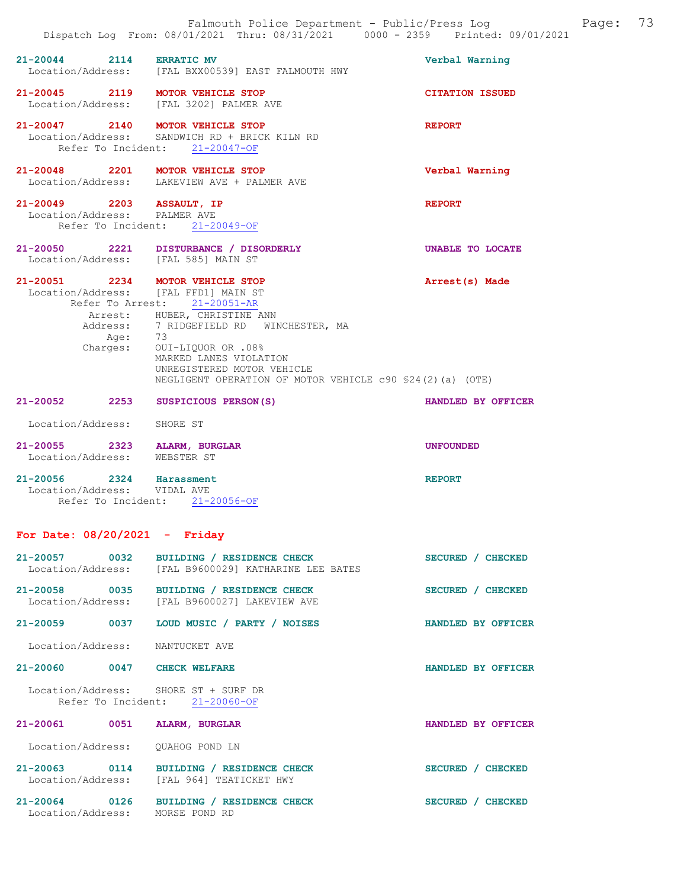| 21-20044 2114 ERRATIC MV                                  | Location/Address: [FAL BXX00539] EAST FALMOUTH HWY                                                                                                                                                                                                                                                                                                 | Verbal Warning         |
|-----------------------------------------------------------|----------------------------------------------------------------------------------------------------------------------------------------------------------------------------------------------------------------------------------------------------------------------------------------------------------------------------------------------------|------------------------|
|                                                           | 21-20045 2119 MOTOR VEHICLE STOP<br>Location/Address: [FAL 3202] PALMER AVE                                                                                                                                                                                                                                                                        | <b>CITATION ISSUED</b> |
|                                                           | 21-20047 2140 MOTOR VEHICLE STOP<br>Location/Address: SANDWICH RD + BRICK KILN RD<br>Refer To Incident: 21-20047-OF                                                                                                                                                                                                                                | <b>REPORT</b>          |
|                                                           | 21-20048 2201 MOTOR VEHICLE STOP<br>Location/Address: LAKEVIEW AVE + PALMER AVE                                                                                                                                                                                                                                                                    | Verbal Warning         |
| 21-20049 2203 ASSAULT, IP<br>Location/Address: PALMER AVE | Refer To Incident: 21-20049-OF                                                                                                                                                                                                                                                                                                                     | <b>REPORT</b>          |
|                                                           | 21-20050 2221 DISTURBANCE / DISORDERLY<br>Location/Address: [FAL 585] MAIN ST                                                                                                                                                                                                                                                                      | UNABLE TO LOCATE       |
|                                                           | 21-20051 2234 MOTOR VEHICLE STOP<br>Location/Address: [FAL FFD1] MAIN ST<br>Refer To Arrest: 21-20051-AR<br>Arrest: HUBER, CHRISTINE ANN<br>Address: 7 RIDGEFIELD RD WINCHESTER, MA<br>Age: 73<br>Charges: OUI-LIQUOR OR .08%<br>MARKED LANES VIOLATION<br>UNREGISTERED MOTOR VEHICLE<br>NEGLIGENT OPERATION OF MOTOR VEHICLE c90 \$24(2)(a) (OTE) | Arrest(s) Made         |
|                                                           | 21-20052 2253 SUSPICIOUS PERSON(S)                                                                                                                                                                                                                                                                                                                 | HANDLED BY OFFICER     |
| Location/Address:                                         | SHORE ST                                                                                                                                                                                                                                                                                                                                           |                        |

| 21-20055<br>Location/Address: | 2323 | ALARM, BURGLAR<br>WEBSTER ST   | UNFOUNDED     |
|-------------------------------|------|--------------------------------|---------------|
| $21 - 20056$                  | 2324 | Harassment                     | <b>REPORT</b> |
| Location/Address: VIDAL AVE   |      |                                |               |
|                               |      | Refer To Incident: 21-20056-OF |               |

## For Date: 08/20/2021 - Friday

| 21-20057 0032                        | BUILDING / RESIDENCE CHECK<br>Location/Address: [FAL B9600029] KATHARINE LEE BATES | SECURED / CHECKED |                    |
|--------------------------------------|------------------------------------------------------------------------------------|-------------------|--------------------|
| 21-20058 0035<br>Location/Address:   | BUILDING / RESIDENCE CHECK<br>[FAL B9600027] LAKEVIEW AVE                          | SECURED / CHECKED |                    |
| $21 - 20059$<br>$\sim$ 0037          | LOUD MUSIC / PARTY / NOISES                                                        |                   | HANDLED BY OFFICER |
| Location/Address: NANTUCKET AVE      |                                                                                    |                   |                    |
| 0047<br>$21 - 20060$                 | <b>CHECK WELFARE</b>                                                               |                   | HANDLED BY OFFICER |
| Location/Address: SHORE ST + SURF DR | Refer To Incident: 21-20060-OF                                                     |                   |                    |
| 0051<br>$21 - 20061$                 | ALARM, BURGLAR                                                                     |                   | HANDLED BY OFFICER |
| Location/Address: OUAHOG POND LN     |                                                                                    |                   |                    |
| 21-20063 0114                        | BUILDING / RESIDENCE CHECK<br>Location/Address: [FAL 964] TEATICKET HWY            | SECURED /         | <b>CHECKED</b>     |
| 21-20064 0126<br>Location/Address:   | BUILDING / RESIDENCE CHECK<br>MORSE POND RD                                        | SECURED /         | <b>CHECKED</b>     |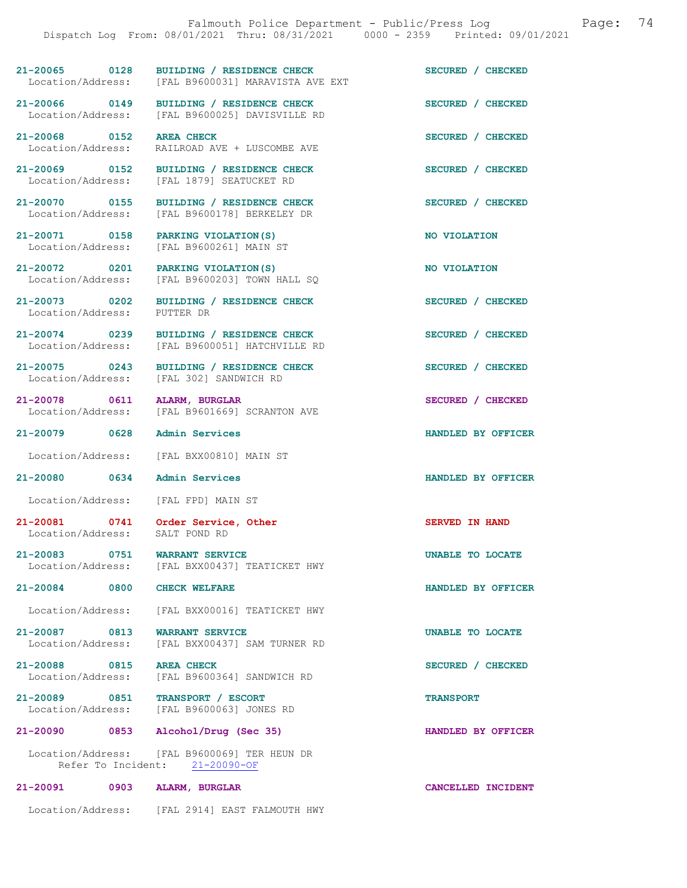21-20065 0128 BUILDING / RESIDENCE CHECK<br>
Location/Address: [FAL B9600031] MARAVISTA AVE EXT [FAL B9600031] MARAVISTA AVE EXT 21-20066 0149 BUILDING / RESIDENCE CHECK SECURED / CHECKED Location/Address: [FAL B9600025] DAVISVILLE RD 21-20068 0152 AREA CHECK CHECK SECURED / CHECKED<br>
Location/Address: RAILROAD AVE + LUSCOMBE AVE RAILROAD AVE + LUSCOMBE AVE 21-20069 0152 BUILDING / RESIDENCE CHECK SECURED / CHECKED Location/Address: [FAL 1879] SEATUCKET RD 21-20070 0155 BUILDING / RESIDENCE CHECK SECURED / CHECKED Location/Address: [FAL B9600178] BERKELEY DR [FAL B9600178] BERKELEY DR 21-20071 0158 PARKING VIOLATION(S) NO VIOLATION<br>
Location/Address: [FAL B9600261] MAIN ST [FAL B9600261] MAIN ST 21-20072 0201 PARKING VIOLATION(S) NO VIOLATION Location/Address: [FAL B9600203] TOWN HALL SO 21-20073 0202 BUILDING / RESIDENCE CHECK SECURED / CHECKED Location/Address: PUTTER DR Location/Address: 21-20074 0239 BUILDING / RESIDENCE CHECK SECURED / CHECKED Location/Address: [FAL B9600051] HATCHVILLE RD 21-20075 0243 BUILDING / RESIDENCE CHECK SECURED / CHECKED Location/Address: [FAL 302] SANDWICH RD 21-20078 0611 ALARM, BURGLAR SECURED / CHECKED Location/Address: [FAL B9601669] SCRANTON AVE [FAL B9601669] SCRANTON AVE 21-20079 0628 Admin Services HANDLED BY OFFICER Location/Address: [FAL BXX00810] MAIN ST 21-20080 0634 Admin Services HANDLED BY OFFICER Location/Address: [FAL FPD] MAIN ST 21-20081 0741 Order Service, Other Server SERVED IN HAND Location/Address: SALT POND RD 21-20083 0751 WARRANT SERVICE UNABLE TO LOCATE Location/Address: [FAL BXX00437] TEATICKET HWY [FAL BXX00437] TEATICKET HWY 21-20084 0800 CHECK WELFARE HANDLED BY OFFICER Location/Address: [FAL BXX00016] TEATICKET HWY 21-20087 0813 WARRANT SERVICE UNABLE TO LOCATE Location/Address: [FAL BXX00437] SAM TURNER RD [FAL BXX00437] SAM TURNER RD 21-20088 0815 AREA CHECK 21-20088 0815 AREA CHECK SECURED / CHECKED [FAL B9600364] SANDWICH RD 21-20089 0851 TRANSPORT / ESCORT TRANSPORT Location/Address: [FAL B9600063] JONES RD

21-20090 0853 Alcohol/Drug (Sec 35) HANDLED BY OFFICER

 Location/Address: [FAL B9600069] TER HEUN DR Refer To Incident: 21-20090-OF

## 21-20091 0903 ALARM, BURGLAR CANCELLED INCIDENT Location/Address: [FAL 2914] EAST FALMOUTH HWY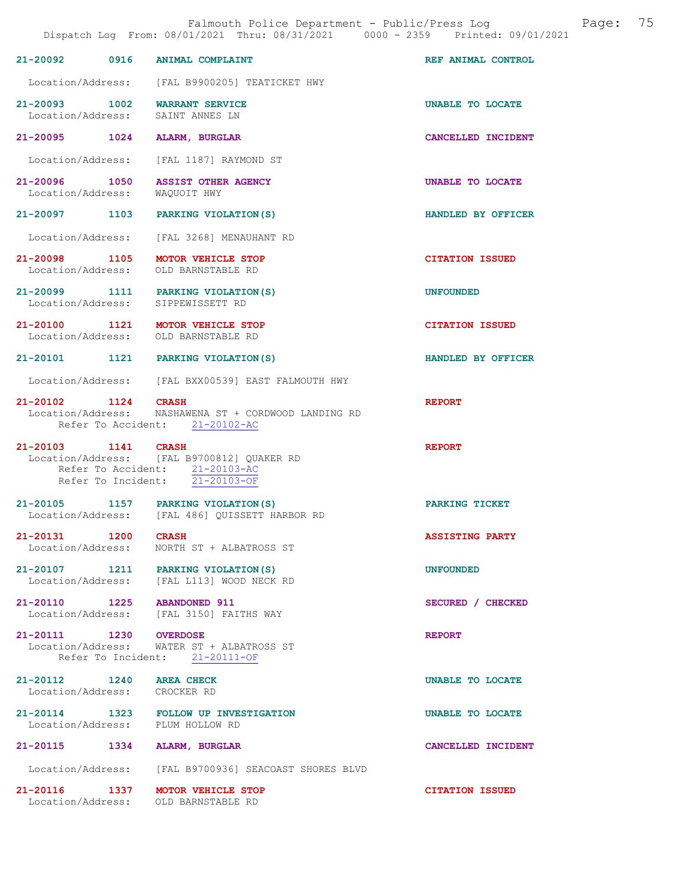21-20092 0916 ANIMAL COMPLAINT COMPONE REF ANIMAL CONTROL Location/Address: [FAL B9900205] TEATICKET HWY 21-20093 1002 WARRANT SERVICE UNABLE TO LOCATE Location/Address: SAINT ANNES LN Location/Address: 21-20095 1024 ALARM, BURGLAR CANCELLED INCIDENT Location/Address: [FAL 1187] RAYMOND ST 21-20096 1050 ASSIST OTHER AGENCY UNABLE TO LOCATE Location/Address: WAQUOIT HWY Location/Address: 21-20097 1103 PARKING VIOLATION(S) HANDLED BY OFFICER Location/Address: [FAL 3268] MENAUHANT RD 21-20098 1105 MOTOR VEHICLE STOP CITATION ISSUED<br>
Location/Address: OLD BARNSTABLE RD Location/Address: 21-20099 1111 PARKING VIOLATION(S) UNFOUNDED<br>
Location/Address: SIPPEWISSETT RD Location/Address: 21-20100 1121 MOTOR VEHICLE STOP CITATION ISSUED Location/Address: OLD BARNSTABLE RD 21-20101 1121 PARKING VIOLATION(S) HANDLED BY OFFICER Location/Address: [FAL BXX00539] EAST FALMOUTH HWY 21-20102 1124 CRASH REPORT Location/Address: NASHAWENA ST + CORDWOOD LANDING RD Refer To Accident: 21-20102-AC 21-20103 1141 CRASH REPORT Location/Address: [FAL B9700812] QUAKER RD Refer To Accident: 21-20103-AC<br>Refer To Incident: 21-20103-OF Refer To Incident: 21-20105 1157 PARKING VIOLATION(S) PARKING TICKET Location/Address: [FAL 486] QUISSETT HARBOR RD 21-20131 1200 CRASH <br>Location/Address: NORTH ST + ALBATROSS ST **ASSISTING PARTY**  Location/Address: NORTH ST + ALBATROSS ST 21-20107 1211 PARKING VIOLATION(S) UNFOUNDED<br>Location/Address: [FAL L113] WOOD NECK RD [FAL L113] WOOD NECK RD 21-20110 1225 ABANDONED 911 SECURED / CHECKED Location/Address: [FAL 3150] FAITHS WAY [FAL 3150] FAITHS WAY 21-20111 1230 OVERDOSE REPORT Location/Address: WATER ST + ALBATROSS ST Refer To Incident: 21-20111-OF 21-20112 1240 AREA CHECK UNABLE TO LOCATE Location/Address: CROCKER RD 21-20114 1323 FOLLOW UP INVESTIGATION **EXECUTE UNABLE TO LOCATE** Location/Address: PLUM HOLLOW RD Location/Address: 21-20115 1334 ALARM, BURGLAR CANCELLED INCIDENT Location/Address: [FAL B9700936] SEACOAST SHORES BLVD

21-20116 1337 MOTOR VEHICLE STOP CITATION ISSUED<br>
Location/Address: OLD BARNSTABLE RD Location/Address: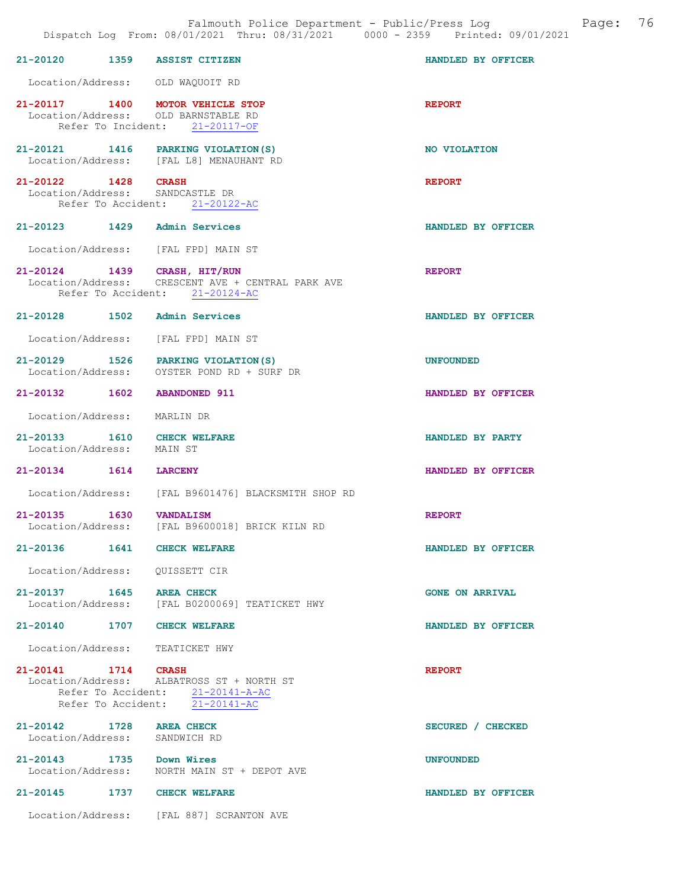| 21-20120 1359 ASSIST CITIZEN                             |                                                                                                                     | HANDLED BY OFFICER     |
|----------------------------------------------------------|---------------------------------------------------------------------------------------------------------------------|------------------------|
|                                                          | Location/Address: OLD WAQUOIT RD                                                                                    |                        |
|                                                          | 21-20117 1400 MOTOR VEHICLE STOP<br>Location/Address: OLD BARNSTABLE RD<br>Refer To Incident: 21-20117-OF           | <b>REPORT</b>          |
|                                                          | 21-20121 1416 PARKING VIOLATION (S)<br>Location/Address: [FAL L8] MENAUHANT RD                                      | NO VIOLATION           |
| 21-20122 1428 CRASH                                      | Location/Address: SANDCASTLE DR<br>Refer To Accident: 21-20122-AC                                                   | <b>REPORT</b>          |
| 21-20123 1429 Admin Services                             |                                                                                                                     | HANDLED BY OFFICER     |
|                                                          | Location/Address: [FAL FPD] MAIN ST                                                                                 |                        |
|                                                          | 21-20124 1439 CRASH, HIT/RUN<br>Location/Address: CRESCENT AVE + CENTRAL PARK AVE<br>Refer To Accident: 21-20124-AC | <b>REPORT</b>          |
| 21-20128 1502 Admin Services                             |                                                                                                                     | HANDLED BY OFFICER     |
|                                                          | Location/Address: [FAL FPD] MAIN ST                                                                                 |                        |
|                                                          | 21-20129 1526 PARKING VIOLATION(S)<br>Location/Address: OYSTER POND RD + SURF DR                                    | <b>UNFOUNDED</b>       |
| 21-20132 1602 ABANDONED 911                              |                                                                                                                     | HANDLED BY OFFICER     |
| Location/Address: MARLIN DR                              |                                                                                                                     |                        |
| 21-20133 1610 CHECK WELFARE<br>Location/Address: MAIN ST |                                                                                                                     | HANDLED BY PARTY       |
| 21-20134 1614 LARCENY                                    |                                                                                                                     | HANDLED BY OFFICER     |
|                                                          | Location/Address: [FAL B9601476] BLACKSMITH SHOP RD                                                                 |                        |
| 21-20135 1630                                            | <b>VANDALISM</b><br>Location/Address: [FAL B9600018] BRICK KILN RD                                                  | <b>REPORT</b>          |
| 21-20136 1641 CHECK WELFARE                              |                                                                                                                     | HANDLED BY OFFICER     |
| Location/Address: QUISSETT CIR                           |                                                                                                                     |                        |
| 21-20137 1645 AREA CHECK                                 | Location/Address: [FAL B0200069] TEATICKET HWY                                                                      | <b>GONE ON ARRIVAL</b> |
| 21-20140 1707 CHECK WELFARE                              |                                                                                                                     | HANDLED BY OFFICER     |
|                                                          | Location/Address: TEATICKET HWY                                                                                     |                        |
| 21-20141 1714 CRASH                                      | Location/Address: ALBATROSS ST + NORTH ST<br>Refer To Accident: 21-20141-A-AC<br>Refer To Accident: 21-20141-AC     | <b>REPORT</b>          |
| 21-20142 1728 AREA CHECK<br>Location/Address:            | SANDWICH RD                                                                                                         | SECURED / CHECKED      |
| 21-20143 1735 Down Wires                                 | Location/Address: NORTH MAIN ST + DEPOT AVE                                                                         | <b>UNFOUNDED</b>       |
| 21-20145 1737 CHECK WELFARE                              |                                                                                                                     | HANDLED BY OFFICER     |
|                                                          | Location/Address: [FAL 887] SCRANTON AVE                                                                            |                        |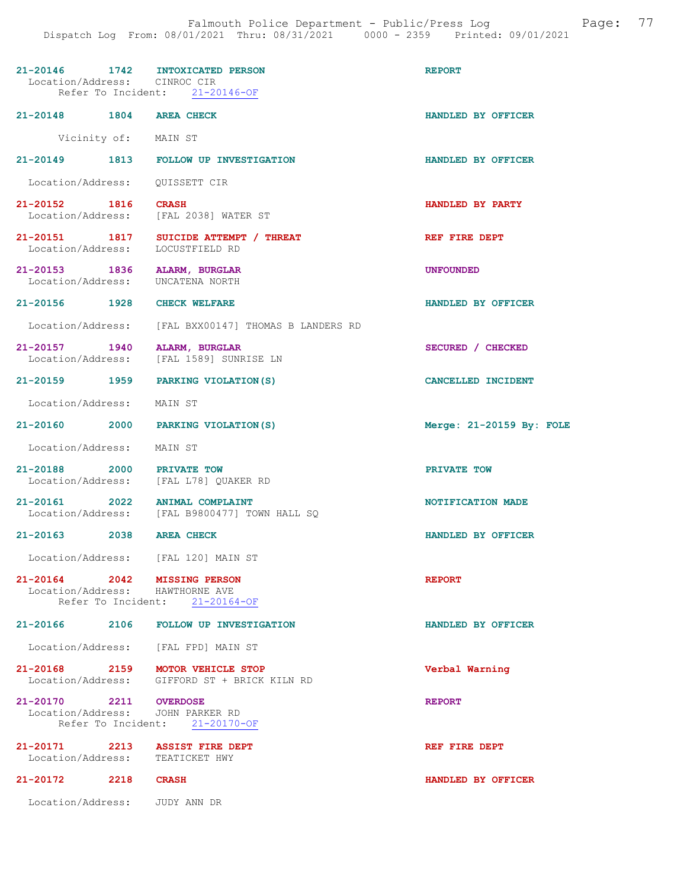|                                    | 21-20146 1742 INTOXICATED PERSON<br>Location/Address: CINROC CIR<br>Refer To Incident: 21-20146-OF | <b>REPORT</b>            |
|------------------------------------|----------------------------------------------------------------------------------------------------|--------------------------|
| 21-20148 1804 AREA CHECK           |                                                                                                    | HANDLED BY OFFICER       |
| Vicinity of: MAIN ST               |                                                                                                    |                          |
|                                    | 21-20149 1813 FOLLOW UP INVESTIGATION                                                              | HANDLED BY OFFICER       |
| Location/Address: QUISSETT CIR     |                                                                                                    |                          |
| 21-20152 1816                      | <b>CRASH</b><br>Location/Address: [FAL 2038] WATER ST                                              | HANDLED BY PARTY         |
| Location/Address:                  | 21-20151 1817 SUICIDE ATTEMPT / THREAT<br>LOCUSTFIELD RD                                           | REF FIRE DEPT            |
| 21-20153 1836<br>Location/Address: | ALARM, BURGLAR<br>UNCATENA NORTH                                                                   | <b>UNFOUNDED</b>         |
| 21-20156 1928 CHECK WELFARE        |                                                                                                    | HANDLED BY OFFICER       |
|                                    | Location/Address: [FAL BXX00147] THOMAS B LANDERS RD                                               |                          |
| 21-20157 1940<br>Location/Address: | ALARM, BURGLAR<br>[FAL 1589] SUNRISE LN                                                            | SECURED / CHECKED        |
|                                    | 21-20159 1959 PARKING VIOLATION(S)                                                                 | CANCELLED INCIDENT       |
| Location/Address: MAIN ST          |                                                                                                    |                          |
|                                    | 21-20160 2000 PARKING VIOLATION (S)                                                                | Merge: 21-20159 By: FOLE |
| Location/Address: MAIN ST          |                                                                                                    |                          |
| 21-20188 2000 PRIVATE TOW          | Location/Address: [FAL L78] QUAKER RD                                                              | PRIVATE TOW              |
|                                    | 21-20161 2022 ANIMAL COMPLAINT<br>Location/Address: [FAL B9800477] TOWN HALL SQ                    | NOTIFICATION MADE        |
| 21-20163 2038 AREA CHECK           |                                                                                                    | HANDLED BY OFFICER       |
|                                    | Location/Address: [FAL 120] MAIN ST                                                                |                          |
|                                    | 21-20164 2042 MISSING PERSON<br>Location/Address: HAWTHORNE AVE<br>Refer To Incident: 21-20164-OF  | <b>REPORT</b>            |
|                                    | 21-20166 2106 FOLLOW UP INVESTIGATION                                                              | HANDLED BY OFFICER       |
|                                    | Location/Address: [FAL FPD] MAIN ST                                                                |                          |
|                                    | 21-20168 2159 MOTOR VEHICLE STOP<br>Location/Address: GIFFORD ST + BRICK KILN RD                   | Verbal Warning           |
| 21-20170 2211 OVERDOSE             | Location/Address: JOHN PARKER RD<br>Refer To Incident: 21-20170-OF                                 | <b>REPORT</b>            |
|                                    | 21-20171 2213 ASSIST FIRE DEPT<br>Location/Address: TEATICKET HWY                                  | REF FIRE DEPT            |
| 21-20172 2218 CRASH                |                                                                                                    | HANDLED BY OFFICER       |
| Location/Address: JUDY ANN DR      |                                                                                                    |                          |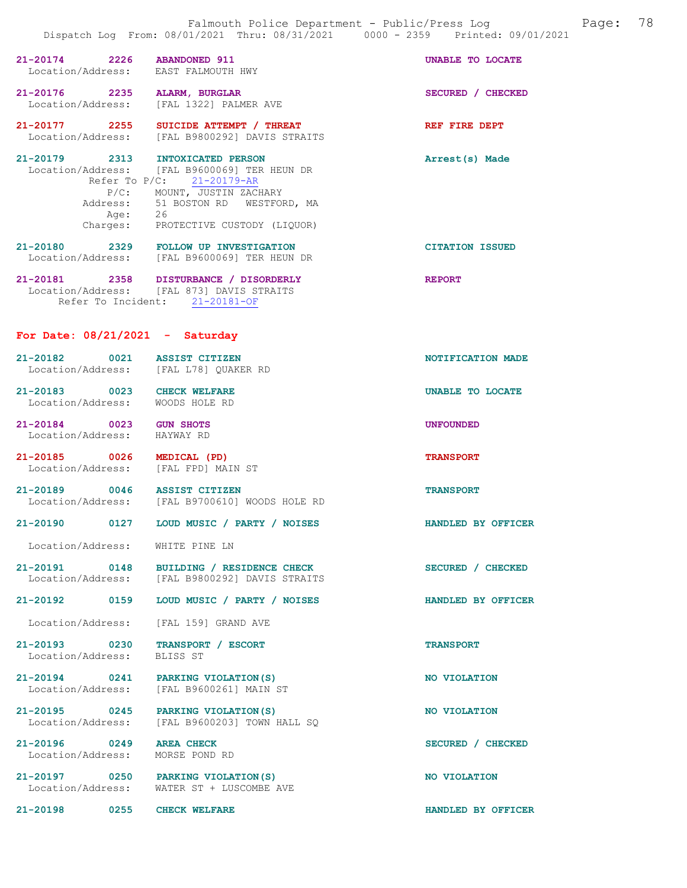|                                                                         | raimoach roirce beparement rabire, rreus nog<br>Dispatch Log From: 08/01/2021 Thru: 08/31/2021 0000 - 2359 Printed: 09/01/2021                                                                   |                        |
|-------------------------------------------------------------------------|--------------------------------------------------------------------------------------------------------------------------------------------------------------------------------------------------|------------------------|
| 21-20174 2226 ABANDONED 911<br>Location/Address: EAST FALMOUTH HWY      |                                                                                                                                                                                                  | UNABLE TO LOCATE       |
| 21-20176 2235 ALARM, BURGLAR<br>Location/Address: [FAL 1322] PALMER AVE |                                                                                                                                                                                                  | SECURED / CHECKED      |
|                                                                         | 21-20177 2255 SUICIDE ATTEMPT / THREAT<br>Location/Address: [FAL B9800292] DAVIS STRAITS                                                                                                         | REF FIRE DEPT          |
| 21-20179 2313 INTOXICATED PERSON                                        | Location/Address: [FAL B9600069] TER HEUN DR<br>Refer To P/C: 21-20179-AR<br>P/C: MOUNT, JUSTIN ZACHARY<br>Address: 51 BOSTON RD WESTFORD, MA<br>Age: 26<br>Charges: PROTECTIVE CUSTODY (LIQUOR) | Arrest(s) Made         |
|                                                                         | 21-20180 2329 FOLLOW UP INVESTIGATION<br>Location/Address: [FAL B9600069] TER HEUN DR                                                                                                            | <b>CITATION ISSUED</b> |
|                                                                         | 21-20181 2358 DISTURBANCE / DISORDERLY<br>Location/Address: [FAL 873] DAVIS STRAITS<br>Refer To Incident: 21-20181-OF                                                                            | <b>REPORT</b>          |
| For Date: $08/21/2021$ - Saturday                                       |                                                                                                                                                                                                  |                        |
| 21-20182 0021 ASSIST CITIZEN<br>Location/Address: [FAL L78] QUAKER RD   |                                                                                                                                                                                                  | NOTIFICATION MADE      |
| 21-20183 0023 CHECK WELFARE<br>Location/Address: WOODS HOLE RD          |                                                                                                                                                                                                  | UNABLE TO LOCATE       |
| 21-20184 0023 GUN SHOTS<br>Location/Address: HAYWAY RD                  |                                                                                                                                                                                                  | <b>UNFOUNDED</b>       |
| 21-20185 0026 MEDICAL (PD)<br>Location/Address: [FAL FPD] MAIN ST       |                                                                                                                                                                                                  | <b>TRANSPORT</b>       |
| 21-20189 0046 ASSIST CITIZEN                                            | Location/Address: [FAL B9700610] WOODS HOLE RD                                                                                                                                                   | <b>TRANSPORT</b>       |
|                                                                         | 21-20190   0127   LOUD MUSIC / PARTY / NOISES                                                                                                                                                    | HANDLED BY OFFICER     |
| Location/Address: WHITE PINE LN                                         |                                                                                                                                                                                                  |                        |
|                                                                         | 21-20191 0148 BUILDING / RESIDENCE CHECK<br>Location/Address: [FAL B9800292] DAVIS STRAITS                                                                                                       | SECURED / CHECKED      |
| 21-20192 0159                                                           | LOUD MUSIC / PARTY / NOISES                                                                                                                                                                      | HANDLED BY OFFICER     |
| Location/Address: [FAL 159] GRAND AVE                                   |                                                                                                                                                                                                  |                        |
| 21-20193 0230<br>Location/Address:                                      | <b>TRANSPORT / ESCORT</b><br>BLISS ST                                                                                                                                                            | <b>TRANSPORT</b>       |
| 21-20194 0241 PARKING VIOLATION (S)                                     | Location/Address: [FAL B9600261] MAIN ST                                                                                                                                                         | NO VIOLATION           |

21-20195 0245 PARKING VIOLATION(S) NO VIOLATION Location/Address: [FAL B9600203] TOWN HALL SQ

21-20196 0249 AREA CHECK SECURED / CHECKED Location/Address: MORSE POND RD

21-20197 0250 PARKING VIOLATION(S) NO VIOLATION Location/Address: WATER ST + LUSCOMBE AVE

21-20198 0255 CHECK WELFARE **CHECK WELFARE HANDLED BY OFFICER**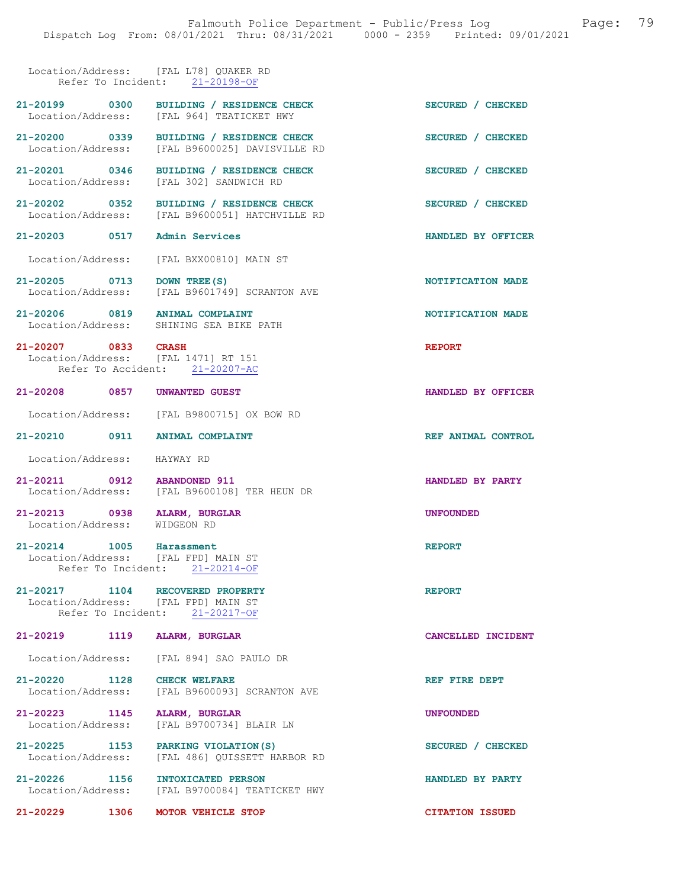## Location/Address: [FAL L78] QUAKER RD Refer To Incident: 21-20198-OF

| 21-20199 0300                                                           | BUILDING / RESIDENCE CHECK<br>Location/Address: [FAL 964] TEATICKET HWY                    | SECURED / CHECKED      |
|-------------------------------------------------------------------------|--------------------------------------------------------------------------------------------|------------------------|
|                                                                         | 21-20200 0339 BUILDING / RESIDENCE CHECK<br>Location/Address: [FAL B9600025] DAVISVILLE RD | SECURED / CHECKED      |
|                                                                         | 21-20201 0346 BUILDING / RESIDENCE CHECK<br>Location/Address: [FAL 302] SANDWICH RD        | SECURED / CHECKED      |
|                                                                         | 21-20202 0352 BUILDING / RESIDENCE CHECK<br>Location/Address: [FAL B9600051] HATCHVILLE RD | SECURED / CHECKED      |
| 21-20203 0517 Admin Services                                            |                                                                                            | HANDLED BY OFFICER     |
|                                                                         | Location/Address: [FAL BXX00810] MAIN ST                                                   |                        |
| 21-20205 0713                                                           | DOWN TREE (S)<br>Location/Address: [FAL B9601749] SCRANTON AVE                             | NOTIFICATION MADE      |
|                                                                         | 21-20206 0819 ANIMAL COMPLAINT<br>Location/Address: SHINING SEA BIKE PATH                  | NOTIFICATION MADE      |
| 21-20207 0833 CRASH<br>Location/Address: [FAL 1471] RT 151              | Refer To Accident: 21-20207-AC                                                             | <b>REPORT</b>          |
| 21-20208 0857 UNWANTED GUEST                                            |                                                                                            | HANDLED BY OFFICER     |
|                                                                         | Location/Address: [FAL B9800715] OX BOW RD                                                 |                        |
| 21-20210 0911 ANIMAL COMPLAINT                                          |                                                                                            | REF ANIMAL CONTROL     |
| Location/Address: HAYWAY RD                                             |                                                                                            |                        |
| 21-20211 0912 ABANDONED 911                                             | Location/Address: [FAL B9600108] TER HEUN DR                                               | HANDLED BY PARTY       |
| 21-20213 0938 ALARM, BURGLAR<br>Location/Address: WIDGEON RD            |                                                                                            | <b>UNFOUNDED</b>       |
| 21-20214 1005 Harassment<br>Location/Address: [FAL FPD] MAIN ST         | Refer To Incident: 21-20214-OF                                                             | <b>REPORT</b>          |
| 21-20217 1104 RECOVERED PROPERTY<br>Location/Address: [FAL FPD] MAIN ST | Refer To Incident: 21-20217-OF                                                             | <b>REPORT</b>          |
| 21-20219 1119                                                           | <b>ALARM, BURGLAR</b>                                                                      | CANCELLED INCIDENT     |
|                                                                         | Location/Address: [FAL 894] SAO PAULO DR                                                   |                        |
| 21-20220 1128                                                           | <b>CHECK WELFARE</b><br>Location/Address: [FAL B9600093] SCRANTON AVE                      | REF FIRE DEPT          |
| 21-20223 1145<br>Location/Address:                                      | ALARM, BURGLAR<br>[FAL B9700734] BLAIR LN                                                  | <b>UNFOUNDED</b>       |
| 21-20225 1153<br>Location/Address:                                      | PARKING VIOLATION (S)<br>[FAL 486] QUISSETT HARBOR RD                                      | SECURED / CHECKED      |
| 21-20226 1156                                                           | <b>INTOXICATED PERSON</b><br>Location/Address: [FAL B9700084] TEATICKET HWY                | HANDLED BY PARTY       |
| 21-20229 1306                                                           | MOTOR VEHICLE STOP                                                                         | <b>CITATION ISSUED</b> |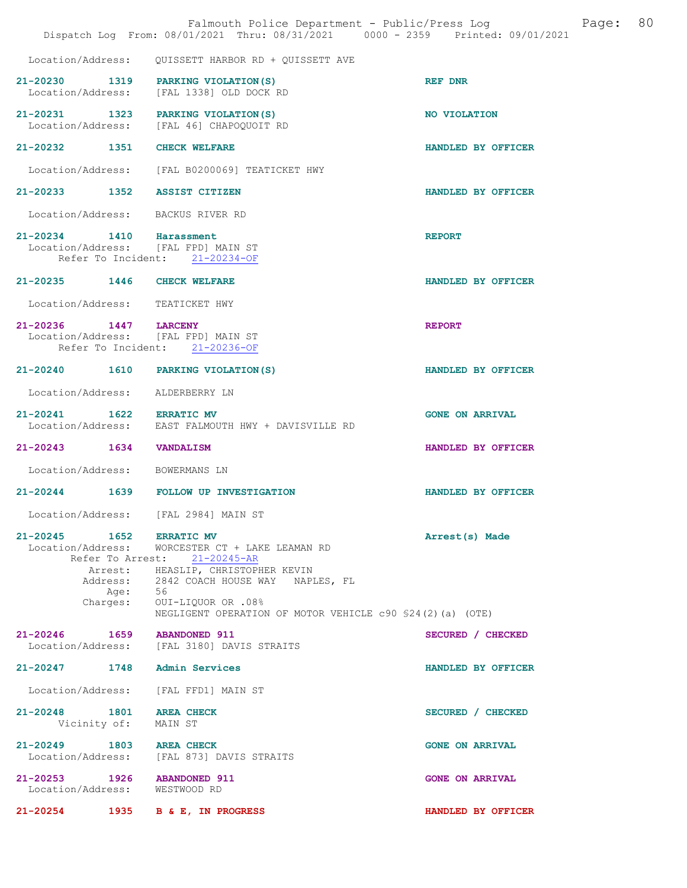|                          |              | Falmouth Police Department - Public/Press Log<br>Dispatch Log From: 08/01/2021 Thru: 08/31/2021 0000 - 2359 Printed: 09/01/2021 |                        | Page: | 80 |
|--------------------------|--------------|---------------------------------------------------------------------------------------------------------------------------------|------------------------|-------|----|
| Location/Address:        |              | QUISSETT HARBOR RD + QUISSETT AVE                                                                                               |                        |       |    |
|                          |              |                                                                                                                                 |                        |       |    |
|                          |              | 21-20230 1319 PARKING VIOLATION (S)<br>Location/Address: [FAL 1338] OLD DOCK RD                                                 | REF DNR                |       |    |
|                          |              | 21-20231 1323 PARKING VIOLATION (S)<br>Location/Address: [FAL 46] CHAPOQUOIT RD                                                 | NO VIOLATION           |       |    |
|                          |              | 21-20232 1351 CHECK WELFARE                                                                                                     | HANDLED BY OFFICER     |       |    |
|                          |              | Location/Address: [FAL B0200069] TEATICKET HWY                                                                                  |                        |       |    |
|                          |              | 21-20233 1352 ASSIST CITIZEN                                                                                                    | HANDLED BY OFFICER     |       |    |
|                          |              | Location/Address: BACKUS RIVER RD                                                                                               |                        |       |    |
| 21-20234 1410 Harassment |              |                                                                                                                                 | <b>REPORT</b>          |       |    |
|                          |              | Location/Address: [FAL FPD] MAIN ST<br>Refer To Incident: 21-20234-OF                                                           |                        |       |    |
|                          |              | 21-20235 1446 CHECK WELFARE                                                                                                     | HANDLED BY OFFICER     |       |    |
| Location/Address:        |              | TEATICKET HWY                                                                                                                   |                        |       |    |
| 21-20236 1447 LARCENY    |              |                                                                                                                                 | <b>REPORT</b>          |       |    |
|                          |              | Location/Address: [FAL FPD] MAIN ST<br>Refer To Incident: 21-20236-OF                                                           |                        |       |    |
|                          |              | 21-20240 1610 PARKING VIOLATION (S)                                                                                             | HANDLED BY OFFICER     |       |    |
| Location/Address:        |              | ALDERBERRY LN                                                                                                                   |                        |       |    |
| 21-20241 1622 ERRATIC MV |              |                                                                                                                                 | <b>GONE ON ARRIVAL</b> |       |    |
|                          |              | Location/Address: EAST FALMOUTH HWY + DAVISVILLE RD                                                                             |                        |       |    |
| 21-20243 1634            |              | <b>VANDALISM</b>                                                                                                                | HANDLED BY OFFICER     |       |    |
| Location/Address:        |              | BOWERMANS LN                                                                                                                    |                        |       |    |
|                          |              | 21-20244 1639 FOLLOW UP INVESTIGATION                                                                                           | HANDLED BY OFFICER     |       |    |
| Location/Address:        |              | [FAL 2984] MAIN ST                                                                                                              |                        |       |    |
| 21-20245 1652 ERRATIC MV |              |                                                                                                                                 | Arrest(s) Made         |       |    |
|                          |              | Location/Address: WORCESTER CT + LAKE LEAMAN RD<br>Refer To Arrest: 21-20245-AR                                                 |                        |       |    |
|                          |              | Arrest: HEASLIP, CHRISTOPHER KEVIN                                                                                              |                        |       |    |
|                          |              | Address: 2842 COACH HOUSE WAY NAPLES, FL<br>Age: 56                                                                             |                        |       |    |
|                          | Age:         | Charges: OUI-LIQUOR OR .08%<br>NEGLIGENT OPERATION OF MOTOR VEHICLE $c90 S24(2)$ (a) (OTE)                                      |                        |       |    |
|                          |              | 21-20246 1659 ABANDONED 911                                                                                                     | SECURED / CHECKED      |       |    |
|                          |              | Location/Address: [FAL 3180] DAVIS STRAITS                                                                                      |                        |       |    |
|                          |              | 21-20247 1748 Admin Services                                                                                                    | HANDLED BY OFFICER     |       |    |
|                          |              | Location/Address: [FAL FFD1] MAIN ST                                                                                            |                        |       |    |
| 21-20248 1801 AREA CHECK | Vicinity of: | MAIN ST                                                                                                                         | SECURED / CHECKED      |       |    |
| 21-20249 1803 AREA CHECK |              |                                                                                                                                 | <b>GONE ON ARRIVAL</b> |       |    |
|                          |              | Location/Address: [FAL 873] DAVIS STRAITS                                                                                       |                        |       |    |
|                          |              | 21-20253 1926 ABANDONED 911<br>Location/Address: WESTWOOD RD                                                                    | <b>GONE ON ARRIVAL</b> |       |    |
|                          |              | 21-20254 1935 B & E, IN PROGRESS                                                                                                | HANDLED BY OFFICER     |       |    |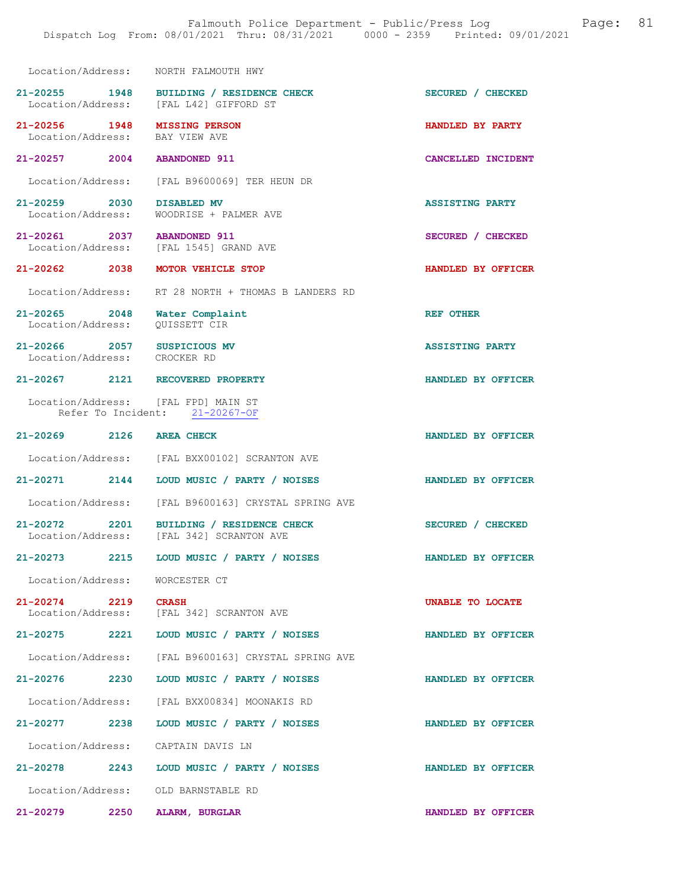| Location/Address: NORTH FALMOUTH HWY                     |                                                      |                        |
|----------------------------------------------------------|------------------------------------------------------|------------------------|
| 21-20255 1948<br>Location/Address:                       | BUILDING / RESIDENCE CHECK<br>[FAL L42] GIFFORD ST   | SECURED / CHECKED      |
| 21-20256 1948<br>Location/Address: BAY VIEW AVE          | <b>MISSING PERSON</b>                                | HANDLED BY PARTY       |
| 21-20257 2004 ABANDONED 911                              |                                                      | CANCELLED INCIDENT     |
|                                                          | Location/Address: [FAL B9600069] TER HEUN DR         |                        |
| 21-20259 2030<br>Location/Address:                       | DISABLED MV<br>WOODRISE + PALMER AVE                 | <b>ASSISTING PARTY</b> |
| 21-20261 2037 ABANDONED 911                              | Location/Address: [FAL 1545] GRAND AVE               | SECURED / CHECKED      |
| 21-20262 2038                                            | MOTOR VEHICLE STOP                                   | HANDLED BY OFFICER     |
|                                                          | Location/Address: RT 28 NORTH + THOMAS B LANDERS RD  |                        |
| 21-20265 2048<br>Location/Address:                       | Water Complaint<br>OUISSETT CIR                      | <b>REF OTHER</b>       |
| 21-20266 2057 SUSPICIOUS<br>Location/Address: CROCKER RD | <b>SUSPICIOUS MV</b>                                 | <b>ASSISTING PARTY</b> |
| 21-20267 2121 RECOVERED PROPERTY                         |                                                      | HANDLED BY OFFICER     |
| Location/Address: [FAL FPD] MAIN ST                      | Refer To Incident: 21-20267-OF                       |                        |
| 21-20269 2126 AREA CHECK                                 |                                                      | HANDLED BY OFFICER     |
|                                                          | Location/Address: [FAL BXX00102] SCRANTON AVE        |                        |
| 21-20271 2144                                            | LOUD MUSIC / PARTY / NOISES                          | HANDLED BY OFFICER     |
|                                                          | Location/Address: [FAL B9600163] CRYSTAL SPRING AVE  |                        |
| 21-20272 2201<br>Location/Address:                       | BUILDING / RESIDENCE CHECK<br>[FAL 342] SCRANTON AVE | SECURED / CHECKED      |
| 21-20273<br>2215                                         | LOUD MUSIC / PARTY / NOISES                          | HANDLED BY OFFICER     |
| Location/Address: WORCESTER CT                           |                                                      |                        |
| 21-20274 2219 CRASH                                      | Location/Address: [FAL 342] SCRANTON AVE             | UNABLE TO LOCATE       |
|                                                          | 21-20275 2221 LOUD MUSIC / PARTY / NOISES            | HANDLED BY OFFICER     |
|                                                          | Location/Address: [FAL B9600163] CRYSTAL SPRING AVE  |                        |
| 21-20276 2230                                            | LOUD MUSIC / PARTY / NOISES                          | HANDLED BY OFFICER     |
|                                                          | Location/Address: [FAL BXX00834] MOONAKIS RD         |                        |
|                                                          | 21-20277 2238 LOUD MUSIC / PARTY / NOISES            | HANDLED BY OFFICER     |
| Location/Address: CAPTAIN DAVIS LN                       |                                                      |                        |
|                                                          | 21-20278 2243 LOUD MUSIC / PARTY / NOISES            | HANDLED BY OFFICER     |
| Location/Address: OLD BARNSTABLE RD                      |                                                      |                        |

21-20279 2250 ALARM, BURGLAR HANDLED BY OFFICER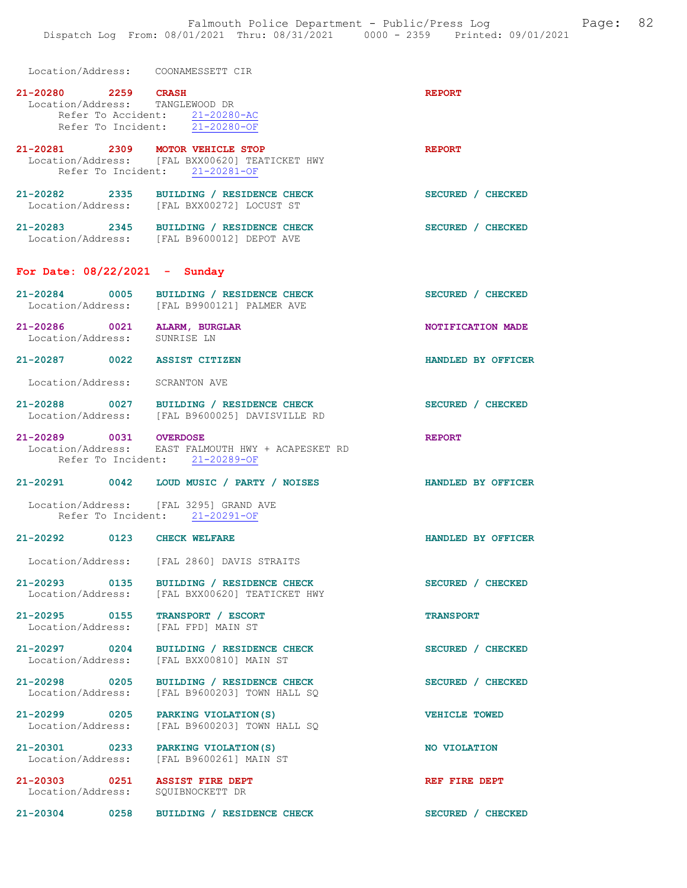Location/Address: COONAMESSETT CIR

| 21-20280 2259 CRASH<br>Location/Address: TANGLEWOOD DR                  | Refer To Accident: 21-20280-AC<br>Refer To Incident: 21-20280-OF                           | <b>REPORT</b>        |
|-------------------------------------------------------------------------|--------------------------------------------------------------------------------------------|----------------------|
| 21-20281 2309 MOTOR VEHICLE STOP                                        | Location/Address: [FAL BXX00620] TEATICKET HWY<br>Refer To Incident: 21-20281-OF           | <b>REPORT</b>        |
|                                                                         | 21-20282 2335 BUILDING / RESIDENCE CHECK<br>Location/Address: [FAL BXX00272] LOCUST ST     | SECURED / CHECKED    |
|                                                                         | 21-20283 2345 BUILDING / RESIDENCE CHECK<br>Location/Address: [FAL B9600012] DEPOT AVE     | SECURED / CHECKED    |
| For Date: $08/22/2021$ - Sunday                                         |                                                                                            |                      |
|                                                                         | 21-20284 0005 BUILDING / RESIDENCE CHECK<br>Location/Address: [FAL B9900121] PALMER AVE    | SECURED / CHECKED    |
| 21-20286 0021 ALARM, BURGLAR<br>Location/Address: SUNRISE LN            |                                                                                            | NOTIFICATION MADE    |
| 21-20287 0022 ASSIST CITIZEN                                            |                                                                                            | HANDLED BY OFFICER   |
| Location/Address: SCRANTON AVE                                          |                                                                                            |                      |
|                                                                         | 21-20288 0027 BUILDING / RESIDENCE CHECK<br>Location/Address: [FAL B9600025] DAVISVILLE RD | SECURED / CHECKED    |
| 21-20289 0031 OVERDOSE                                                  | Location/Address: EAST FALMOUTH HWY + ACAPESKET RD<br>Refer To Incident: 21-20289-OF       | <b>REPORT</b>        |
|                                                                         | 21-20291 0042 LOUD MUSIC / PARTY / NOISES                                                  | HANDLED BY OFFICER   |
| Location/Address: [FAL 3295] GRAND AVE                                  | Refer To Incident: 21-20291-OF                                                             |                      |
| 21-20292 0123 CHECK WELFARE                                             |                                                                                            | HANDLED BY OFFICER   |
|                                                                         | Location/Address: [FAL 2860] DAVIS STRAITS                                                 |                      |
|                                                                         | 21-20293 0135 BUILDING / RESIDENCE CHECK<br>Location/Address: [FAL BXX00620] TEATICKET HWY | SECURED / CHECKED    |
| 21-20295 0155 TRANSPORT / ESCORT<br>Location/Address: [FAL FPD] MAIN ST |                                                                                            | <b>TRANSPORT</b>     |
|                                                                         | 21-20297 0204 BUILDING / RESIDENCE CHECK<br>Location/Address: [FAL BXX00810] MAIN ST       | SECURED / CHECKED    |
| 21-20298 0205<br>Location/Address:                                      | BUILDING / RESIDENCE CHECK<br>[FAL B9600203] TOWN HALL SQ                                  | SECURED / CHECKED    |
| 21-20299 0205 PARKING VIOLATION (S)                                     | Location/Address: [FAL B9600203] TOWN HALL SQ                                              | <b>VEHICLE TOWED</b> |
| 21-20301 0233 PARKING VIOLATION(S)                                      | Location/Address: [FAL B9600261] MAIN ST                                                   | NO VIOLATION         |
| 21-20303 0251 ASSIST FIRE DEPT<br>Location/Address: SQUIBNOCKETT DR     |                                                                                            | REF FIRE DEPT        |
| 21-20304 0258                                                           | BUILDING / RESIDENCE CHECK                                                                 | SECURED / CHECKED    |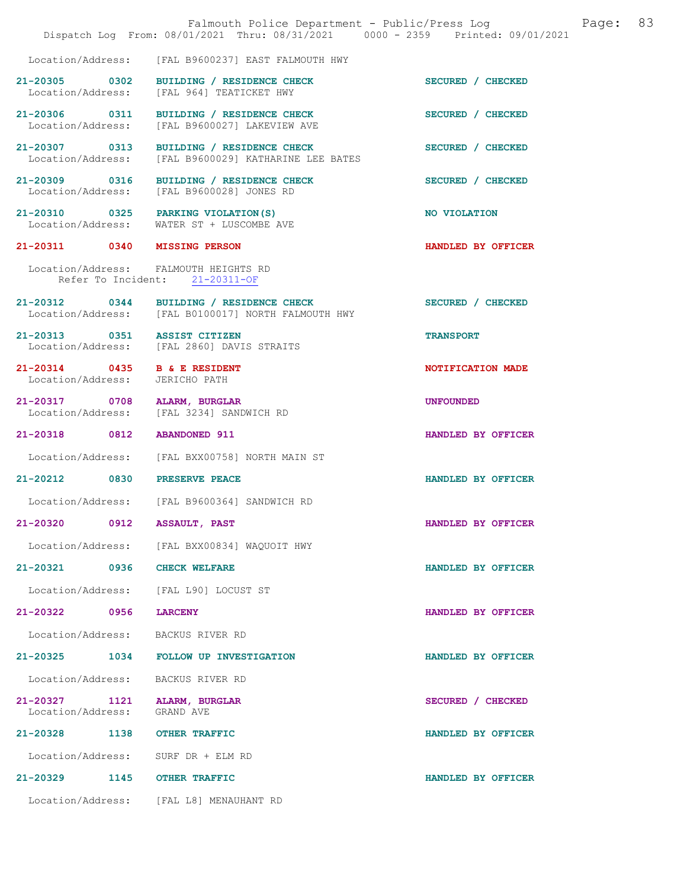|                                                   |      | Falmouth Police Department - Public/Press Log Cage:<br>Dispatch Log From: 08/01/2021 Thru: 08/31/2021 0000 - 2359 Printed: 09/01/2021 | 83                 |
|---------------------------------------------------|------|---------------------------------------------------------------------------------------------------------------------------------------|--------------------|
|                                                   |      | Location/Address: [FAL B9600237] EAST FALMOUTH HWY                                                                                    |                    |
|                                                   |      | 21-20305 0302 BUILDING / RESIDENCE CHECK<br>Location/Address: [FAL 964] TEATICKET HWY                                                 | SECURED / CHECKED  |
|                                                   |      | 21-20306 0311 BUILDING / RESIDENCE CHECK<br>Location/Address: [FAL B9600027] LAKEVIEW AVE                                             | SECURED / CHECKED  |
|                                                   |      | 21-20307 0313 BUILDING / RESIDENCE CHECK<br>Location/Address: [FAL B9600029] KATHARINE LEE BATES                                      | SECURED / CHECKED  |
| 21-20309 0316<br>Location/Address:                |      | BUILDING / RESIDENCE CHECK<br>[FAL B9600028] JONES RD                                                                                 | SECURED / CHECKED  |
|                                                   |      | 21-20310 0325 PARKING VIOLATION(S)<br>Location/Address: WATER ST + LUSCOMBE AVE                                                       | NO VIOLATION       |
| 21-20311 0340 MISSING PERSON                      |      |                                                                                                                                       | HANDLED BY OFFICER |
|                                                   |      | Location/Address: FALMOUTH HEIGHTS RD<br>Refer To Incident: 21-20311-OF                                                               |                    |
|                                                   |      | 21-20312 0344 BUILDING / RESIDENCE CHECK<br>Location/Address: [FAL B0100017] NORTH FALMOUTH HWY                                       | SECURED / CHECKED  |
| 21-20313 0351 ASSIST CITIZEN                      |      | Location/Address: [FAL 2860] DAVIS STRAITS                                                                                            | <b>TRANSPORT</b>   |
| 21-20314 0435 B & E RESIDENT<br>Location/Address: |      | JERICHO PATH                                                                                                                          | NOTIFICATION MADE  |
| 21-20317 0708 ALARM, BURGLAR                      |      | Location/Address: [FAL 3234] SANDWICH RD                                                                                              | <b>UNFOUNDED</b>   |
| 21-20318 0812                                     |      | <b>ABANDONED 911</b>                                                                                                                  | HANDLED BY OFFICER |
|                                                   |      | Location/Address: [FAL BXX00758] NORTH MAIN ST                                                                                        |                    |
| 21-20212 0830 PRESERVE PEACE                      |      |                                                                                                                                       | HANDLED BY OFFICER |
|                                                   |      | Location/Address: [FAL B9600364] SANDWICH RD                                                                                          |                    |
| 21-20320                                          | 0912 | <b>ASSAULT, PAST</b>                                                                                                                  | HANDLED BY OFFICER |
| Location/Address:                                 |      | [FAL BXX00834] WAQUOIT HWY                                                                                                            |                    |
| 21-20321 0936                                     |      | <b>CHECK WELFARE</b>                                                                                                                  | HANDLED BY OFFICER |
|                                                   |      | Location/Address: [FAL L90] LOCUST ST                                                                                                 |                    |
| $21 - 20322$                                      | 0956 | <b>LARCENY</b>                                                                                                                        | HANDLED BY OFFICER |
| Location/Address:                                 |      | BACKUS RIVER RD                                                                                                                       |                    |
| $21 - 20325$                                      | 1034 | FOLLOW UP INVESTIGATION                                                                                                               | HANDLED BY OFFICER |
| Location/Address:                                 |      | BACKUS RIVER RD                                                                                                                       |                    |
| 21-20327<br>Location/Address:                     | 1121 | ALARM, BURGLAR<br>GRAND AVE                                                                                                           | SECURED / CHECKED  |
| 21-20328                                          | 1138 | <b>OTHER TRAFFIC</b>                                                                                                                  | HANDLED BY OFFICER |
| Location/Address:                                 |      | SURF DR + ELM RD                                                                                                                      |                    |
| 21-20329                                          | 1145 | <b>OTHER TRAFFIC</b>                                                                                                                  | HANDLED BY OFFICER |
|                                                   |      | Location/Address: [FAL L8] MENAUHANT RD                                                                                               |                    |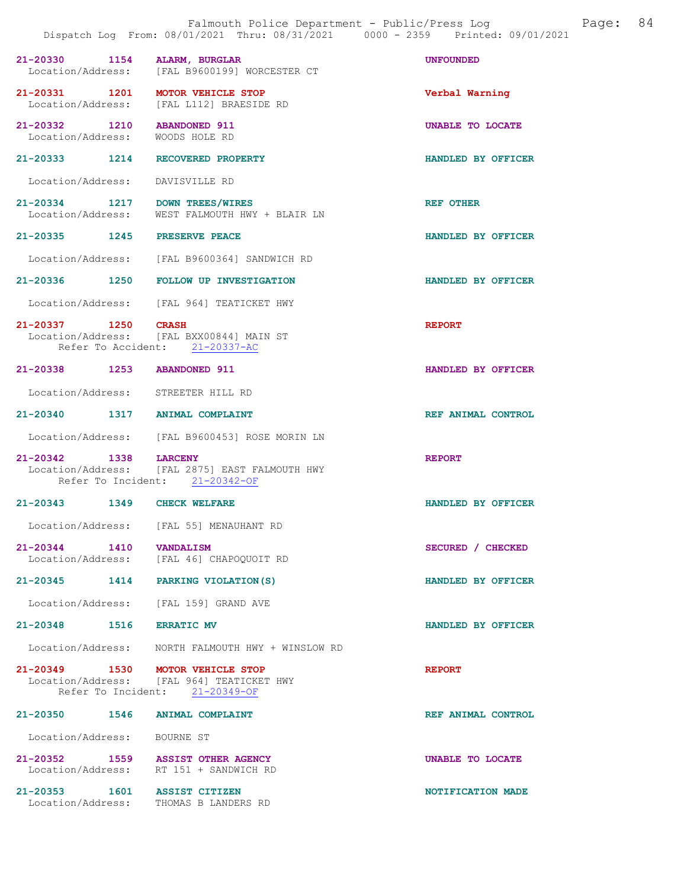|                                                  |                                                                                            | Dispatch Log From: 08/01/2021 Thru: 08/31/2021 0000 - 2359 Printed: 09/01/2021 |
|--------------------------------------------------|--------------------------------------------------------------------------------------------|--------------------------------------------------------------------------------|
| 21-20330 1154                                    | ALARM, BURGLAR<br>Location/Address: [FAL B9600199] WORCESTER CT                            | <b>UNFOUNDED</b>                                                               |
| 21-20331 1201                                    | <b>MOTOR VEHICLE STOP</b><br>Location/Address: [FAL L112] BRAESIDE RD                      | Verbal Warning                                                                 |
| 21-20332 1210<br>Location/Address: WOODS HOLE RD | <b>ABANDONED 911</b>                                                                       | UNABLE TO LOCATE                                                               |
| 21-20333 1214 RECOVERED PROPERTY                 |                                                                                            | HANDLED BY OFFICER                                                             |
| Location/Address:                                | DAVISVILLE RD                                                                              |                                                                                |
| 21-20334 1217<br>Location/Address:               | DOWN TREES/WIRES<br>WEST FALMOUTH HWY + BLAIR LN                                           | <b>REF OTHER</b>                                                               |
| 21-20335 1245                                    | PRESERVE PEACE                                                                             | HANDLED BY OFFICER                                                             |
|                                                  | Location/Address: [FAL B9600364] SANDWICH RD                                               |                                                                                |
|                                                  | 21-20336 1250 FOLLOW UP INVESTIGATION                                                      | HANDLED BY OFFICER                                                             |
|                                                  | Location/Address: [FAL 964] TEATICKET HWY                                                  |                                                                                |
| 21-20337 1250                                    | <b>CRASH</b><br>Location/Address: [FAL BXX00844] MAIN ST<br>Refer To Accident: 21-20337-AC | <b>REPORT</b>                                                                  |
| 21-20338 1253                                    | <b>ABANDONED 911</b>                                                                       | HANDLED BY OFFICER                                                             |
| Location/Address: STREETER HILL RD               |                                                                                            |                                                                                |
| 21-20340 1317 ANIMAL COMPLAINT                   |                                                                                            | REF ANIMAL CONTROL                                                             |
|                                                  | Location/Address: [FAL B9600453] ROSE MORIN LN                                             |                                                                                |
| 21-20342 1338<br>Location/Address:               | <b>LARCENY</b><br>[FAL 2875] EAST FALMOUTH HWY<br>Refer To Incident: 21-20342-OF           | <b>REPORT</b>                                                                  |
| 21-20343 1349                                    | <b>CHECK WELFARE</b>                                                                       | HANDLED BY OFFICER                                                             |
|                                                  | Location/Address: [FAL 55] MENAUHANT RD                                                    |                                                                                |
| 21-20344 1410 VANDALISM                          | Location/Address: [FAL 46] CHAPOQUOIT RD                                                   | SECURED / CHECKED                                                              |
|                                                  | 21-20345 1414 PARKING VIOLATION (S)                                                        | HANDLED BY OFFICER                                                             |
|                                                  | Location/Address: [FAL 159] GRAND AVE                                                      |                                                                                |
| 21-20348 1516 ERRATIC MV                         |                                                                                            | HANDLED BY OFFICER                                                             |
|                                                  | Location/Address: NORTH FALMOUTH HWY + WINSLOW RD                                          |                                                                                |
| 21-20349 1530 MOTOR VEHICLE STOP                 | Location/Address: [FAL 964] TEATICKET HWY<br>Refer To Incident: 21-20349-OF                | <b>REPORT</b>                                                                  |
| 21-20350 1546                                    | ANIMAL COMPLAINT                                                                           | REF ANIMAL CONTROL                                                             |
| Location/Address: BOURNE ST                      |                                                                                            |                                                                                |
|                                                  | 21-20352 1559 ASSIST OTHER AGENCY<br>Location/Address: RT 151 + SANDWICH RD                | UNABLE TO LOCATE                                                               |
| 21-20353 1601                                    | <b>ASSIST CITIZEN</b><br>Location/Address: THOMAS B LANDERS RD                             | NOTIFICATION MADE                                                              |

Falmouth Police Department - Public/Press Log and Page: 84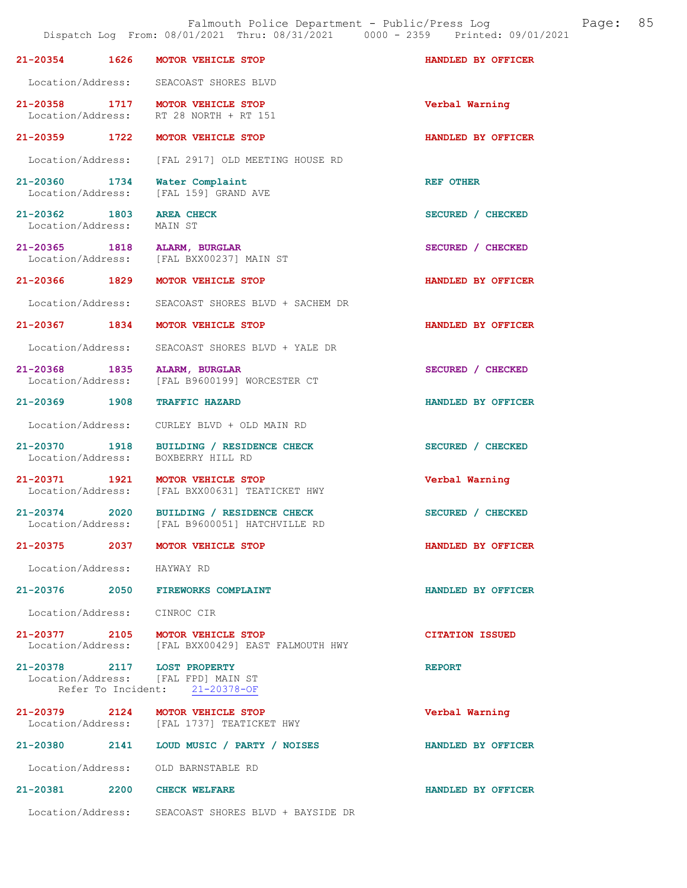|                                    |      | Falmouth Police Department - Public/Press Log<br>Dispatch Log From: 08/01/2021 Thru: 08/31/2021 0000 - 2359 Printed: 09/01/2021 |                        | Page: | 85 |
|------------------------------------|------|---------------------------------------------------------------------------------------------------------------------------------|------------------------|-------|----|
| 21-20354                           | 1626 | MOTOR VEHICLE STOP                                                                                                              | HANDLED BY OFFICER     |       |    |
|                                    |      | Location/Address: SEACOAST SHORES BLVD                                                                                          |                        |       |    |
|                                    |      | 21-20358 1717 MOTOR VEHICLE STOP<br>Location/Address: RT 28 NORTH + RT 151                                                      | Verbal Warning         |       |    |
| 21-20359 1722                      |      | MOTOR VEHICLE STOP                                                                                                              | HANDLED BY OFFICER     |       |    |
| Location/Address:                  |      | [FAL 2917] OLD MEETING HOUSE RD                                                                                                 |                        |       |    |
| 21-20360 1734<br>Location/Address: |      | Water Complaint<br>[FAL 159] GRAND AVE                                                                                          | <b>REF OTHER</b>       |       |    |
| 21-20362 1803<br>Location/Address: |      | <b>AREA CHECK</b><br>MAIN ST                                                                                                    | SECURED / CHECKED      |       |    |
|                                    |      | 21-20365 1818 ALARM, BURGLAR<br>Location/Address: [FAL BXX00237] MAIN ST                                                        | SECURED / CHECKED      |       |    |
| 21-20366 1829                      |      | MOTOR VEHICLE STOP                                                                                                              | HANDLED BY OFFICER     |       |    |
| Location/Address:                  |      | SEACOAST SHORES BLVD + SACHEM DR                                                                                                |                        |       |    |
| 21-20367 1834                      |      | MOTOR VEHICLE STOP                                                                                                              | HANDLED BY OFFICER     |       |    |
| Location/Address:                  |      | SEACOAST SHORES BLVD + YALE DR                                                                                                  |                        |       |    |
| 21-20368 1835<br>Location/Address: |      | ALARM, BURGLAR<br>[FAL B9600199] WORCESTER CT                                                                                   | SECURED / CHECKED      |       |    |
|                                    |      | 21-20369 1908 TRAFFIC HAZARD                                                                                                    | HANDLED BY OFFICER     |       |    |
|                                    |      | Location/Address: CURLEY BLVD + OLD MAIN RD                                                                                     |                        |       |    |
| 21-20370 1918<br>Location/Address: |      | BUILDING / RESIDENCE CHECK<br>BOXBERRY HILL RD                                                                                  | SECURED / CHECKED      |       |    |
|                                    |      | 21-20371 1921 MOTOR VEHICLE STOP<br>Location/Address: [FAL BXX00631] TEATICKET HWY                                              | Verbal Warning         |       |    |
| 21-20374<br>Location/Address:      | 2020 | BUILDING / RESIDENCE CHECK<br>[FAL B9600051] HATCHVILLE RD                                                                      | SECURED / CHECKED      |       |    |
|                                    |      | 21-20375 2037 MOTOR VEHICLE STOP                                                                                                | HANDLED BY OFFICER     |       |    |
| Location/Address: HAYWAY RD        |      |                                                                                                                                 |                        |       |    |
|                                    |      | 21-20376 2050 FIREWORKS COMPLAINT                                                                                               | HANDLED BY OFFICER     |       |    |
|                                    |      | Location/Address: CINROC CIR                                                                                                    |                        |       |    |
|                                    |      | 21-20377 2105 MOTOR VEHICLE STOP<br>Location/Address: [FAL BXX00429] EAST FALMOUTH HWY                                          | <b>CITATION ISSUED</b> |       |    |
|                                    |      | 21-20378 2117 LOST PROPERTY<br>Location/Address: [FAL FPD] MAIN ST<br>Refer To Incident: 21-20378-OF                            | <b>REPORT</b>          |       |    |
|                                    |      | 21-20379 2124 MOTOR VEHICLE STOP<br>Location/Address: [FAL 1737] TEATICKET HWY                                                  | Verbal Warning         |       |    |
|                                    |      | 21-20380 2141 LOUD MUSIC / PARTY / NOISES                                                                                       | HANDLED BY OFFICER     |       |    |
|                                    |      | Location/Address: OLD BARNSTABLE RD                                                                                             |                        |       |    |
|                                    |      | 21-20381 2200 CHECK WELFARE                                                                                                     | HANDLED BY OFFICER     |       |    |
|                                    |      | Location/Address: SEACOAST SHORES BLVD + BAYSIDE DR                                                                             |                        |       |    |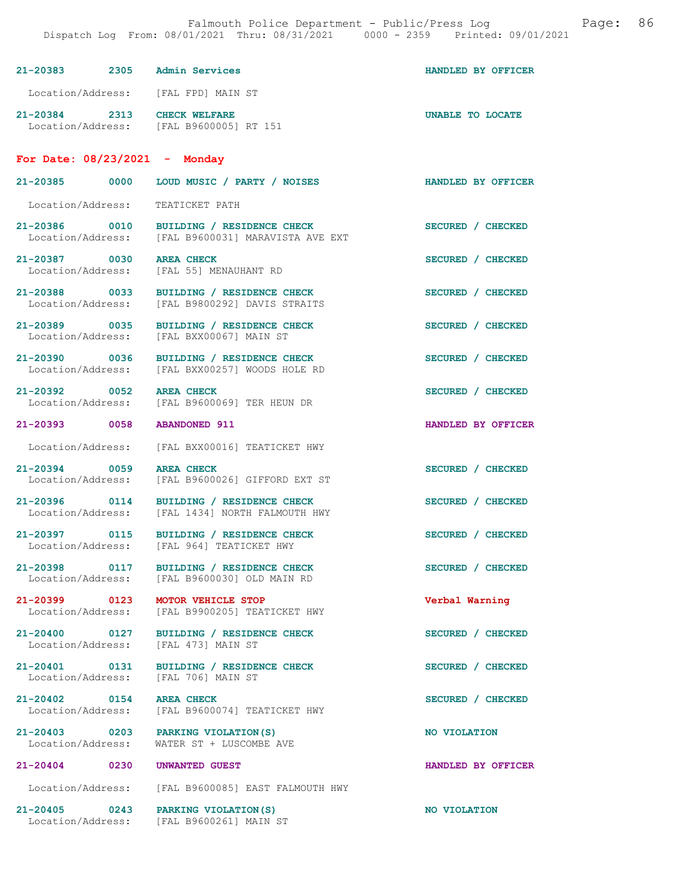| $21 - 20383$<br>2305                                            | Admin Services       | HANDLED BY OFFICER |  |
|-----------------------------------------------------------------|----------------------|--------------------|--|
| Location/Address:                                               | [FAL FPD] MAIN ST    |                    |  |
| $21 - 20384$<br>2313<br>Location/Address: [FAL B9600005] RT 151 | <b>CHECK WELFARE</b> | UNABLE TO LOCATE   |  |
| For Date: $08/23/2021$ - Monday                                 |                      |                    |  |

21-20385 0000 LOUD MUSIC / PARTY / NOISES HANDLED BY OFFICER Location/Address: TEATICKET PATH 21-20386 0010 BUILDING / RESIDENCE CHECK<br>
Location/Address: [FAL B9600031] MARAVISTA AVE EXT [FAL B9600031] MARAVISTA AVE EXT

21-20387 0030 AREA CHECK SECURED / CHECKED Location/Address: [FAL 55] MENAUHANT RD

21-20388 0033 BUILDING / RESIDENCE CHECK SECURED / CHECKED Location/Address: [FAL B9800292] DAVIS STRAITS

21-20389 0035 BUILDING / RESIDENCE CHECK SECURED / CHECKED Location/Address: [FAL BXX00067] MAIN ST

21-20390 0036 BUILDING / RESIDENCE CHECK SECURED / CHECKED Location/Address: [FAL BXX00257] WOODS HOLE RD

21-20392 0052 AREA CHECK SECURED / CHECKED<br>
Location/Address: [FAL B9600069] TER HEUN DR

Location/Address: [FAL BXX00016] TEATICKET HWY

21-20394 0059 AREA CHECK SECURED / CHECKED<br>Location/Address: [FAL B9600026] GIFFORD EXT ST

Location/Address: [FAL 1434] NORTH FALMOUTH HWY

Location/Address: [FAL 964] TEATICKET HWY

21-20398 0117 BUILDING / RESIDENCE CHECK SECURED / CHECKED Location/Address: [FAL B9600030] OLD MAIN RD

Location/Address: [FAL 473] MAIN ST

Location/Address: [FAL 706] MAIN ST

[FAL B9600069] TER HEUN DR 21-20393 0058 ABANDONED 911 HANDLED BY OFFICER

[FAL BXX00257] WOODS HOLE RD

[FAL B9600026] GIFFORD EXT ST 21-20396 0114 BUILDING / RESIDENCE CHECK SECURED / CHECKED

21-20397 0115 BUILDING / RESIDENCE CHECK SECURED / CHECKED

[FAL B9600030] OLD MAIN RD

21-20399 0123 MOTOR VEHICLE STOP Verbal Warning<br>Location/Address: [FAL B9900205] TEATICKET HWY [FAL B9900205] TEATICKET HWY

21-20400 0127 BUILDING / RESIDENCE CHECK SECURED / CHECKED

21-20401 0131 BUILDING / RESIDENCE CHECK SECURED / CHECKED

21-20402 0154 AREA CHECK SECURED / CHECKED Location/Address: [FAL B9600074] TEATICKET HWY

21-20403 0203 PARKING VIOLATION(S) NO VIOLATION Location/Address: WATER ST + LUSCOMBE AVE

Location/Address: [FAL B9600085] EAST FALMOUTH HWY

21-20405 0243 PARKING VIOLATION(S) NO VIOLATION Location/Address: [FAL B9600261] MAIN ST

21-20404 0230 UNWANTED GUEST HANDLED BY OFFICER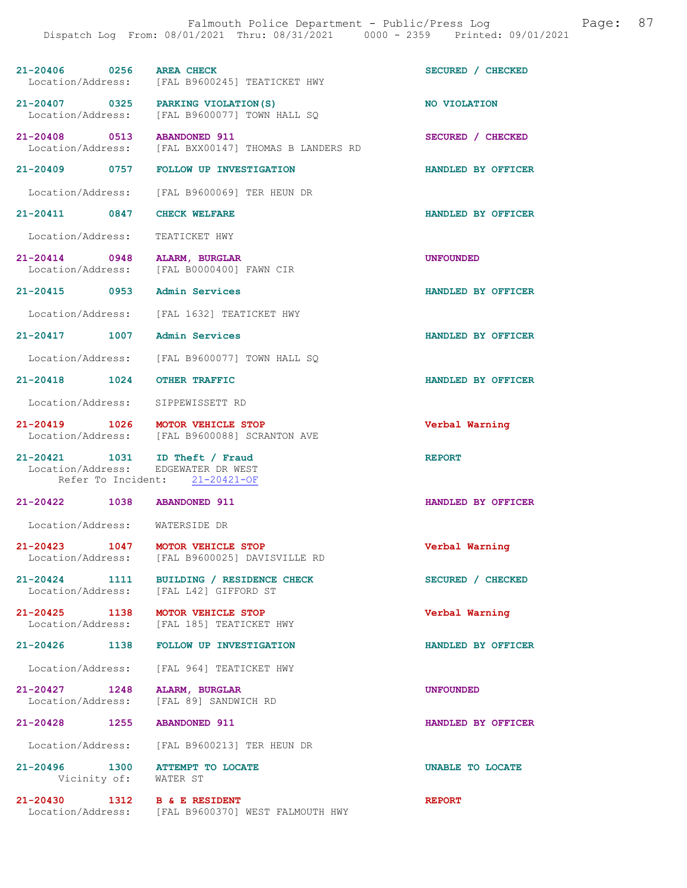|                                        | Dispatch Log From: 08/01/2021 Thru: 08/31/2021 0000 - 2359 Printed: 09/01/2021 |                    |
|----------------------------------------|--------------------------------------------------------------------------------|--------------------|
| 21-20406 0256                          | <b>AREA CHECK</b><br>Location/Address: [FAL B9600245] TEATICKET HWY            | SECURED / CHECKED  |
| 21-20407 0325 PARKING VIOLATION (S)    | Location/Address: [FAL B9600077] TOWN HALL SQ                                  | NO VIOLATION       |
| 21-20408 0513                          | <b>ABANDONED 911</b><br>Location/Address: [FAL BXX00147] THOMAS B LANDERS RD   | SECURED / CHECKED  |
|                                        | 21-20409 0757 FOLLOW UP INVESTIGATION                                          | HANDLED BY OFFICER |
|                                        | Location/Address: [FAL B9600069] TER HEUN DR                                   |                    |
| 21-20411 0847                          | <b>CHECK WELFARE</b>                                                           | HANDLED BY OFFICER |
| Location/Address:                      | TEATICKET HWY                                                                  |                    |
| 21-20414 0948<br>Location/Address:     | ALARM, BURGLAR<br>[FAL B0000400] FAWN CIR                                      | <b>UNFOUNDED</b>   |
| 21-20415 0953                          | Admin Services                                                                 | HANDLED BY OFFICER |
| Location/Address:                      | [FAL 1632] TEATICKET HWY                                                       |                    |
| 21-20417 1007                          | Admin Services                                                                 | HANDLED BY OFFICER |
| Location/Address:                      | [FAL B9600077] TOWN HALL SQ                                                    |                    |
| 21-20418 1024                          | <b>OTHER TRAFFIC</b>                                                           | HANDLED BY OFFICER |
| Location/Address:                      | SIPPEWISSETT RD                                                                |                    |
| 21-20419 1026 MOTOR VEHICLE STOP       | Location/Address: [FAL B9600088] SCRANTON AVE                                  | Verbal Warning     |
| 21-20421 1031<br>Location/Address:     | ID Theft / Fraud<br>EDGEWATER DR WEST<br>Refer To Incident: 21-20421-OF        | <b>REPORT</b>      |
| $21 - 20422$<br>1038                   | <b>ABANDONED 911</b>                                                           | HANDLED BY OFFICER |
| Location/Address: WATERSIDE DR         |                                                                                |                    |
| 21-20423 1047                          | MOTOR VEHICLE STOP<br>Location/Address: [FAL B9600025] DAVISVILLE RD           | Verbal Warning     |
| 21-20424 1111                          | <b>BUILDING / RESIDENCE CHECK</b><br>Location/Address: [FAL L42] GIFFORD ST    | SECURED / CHECKED  |
| 21-20425 1138                          | MOTOR VEHICLE STOP<br>Location/Address: [FAL 185] TEATICKET HWY                | Verbal Warning     |
| 21-20426 1138                          | <b>FOLLOW UP INVESTIGATION</b>                                                 | HANDLED BY OFFICER |
| Location/Address:                      | [FAL 964] TEATICKET HWY                                                        |                    |
| 21-20427 1248<br>Location/Address:     | ALARM, BURGLAR<br>[FAL 89] SANDWICH RD                                         | <b>UNFOUNDED</b>   |
| $21 - 20428$<br>1255                   | <b>ABANDONED 911</b>                                                           | HANDLED BY OFFICER |
| Location/Address:                      | [FAL B9600213] TER HEUN DR                                                     |                    |
| 21-20496 1300<br>Vicinity of: WATER ST | <b>ATTEMPT TO LOCATE</b>                                                       | UNABLE TO LOCATE   |

21-20430 1312 B & E RESIDENT REPORT

Location/Address: [FAL B9600370] WEST FALMOUTH HWY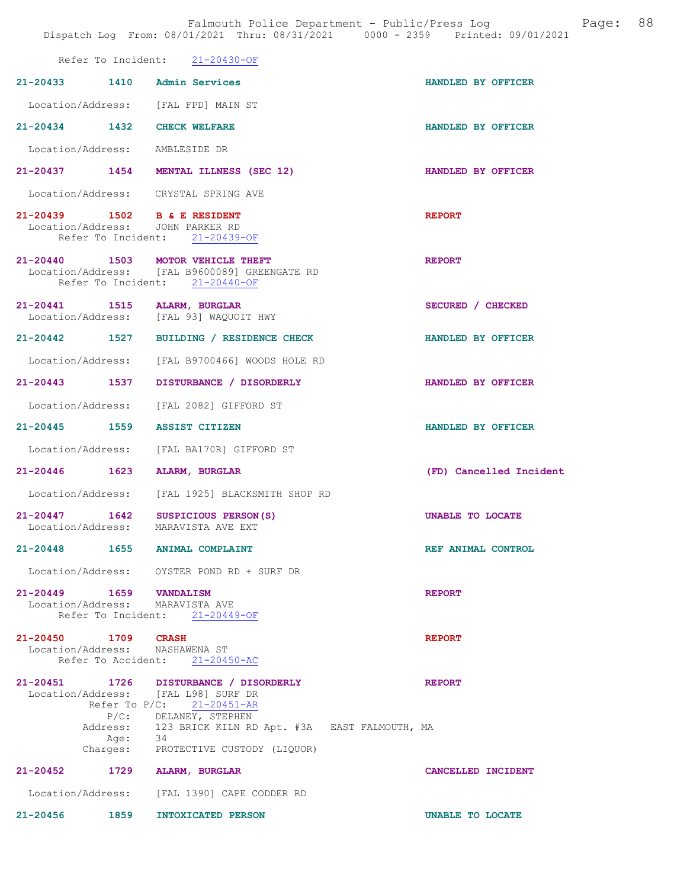|                                                                           | Refer To Incident: 21-20430-OF                                                                                                                        |                         |
|---------------------------------------------------------------------------|-------------------------------------------------------------------------------------------------------------------------------------------------------|-------------------------|
| 21-20433 1410 Admin Services                                              |                                                                                                                                                       | HANDLED BY OFFICER      |
| Location/Address: [FAL FPD] MAIN ST                                       |                                                                                                                                                       |                         |
| 21-20434 1432 CHECK WELFARE                                               |                                                                                                                                                       | HANDLED BY OFFICER      |
| Location/Address: AMBLESIDE DR                                            |                                                                                                                                                       |                         |
|                                                                           | 21-20437 1454 MENTAL ILLNESS (SEC 12)                                                                                                                 | HANDLED BY OFFICER      |
| Location/Address: CRYSTAL SPRING AVE                                      |                                                                                                                                                       |                         |
| 21-20439 1502 B & E RESIDENT<br>Location/Address: JOHN PARKER RD          | Refer To Incident: 21-20439-OF                                                                                                                        | <b>REPORT</b>           |
| 21-20440 1503 MOTOR VEHICLE THEFT                                         | Location/Address: [FAL B9600089] GREENGATE RD<br>Refer To Incident: 21-20440-OF                                                                       | <b>REPORT</b>           |
| 21-20441 1515 ALARM, BURGLAR<br>Location/Address: [FAL 93] WAQUOIT HWY    |                                                                                                                                                       | SECURED / CHECKED       |
|                                                                           | 21-20442 1527 BUILDING / RESIDENCE CHECK                                                                                                              | HANDLED BY OFFICER      |
|                                                                           | Location/Address: [FAL B9700466] WOODS HOLE RD                                                                                                        |                         |
|                                                                           | 21-20443 1537 DISTURBANCE / DISORDERLY                                                                                                                | HANDLED BY OFFICER      |
|                                                                           | Location/Address: [FAL 2082] GIFFORD ST                                                                                                               |                         |
| 21-20445 1559 ASSIST CITIZEN                                              |                                                                                                                                                       | HANDLED BY OFFICER      |
|                                                                           | Location/Address: [FAL BA170R] GIFFORD ST                                                                                                             |                         |
| 21-20446 1623 ALARM, BURGLAR                                              |                                                                                                                                                       | (FD) Cancelled Incident |
|                                                                           | Location/Address: [FAL 1925] BLACKSMITH SHOP RD                                                                                                       |                         |
| 21-20447 1642 SUSPICIOUS PERSON(S)<br>Location/Address: MARAVISTA AVE EXT |                                                                                                                                                       | UNABLE TO LOCATE        |
| 1655<br>$21 - 20448$                                                      | <b>ANIMAL COMPLAINT</b>                                                                                                                               | REF ANIMAL CONTROL      |
|                                                                           | Location/Address: OYSTER POND RD + SURF DR                                                                                                            |                         |
| 21-20449   1659   VANDALISM<br>Location/Address: MARAVISTA AVE            | Refer To Incident: 21-20449-OF                                                                                                                        | <b>REPORT</b>           |
| 21-20450 1709 CRASH<br>Location/Address: NASHAWENA ST                     | Refer To Accident: 21-20450-AC                                                                                                                        | <b>REPORT</b>           |
| Location/Address: [FAL L98] SURF DR<br>Age: 34                            | 21-20451 1726 DISTURBANCE / DISORDERLY<br>Refer To P/C: 21-20451-AR<br>P/C: DELANEY, STEPHEN<br>Address: 123 BRICK KILN RD Apt. #3A EAST FALMOUTH, MA | <b>REPORT</b>           |
| $21 - 20452$                                                              | Charges: PROTECTIVE CUSTODY (LIQUOR)                                                                                                                  |                         |
|                                                                           | 1729 ALARM, BURGLAR<br>Location/Address: [FAL 1390] CAPE CODDER RD                                                                                    | CANCELLED INCIDENT      |
| $21 - 20456$<br>1859                                                      | INTOXICATED PERSON                                                                                                                                    | <b>UNABLE TO LOCATE</b> |
|                                                                           |                                                                                                                                                       |                         |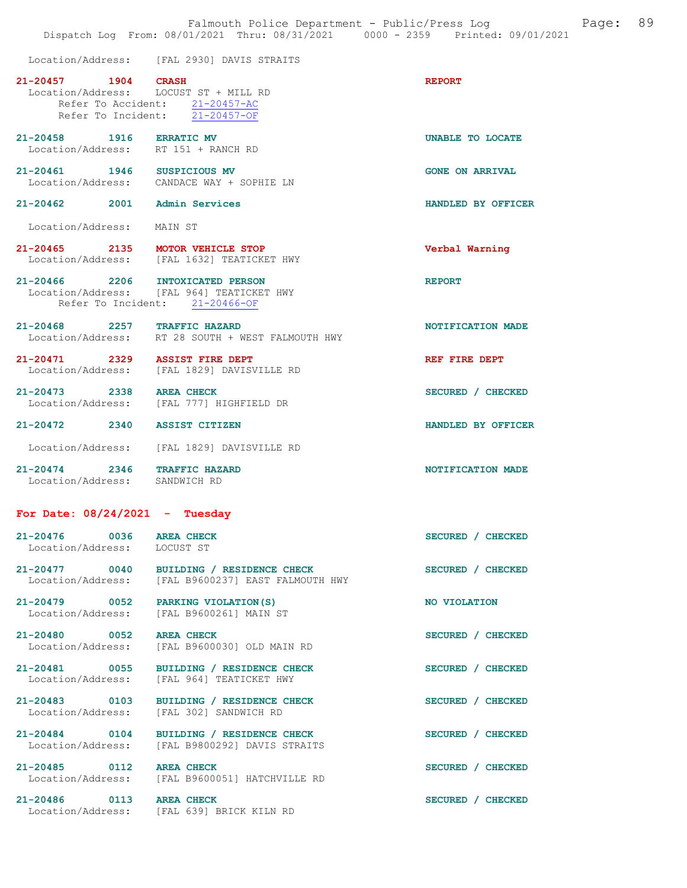|                                                                 | Location/Address: [FAL 2930] DAVIS STRAITS                                                                                |                        |
|-----------------------------------------------------------------|---------------------------------------------------------------------------------------------------------------------------|------------------------|
| 21-20457 1904                                                   | <b>CRASH</b><br>Location/Address: LOCUST ST + MILL RD<br>Refer To Accident: 21-20457-AC<br>Refer To Incident: 21-20457-OF | <b>REPORT</b>          |
| 21-20458 1916 ERRATIC MV<br>Location/Address: RT 151 + RANCH RD |                                                                                                                           | UNABLE TO LOCATE       |
| 21-20461 1946 SUSPICIOUS MV                                     | Location/Address: CANDACE WAY + SOPHIE LN                                                                                 | <b>GONE ON ARRIVAL</b> |
| 21-20462 2001 Admin Services                                    |                                                                                                                           | HANDLED BY OFFICER     |
| Location/Address: MAIN ST                                       |                                                                                                                           |                        |
| 21-20465 2135 MOTOR VEHICLE STOP                                | Location/Address: [FAL 1632] TEATICKET HWY                                                                                | Verbal Warning         |
| $21 - 20466$ 2206                                               | <b>INTOXICATED PERSON</b><br>Location/Address: [FAL 964] TEATICKET HWY<br>Refer To Incident: 21-20466-OF                  | <b>REPORT</b>          |
| 21-20468 2257 TRAFFIC HAZARD                                    | Location/Address: RT 28 SOUTH + WEST FALMOUTH HWY                                                                         | NOTIFICATION MADE      |
| 21-20471 2329 ASSIST FIRE DEPT                                  | Location/Address: [FAL 1829] DAVISVILLE RD                                                                                | REF FIRE DEPT          |
| 21-20473 2338 AREA CHECK                                        | Location/Address: [FAL 777] HIGHFIELD DR                                                                                  | SECURED / CHECKED      |
| 21-20472 2340                                                   | <b>ASSIST CITIZEN</b>                                                                                                     | HANDLED BY OFFICER     |
|                                                                 | Location/Address: [FAL 1829] DAVISVILLE RD                                                                                |                        |
| $21 - 20474$ 2346<br>Location/Address: SANDWICH RD              | <b>TRAFFIC HAZARD</b>                                                                                                     | NOTIFICATION MADE      |
| For Date: $08/24/2021$ - Tuesday                                |                                                                                                                           |                        |
| 21-20476 0036 AREA CHECK<br>Location/Address: LOCUST ST         |                                                                                                                           | SECURED / CHECKED      |
| 21-20477 0040<br>Location/Address:                              | BUILDING / RESIDENCE CHECK<br>[FAL B9600237] EAST FALMOUTH HWY                                                            | SECURED / CHECKED      |
| 21-20479 0052<br>Location/Address:                              | PARKING VIOLATION (S)<br>[FAL B9600261] MAIN ST                                                                           | NO VIOLATION           |
| 21-20480 0052<br>Location/Address:                              | <b>AREA CHECK</b><br>[FAL B9600030] OLD MAIN RD                                                                           | SECURED / CHECKED      |
| 21-20481 0055<br>Location/Address:                              | BUILDING / RESIDENCE CHECK<br>[FAL 964] TEATICKET HWY                                                                     | SECURED / CHECKED      |
| 21-20483<br>0103                                                | BUILDING / RESIDENCE CHECK                                                                                                | SECURED / CHECKED      |

Location/Address: [FAL 302] SANDWICH RD

21-20485 0112 AREA CHECK SECURED / CHECKED

21-20484 0104 BUILDING / RESIDENCE CHECK SECURED / CHECKED

Location/Address: [FAL B9800292] DAVIS STRAITS

Location/Address: [FAL B9600051] HATCHVILLE RD

21-20486 0113 AREA CHECK SECURED / CHECKED Location/Address: [FAL 639] BRICK KILN RD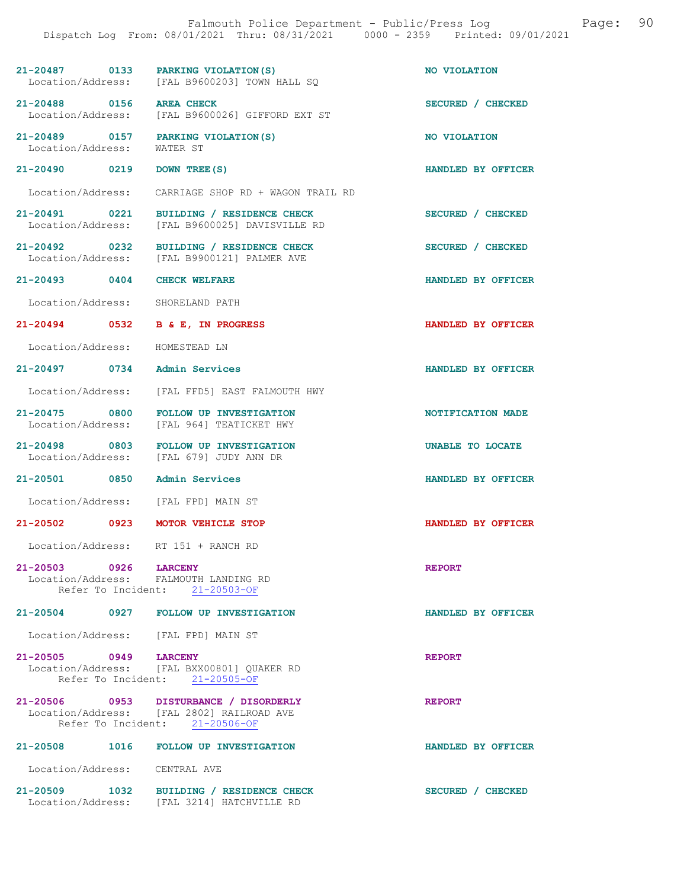| 21-20487 0133<br>Location/Address:                             | PARKING VIOLATION (S)<br>[FAL B9600203] TOWN HALL SQ                                                                  | NO VIOLATION       |
|----------------------------------------------------------------|-----------------------------------------------------------------------------------------------------------------------|--------------------|
| 21-20488 0156<br>Location/Address:                             | <b>AREA CHECK</b><br>[FAL B9600026] GIFFORD EXT ST                                                                    | SECURED / CHECKED  |
| 21-20489 0157<br>Location/Address:                             | PARKING VIOLATION (S)<br>WATER ST                                                                                     | NO VIOLATION       |
| 21-20490 0219                                                  | DOWN TREE (S)                                                                                                         | HANDLED BY OFFICER |
|                                                                | Location/Address: CARRIAGE SHOP RD + WAGON TRAIL RD                                                                   |                    |
| 21-20491 0221<br>Location/Address:                             | BUILDING / RESIDENCE CHECK<br>[FAL B9600025] DAVISVILLE RD                                                            | SECURED / CHECKED  |
| $21 - 20492$ 0232                                              | BUILDING / RESIDENCE CHECK<br>Location/Address: [FAL B9900121] PALMER AVE                                             | SECURED / CHECKED  |
| 21-20493 0404                                                  | <b>CHECK WELFARE</b>                                                                                                  | HANDLED BY OFFICER |
| Location/Address:                                              | SHORELAND PATH                                                                                                        |                    |
| 21-20494 0532                                                  | B & E, IN PROGRESS                                                                                                    | HANDLED BY OFFICER |
| Location/Address:                                              | HOMESTEAD LN                                                                                                          |                    |
| 21-20497 0734                                                  | Admin Services                                                                                                        | HANDLED BY OFFICER |
| Location/Address:                                              | [FAL FFD5] EAST FALMOUTH HWY                                                                                          |                    |
| 21-20475 0800<br>Location/Address:                             | <b>FOLLOW UP INVESTIGATION</b><br>[FAL 964] TEATICKET HWY                                                             | NOTIFICATION MADE  |
| 21-20498 0803                                                  | <b>FOLLOW UP INVESTIGATION</b><br>Location/Address: [FAL 679] JUDY ANN DR                                             | UNABLE TO LOCATE   |
| 21-20501 0850                                                  | <b>Admin Services</b>                                                                                                 | HANDLED BY OFFICER |
| Location/Address: [FAL FPD] MAIN ST                            |                                                                                                                       |                    |
| 21-20502 0923                                                  | MOTOR VEHICLE STOP                                                                                                    | HANDLED BY OFFICER |
| Location/Address:                                              | RT 151 + RANCH RD                                                                                                     |                    |
| 21-20503 0926 LARCENY<br>Location/Address: FALMOUTH LANDING RD | Refer To Incident: 21-20503-OF                                                                                        | <b>REPORT</b>      |
|                                                                | 21-20504 0927 FOLLOW UP INVESTIGATION                                                                                 | HANDLED BY OFFICER |
| Location/Address: [FAL FPD] MAIN ST                            |                                                                                                                       |                    |
| 21-20505 0949                                                  | <b>LARCENY</b><br>Location/Address: [FAL BXX00801] QUAKER RD<br>Refer To Incident: 21-20505-OF                        | <b>REPORT</b>      |
|                                                                | 21-20506 0953 DISTURBANCE / DISORDERLY<br>Location/Address: [FAL 2802] RAILROAD AVE<br>Refer To Incident: 21-20506-OF | <b>REPORT</b>      |
| 21-20508 1016                                                  | <b>FOLLOW UP INVESTIGATION</b>                                                                                        | HANDLED BY OFFICER |
| Location/Address: CENTRAL AVE                                  |                                                                                                                       |                    |
|                                                                | 21-20509 1032 BUILDING / RESIDENCE CHECK<br>Location/Address: [FAL 3214] HATCHVILLE RD                                | SECURED / CHECKED  |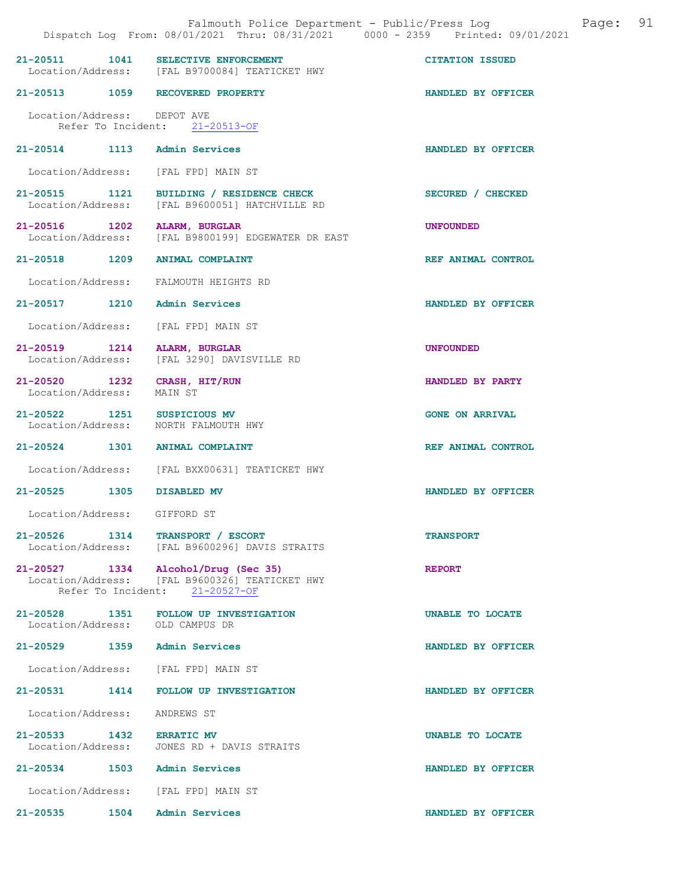|                                               | Falmouth Police Department - Public/Press Log<br>Dispatch Log From: 08/01/2021 Thru: 08/31/2021 0000 - 2359 Printed: 09/01/2021 | Page:                  | 91 |
|-----------------------------------------------|---------------------------------------------------------------------------------------------------------------------------------|------------------------|----|
|                                               | 21-20511 1041 SELECTIVE ENFORCEMENT<br>Location/Address: [FAL B9700084] TEATICKET HWY                                           | <b>CITATION ISSUED</b> |    |
|                                               | 21-20513 1059 RECOVERED PROPERTY                                                                                                | HANDLED BY OFFICER     |    |
| Location/Address: DEPOT AVE                   | Refer To Incident: 21-20513-OF                                                                                                  |                        |    |
|                                               | 21-20514 1113 Admin Services                                                                                                    | HANDLED BY OFFICER     |    |
|                                               | Location/Address: [FAL FPD] MAIN ST                                                                                             |                        |    |
|                                               | 21-20515 1121 BUILDING / RESIDENCE CHECK<br>Location/Address: [FAL B9600051] HATCHVILLE RD                                      | SECURED / CHECKED      |    |
|                                               | 21-20516 1202 ALARM, BURGLAR<br>Location/Address: [FAL B9800199] EDGEWATER DR EAST                                              | <b>UNFOUNDED</b>       |    |
|                                               | 21-20518 1209 ANIMAL COMPLAINT                                                                                                  | REF ANIMAL CONTROL     |    |
| Location/Address:                             | FALMOUTH HEIGHTS RD                                                                                                             |                        |    |
|                                               | 21-20517 1210 Admin Services                                                                                                    | HANDLED BY OFFICER     |    |
|                                               | Location/Address: [FAL FPD] MAIN ST                                                                                             |                        |    |
| 21-20519 1214                                 | ALARM, BURGLAR<br>Location/Address: [FAL 3290] DAVISVILLE RD                                                                    | <b>UNFOUNDED</b>       |    |
| Location/Address:                             | 21-20520 1232 CRASH, HIT/RUN<br>MAIN ST                                                                                         | HANDLED BY PARTY       |    |
|                                               | 21-20522 1251 SUSPICIOUS MV<br>Location/Address: NORTH FALMOUTH HWY                                                             | <b>GONE ON ARRIVAL</b> |    |
|                                               | 21-20524 1301 ANIMAL COMPLAINT                                                                                                  | REF ANIMAL CONTROL     |    |
|                                               | Location/Address: [FAL BXX00631] TEATICKET HWY                                                                                  |                        |    |
|                                               | 21-20525 1305 DISABLED MV                                                                                                       | HANDLED BY OFFICER     |    |
| Location/Address:                             | GIFFORD ST                                                                                                                      |                        |    |
|                                               | 21-20526 1314 TRANSPORT / ESCORT<br>Location/Address: [FAL B9600296] DAVIS STRAITS                                              | <b>TRANSPORT</b>       |    |
|                                               | 21-20527 1334 Alcohol/Drug (Sec 35)<br>Location/Address: [FAL B9600326] TEATICKET HWY<br>Refer To Incident: 21-20527-OF         | <b>REPORT</b>          |    |
|                                               | 21-20528 1351 FOLLOW UP INVESTIGATION<br>Location/Address: OLD CAMPUS DR                                                        | UNABLE TO LOCATE       |    |
|                                               | 21-20529 1359 Admin Services                                                                                                    | HANDLED BY OFFICER     |    |
|                                               | Location/Address: [FAL FPD] MAIN ST                                                                                             |                        |    |
|                                               | 21-20531 1414 FOLLOW UP INVESTIGATION                                                                                           | HANDLED BY OFFICER     |    |
| Location/Address:                             | ANDREWS ST                                                                                                                      |                        |    |
| 21-20533 1432 ERRATIC MV<br>Location/Address: | JONES RD + DAVIS STRAITS                                                                                                        | UNABLE TO LOCATE       |    |
|                                               | 21-20534 1503 Admin Services                                                                                                    | HANDLED BY OFFICER     |    |
|                                               | Location/Address: [FAL FPD] MAIN ST                                                                                             |                        |    |
| 21-20535 1504                                 | Admin Services                                                                                                                  | HANDLED BY OFFICER     |    |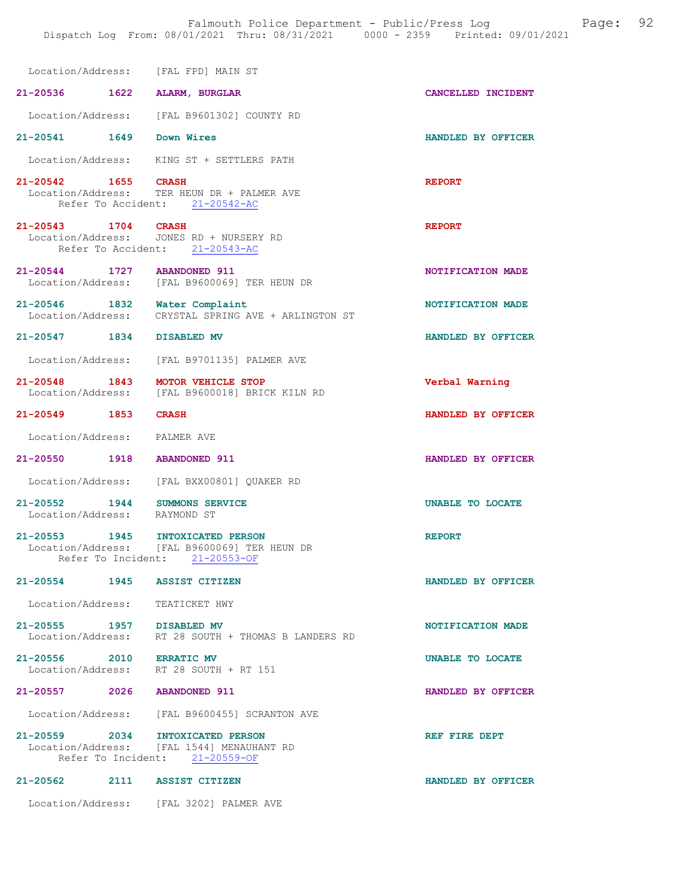|                                                    | Location/Address: [FAL FPD] MAIN ST                                                                             |                    |
|----------------------------------------------------|-----------------------------------------------------------------------------------------------------------------|--------------------|
| 21-20536 1622 ALARM, BURGLAR                       |                                                                                                                 | CANCELLED INCIDENT |
|                                                    | Location/Address: [FAL B9601302] COUNTY RD                                                                      |                    |
| 21-20541 1649                                      | Down Wires                                                                                                      | HANDLED BY OFFICER |
|                                                    | Location/Address: KING ST + SETTLERS PATH                                                                       |                    |
| 21-20542 1655 CRASH                                | Location/Address: TER HEUN DR + PALMER AVE<br>Refer To Accident: 21-20542-AC                                    | <b>REPORT</b>      |
| 21-20543 1704 CRASH                                | Location/Address: JONES RD + NURSERY RD<br>Refer To Accident: 21-20543-AC                                       | <b>REPORT</b>      |
| 21-20544 1727                                      | <b>ABANDONED 911</b><br>Location/Address: [FAL B9600069] TER HEUN DR                                            | NOTIFICATION MADE  |
| 21-20546 1832 Water Complaint<br>Location/Address: | CRYSTAL SPRING AVE + ARLINGTON ST                                                                               | NOTIFICATION MADE  |
| 21-20547 1834                                      | DISABLED MV                                                                                                     | HANDLED BY OFFICER |
|                                                    | Location/Address: [FAL B9701135] PALMER AVE                                                                     |                    |
| 21-20548 1843<br>Location/Address:                 | MOTOR VEHICLE STOP<br>[FAL B9600018] BRICK KILN RD                                                              | Verbal Warning     |
| 21-20549 1853                                      | <b>CRASH</b>                                                                                                    | HANDLED BY OFFICER |
| Location/Address:                                  | PALMER AVE                                                                                                      |                    |
| 21-20550 1918                                      | <b>ABANDONED 911</b>                                                                                            | HANDLED BY OFFICER |
| Location/Address:                                  | [FAL BXX00801] QUAKER RD                                                                                        |                    |
| 21-20552 1944<br>Location/Address:                 | <b>SUMMONS SERVICE</b><br>RAYMOND ST                                                                            | UNABLE TO LOCATE   |
| 21-20553 1945<br>Location/Address:                 | INTOXICATED PERSON<br>[FAL B9600069] TER HEUN DR<br>Refer To Incident: 21-20553-OF                              | <b>REPORT</b>      |
| 21-20554 1945 ASSIST CITIZEN                       |                                                                                                                 | HANDLED BY OFFICER |
| Location/Address: TEATICKET HWY                    |                                                                                                                 |                    |
| 21-20555 1957 DISABLED MV                          | Location/Address: RT 28 SOUTH + THOMAS B LANDERS RD                                                             | NOTIFICATION MADE  |
| 21-20556 2010                                      | <b>ERRATIC MV</b><br>Location/Address: RT 28 SOUTH + RT 151                                                     | UNABLE TO LOCATE   |
| 21-20557 2026 ABANDONED 911                        |                                                                                                                 | HANDLED BY OFFICER |
|                                                    | Location/Address: [FAL B9600455] SCRANTON AVE                                                                   |                    |
|                                                    | 21-20559 2034 INTOXICATED PERSON<br>Location/Address: [FAL 1544] MENAUHANT RD<br>Refer To Incident: 21-20559-OF | REF FIRE DEPT      |
| 21-20562 2111 ASSIST CITIZEN                       |                                                                                                                 | HANDLED BY OFFICER |
|                                                    | Location/Address: [FAL 3202] PALMER AVE                                                                         |                    |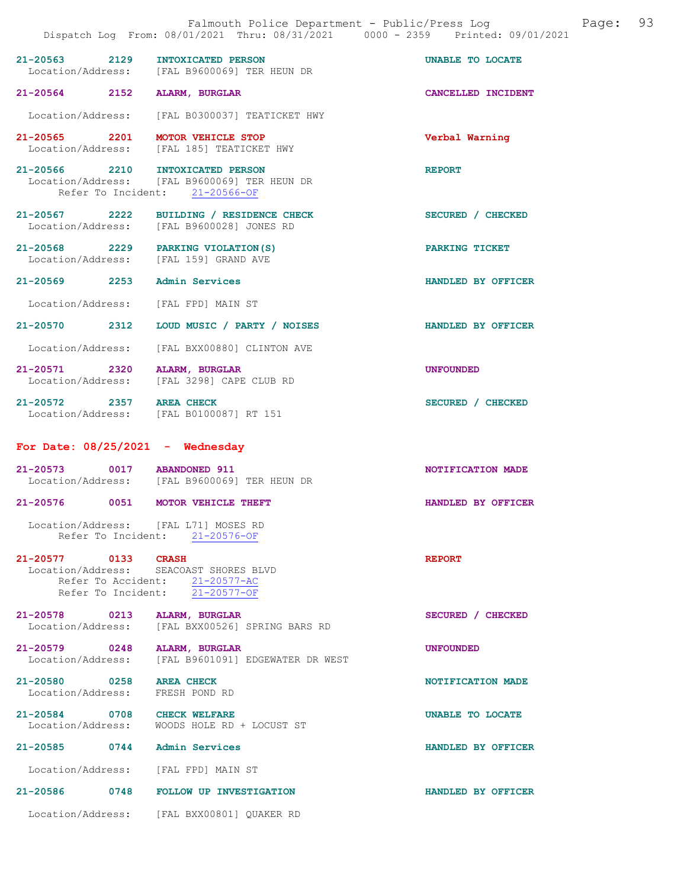|                                     |                                                                                                                         | Falmouth Police Department - Public/Press Log<br>Dispatch Log From: 08/01/2021 Thru: 08/31/2021 0000 - 2359 Printed: 09/01/2021 | Page: | 93 |
|-------------------------------------|-------------------------------------------------------------------------------------------------------------------------|---------------------------------------------------------------------------------------------------------------------------------|-------|----|
| 21-20563 2129                       | INTOXICATED PERSON<br>Location/Address: [FAL B9600069] TER HEUN DR                                                      | UNABLE TO LOCATE                                                                                                                |       |    |
| 21-20564 2152                       | <b>ALARM, BURGLAR</b>                                                                                                   | CANCELLED INCIDENT                                                                                                              |       |    |
| Location/Address:                   | [FAL B0300037] TEATICKET HWY                                                                                            |                                                                                                                                 |       |    |
| 21-20565 2201                       | MOTOR VEHICLE STOP<br>Location/Address: [FAL 185] TEATICKET HWY                                                         | Verbal Warning                                                                                                                  |       |    |
| 21-20566 2210<br>Refer To Incident: | <b>INTOXICATED PERSON</b><br>Location/Address: [FAL B9600069] TER HEUN DR<br>$21 - 20566 - OF$                          | <b>REPORT</b>                                                                                                                   |       |    |
| 21-20567 2222                       | BUILDING / RESIDENCE CHECK<br>Location/Address: [FAL B9600028] JONES RD                                                 | SECURED / CHECKED                                                                                                               |       |    |
|                                     | 21-20568 2229 PARKING VIOLATION (S)<br>Location/Address: [FAL 159] GRAND AVE                                            | PARKING TICKET                                                                                                                  |       |    |
| 21-20569 2253                       | Admin Services                                                                                                          | HANDLED BY OFFICER                                                                                                              |       |    |
| Location/Address:                   | [FAL FPD] MAIN ST                                                                                                       |                                                                                                                                 |       |    |
| 21-20570 2312                       | LOUD MUSIC / PARTY / NOISES                                                                                             | HANDLED BY OFFICER                                                                                                              |       |    |
| Location/Address:                   | [FAL BXX00880] CLINTON AVE                                                                                              |                                                                                                                                 |       |    |
| 21-20571 2320<br>Location/Address:  | ALARM, BURGLAR<br>[FAL 3298] CAPE CLUB RD                                                                               | <b>UNFOUNDED</b>                                                                                                                |       |    |
| 21-20572 2357 AREA CHECK            | Location/Address: [FAL B0100087] RT 151                                                                                 | SECURED / CHECKED                                                                                                               |       |    |
|                                     | For Date: $08/25/2021$ - Wednesday                                                                                      |                                                                                                                                 |       |    |
| $21 - 20573$                        | 0017 ABANDONED 911<br>Location/Address: [FAL B9600069] TER HEUN DR                                                      | NOTIFICATION MADE                                                                                                               |       |    |
| $21 - 20576$                        | 0051 MOTOR VEHICLE THEFT                                                                                                | HANDLED BY OFFICER                                                                                                              |       |    |
|                                     | Location/Address: [FAL L71] MOSES RD<br>Refer To Incident: 21-20576-OF                                                  |                                                                                                                                 |       |    |
| 21-20577 0133 CRASH                 | Location/Address: SEACOAST SHORES BLVD<br>Refer To Accident: 21-20577-AC<br>Refer To Incident: $\overline{21-20577-OF}$ | <b>REPORT</b>                                                                                                                   |       |    |
| 21-20578 0213<br>Location/Address:  | <b>ALARM, BURGLAR</b><br>[FAL BXX00526] SPRING BARS RD                                                                  | SECURED / CHECKED                                                                                                               |       |    |
|                                     | 21-20579 0248 ALARM, BURGLAR<br>Location/Address: [FAL B9601091] EDGEWATER DR WEST                                      | <b>UNFOUNDED</b>                                                                                                                |       |    |
| 21-20580 0258<br>Location/Address:  | <b>AREA CHECK</b><br>FRESH POND RD                                                                                      | NOTIFICATION MADE                                                                                                               |       |    |
|                                     | 21-20584 0708 CHECK WELFARE<br>Location/Address: WOODS HOLE RD + LOCUST ST                                              | UNABLE TO LOCATE                                                                                                                |       |    |
|                                     | 21-20585 0744 Admin Services                                                                                            | HANDLED BY OFFICER                                                                                                              |       |    |
|                                     | Location/Address: [FAL FPD] MAIN ST                                                                                     |                                                                                                                                 |       |    |
|                                     | 21-20586 0748 FOLLOW UP INVESTIGATION                                                                                   | HANDLED BY OFFICER                                                                                                              |       |    |
|                                     | Location/Address: [FAL BXX00801] QUAKER RD                                                                              |                                                                                                                                 |       |    |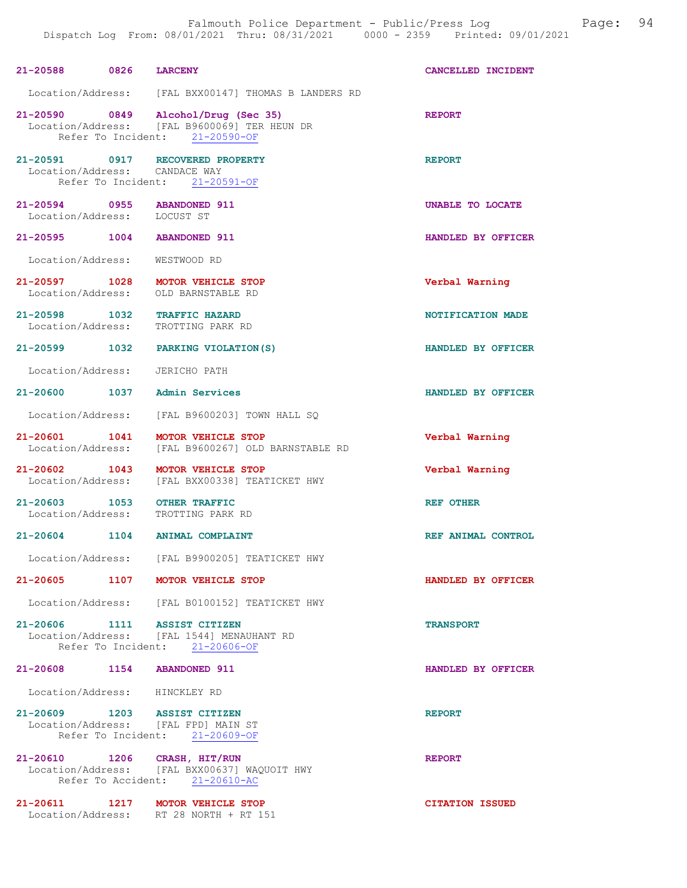| 21-20588 0826 LARCENY                                             |                                                                                                                       | CANCELLED INCIDENT     |
|-------------------------------------------------------------------|-----------------------------------------------------------------------------------------------------------------------|------------------------|
|                                                                   | Location/Address: [FAL BXX00147] THOMAS B LANDERS RD                                                                  |                        |
|                                                                   | 21-20590 0849 Alcohol/Drug (Sec 35)<br>Location/Address: [FAL B9600069] TER HEUN DR<br>Refer To Incident: 21-20590-OF | <b>REPORT</b>          |
|                                                                   | 21-20591 0917 RECOVERED PROPERTY<br>Location/Address: CANDACE WAY<br>Refer To Incident: 21-20591-OF                   | <b>REPORT</b>          |
| 21-20594 0955 ABANDONED 911<br>Location/Address: LOCUST ST        |                                                                                                                       | UNABLE TO LOCATE       |
| 21-20595 1004 ABANDONED 911                                       |                                                                                                                       | HANDLED BY OFFICER     |
| Location/Address:                                                 | WESTWOOD RD                                                                                                           |                        |
| Location/Address:                                                 | 21-20597 1028 MOTOR VEHICLE STOP<br>OLD BARNSTABLE RD                                                                 | Verbal Warning         |
| 21-20598 1032 TRAFFIC HAZARD<br>Location/Address: TROTTING PARK H | TROTTING PARK RD                                                                                                      | NOTIFICATION MADE      |
|                                                                   | 21-20599 1032 PARKING VIOLATION (S)                                                                                   | HANDLED BY OFFICER     |
| Location/Address: JERICHO PATH                                    |                                                                                                                       |                        |
| 21-20600 1037 Admin Services                                      |                                                                                                                       | HANDLED BY OFFICER     |
|                                                                   | Location/Address: [FAL B9600203] TOWN HALL SQ                                                                         |                        |
| 21-20601 1041                                                     | MOTOR VEHICLE STOP<br>Location/Address: [FAL B9600267] OLD BARNSTABLE RD                                              | Verbal Warning         |
|                                                                   | 21-20602 1043 MOTOR VEHICLE STOP<br>Location/Address: [FAL BXX00338] TEATICKET HWY                                    | Verbal Warning         |
| 21-20603 1053                                                     | <b>OTHER TRAFFIC</b><br>Location/Address: TROTTING PARK RD                                                            | REF OTHER              |
|                                                                   | 21-20604 1104 ANIMAL COMPLAINT                                                                                        | REF ANIMAL CONTROL     |
| Location/Address:                                                 | [FAL B9900205] TEATICKET HWY                                                                                          |                        |
| 21-20605 1107                                                     | <b>MOTOR VEHICLE STOP</b>                                                                                             | HANDLED BY OFFICER     |
|                                                                   | Location/Address: [FAL B0100152] TEATICKET HWY                                                                        |                        |
|                                                                   | 21-20606 1111 ASSIST CITIZEN<br>Location/Address: [FAL 1544] MENAUHANT RD<br>Refer To Incident: 21-20606-OF           | <b>TRANSPORT</b>       |
| 21-20608 1154 ABANDONED 911                                       |                                                                                                                       | HANDLED BY OFFICER     |
| Location/Address: HINCKLEY RD                                     |                                                                                                                       |                        |
| 21-20609 1203 ASSIST CITIZEN                                      | Location/Address: [FAL FPD] MAIN ST<br>Refer To Incident: 21-20609-OF                                                 | <b>REPORT</b>          |
| 21-20610 1206 CRASH, HIT/RUN                                      | Location/Address: [FAL BXX00637] WAQUOIT HWY<br>Refer To Accident: 21-20610-AC                                        | <b>REPORT</b>          |
|                                                                   | 21-20611 1217 MOTOR VEHICLE STOP<br>Location/Address: RT 28 NORTH + RT 151                                            | <b>CITATION ISSUED</b> |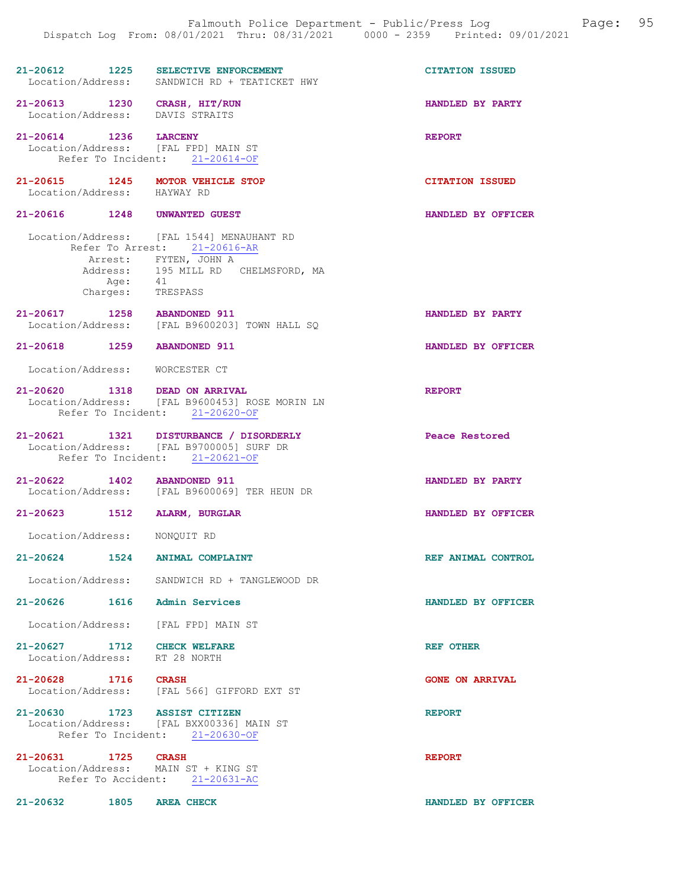21-20612 1225 SELECTIVE ENFORCEMENT CITATION ISSUED<br>Location/Address: SANDWICH RD + TEATICKET HWY SANDWICH RD + TEATICKET HWY 21-20613 1230 CRASH, HIT/RUN HANDLED BY PARTY Location/Address: DAVIS STRAITS 21-20614 1236 LARCENY REPORT Location/Address: [FAL FPD] MAIN ST Refer To Incident:  $21-20614-OF$ 21-20615 1245 MOTOR VEHICLE STOP CITATION ISSUED Location/Address: HAYWAY RD Location/Address: 21-20616 1248 UNWANTED GUEST HANDLED BY OFFICER Location/Address: [FAL 1544] MENAUHANT RD Refer To Arrest: 21-20616-AR Arrest: FYTEN, JOHN A Address: 195 MILL RD CHELMSFORD, MA<br>Add: 41  $A q e$ : Charges: TRESPASS 21-20617 1258 ABANDONED 911 HANDLED BY PARTY Location/Address: [FAL B9600203] TOWN HALL SQ 21-20618 1259 ABANDONED 911 HANDLED BY OFFICER Location/Address: WORCESTER CT 21-20620 1318 DEAD ON ARRIVAL NEEDORT REPORT Location/Address: [FAL B9600453] ROSE MORIN LN Refer To Incident: 21-20620-OF 21-20621 1321 DISTURBANCE / DISORDERLY Peace Restored Location/Address: [FAL B9700005] SURF DR Refer To Incident: 21-20621-OF 21-20622 1402 ABANDONED 911 HANDLED BY PARTY<br>
Location/Address: [FAL B9600069] TER HEUN DR [FAL B9600069] TER HEUN DR 21-20623 1512 ALARM, BURGLAR HANDLED BY OFFICER Location/Address: NONQUIT RD 21-20624 1524 ANIMAL COMPLAINT REF ANIMAL CONTROL Location/Address: SANDWICH RD + TANGLEWOOD DR 21-20626 1616 Admin Services HANDLED BY OFFICER Location/Address: [FAL FPD] MAIN ST

21-20627 1712 CHECK WELFARE REF OTHER Location/Address: RT 28 NORTH

## 21-20628 1716 CRASH GONE ON ARRIVAL Location/Address: [FAL 566] GIFFORD EXT ST

21-20630 1723 ASSIST CITIZEN REPORT Location/Address: [FAL BXX00336] MAIN ST Refer To Incident: 21-20630-OF

21-20631 1725 CRASH REPORT Location/Address: MAIN ST + KING ST Refer To Accident: 21-20631-AC

21-20632 1805 AREA CHECK HANDLED BY OFFICER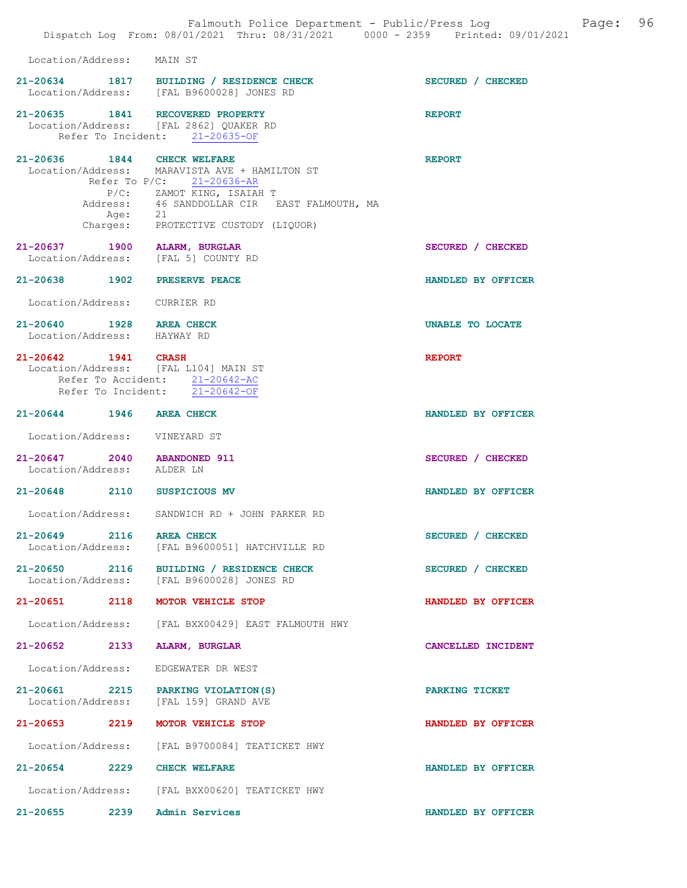|                                                           |                     | Falmouth Police Department - Public/Press Log<br>Dispatch Log From: 08/01/2021 Thru: 08/31/2021 0000 - 2359 Printed: 09/01/2021                                                        | 96<br>Page:        |
|-----------------------------------------------------------|---------------------|----------------------------------------------------------------------------------------------------------------------------------------------------------------------------------------|--------------------|
| Location/Address: MAIN ST                                 |                     |                                                                                                                                                                                        |                    |
|                                                           |                     | 21-20634 1817 BUILDING / RESIDENCE CHECK<br>Location/Address: [FAL B9600028] JONES RD                                                                                                  | SECURED / CHECKED  |
|                                                           |                     | 21-20635 1841 RECOVERED PROPERTY<br>Location/Address: [FAL 2862] QUAKER RD<br>Refer To Incident: 21-20635-OF                                                                           | <b>REPORT</b>      |
| 21-20636 1844 CHECK WELFARE                               | Address:<br>Age: 21 | Location/Address: MARAVISTA AVE + HAMILTON ST<br>Refer To P/C: 21-20636-AR<br>P/C: ZAMOT KING, ISAIAH T<br>46 SANDDOLLAR CIR EAST FALMOUTH, MA<br>Charges: PROTECTIVE CUSTODY (LIQUOR) | <b>REPORT</b>      |
| 21-20637 1900 ALARM, BURGLAR                              |                     | Location/Address: [FAL 5] COUNTY RD                                                                                                                                                    | SECURED / CHECKED  |
| 21-20638 1902 PRESERVE PEACE                              |                     |                                                                                                                                                                                        | HANDLED BY OFFICER |
| Location/Address: CURRIER RD                              |                     |                                                                                                                                                                                        |                    |
| 21-20640 1928 AREA CHECK<br>Location/Address: HAYWAY RD   |                     |                                                                                                                                                                                        | UNABLE TO LOCATE   |
| 21-20642 1941 CRASH                                       |                     | Location/Address: [FAL L104] MAIN ST<br>Refer To Accident: 21-20642-AC<br>Refer To Incident: 21-20642-OF                                                                               | <b>REPORT</b>      |
| 21-20644 1946 AREA CHECK                                  |                     |                                                                                                                                                                                        | HANDLED BY OFFICER |
| Location/Address: VINEYARD ST                             |                     |                                                                                                                                                                                        |                    |
| 21-20647 2040 ABANDONED 911<br>Location/Address: ALDER LN |                     |                                                                                                                                                                                        | SECURED / CHECKED  |
| 21-20648 2110 SUSPICIOUS MV                               |                     |                                                                                                                                                                                        | HANDLED BY OFFICER |
| Location/Address:                                         |                     | SANDWICH RD + JOHN PARKER RD                                                                                                                                                           |                    |
| 21-20649 2116 AREA CHECK<br>Location/Address:             |                     | [FAL B9600051] HATCHVILLE RD                                                                                                                                                           | SECURED / CHECKED  |
|                                                           |                     | 21-20650 2116 BUILDING / RESIDENCE CHECK<br>Location/Address: [FAL B9600028] JONES RD                                                                                                  | SECURED / CHECKED  |
| $21 - 20651$                                              | 2118                | MOTOR VEHICLE STOP                                                                                                                                                                     | HANDLED BY OFFICER |
| Location/Address:                                         |                     | [FAL BXX00429] EAST FALMOUTH HWY                                                                                                                                                       |                    |
| 21-20652 2133                                             |                     | ALARM, BURGLAR                                                                                                                                                                         | CANCELLED INCIDENT |
| Location/Address:                                         |                     | EDGEWATER DR WEST                                                                                                                                                                      |                    |
|                                                           |                     | 21-20661 2215 PARKING VIOLATION(S)<br>Location/Address: [FAL 159] GRAND AVE                                                                                                            | PARKING TICKET     |
| 21-20653                                                  | 2219                | <b>MOTOR VEHICLE STOP</b>                                                                                                                                                              | HANDLED BY OFFICER |
| Location/Address:                                         |                     | [FAL B9700084] TEATICKET HWY                                                                                                                                                           |                    |
| $21 - 20654$ 2229                                         |                     | <b>CHECK WELFARE</b>                                                                                                                                                                   | HANDLED BY OFFICER |
| Location/Address:                                         |                     | [FAL BXX00620] TEATICKET HWY                                                                                                                                                           |                    |
| 21-20655 2239                                             |                     | Admin Services                                                                                                                                                                         | HANDLED BY OFFICER |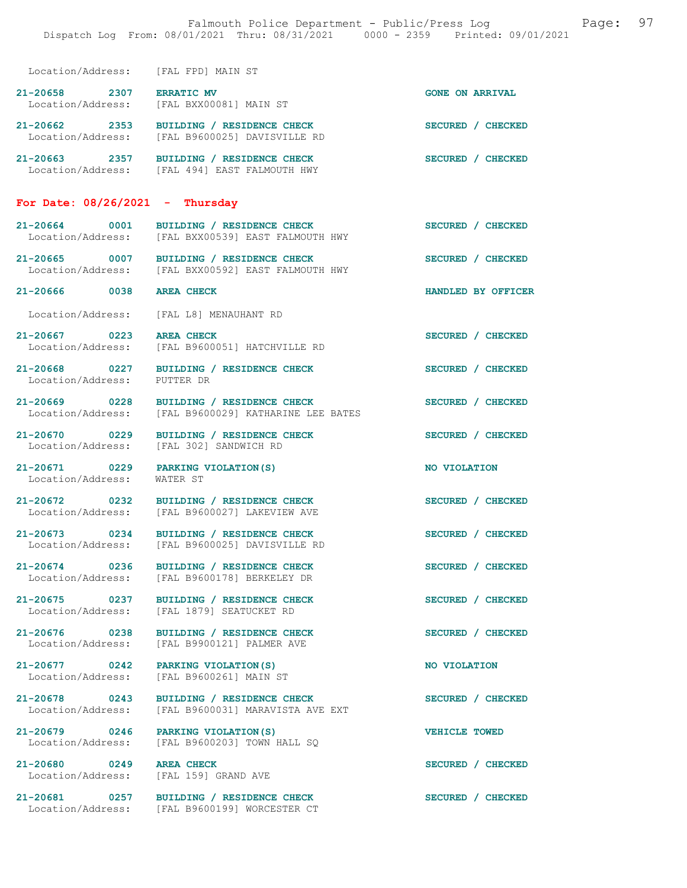Location/Address: [FAL FPD] MAIN ST 21-20658 2307 ERRATIC MV (CONE ON ARRIVAL Location/Address: [FAL BXX00081] MAIN ST Location/Address: [FAL BXX00081] MAIN ST 21-20662 2353 BUILDING / RESIDENCE CHECK SECURED / CHECKED Location/Address: [FAL B9600025] DAVISVILLE RD 21-20663 2357 BUILDING / RESIDENCE CHECK SECURED / CHECKED Location/Address: [FAL 494] EAST FALMOUTH HWY For Date:  $08/26/2021$  - Thursday 21-20664 0001 BUILDING / RESIDENCE CHECK<br>
Location/Address: [FAL BXX00539] EAST FALMOUTH HWY [FAL BXX00539] EAST FALMOUTH HWY 21-20665 0007 BUILDING / RESIDENCE CHECK<br>
Location/Address: [FAL BXX00592] EAST FALMOUTH HWY [FAL BXX00592] EAST FALMOUTH HWY 21-20666 0038 AREA CHECK HANDLED BY OFFICER Location/Address: [FAL L8] MENAUHANT RD 21-20667 0223 AREA CHECK SECURED / CHECKED Location/Address: [FAL B9600051] HATCHVILLE RD 21-20668 0227 BUILDING / RESIDENCE CHECK SECURED / CHECKED Location/Address: PUTTER DR 21-20669 0228 BUILDING / RESIDENCE CHECK SECURED / CHECKED Location/Address: [FAL B9600029] KATHARINE LEE BATES [FAL B9600029] KATHARINE LEE BATES 21-20670 0229 BUILDING / RESIDENCE CHECK SECURED / CHECKED Location/Address: [FAL 302] SANDWICH RD Location/Address: [FAL 302] SANDWICH RD 21-20671 0229 PARKING VIOLATION(S) NO VIOLATION NO VIOLATION Location/Address: 21-20672 0232 BUILDING / RESIDENCE CHECK SECURED / CHECKED Location/Address: [FAL B9600027] LAKEVIEW AVE 21-20673 0234 BUILDING / RESIDENCE CHECK SECURED / CHECKED Location/Address: [FAL B9600025] DAVISVILLE RD 21-20674 0236 BUILDING / RESIDENCE CHECK SECURED / CHECKED Location/Address: [FAL B9600178] BERKELEY DR 21-20675 0237 BUILDING / RESIDENCE CHECK SECURED / CHECKED Location/Address: [FAL 1879] SEATUCKET RD [FAL 1879] SEATUCKET RD 21-20676 0238 BUILDING / RESIDENCE CHECK SECURED / CHECKED Location/Address: [FAL B9900121] PALMER AVE [FAL B9900121] PALMER AVE 21-20677 0242 PARKING VIOLATION(S) NO VIOLATION Location/Address: [FAL B9600261] MAIN ST 21-20678 0243 BUILDING / RESIDENCE CHECK SECURED / CHECKED Location/Address: [FAL B9600031] MARAVISTA AVE EXT 21-20679 0246 PARKING VIOLATION(S) VEHICLE TOWED Location/Address: [FAL B9600203] TOWN HALL SQ 21-20680 0249 AREA CHECK SECURED / CHECKED<br>
Location/Address: [FAL 159] GRAND AVE

[FAL 159] GRAND AVE

Location/Address: [FAL B9600199] WORCESTER CT

21-20681 0257 BUILDING / RESIDENCE CHECK SECURED / CHECKED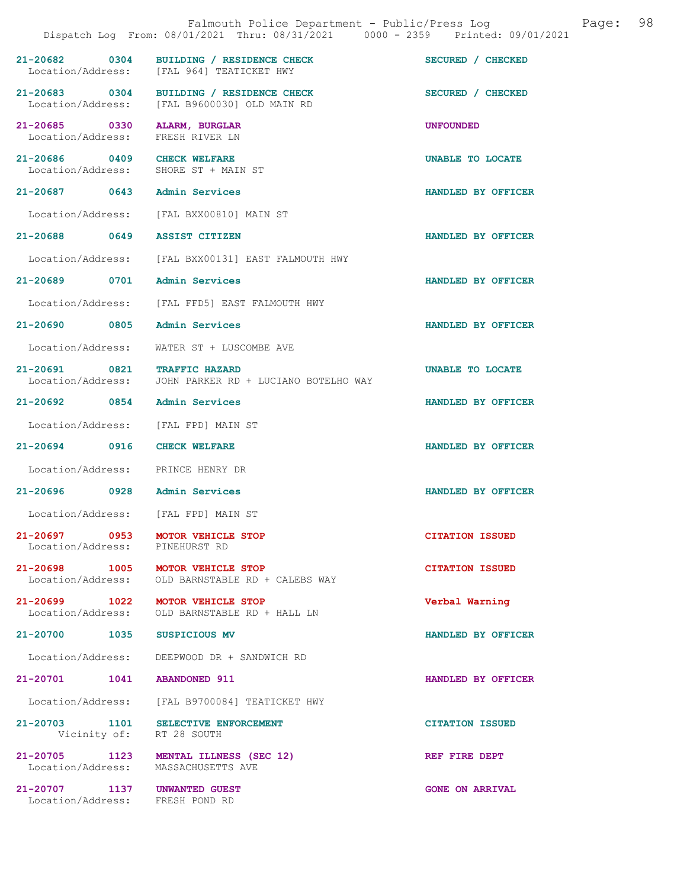|                                    |      | Falmouth Police Department - Public/Press Log<br>Dispatch Log From: 08/01/2021 Thru: 08/31/2021 0000 - 2359 Printed: 09/01/2021 |                        | Page: | 98 |
|------------------------------------|------|---------------------------------------------------------------------------------------------------------------------------------|------------------------|-------|----|
| 21-20682 0304                      |      | BUILDING / RESIDENCE CHECK<br>Location/Address: [FAL 964] TEATICKET HWY                                                         | SECURED / CHECKED      |       |    |
| 21-20683 0304<br>Location/Address: |      | BUILDING / RESIDENCE CHECK<br>[FAL B9600030] OLD MAIN RD                                                                        | SECURED / CHECKED      |       |    |
| 21-20685 0330<br>Location/Address: |      | ALARM, BURGLAR<br>FRESH RIVER LN                                                                                                | <b>UNFOUNDED</b>       |       |    |
| 21-20686 0409 CHECK WELFARE        |      | Location/Address: SHORE ST + MAIN ST                                                                                            | UNABLE TO LOCATE       |       |    |
| 21-20687 0643                      |      | Admin Services                                                                                                                  | HANDLED BY OFFICER     |       |    |
|                                    |      | Location/Address: [FAL BXX00810] MAIN ST                                                                                        |                        |       |    |
| 21-20688 0649                      |      | <b>ASSIST CITIZEN</b>                                                                                                           | HANDLED BY OFFICER     |       |    |
| Location/Address:                  |      | [FAL BXX00131] EAST FALMOUTH HWY                                                                                                |                        |       |    |
| 21-20689 0701                      |      | <b>Admin Services</b>                                                                                                           | HANDLED BY OFFICER     |       |    |
| Location/Address:                  |      | [FAL FFD5] EAST FALMOUTH HWY                                                                                                    |                        |       |    |
| $21 - 20690$                       | 0805 | <b>Admin Services</b>                                                                                                           | HANDLED BY OFFICER     |       |    |
| Location/Address:                  |      | WATER ST + LUSCOMBE AVE                                                                                                         |                        |       |    |
| 21-20691 0821<br>Location/Address: |      | <b>TRAFFIC HAZARD</b><br>JOHN PARKER RD + LUCIANO BOTELHO WAY                                                                   | UNABLE TO LOCATE       |       |    |
|                                    |      | 21-20692 0854 Admin Services                                                                                                    | HANDLED BY OFFICER     |       |    |
| Location/Address:                  |      | [FAL FPD] MAIN ST                                                                                                               |                        |       |    |
| $21 - 20694$                       | 0916 | <b>CHECK WELFARE</b>                                                                                                            | HANDLED BY OFFICER     |       |    |
|                                    |      | Location/Address: PRINCE HENRY DR                                                                                               |                        |       |    |
|                                    |      | 21-20696 0928 Admin Services                                                                                                    | HANDLED BY OFFICER     |       |    |
| Location/Address:                  |      | [FAL FPD] MAIN ST                                                                                                               |                        |       |    |
| Location/Address: PINEHURST RD     |      | 21-20697 0953 MOTOR VEHICLE STOP                                                                                                | <b>CITATION ISSUED</b> |       |    |
| Location/Address:                  |      | 21-20698 1005 MOTOR VEHICLE STOP<br>OLD BARNSTABLE RD + CALEBS WAY                                                              | <b>CITATION ISSUED</b> |       |    |
|                                    |      | 21-20699 1022 MOTOR VEHICLE STOP<br>Location/Address: OLD BARNSTABLE RD + HALL LN                                               | Verbal Warning         |       |    |
| 21-20700 1035 SUSPICIOUS MV        |      |                                                                                                                                 | HANDLED BY OFFICER     |       |    |
| Location/Address:                  |      | DEEPWOOD DR + SANDWICH RD                                                                                                       |                        |       |    |
| 21-20701 1041 ABANDONED 911        |      |                                                                                                                                 | HANDLED BY OFFICER     |       |    |
|                                    |      | Location/Address: [FAL B9700084] TEATICKET HWY                                                                                  |                        |       |    |
|                                    |      | 21-20703 1101 SELECTIVE ENFORCEMENT<br>Vicinity of: RT 28 SOUTH                                                                 | <b>CITATION ISSUED</b> |       |    |
|                                    |      | 21-20705 1123 MENTAL ILLNESS (SEC 12)<br>Location/Address: MASSACHUSETTS AVE                                                    | REF FIRE DEPT          |       |    |
| 21-20707 1137 UNWANTED GUEST       |      | Location/Address: FRESH POND RD                                                                                                 | <b>GONE ON ARRIVAL</b> |       |    |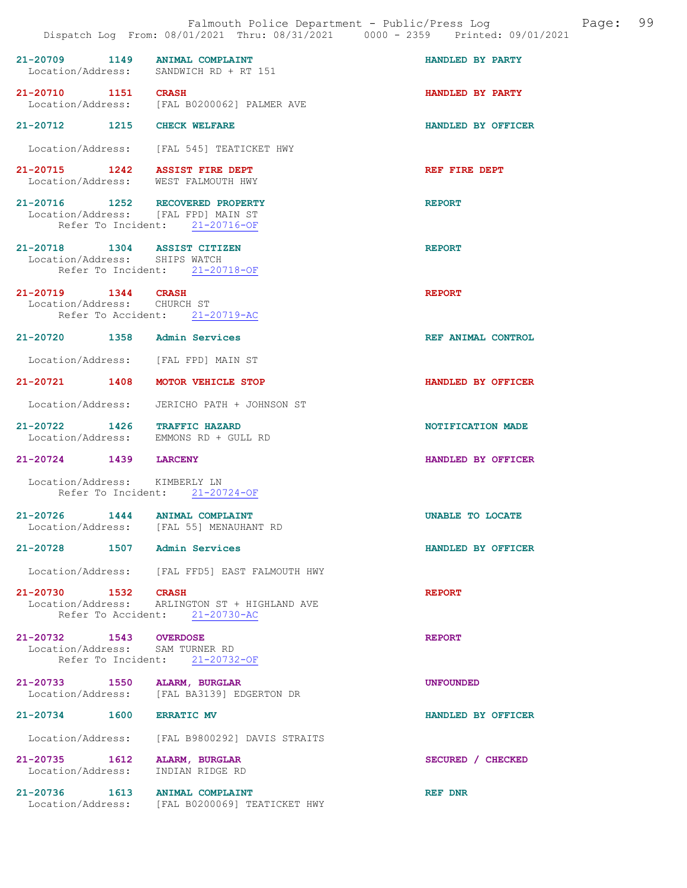| 21-20709 1149                 | <b>ANIMAL COMPLAINT</b>                                                         | HANDLED BY PARTY   |
|-------------------------------|---------------------------------------------------------------------------------|--------------------|
|                               | Location/Address: SANDWICH RD + RT 151                                          |                    |
| 21-20710 1151 CRASH           |                                                                                 | HANDLED BY PARTY   |
|                               | Location/Address: [FAL B0200062] PALMER AVE                                     |                    |
| 21-20712 1215 CHECK WELFARE   |                                                                                 | HANDLED BY OFFICER |
|                               | Location/Address: [FAL 545] TEATICKET HWY                                       |                    |
|                               | 21-20715 1242 ASSIST FIRE DEPT                                                  | REF FIRE DEPT      |
|                               | Location/Address: WEST FALMOUTH HWY                                             |                    |
|                               | 21-20716 1252 RECOVERED PROPERTY<br>Location/Address: [FAL FPD] MAIN ST         | <b>REPORT</b>      |
|                               |                                                                                 |                    |
|                               | Refer To Incident: 21-20716-OF                                                  |                    |
| 21-20718 1304 ASSIST CITIZEN  |                                                                                 | <b>REPORT</b>      |
| Location/Address: SHIPS WATCH |                                                                                 |                    |
|                               | Refer To Incident: 21-20718-OF                                                  |                    |
| 21-20719 1344 CRASH           |                                                                                 | <b>REPORT</b>      |
| Location/Address: CHURCH ST   |                                                                                 |                    |
|                               | Refer To Accident: 21-20719-AC                                                  |                    |
| 21-20720 1358 Admin Services  |                                                                                 | REF ANIMAL CONTROL |
|                               | Location/Address: [FAL FPD] MAIN ST                                             |                    |
|                               | 21-20721 1408 MOTOR VEHICLE STOP                                                | HANDLED BY OFFICER |
|                               | Location/Address: JERICHO PATH + JOHNSON ST                                     |                    |
| 21-20722 1426 TRAFFIC HAZARD  | Location/Address: EMMONS RD + GULL RD                                           | NOTIFICATION MADE  |
| 21-20724 1439 LARCENY         |                                                                                 | HANDLED BY OFFICER |
| Location/Address: KIMBERLY LN | Refer To Incident: 21-20724-OF                                                  |                    |
|                               | 21-20726 1444 ANIMAL COMPLAINT<br>Location/Address: [FAL 55] MENAUHANT RD       | UNABLE TO LOCATE   |
| 21-20728                      | 1507 Admin Services                                                             | HANDLED BY OFFICER |
|                               | Location/Address: [FAL FFD5] EAST FALMOUTH HWY                                  |                    |
| 21-20730 1532 CRASH           |                                                                                 | <b>REPORT</b>      |
|                               | Location/Address: ARLINGTON ST + HIGHLAND AVE<br>Refer To Accident: 21-20730-AC |                    |
|                               |                                                                                 |                    |
| 21-20732 1543 OVERDOSE        |                                                                                 | <b>REPORT</b>      |
|                               |                                                                                 |                    |
|                               | Location/Address: SAM TURNER RD<br>Refer To Incident: 21-20732-OF               |                    |
|                               |                                                                                 |                    |
|                               |                                                                                 |                    |
| 21-20733 1550 ALARM, BURGLAR  |                                                                                 | <b>UNFOUNDED</b>   |
|                               | Location/Address: [FAL BA3139] EDGERTON DR                                      |                    |
| 21-20734 1600 ERRATIC MV      |                                                                                 | HANDLED BY OFFICER |
|                               | Location/Address: [FAL B9800292] DAVIS STRAITS                                  |                    |
|                               |                                                                                 |                    |
| 21-20735 1612 ALARM, BURGLAR  | Location/Address: INDIAN RIDGE RD                                               | SECURED / CHECKED  |
|                               |                                                                                 |                    |

21-20736 1613 ANIMAL COMPLAINT REF DNR Location/Address: [FAL B0200069] TEATICKET HWY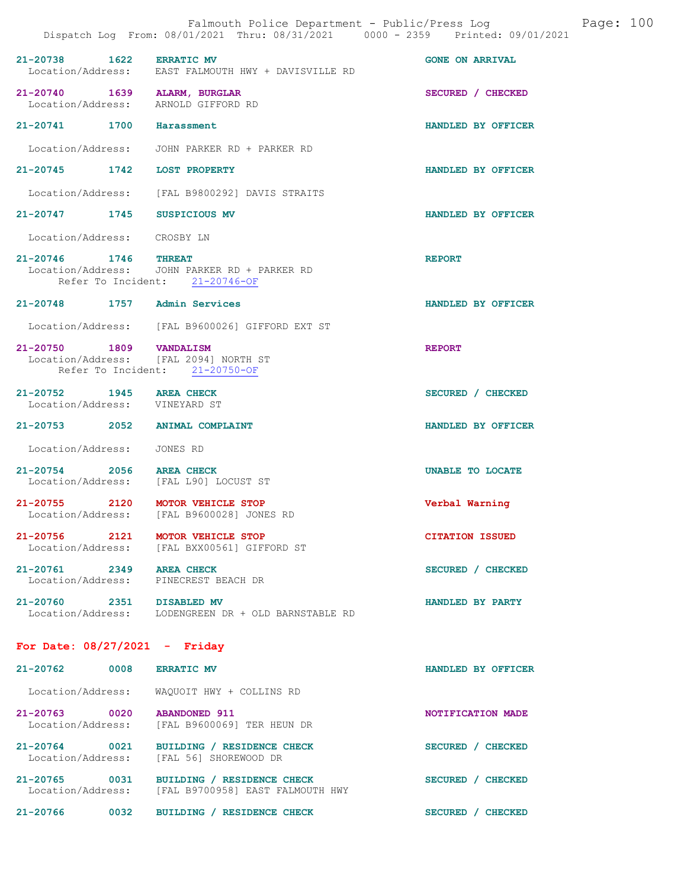|                                                           |      | Falmouth Police Department - Public/Press Log<br>Dispatch Log From: 08/01/2021 Thru: 08/31/2021 0000 - 2359 Printed: 09/01/2021 |                        | Page: 100 |  |
|-----------------------------------------------------------|------|---------------------------------------------------------------------------------------------------------------------------------|------------------------|-----------|--|
| 21-20738 1622 ERRATIC MV                                  |      | Location/Address: EAST FALMOUTH HWY + DAVISVILLE RD                                                                             | <b>GONE ON ARRIVAL</b> |           |  |
| 21-20740 1639 ALARM, BURGLAR<br>Location/Address:         |      | ARNOLD GIFFORD RD                                                                                                               | SECURED / CHECKED      |           |  |
| 21-20741 1700                                             |      | Harassment                                                                                                                      | HANDLED BY OFFICER     |           |  |
|                                                           |      | Location/Address: JOHN PARKER RD + PARKER RD                                                                                    |                        |           |  |
| 21-20745 1742 LOST PROPERTY                               |      |                                                                                                                                 | HANDLED BY OFFICER     |           |  |
| Location/Address:                                         |      | [FAL B9800292] DAVIS STRAITS                                                                                                    |                        |           |  |
| 21-20747 1745                                             |      | SUSPICIOUS MV                                                                                                                   | HANDLED BY OFFICER     |           |  |
| Location/Address:                                         |      | CROSBY LN                                                                                                                       |                        |           |  |
| 21-20746 1746 THREAT                                      |      | Location/Address: JOHN PARKER RD + PARKER RD<br>Refer To Incident: 21-20746-OF                                                  | <b>REPORT</b>          |           |  |
| 21-20748 1757 Admin Services                              |      |                                                                                                                                 | HANDLED BY OFFICER     |           |  |
|                                                           |      | Location/Address: [FAL B9600026] GIFFORD EXT ST                                                                                 |                        |           |  |
| 21-20750 1809 VANDALISM                                   |      | Location/Address: [FAL 2094] NORTH ST<br>Refer To Incident: 21-20750-OF                                                         | <b>REPORT</b>          |           |  |
| 21-20752 1945 AREA CHECK<br>Location/Address: VINEYARD ST |      |                                                                                                                                 | SECURED / CHECKED      |           |  |
|                                                           |      | 21-20753 2052 ANIMAL COMPLAINT                                                                                                  | HANDLED BY OFFICER     |           |  |
| Location/Address:                                         |      | JONES RD                                                                                                                        |                        |           |  |
| 21-20754 2056 AREA CHECK                                  |      | Location/Address: [FAL L90] LOCUST ST                                                                                           | UNABLE TO LOCATE       |           |  |
|                                                           |      | 21-20755 2120 MOTOR VEHICLE STOP<br>Location/Address: [FAL B9600028] JONES RD                                                   | Verbal Warning         |           |  |
|                                                           |      | 21-20756 2121 MOTOR VEHICLE STOP<br>Location/Address: [FAL BXX00561] GIFFORD ST                                                 | <b>CITATION ISSUED</b> |           |  |
| 21-20761 2349 AREA CHECK                                  |      | Location/Address: PINECREST BEACH DR                                                                                            | SECURED / CHECKED      |           |  |
| 21-20760 2351 DISABLED MV                                 |      | Location/Address: LODENGREEN DR + OLD BARNSTABLE RD                                                                             | HANDLED BY PARTY       |           |  |
| For Date: $08/27/2021$ - Friday                           |      |                                                                                                                                 |                        |           |  |
| $21 - 20762$                                              | 0008 | <b>ERRATIC MV</b>                                                                                                               | HANDLED BY OFFICER     |           |  |
|                                                           |      | Location/Address: WAQUOIT HWY + COLLINS RD                                                                                      |                        |           |  |
| 21-20763 0020<br>Location/Address:                        |      | <b>ABANDONED 911</b><br>[FAL B9600069] TER HEUN DR                                                                              | NOTIFICATION MADE      |           |  |
| Location/Address:                                         |      | 21-20764 0021 BUILDING / RESIDENCE CHECK<br>[FAL 56] SHOREWOOD DR                                                               | SECURED / CHECKED      |           |  |
| Location/Address:                                         |      | 21-20765 0031 BUILDING / RESIDENCE CHECK<br>[FAL B9700958] EAST FALMOUTH HWY                                                    | SECURED / CHECKED      |           |  |
| 21-20766 0032                                             |      | BUILDING / RESIDENCE CHECK                                                                                                      | SECURED / CHECKED      |           |  |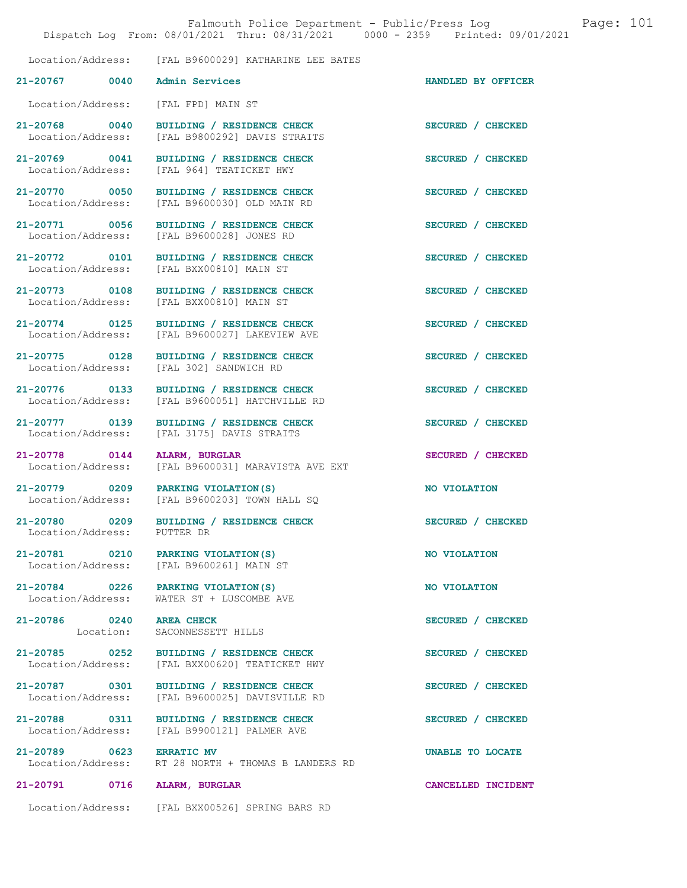|                                    | Falmouth Police Department - Public/Press Log<br>Dispatch Log From: 08/01/2021 Thru: 08/31/2021 0000 - 2359 Printed: 09/01/2021 |                    | Page: 101 |  |
|------------------------------------|---------------------------------------------------------------------------------------------------------------------------------|--------------------|-----------|--|
|                                    | Location/Address: [FAL B9600029] KATHARINE LEE BATES                                                                            |                    |           |  |
| 21-20767 0040                      | <b>Admin Services</b>                                                                                                           | HANDLED BY OFFICER |           |  |
| Location/Address:                  | [FAL FPD] MAIN ST                                                                                                               |                    |           |  |
| 21-20768 0040<br>Location/Address: | BUILDING / RESIDENCE CHECK<br>[FAL B9800292] DAVIS STRAITS                                                                      | SECURED / CHECKED  |           |  |
| 21-20769 0041<br>Location/Address: | BUILDING / RESIDENCE CHECK<br>[FAL 964] TEATICKET HWY                                                                           | SECURED / CHECKED  |           |  |
| 21-20770 0050                      | BUILDING / RESIDENCE CHECK<br>Location/Address: [FAL B9600030] OLD MAIN RD                                                      | SECURED / CHECKED  |           |  |
| 21-20771 0056                      | BUILDING / RESIDENCE CHECK<br>Location/Address: [FAL B9600028] JONES RD                                                         | SECURED / CHECKED  |           |  |
|                                    | 21-20772 0101 BUILDING / RESIDENCE CHECK<br>Location/Address: [FAL BXX00810] MAIN ST                                            | SECURED / CHECKED  |           |  |
| 21-20773 0108<br>Location/Address: | BUILDING / RESIDENCE CHECK<br>[FAL BXX00810] MAIN ST                                                                            | SECURED / CHECKED  |           |  |
| 21-20774 0125<br>Location/Address: | BUILDING / RESIDENCE CHECK<br>[FAL B9600027] LAKEVIEW AVE                                                                       | SECURED / CHECKED  |           |  |
| 21-20775 0128<br>Location/Address: | BUILDING / RESIDENCE CHECK<br>[FAL 302] SANDWICH RD                                                                             | SECURED / CHECKED  |           |  |
| 21-20776 0133<br>Location/Address: | BUILDING / RESIDENCE CHECK<br>[FAL B9600051] HATCHVILLE RD                                                                      | SECURED / CHECKED  |           |  |
| 21-20777 0139<br>Location/Address: | BUILDING / RESIDENCE CHECK<br>[FAL 3175] DAVIS STRAITS                                                                          | SECURED / CHECKED  |           |  |
| 21-20778 0144<br>Location/Address: | ALARM, BURGLAR<br>[FAL B9600031] MARAVISTA AVE EXT                                                                              | SECURED / CHECKED  |           |  |
|                                    | 21-20779 0209 PARKING VIOLATION (S)<br>Location/Address: [FAL B9600203] TOWN HALL SQ                                            | NO VIOLATION       |           |  |
| 21-20780 0209<br>Location/Address: | BUILDING / RESIDENCE CHECK<br>PUTTER DR                                                                                         | SECURED / CHECKED  |           |  |
| 21-20781 0210                      | PARKING VIOLATION(S)<br>Location/Address: [FAL B9600261] MAIN ST                                                                | NO VIOLATION       |           |  |
| Location/Address:                  | 21-20784 0226 PARKING VIOLATION(S)<br>WATER ST + LUSCOMBE AVE                                                                   | NO VIOLATION       |           |  |
| 21-20786 0240<br>Location:         | <b>AREA CHECK</b><br>SACONNESSETT HILLS                                                                                         | SECURED / CHECKED  |           |  |
| 21-20785 0252<br>Location/Address: | BUILDING / RESIDENCE CHECK<br>[FAL BXX00620] TEATICKET HWY                                                                      | SECURED / CHECKED  |           |  |
| 21-20787 0301<br>Location/Address: | BUILDING / RESIDENCE CHECK<br>[FAL B9600025] DAVISVILLE RD                                                                      | SECURED / CHECKED  |           |  |
| 21-20788 0311<br>Location/Address: | BUILDING / RESIDENCE CHECK<br>[FAL B9900121] PALMER AVE                                                                         | SECURED / CHECKED  |           |  |
| 21-20789 0623<br>Location/Address: | <b>ERRATIC MV</b><br>RT 28 NORTH + THOMAS B LANDERS RD                                                                          | UNABLE TO LOCATE   |           |  |
| 21-20791 0716                      | <b>ALARM, BURGLAR</b>                                                                                                           | CANCELLED INCIDENT |           |  |
|                                    | Location/Address: [FAL BXX00526] SPRING BARS RD                                                                                 |                    |           |  |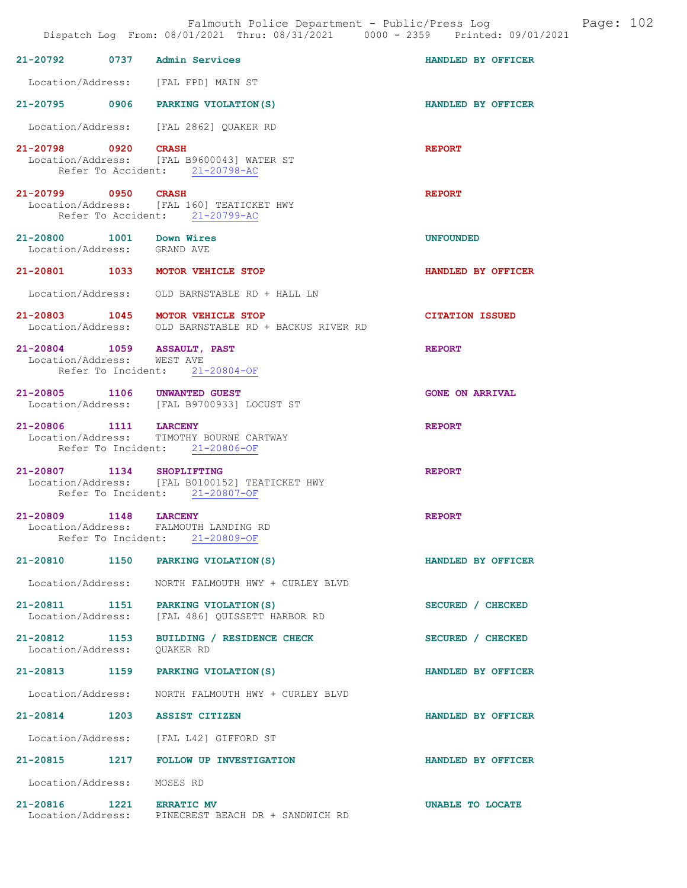|                                                         |      | Falmouth Police Department - Public/Press Log<br>Dispatch Log From: 08/01/2021 Thru: 08/31/2021 0000 - 2359 Printed: 09/01/2021 |                        | Page: 102 |  |
|---------------------------------------------------------|------|---------------------------------------------------------------------------------------------------------------------------------|------------------------|-----------|--|
| 21-20792                                                | 0737 | <b>Admin Services</b>                                                                                                           | HANDLED BY OFFICER     |           |  |
| Location/Address:                                       |      | [FAL FPD] MAIN ST                                                                                                               |                        |           |  |
|                                                         |      | 21-20795 0906 PARKING VIOLATION (S)                                                                                             | HANDLED BY OFFICER     |           |  |
|                                                         |      | Location/Address: [FAL 2862] QUAKER RD                                                                                          |                        |           |  |
| 21-20798 0920                                           |      | <b>CRASH</b><br>Location/Address: [FAL B9600043] WATER ST<br>Refer To Accident: 21-20798-AC                                     | <b>REPORT</b>          |           |  |
| 21-20799 0950                                           |      | <b>CRASH</b><br>Location/Address: [FAL 160] TEATICKET HWY<br>Refer To Accident: 21-20799-AC                                     | <b>REPORT</b>          |           |  |
| 21-20800 1001 Down Wires<br>Location/Address: GRAND AVE |      |                                                                                                                                 | <b>UNFOUNDED</b>       |           |  |
| 21-20801 1033                                           |      | MOTOR VEHICLE STOP                                                                                                              | HANDLED BY OFFICER     |           |  |
| Location/Address:                                       |      | OLD BARNSTABLE RD + HALL LN                                                                                                     |                        |           |  |
|                                                         |      | 21-20803 1045 MOTOR VEHICLE STOP<br>Location/Address: OLD BARNSTABLE RD + BACKUS RIVER RD                                       | <b>CITATION ISSUED</b> |           |  |
| 21-20804 1059<br>Location/Address:                      |      | <b>ASSAULT, PAST</b><br>WEST AVE<br>Refer To Incident: 21-20804-OF                                                              | <b>REPORT</b>          |           |  |
|                                                         |      | 21-20805 1106 UNWANTED GUEST<br>Location/Address: [FAL B9700933] LOCUST ST                                                      | <b>GONE ON ARRIVAL</b> |           |  |
| 21-20806 1111 LARCENY<br>Location/Address:              |      | TIMOTHY BOURNE CARTWAY<br>Refer To Incident: 21-20806-OF                                                                        | <b>REPORT</b>          |           |  |
| 21-20807                                                | 1134 | <b>SHOPLIFTING</b><br>Location/Address: [FAL B0100152] TEATICKET HWY<br>Refer To Incident: 21-20807-OF                          | <b>REPORT</b>          |           |  |
| $21 - 20809$                                            | 1148 | <b>LARCENY</b><br>Location/Address: FALMOUTH LANDING RD<br>Refer To Incident: 21-20809-OF                                       | <b>REPORT</b>          |           |  |
| 21-20810 1150                                           |      | PARKING VIOLATION (S)                                                                                                           | HANDLED BY OFFICER     |           |  |
| Location/Address:                                       |      | NORTH FALMOUTH HWY + CURLEY BLVD                                                                                                |                        |           |  |
| 21-20811 1151<br>Location/Address:                      |      | PARKING VIOLATION (S)<br>[FAL 486] QUISSETT HARBOR RD                                                                           | SECURED / CHECKED      |           |  |
| 21-20812 1153<br>Location/Address:                      |      | BUILDING / RESIDENCE CHECK<br>OUAKER RD                                                                                         | SECURED / CHECKED      |           |  |
| 21-20813 1159                                           |      | PARKING VIOLATION (S)                                                                                                           | HANDLED BY OFFICER     |           |  |
| Location/Address:                                       |      | NORTH FALMOUTH HWY + CURLEY BLVD                                                                                                |                        |           |  |
|                                                         |      | 21-20814 1203 ASSIST CITIZEN                                                                                                    | HANDLED BY OFFICER     |           |  |
|                                                         |      | Location/Address: [FAL L42] GIFFORD ST                                                                                          |                        |           |  |
|                                                         |      | 21-20815 1217 FOLLOW UP INVESTIGATION                                                                                           | HANDLED BY OFFICER     |           |  |
| Location/Address:                                       |      | MOSES RD                                                                                                                        |                        |           |  |
| 21-20816 1221 ERRATIC MV                                |      | Location/Address: PINECREST BEACH DR + SANDWICH RD                                                                              | UNABLE TO LOCATE       |           |  |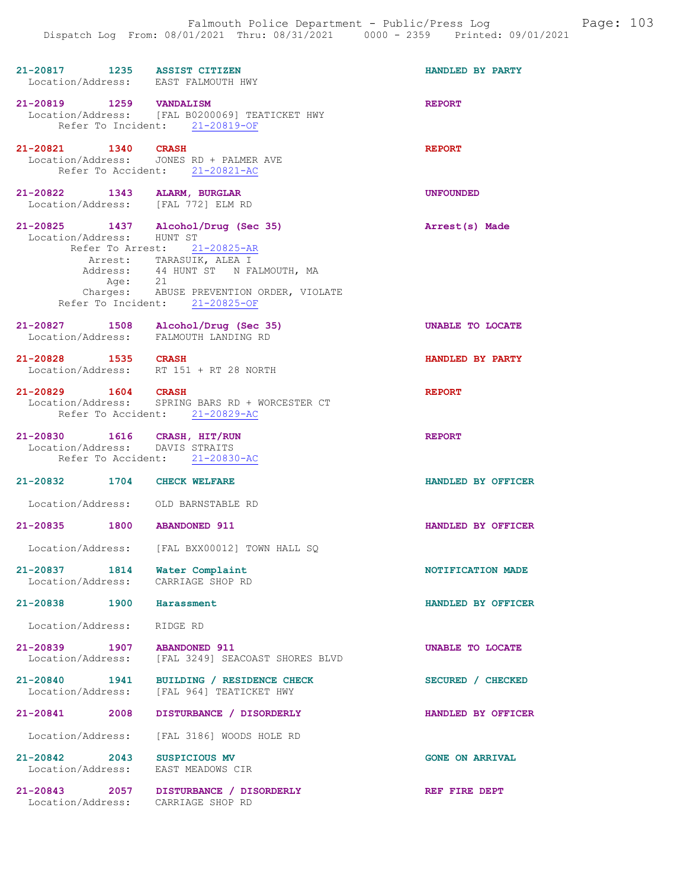| 21-20817 1235 ASSIST CITIZEN<br>Location/Address: EAST FALMOUTH HWY |                                                                | HANDLED BY PARTY        |
|---------------------------------------------------------------------|----------------------------------------------------------------|-------------------------|
| 21-20819 1259 VANDALISM                                             |                                                                | <b>REPORT</b>           |
|                                                                     | Location/Address: [FAL B0200069] TEATICKET HWY                 |                         |
|                                                                     | Refer To Incident: 21-20819-OF                                 |                         |
|                                                                     |                                                                |                         |
| 21-20821 1340 CRASH                                                 |                                                                | <b>REPORT</b>           |
|                                                                     | Location/Address: JONES RD + PALMER AVE                        |                         |
|                                                                     | Refer To Accident: 21-20821-AC                                 |                         |
|                                                                     |                                                                |                         |
| 21-20822 1343 ALARM, BURGLAR                                        |                                                                | <b>UNFOUNDED</b>        |
| Location/Address: [FAL 772] ELM RD                                  |                                                                |                         |
|                                                                     |                                                                |                         |
| 21-20825 1437 Alcohol/Drug (Sec 35)                                 |                                                                | Arrest(s) Made          |
| Location/Address: HUNT ST                                           |                                                                |                         |
|                                                                     | Refer To Arrest: 21-20825-AR                                   |                         |
|                                                                     | Arrest: TARASUIK, ALEA I<br>Address: 44 HUNT ST N FALMOUTH, MA |                         |
|                                                                     |                                                                |                         |
|                                                                     | Age: 21<br>Charges: ABUSE PREVENTION ORDER, VIOLATE            |                         |
|                                                                     |                                                                |                         |
|                                                                     | Refer To Incident: 21-20825-OF                                 |                         |
|                                                                     |                                                                |                         |
| 21-20827 1508 Alcohol/Drug (Sec 35)                                 |                                                                | <b>UNABLE TO LOCATE</b> |
| Location/Address: FALMOUTH LANDING RD                               |                                                                |                         |
| 21-20828 1535 CRASH                                                 |                                                                | HANDLED BY PARTY        |
|                                                                     | Location/Address: RT 151 + RT 28 NORTH                         |                         |
|                                                                     |                                                                |                         |
| 21-20829 1604 CRASH                                                 |                                                                | <b>REPORT</b>           |
|                                                                     | Location/Address: SPRING BARS RD + WORCESTER CT                |                         |
|                                                                     | Refer To Accident: 21-20829-AC                                 |                         |
|                                                                     |                                                                |                         |
|                                                                     |                                                                |                         |
|                                                                     |                                                                | <b>REPORT</b>           |
| 21-20830 1616 CRASH, HIT/RUN<br>Location/Address: DAVIS STRAITS     |                                                                |                         |
|                                                                     | Refer To Accident: 21-20830-AC                                 |                         |
|                                                                     |                                                                |                         |
| 21-20832 1704 CHECK WELFARE                                         |                                                                | HANDLED BY OFFICER      |
|                                                                     |                                                                |                         |
| Location/Address: OLD BARNSTABLE RD                                 |                                                                |                         |
|                                                                     |                                                                |                         |
| 21-20835                                                            | 1800 ABANDONED 911                                             | HANDLED BY OFFICER      |
|                                                                     |                                                                |                         |
|                                                                     | Location/Address: [FAL BXX00012] TOWN HALL SO                  |                         |
|                                                                     |                                                                |                         |
| 21-20837 1814 Water Complaint                                       |                                                                | NOTIFICATION MADE       |
| Location/Address: CARRIAGE SHOP RD                                  |                                                                |                         |
|                                                                     |                                                                |                         |
| 21-20838 1900 Harassment                                            |                                                                | HANDLED BY OFFICER      |
|                                                                     |                                                                |                         |
| Location/Address:                                                   | RIDGE RD                                                       |                         |
| 21-20839 1907 ABANDONED 911                                         |                                                                | UNABLE TO LOCATE        |
|                                                                     | Location/Address: [FAL 3249] SEACOAST SHORES BLVD              |                         |
|                                                                     |                                                                |                         |
|                                                                     | 21-20840 1941 BUILDING / RESIDENCE CHECK                       | SECURED / CHECKED       |
|                                                                     | Location/Address: [FAL 964] TEATICKET HWY                      |                         |
|                                                                     |                                                                |                         |
|                                                                     | 21-20841 2008 DISTURBANCE / DISORDERLY                         | HANDLED BY OFFICER      |
|                                                                     |                                                                |                         |
| Location/Address:                                                   | [FAL 3186] WOODS HOLE RD                                       |                         |
|                                                                     |                                                                |                         |
| 21-20842 2043 SUSPICIOUS MV                                         |                                                                | <b>GONE ON ARRIVAL</b>  |
| Location/Address: EAST MEADOWS CIR                                  |                                                                |                         |
|                                                                     | 21-20843 2057 DISTURBANCE / DISORDERLY                         | REF FIRE DEPT           |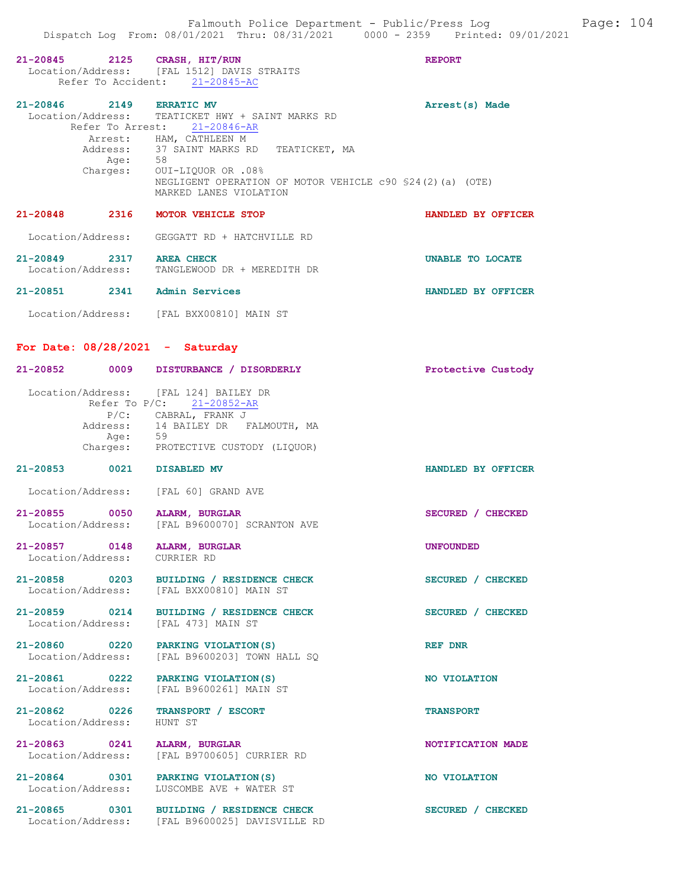| 21-20845 2125 CRASH, HIT/RUN          | Location/Address: [FAL 1512] DAVIS STRAITS<br>Refer To Accident: 21-20845-AC                                                                                                                                                                                   | <b>REPORT</b>      |
|---------------------------------------|----------------------------------------------------------------------------------------------------------------------------------------------------------------------------------------------------------------------------------------------------------------|--------------------|
| 21-20846 2149 ERRATIC MV              | Location/Address: TEATICKET HWY + SAINT MARKS RD<br>Refer To Arrest: 21-20846-AR<br>Arrest: HAM, CATHLEEN M<br>Address: 37 SAINT MARKS RD TEATICKET, MA<br>Age: 58<br>Charges: OUI-LIQUOR OR .08%<br>NEGLIGENT OPERATION OF MOTOR VEHICLE c90 \$24(2)(a) (OTE) | Arrest(s) Made     |
| 21-20848 2316 MOTOR VEHICLE STOP      | MARKED LANES VIOLATION                                                                                                                                                                                                                                         | HANDLED BY OFFICER |
|                                       | Location/Address: GEGGATT RD + HATCHVILLE RD                                                                                                                                                                                                                   |                    |
| 21-20849 2317 AREA CHECK              | Location/Address: TANGLEWOOD DR + MEREDITH DR                                                                                                                                                                                                                  | UNABLE TO LOCATE   |
| 21-20851 2341 Admin Services          |                                                                                                                                                                                                                                                                | HANDLED BY OFFICER |
|                                       | Location/Address: [FAL BXX00810] MAIN ST                                                                                                                                                                                                                       |                    |
| For Date: $08/28/2021$ - Saturday     |                                                                                                                                                                                                                                                                |                    |
|                                       | 21-20852 0009 DISTURBANCE / DISORDERLY                                                                                                                                                                                                                         | Protective Custody |
| Location/Address: [FAL 124] BAILEY DR | Refer To P/C: 21-20852-AR                                                                                                                                                                                                                                      |                    |
| Age: 59                               | P/C: CABRAL, FRANK J<br>Address: 14 BAILEY DR FALMOUTH, MA<br>Charges: PROTECTIVE CUSTODY (LIQUOR)                                                                                                                                                             |                    |
| $21 - 20853$                          | 0021 DISABLED MV                                                                                                                                                                                                                                               | HANDLED BY OFFICER |
| Location/Address: [FAL 60] GRAND AVE  |                                                                                                                                                                                                                                                                |                    |
| 21-20855 0050 ALARM, BURGLAR          | Location/Address: [FAL B9600070] SCRANTON AVE                                                                                                                                                                                                                  | SECURED / CHECKED  |
| 21-20857 0148<br>Location/Address:    | ALARM, BURGLAR<br>CURRIER RD                                                                                                                                                                                                                                   | <b>UNFOUNDED</b>   |
|                                       | 21-20858 0203 BUILDING / RESIDENCE CHECK<br>Location/Address: [FAL BXX00810] MAIN ST                                                                                                                                                                           | SECURED / CHECKED  |
| 21-20859 0214<br>Location/Address:    | BUILDING / RESIDENCE CHECK<br>[FAL 473] MAIN ST                                                                                                                                                                                                                | SECURED / CHECKED  |
| 21-20860 0220<br>Location/Address:    | PARKING VIOLATION (S)<br>[FAL B9600203] TOWN HALL SQ                                                                                                                                                                                                           | REF DNR            |
| 21-20861 0222<br>Location/Address:    | PARKING VIOLATION (S)<br>[FAL B9600261] MAIN ST                                                                                                                                                                                                                | NO VIOLATION       |
| 21-20862 0226<br>Location/Address:    | TRANSPORT / ESCORT<br>HUNT ST                                                                                                                                                                                                                                  | <b>TRANSPORT</b>   |
| 21-20863 0241<br>Location/Address:    | ALARM, BURGLAR<br>[FAL B9700605] CURRIER RD                                                                                                                                                                                                                    | NOTIFICATION MADE  |
| 21-20864 0301<br>Location/Address:    | PARKING VIOLATION (S)<br>LUSCOMBE AVE + WATER ST                                                                                                                                                                                                               | NO VIOLATION       |
| 21-20865 0301<br>Location/Address:    | BUILDING / RESIDENCE CHECK<br>[FAL B9600025] DAVISVILLE RD                                                                                                                                                                                                     | SECURED / CHECKED  |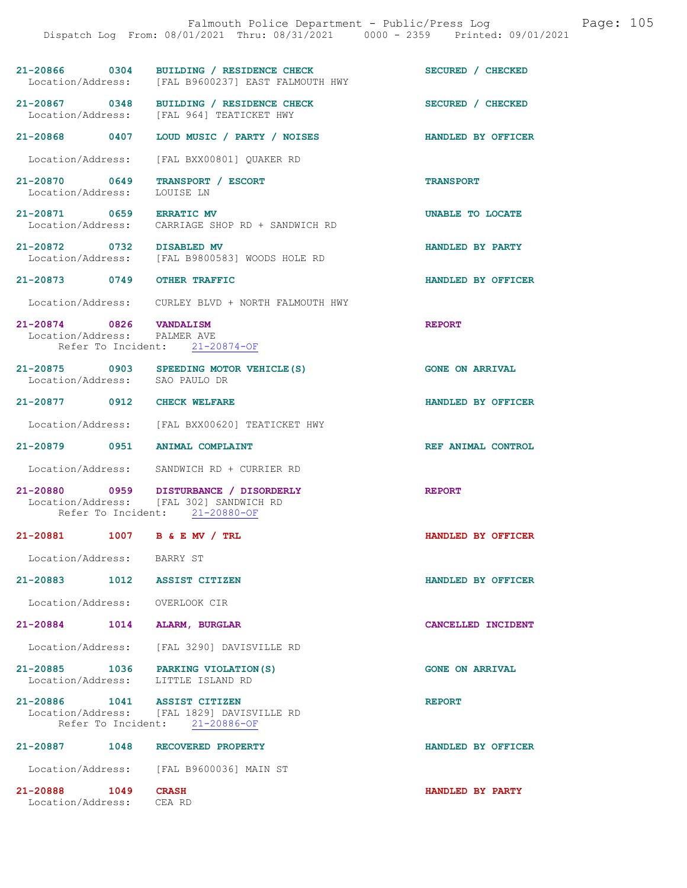|                                                                           | Dispatch Log From: 08/01/2021 Thru: 08/31/2021 0000 - 2359 Printed: 09/01/2021                                      |                        |
|---------------------------------------------------------------------------|---------------------------------------------------------------------------------------------------------------------|------------------------|
|                                                                           | 21-20866 0304 BUILDING / RESIDENCE CHECK<br>Location/Address: [FAL B9600237] EAST FALMOUTH HWY                      | SECURED / CHECKED      |
|                                                                           | 21-20867 0348 BUILDING / RESIDENCE CHECK<br>Location/Address: [FAL 964] TEATICKET HWY                               | SECURED / CHECKED      |
|                                                                           | 21-20868 0407 LOUD MUSIC / PARTY / NOISES                                                                           | HANDLED BY OFFICER     |
| Location/Address:                                                         | [FAL BXX00801] QUAKER RD                                                                                            |                        |
| 21-20870 0649<br>Location/Address:                                        | TRANSPORT / ESCORT<br>LOUISE LN                                                                                     | <b>TRANSPORT</b>       |
| 21-20871 0659                                                             | <b>ERRATIC MV</b><br>Location/Address: CARRIAGE SHOP RD + SANDWICH RD                                               | UNABLE TO LOCATE       |
| 21-20872 0732 DISABLED MV                                                 | Location/Address: [FAL B9800583] WOODS HOLE RD                                                                      | HANDLED BY PARTY       |
| 21-20873 0749 OTHER TRAFFIC                                               |                                                                                                                     | HANDLED BY OFFICER     |
|                                                                           | Location/Address: CURLEY BLVD + NORTH FALMOUTH HWY                                                                  |                        |
| 21-20874 0826 VANDALISM<br>Location/Address: PALMER AVE                   | Refer To Incident: 21-20874-OF                                                                                      | <b>REPORT</b>          |
| Location/Address: SAO PAULO DR                                            | 21-20875 0903 SPEEDING MOTOR VEHICLE (S)                                                                            | <b>GONE ON ARRIVAL</b> |
| 21-20877 0912 CHECK WELFARE                                               |                                                                                                                     | HANDLED BY OFFICER     |
|                                                                           | Location/Address: [FAL BXX00620] TEATICKET HWY                                                                      |                        |
| 21-20879 0951 ANIMAL COMPLAINT                                            |                                                                                                                     | REF ANIMAL CONTROL     |
|                                                                           | Location/Address: SANDWICH RD + CURRIER RD                                                                          |                        |
|                                                                           | 21-20880 0959 DISTURBANCE / DISORDERLY<br>Location/Address: [FAL 302] SANDWICH RD<br>Refer To Incident: 21-20880-OF | <b>REPORT</b>          |
| 21-20881 1007 B & E MV / TRL                                              |                                                                                                                     | HANDLED BY OFFICER     |
| Location/Address: BARRY ST                                                |                                                                                                                     |                        |
| 21-20883 1012 ASSIST CITIZEN                                              |                                                                                                                     | HANDLED BY OFFICER     |
| Location/Address: OVERLOOK CIR                                            |                                                                                                                     |                        |
| 21-20884 1014 ALARM, BURGLAR                                              |                                                                                                                     | CANCELLED INCIDENT     |
|                                                                           | Location/Address: [FAL 3290] DAVISVILLE RD                                                                          |                        |
| 21-20885 1036 PARKING VIOLATION (S)<br>Location/Address: LITTLE ISLAND RD |                                                                                                                     | <b>GONE ON ARRIVAL</b> |
| 21-20886 1041 ASSIST CITIZEN                                              | Location/Address: [FAL 1829] DAVISVILLE RD<br>Refer To Incident: 21-20886-OF                                        | <b>REPORT</b>          |
| 21-20887 1048 RECOVERED PROPERTY                                          |                                                                                                                     | HANDLED BY OFFICER     |
|                                                                           | Location/Address: [FAL B9600036] MAIN ST                                                                            |                        |

21-20888 1049 CRASH HANDLED BY PARTY Location/Address: CEA RD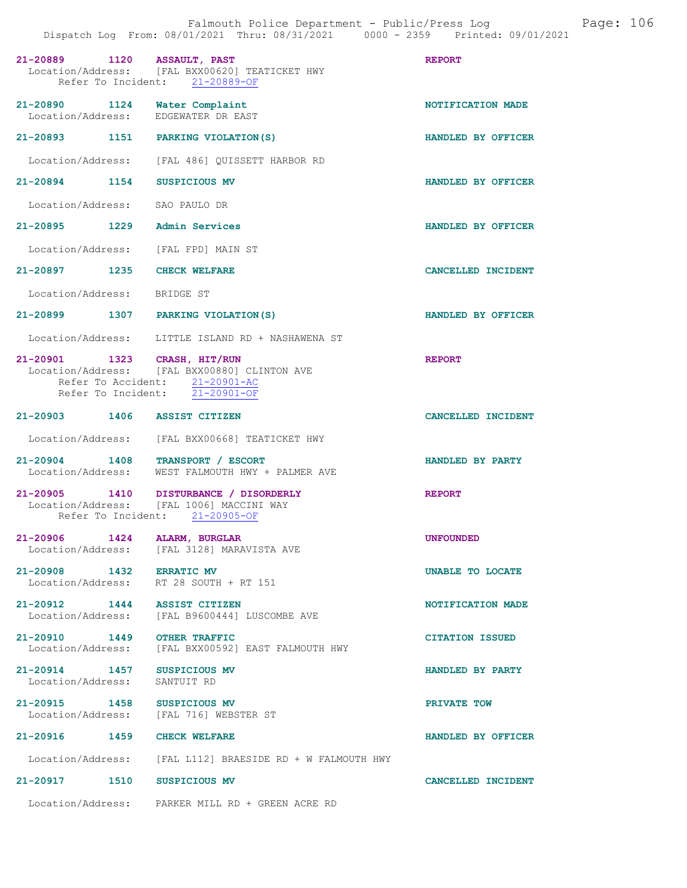| 21-20889 1120 ASSAULT, PAST                      |      | Location/Address: [FAL BXX00620] TEATICKET HWY<br>Refer To Incident: 21-20889-OF                                              | <b>REPORT</b>          |
|--------------------------------------------------|------|-------------------------------------------------------------------------------------------------------------------------------|------------------------|
| Location/Address:                                |      | 21-20890 1124 Water Complaint<br>EDGEWATER DR EAST                                                                            | NOTIFICATION MADE      |
|                                                  |      | 21-20893 1151 PARKING VIOLATION (S)                                                                                           | HANDLED BY OFFICER     |
|                                                  |      | Location/Address: [FAL 486] OUISSETT HARBOR RD                                                                                |                        |
| 21-20894 1154                                    |      | SUSPICIOUS MV                                                                                                                 | HANDLED BY OFFICER     |
| Location/Address: SAO PAULO DR                   |      |                                                                                                                               |                        |
|                                                  |      | 21-20895 1229 Admin Services                                                                                                  | HANDLED BY OFFICER     |
|                                                  |      | Location/Address: [FAL FPD] MAIN ST                                                                                           |                        |
| 21-20897 1235 CHECK WELFARE                      |      |                                                                                                                               | CANCELLED INCIDENT     |
| Location/Address: BRIDGE ST                      |      |                                                                                                                               |                        |
|                                                  |      | 21-20899 1307 PARKING VIOLATION(S)                                                                                            | HANDLED BY OFFICER     |
|                                                  |      | Location/Address: LITTLE ISLAND RD + NASHAWENA ST                                                                             |                        |
| 21-20901 1323 CRASH, HIT/RUN                     |      | Location/Address: [FAL BXX00880] CLINTON AVE<br>Refer To Accident: 21-20901-AC<br>Refer To Incident: $\overline{21-20901-OF}$ | <b>REPORT</b>          |
| 21-20903 1406 ASSIST CITIZEN                     |      |                                                                                                                               | CANCELLED INCIDENT     |
|                                                  |      | Location/Address: [FAL BXX00668] TEATICKET HWY                                                                                |                        |
|                                                  |      | 21-20904 1408 TRANSPORT / ESCORT<br>Location/Address: WEST FALMOUTH HWY + PALMER AVE                                          | HANDLED BY PARTY       |
|                                                  |      | 21-20905 1410 DISTURBANCE / DISORDERLY<br>Location/Address: [FAL 1006] MACCINI WAY<br>Refer To Incident: 21-20905-OF          | <b>REPORT</b>          |
| $21 - 20906$                                     | 1424 | <b>ALARM, BURGLAR</b><br>Location/Address: [FAL 3128] MARAVISTA AVE                                                           | <b>UNFOUNDED</b>       |
|                                                  |      | 21-20908 1432 ERRATIC MV<br>Location/Address: RT 28 SOUTH + RT 151                                                            | UNABLE TO LOCATE       |
| 21-20912 1444                                    |      | <b>ASSIST CITIZEN</b><br>Location/Address: [FAL B9600444] LUSCOMBE AVE                                                        | NOTIFICATION MADE      |
| 21-20910 1449                                    |      | <b>OTHER TRAFFIC</b><br>Location/Address: [FAL BXX00592] EAST FALMOUTH HWY                                                    | <b>CITATION ISSUED</b> |
| 21-20914 1457 SUSPICIOUS MV<br>Location/Address: |      | SANTUIT RD                                                                                                                    | HANDLED BY PARTY       |
| 21-20915 1458 SUSPICIOUS MV                      |      | Location/Address: [FAL 716] WEBSTER ST                                                                                        | PRIVATE TOW            |
| 21-20916 1459                                    |      | <b>CHECK WELFARE</b>                                                                                                          | HANDLED BY OFFICER     |
|                                                  |      | Location/Address: [FAL L112] BRAESIDE RD + W FALMOUTH HWY                                                                     |                        |
| 21-20917 1510                                    |      | SUSPICIOUS MV                                                                                                                 | CANCELLED INCIDENT     |
|                                                  |      | Location/Address: PARKER MILL RD + GREEN ACRE RD                                                                              |                        |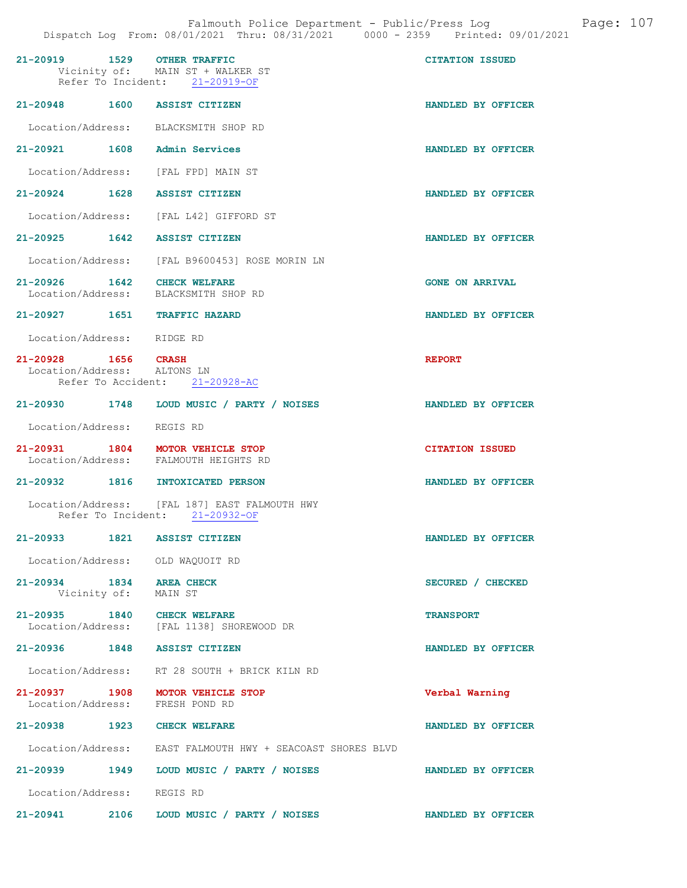| 21-20919 1529 OTHER TRAFFIC                                               | Vicinity of: MAIN ST + WALKER ST<br>Refer To Incident: 21-20919-OF              | <b>CITATION ISSUED</b> |
|---------------------------------------------------------------------------|---------------------------------------------------------------------------------|------------------------|
| 21-20948 1600 ASSIST CITIZEN                                              |                                                                                 | HANDLED BY OFFICER     |
| Location/Address: BLACKSMITH SHOP RD                                      |                                                                                 |                        |
| 21-20921 1608 Admin Services                                              |                                                                                 | HANDLED BY OFFICER     |
| Location/Address: [FAL FPD] MAIN ST                                       |                                                                                 |                        |
| 21-20924 1628 ASSIST CITIZEN                                              |                                                                                 | HANDLED BY OFFICER     |
|                                                                           | Location/Address: [FAL L42] GIFFORD ST                                          |                        |
| 21-20925 1642 ASSIST CITIZEN                                              |                                                                                 | HANDLED BY OFFICER     |
|                                                                           | Location/Address: [FAL B9600453] ROSE MORIN LN                                  |                        |
| 21-20926 1642 CHECK WELFARE<br>Location/Address: BLACKSMITH SHOP RD       |                                                                                 | <b>GONE ON ARRIVAL</b> |
| 21-20927 1651 TRAFFIC HAZARD                                              |                                                                                 | HANDLED BY OFFICER     |
| Location/Address: RIDGE RD                                                |                                                                                 |                        |
| 21-20928 1656 CRASH<br>Location/Address: ALTONS LN                        | Refer To Accident: 21-20928-AC                                                  | <b>REPORT</b>          |
|                                                                           | 21-20930 1748 LOUD MUSIC / PARTY / NOISES                                       | HANDLED BY OFFICER     |
| Location/Address: REGIS RD                                                |                                                                                 |                        |
| 21-20931 1804 MOTOR VEHICLE STOP<br>Location/Address: FALMOUTH HEIGHTS RD |                                                                                 | <b>CITATION ISSUED</b> |
| 21-20932 1816 INTOXICATED PERSON                                          |                                                                                 | HANDLED BY OFFICER     |
|                                                                           | Location/Address: [FAL 187] EAST FALMOUTH HWY<br>Refer To Incident: 21-20932-OF |                        |
| $21 - 20933$                                                              | 1821 ASSIST CITIZEN                                                             | HANDLED BY OFFICER     |
| Location/Address: OLD WAQUOIT RD                                          |                                                                                 |                        |
| 21-20934 1834<br>Vicinity of: MAIN ST                                     | <b>AREA CHECK</b>                                                               | SECURED / CHECKED      |
| 21-20935 1840 CHECK WELFARE                                               | Location/Address: [FAL 1138] SHOREWOOD DR                                       | <b>TRANSPORT</b>       |
| 21-20936 1848 ASSIST CITIZEN                                              |                                                                                 | HANDLED BY OFFICER     |
|                                                                           | Location/Address: RT 28 SOUTH + BRICK KILN RD                                   |                        |
| 21-20937 1908 MOTOR VEHICLE STOP<br>Location/Address: FRESH POND RD       |                                                                                 | Verbal Warning         |
| 21-20938 1923 CHECK WELFARE                                               |                                                                                 | HANDLED BY OFFICER     |
|                                                                           | Location/Address: EAST FALMOUTH HWY + SEACOAST SHORES BLVD                      |                        |
|                                                                           | 21-20939 1949 LOUD MUSIC / PARTY / NOISES                                       | HANDLED BY OFFICER     |
| Location/Address: REGIS RD                                                |                                                                                 |                        |
|                                                                           | 21-20941 2106 LOUD MUSIC / PARTY / NOISES                                       | HANDLED BY OFFICER     |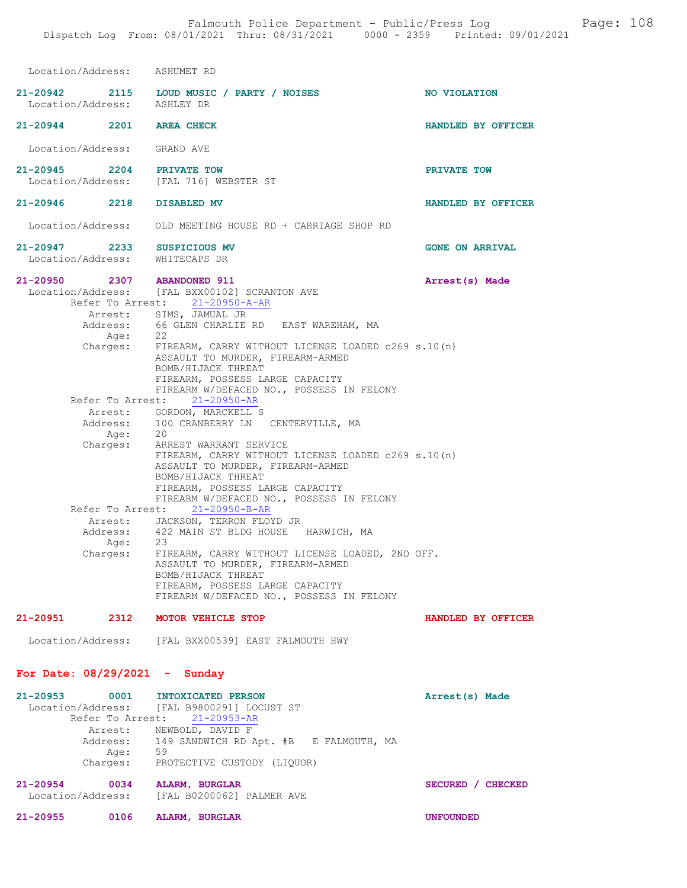| Location/Address: ASHUMET RD                                                      |                                                                                                                                                                                                                                                                 |                        |
|-----------------------------------------------------------------------------------|-----------------------------------------------------------------------------------------------------------------------------------------------------------------------------------------------------------------------------------------------------------------|------------------------|
| Location/Address: ASHLEY DR                                                       | 21-20942 2115 LOUD MUSIC / PARTY / NOISES                                                                                                                                                                                                                       | <b>NO VIOLATION</b>    |
| 21-20944 2201 AREA CHECK                                                          |                                                                                                                                                                                                                                                                 | HANDLED BY OFFICER     |
| Location/Address: GRAND AVE                                                       |                                                                                                                                                                                                                                                                 |                        |
| 21-20945 2204 PRIVATE TOW<br>Location/Address: [FAL 716] WEBSTER ST               |                                                                                                                                                                                                                                                                 | PRIVATE TOW            |
| 21-20946 2218                                                                     | DISABLED MV                                                                                                                                                                                                                                                     | HANDLED BY OFFICER     |
|                                                                                   | Location/Address: OLD MEETING HOUSE RD + CARRIAGE SHOP RD                                                                                                                                                                                                       |                        |
| 21-20947 2233 SUSPICIOUS MV<br>Location/Address:                                  | WHITECAPS DR                                                                                                                                                                                                                                                    | <b>GONE ON ARRIVAL</b> |
| 21-20950 2307 ABANDONED 911                                                       | Location/Address: [FAL BXX00102] SCRANTON AVE<br>Refer To Arrest: 21-20950-A-AR<br>Arrest: SIMS, JAMUAL JR                                                                                                                                                      | Arrest(s) Made         |
| Age:                                                                              | Address: 66 GLEN CHARLIE RD EAST WAREHAM, MA<br>Age: 22<br>Charges: FIREARM, CARRY WITHOUT LICENSE LOADED c269 s.10(n)<br>ASSAULT TO MURDER, FIREARM-ARMED<br>BOMB/HIJACK THREAT<br>FIREARM, POSSESS LARGE CAPACITY<br>FIREARM W/DEFACED NO., POSSESS IN FELONY |                        |
|                                                                                   | Refer To Arrest: 21-20950-AR                                                                                                                                                                                                                                    |                        |
|                                                                                   | Arrest: GORDON, MARCKELL S<br>Address: 100 CRANBERRY LN CENTERVILLE, MA                                                                                                                                                                                         |                        |
|                                                                                   | Age: 20<br>Charges: ARREST WARRANT SERVICE                                                                                                                                                                                                                      |                        |
|                                                                                   | FIREARM, CARRY WITHOUT LICENSE LOADED c269 s.10(n)<br>ASSAULT TO MURDER, FIREARM-ARMED<br>BOMB/HIJACK THREAT<br>FIREARM, POSSESS LARGE CAPACITY<br>FIREARM W/DEFACED NO., POSSESS IN FELONY                                                                     |                        |
|                                                                                   | Refer To Arrest: 21-20950-B-AR                                                                                                                                                                                                                                  |                        |
| Address:                                                                          | Arrest: JACKSON, TERRON FLOYD JR<br>422 MAIN ST BLDG HOUSE HARWICH, MA                                                                                                                                                                                          |                        |
| Age:<br>Charges:                                                                  | 23<br>FIREARM, CARRY WITHOUT LICENSE LOADED, 2ND OFF.<br>ASSAULT TO MURDER, FIREARM-ARMED<br>BOMB/HIJACK THREAT<br>FIREARM, POSSESS LARGE CAPACITY<br>FIREARM W/DEFACED NO., POSSESS IN FELONY                                                                  |                        |
| 21-20951 2312 MOTOR VEHICLE STOP                                                  |                                                                                                                                                                                                                                                                 | HANDLED BY OFFICER     |
|                                                                                   | Location/Address: [FAL BXX00539] EAST FALMOUTH HWY                                                                                                                                                                                                              |                        |
| For Date: $08/29/2021$ - Sunday                                                   |                                                                                                                                                                                                                                                                 |                        |
| $21 - 20953$<br>0001<br>Location/Address:<br>Refer To Arrest:<br>Address:<br>Age: | <b>INTOXICATED PERSON</b><br>[FAL B9800291] LOCUST ST<br>$21 - 20953 - AR$<br>Arrest: NEWBOLD, DAVID F<br>149 SANDWICH RD Apt. #B E FALMOUTH, MA<br>59<br>Charges: PROTECTIVE CUSTODY (LIQUOR)                                                                  | Arrest(s) Made         |

21-20954 0034 ALARM, BURGLAR SECURED / CHECKED Location/Address: [FAL B0200062] PALMER AVE

| 21-20955 | 0106 | ALARM, BURGLAR |
|----------|------|----------------|
|          |      |                |

UNFOUNDED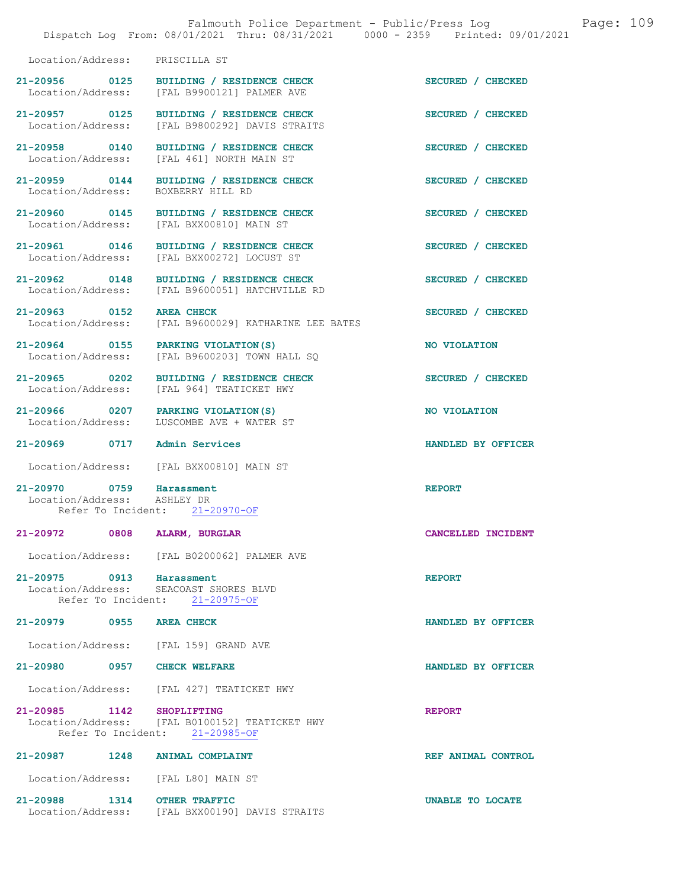|                                                          | Falmouth Police Department - Public/Press Log<br>Dispatch Log From: 08/01/2021 Thru: 08/31/2021 0000 - 2359 Printed: 09/01/2021 | Page: 109          |
|----------------------------------------------------------|---------------------------------------------------------------------------------------------------------------------------------|--------------------|
| Location/Address: PRISCILLA ST                           |                                                                                                                                 |                    |
| 21-20956 0125                                            | BUILDING / RESIDENCE CHECK<br>Location/Address: [FAL B9900121] PALMER AVE                                                       | SECURED / CHECKED  |
| 21-20957 0125<br>Location/Address:                       | BUILDING / RESIDENCE CHECK<br>[FAL B9800292] DAVIS STRAITS                                                                      | SECURED / CHECKED  |
| 21-20958 0140<br>Location/Address:                       | BUILDING / RESIDENCE CHECK<br>[FAL 461] NORTH MAIN ST                                                                           | SECURED / CHECKED  |
| Location/Address: BOXBERRY HILL RD                       | 21-20959 0144 BUILDING / RESIDENCE CHECK                                                                                        | SECURED / CHECKED  |
|                                                          | 21-20960 0145 BUILDING / RESIDENCE CHECK<br>Location/Address: [FAL BXX00810] MAIN ST                                            | SECURED / CHECKED  |
|                                                          | 21-20961 0146 BUILDING / RESIDENCE CHECK<br>Location/Address: [FAL BXX00272] LOCUST ST                                          | SECURED / CHECKED  |
| 21-20962 0148                                            | BUILDING / RESIDENCE CHECK<br>Location/Address: [FAL B9600051] HATCHVILLE RD                                                    | SECURED / CHECKED  |
| 21-20963 0152 AREA CHECK                                 | Location/Address: [FAL B9600029] KATHARINE LEE BATES                                                                            | SECURED / CHECKED  |
| 21-20964 0155 PARKING VIOLATION (S)<br>Location/Address: | [FAL B9600203] TOWN HALL SQ                                                                                                     | NO VIOLATION       |
| 21-20965 0202                                            | BUILDING / RESIDENCE CHECK<br>Location/Address: [FAL 964] TEATICKET HWY                                                         | SECURED / CHECKED  |
| 21-20966 0207 PARKING VIOLATION(S)<br>Location/Address:  | LUSCOMBE AVE + WATER ST                                                                                                         | NO VIOLATION       |
| 21-20969 0717 Admin Services                             |                                                                                                                                 | HANDLED BY OFFICER |
|                                                          | Location/Address: [FAL BXX00810] MAIN ST                                                                                        |                    |
| 21-20970 0759 Harassment<br>Location/Address: ASHLEY DR  | Refer To Incident: 21-20970-OF                                                                                                  | <b>REPORT</b>      |
| 21-20972 0808 ALARM, BURGLAR                             |                                                                                                                                 | CANCELLED INCIDENT |
|                                                          | Location/Address: [FAL B0200062] PALMER AVE                                                                                     |                    |
| 21-20975 0913 Harassment                                 | Location/Address: SEACOAST SHORES BLVD<br>Refer To Incident: 21-20975-OF                                                        | <b>REPORT</b>      |
| 21-20979 0955                                            | <b>AREA CHECK</b>                                                                                                               | HANDLED BY OFFICER |
| Location/Address: [FAL 159] GRAND AVE                    |                                                                                                                                 |                    |
| 21-20980 0957 CHECK WELFARE                              |                                                                                                                                 | HANDLED BY OFFICER |
|                                                          | Location/Address: [FAL 427] TEATICKET HWY                                                                                       |                    |
| 21-20985 1142 SHOPLIFTING                                | Location/Address: [FAL B0100152] TEATICKET HWY<br>Refer To Incident: 21-20985-OF                                                | <b>REPORT</b>      |
| 21-20987 1248 ANIMAL COMPLAINT                           |                                                                                                                                 | REF ANIMAL CONTROL |
| Location/Address: [FAL L80] MAIN ST                      |                                                                                                                                 |                    |
| 21-20988 1314 OTHER TRAFFIC                              | Location/Address: [FAL BXX00190] DAVIS STRAITS                                                                                  | UNABLE TO LOCATE   |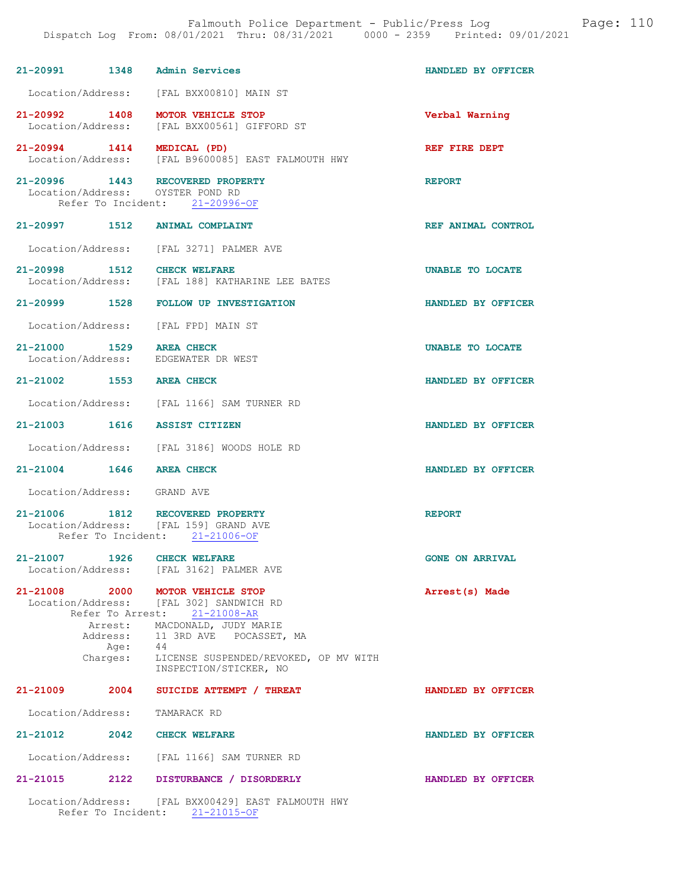| 21-20991 1348 Admin Services                                         |                                                                                                            | HANDLED BY OFFICER     |
|----------------------------------------------------------------------|------------------------------------------------------------------------------------------------------------|------------------------|
|                                                                      | Location/Address: [FAL BXX00810] MAIN ST                                                                   |                        |
| 21-20992 1408                                                        | MOTOR VEHICLE STOP<br>Location/Address: [FAL BXX00561] GIFFORD ST                                          | Verbal Warning         |
|                                                                      | 21-20994 1414 MEDICAL (PD)<br>Location/Address: [FAL B9600085] EAST FALMOUTH HWY                           | REF FIRE DEPT          |
| 21-20996 1443 RECOVERED PROPERTY<br>Location/Address: OYSTER POND RD | Refer To Incident: 21-20996-OF                                                                             | <b>REPORT</b>          |
| 21-20997 1512 ANIMAL COMPLAINT                                       |                                                                                                            | REF ANIMAL CONTROL     |
|                                                                      | Location/Address: [FAL 3271] PALMER AVE                                                                    |                        |
| 21-20998 1512                                                        | <b>CHECK WELFARE</b><br>Location/Address: [FAL 188] KATHARINE LEE BATES                                    | UNABLE TO LOCATE       |
|                                                                      | 21-20999 1528 FOLLOW UP INVESTIGATION                                                                      | HANDLED BY OFFICER     |
| Location/Address: [FAL FPD] MAIN ST                                  |                                                                                                            |                        |
| 21-21000 1529 AREA CHECK<br>Location/Address: EDGEWATER DR WEST      |                                                                                                            | UNABLE TO LOCATE       |
| 21-21002 1553 AREA CHECK                                             |                                                                                                            | HANDLED BY OFFICER     |
|                                                                      | Location/Address: [FAL 1166] SAM TURNER RD                                                                 |                        |
| 21-21003 1616 ASSIST CITIZEN                                         |                                                                                                            | HANDLED BY OFFICER     |
|                                                                      | Location/Address: [FAL 3186] WOODS HOLE RD                                                                 |                        |
| 21-21004 1646 AREA CHECK                                             |                                                                                                            | HANDLED BY OFFICER     |
| Location/Address: GRAND AVE                                          |                                                                                                            |                        |
| 21-21006 1812<br>Location/Address: [FAL 159] GRAND AVE               | RECOVERED PROPERTY<br>Refer To Incident: 21-21006-OF                                                       | <b>REPORT</b>          |
| 1926<br>21-21007                                                     | <b>CHECK WELFARE</b><br>Location/Address: [FAL 3162] PALMER AVE                                            | <b>GONE ON ARRIVAL</b> |
| 21-21008 2000 MOTOR VEHICLE STOP                                     | Location/Address: [FAL 302] SANDWICH RD<br>Refer To Arrest: 21-21008-AR                                    | Arrest(s) Made         |
| Age: 44<br>Charges: LIC                                              | Arrest: MACDONALD, JUDY MARIE<br>Address: 11 3RD AVE POCASSET, MA<br>LICENSE SUSPENDED/REVOKED, OP MV WITH |                        |
|                                                                      | INSPECTION/STICKER, NO                                                                                     |                        |
| 21-21009<br>2004                                                     | SUICIDE ATTEMPT / THREAT                                                                                   | HANDLED BY OFFICER     |
| Location/Address:                                                    | TAMARACK RD                                                                                                |                        |
| 21-21012 2042 CHECK WELFARE                                          |                                                                                                            | HANDLED BY OFFICER     |
|                                                                      | Location/Address: [FAL 1166] SAM TURNER RD                                                                 |                        |
| 2122<br>$21 - 21015$                                                 | DISTURBANCE / DISORDERLY                                                                                   | HANDLED BY OFFICER     |
|                                                                      | Location/Address: [FAL BXX00429] EAST FALMOUTH HWY                                                         |                        |

Refer To Incident: 21-21015-OF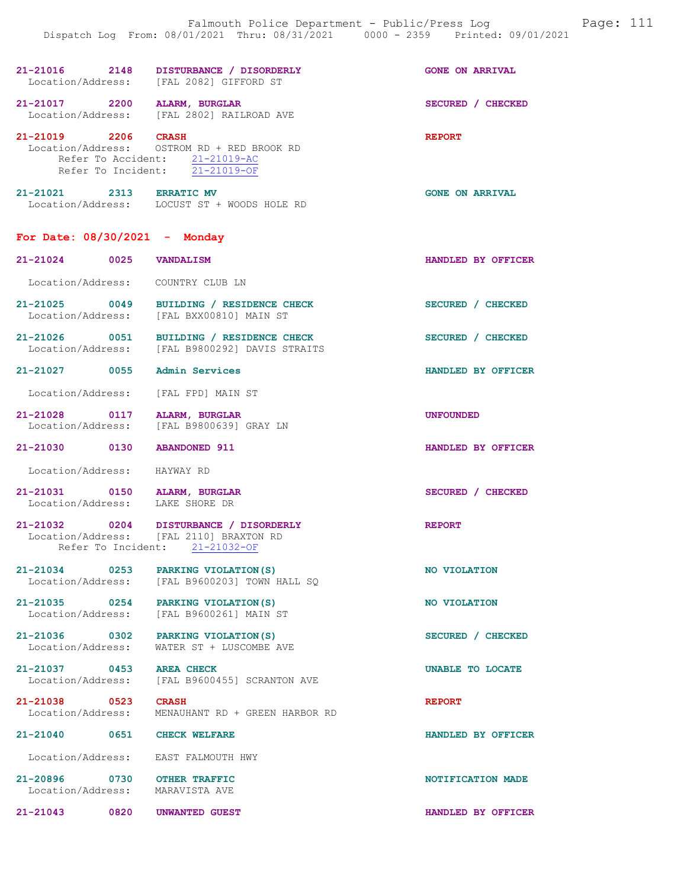|                                                                 | 21-21016 2148 DISTURBANCE / DISORDERLY<br>Location/Address: [FAL 2082] GIFFORD ST                                                     | <b>GONE ON ARRIVAL</b> |
|-----------------------------------------------------------------|---------------------------------------------------------------------------------------------------------------------------------------|------------------------|
| 21-21017 2200 ALARM, BURGLAR                                    | Location/Address: [FAL 2802] RAILROAD AVE                                                                                             | SECURED / CHECKED      |
|                                                                 | 21-21019 2206 CRASH<br>Location/Address: OSTROM RD + RED BROOK RD<br>Refer To Accident: 21-21019-AC<br>Refer To Incident: 21-21019-OF | <b>REPORT</b>          |
| 21-21021 2313 ERRATIC MV                                        | Location/Address: LOCUST ST + WOODS HOLE RD                                                                                           | <b>GONE ON ARRIVAL</b> |
| For Date: $08/30/2021$ - Monday                                 |                                                                                                                                       |                        |
| 21-21024 0025 VANDALISM                                         |                                                                                                                                       | HANDLED BY OFFICER     |
| Location/Address: COUNTRY CLUB LN                               |                                                                                                                                       |                        |
| 21-21025 0049                                                   | BUILDING / RESIDENCE CHECK<br>Location/Address: [FAL BXX00810] MAIN ST                                                                | SECURED / CHECKED      |
|                                                                 | 21-21026 0051 BUILDING / RESIDENCE CHECK<br>Location/Address: [FAL B9800292] DAVIS STRAITS                                            | SECURED / CHECKED      |
| 21-21027 0055 Admin Services                                    |                                                                                                                                       | HANDLED BY OFFICER     |
| Location/Address: [FAL FPD] MAIN ST                             |                                                                                                                                       |                        |
|                                                                 | 21-21028 0117 ALARM, BURGLAR<br>Location/Address: [FAL B9800639] GRAY LN                                                              | <b>UNFOUNDED</b>       |
| 21-21030 0130 ABANDONED 911                                     |                                                                                                                                       | HANDLED BY OFFICER     |
| Location/Address: HAYWAY RD                                     |                                                                                                                                       |                        |
| 21-21031 0150 ALARM, BURGLAR<br>Location/Address: LAKE SHORE DR |                                                                                                                                       | SECURED / CHECKED      |
| Location/Address:                                               | 21-21032 0204 DISTURBANCE / DISORDERLY<br>[FAL 2110] BRAXTON RD                                                                       | <b>REPORT</b>          |

21-21034 0253 PARKING VIOLATION(S) NO VIOLATION Location/Address: [FAL B9600203] TOWN HALL SQ

Refer To Incident: 21-21032-OF

21-21035 0254 PARKING VIOLATION(S) NO VIOLATION Location/Address: [FAL B9600261] MAIN ST

21-21036 0302 PARKING VIOLATION(S) SECURED / CHECKED Location/Address: WATER ST + LUSCOMBE AVE

21-21037 0453 AREA CHECK UNABLE TO LOCATE Location/Address: [FAL B9600455] SCRANTON AVE

21-21038 0523 CRASH REPORT Location/Address: MENAUHANT RD + GREEN HARBOR RD

21-21040 0651 CHECK WELFARE HANDLED BY OFFICER

Location/Address: EAST FALMOUTH HWY

21-20896 0730 OTHER TRAFFIC 30 ON DESCRIPTION OF A LOCAL DESCRIPTION OF A LOCAL DESCRIPTION OF A LOCAL DESCRIPTION OF A LOCAL DESCRIPTION OF A LOCAL DESCRIPTION OF A LOCAL DESCRIPTION OF A LOCAL DESCRIPTION OF A LOCAL DESC Location/Address: MARAVISTA AVE

21-21043 0820 UNWANTED GUEST HANDLED BY OFFICER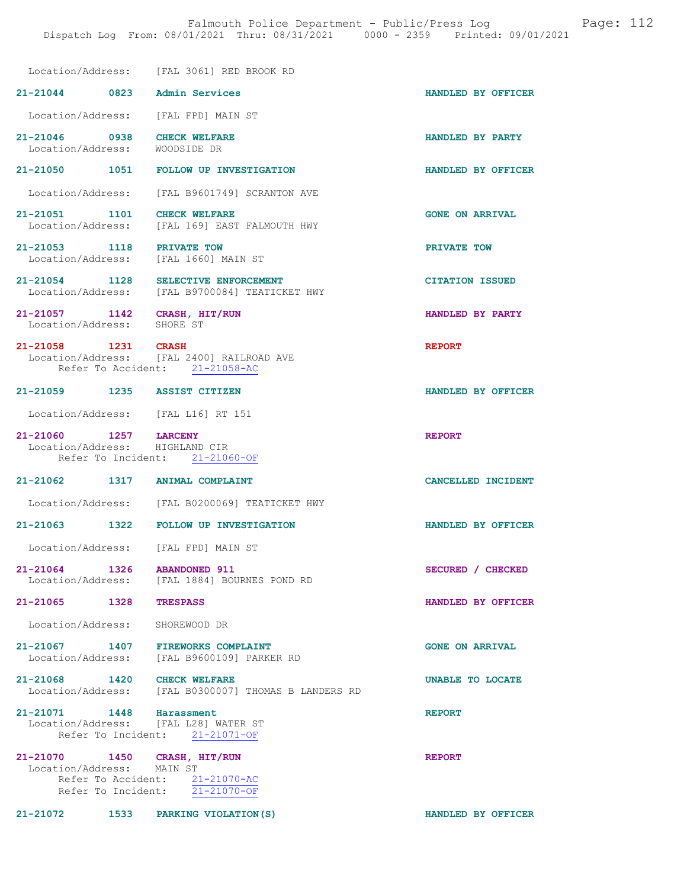|                                                           | Location/Address: [FAL 3061] RED BROOK RD                                   |                        |
|-----------------------------------------------------------|-----------------------------------------------------------------------------|------------------------|
| 21-21044 0823 Admin Services                              |                                                                             | HANDLED BY OFFICER     |
|                                                           | Location/Address: [FAL FPD] MAIN ST                                         |                        |
| 21-21046 0938<br>Location/Address:                        | <b>CHECK WELFARE</b><br>WOODSIDE DR                                         | HANDLED BY PARTY       |
|                                                           | 21-21050 1051 FOLLOW UP INVESTIGATION                                       | HANDLED BY OFFICER     |
|                                                           | Location/Address: [FAL B9601749] SCRANTON AVE                               |                        |
| 21-21051 1101 CHECK WELFARE<br>Location/Address:          | [FAL 169] EAST FALMOUTH HWY                                                 | <b>GONE ON ARRIVAL</b> |
| 21-21053 1118 PRIVATE TOW                                 | Location/Address: [FAL 1660] MAIN ST                                        | PRIVATE TOW            |
| Location/Address:                                         | 21-21054 1128 SELECTIVE ENFORCEMENT<br>[FAL B9700084] TEATICKET HWY         | <b>CITATION ISSUED</b> |
| 21-21057 1142 CRASH, HIT/RUN<br>Location/Address:         | SHORE ST                                                                    | HANDLED BY PARTY       |
| 21-21058 1231 CRASH                                       | Location/Address: [FAL 2400] RAILROAD AVE<br>Refer To Accident: 21-21058-AC | <b>REPORT</b>          |
| 21-21059 1235 ASSIST CITIZEN                              |                                                                             | HANDLED BY OFFICER     |
|                                                           | Location/Address: [FAL L16] RT 151                                          |                        |
| 21-21060 1257 LARCENY<br>Location/Address: HIGHLAND CIR   | Refer To Incident: 21-21060-OF                                              | <b>REPORT</b>          |
| 21-21062 1317 ANIMAL COMPLAINT                            |                                                                             | CANCELLED INCIDENT     |
|                                                           | Location/Address: [FAL B0200069] TEATICKET HWY                              |                        |
|                                                           | 21-21063 1322 FOLLOW UP INVESTIGATION                                       | HANDLED BY OFFICER     |
| Location/Address:                                         | [FAL FPD] MAIN ST                                                           |                        |
| 21-21064 1326 ABANDONED 911<br>Location/Address:          | [FAL 1884] BOURNES POND RD                                                  | SECURED / CHECKED      |
| 21-21065 1328 TRESPASS                                    |                                                                             | HANDLED BY OFFICER     |
| Location/Address:                                         | SHOREWOOD DR                                                                |                        |
| 21-21067 1407                                             | <b>FIREWORKS COMPLAINT</b><br>Location/Address: [FAL B9600109] PARKER RD    | <b>GONE ON ARRIVAL</b> |
| 21-21068 1420 CHECK WELFARE                               | Location/Address: [FAL B0300007] THOMAS B LANDERS RD                        | UNABLE TO LOCATE       |
| 21-21071 1448 Harassment                                  | Location/Address: [FAL L28] WATER ST<br>Refer To Incident: 21-21071-OF      | <b>REPORT</b>          |
| 21-21070 1450 CRASH, HIT/RUN<br>Location/Address: MAIN ST | Refer To Accident: 21-21070-AC<br>Refer To Incident: 21-21070-OF            | <b>REPORT</b>          |

21-21072 1533 PARKING VIOLATION(S) HANDLED BY OFFICER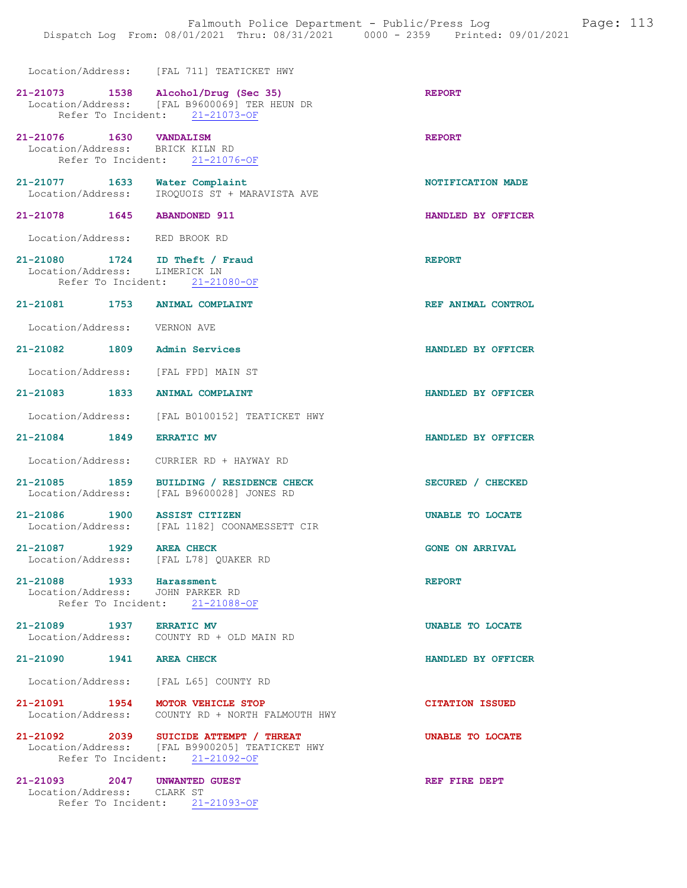Location/Address: [FAL 711] TEATICKET HWY

|                                                                   | 21-21073 1538 Alcohol/Drug (Sec 35)<br>Location/Address: [FAL B9600069] TER HEUN DR<br>Refer To Incident: 21-21073-OF      | <b>REPORT</b>          |
|-------------------------------------------------------------------|----------------------------------------------------------------------------------------------------------------------------|------------------------|
| 21-21076 1630 VANDALISM<br>Location/Address: BRICK KILN RD        | Refer To Incident: 21-21076-OF                                                                                             | <b>REPORT</b>          |
| 21-21077 1633 Water Complaint                                     | Location/Address: IROQUOIS ST + MARAVISTA AVE                                                                              | NOTIFICATION MADE      |
| 21-21078  1645  ABANDONED 911                                     |                                                                                                                            | HANDLED BY OFFICER     |
| Location/Address: RED BROOK RD                                    |                                                                                                                            |                        |
| 21-21080 1724 ID Theft / Fraud<br>Location/Address: LIMERICK LN   | Refer To Incident: 21-21080-OF                                                                                             | <b>REPORT</b>          |
| 21-21081 1753 ANIMAL COMPLAINT                                    |                                                                                                                            | REF ANIMAL CONTROL     |
| Location/Address: VERNON AVE                                      |                                                                                                                            |                        |
| 21-21082 1809 Admin Services                                      |                                                                                                                            | HANDLED BY OFFICER     |
| Location/Address: [FAL FPD] MAIN ST                               |                                                                                                                            |                        |
| 21-21083 1833 ANIMAL COMPLAINT                                    |                                                                                                                            | HANDLED BY OFFICER     |
|                                                                   | Location/Address: [FAL B0100152] TEATICKET HWY                                                                             |                        |
| 21-21084 1849 ERRATIC MV                                          |                                                                                                                            | HANDLED BY OFFICER     |
|                                                                   | Location/Address: CURRIER RD + HAYWAY RD                                                                                   |                        |
|                                                                   | 21-21085 1859 BUILDING / RESIDENCE CHECK<br>Location/Address: [FAL B9600028] JONES RD                                      | SECURED / CHECKED      |
| 21-21086 1900 ASSIST CITIZEN                                      | Location/Address: [FAL 1182] COONAMESSETT CIR                                                                              | UNABLE TO LOCATE       |
| 21-21087 1929 AREA CHECK<br>Location/Address: [FAL L78] QUAKER RD |                                                                                                                            | <b>GONE ON ARRIVAL</b> |
| 21-21088 1933 Harassment<br>Location/Address: JOHN PARKER RD      | Refer To Incident: 21-21088-OF                                                                                             | <b>REPORT</b>          |
| 21-21089 1937 ERRATIC MV                                          | Location/Address: COUNTY RD + OLD MAIN RD                                                                                  | UNABLE TO LOCATE       |
| 21-21090 1941 AREA CHECK                                          |                                                                                                                            | HANDLED BY OFFICER     |
| Location/Address: [FAL L65] COUNTY RD                             |                                                                                                                            |                        |
| 21-21091 1954 MOTOR VEHICLE STOP                                  | Location/Address: COUNTY RD + NORTH FALMOUTH HWY                                                                           | <b>CITATION ISSUED</b> |
|                                                                   | 21-21092 2039 SUICIDE ATTEMPT / THREAT<br>Location/Address: [FAL B9900205] TEATICKET HWY<br>Refer To Incident: 21-21092-OF | UNABLE TO LOCATE       |
| 21-21093 2047 UNWANTED GUEST<br>Location/Address: CLARK ST        | Refer To Incident: 21-21093-OF                                                                                             | REF FIRE DEPT          |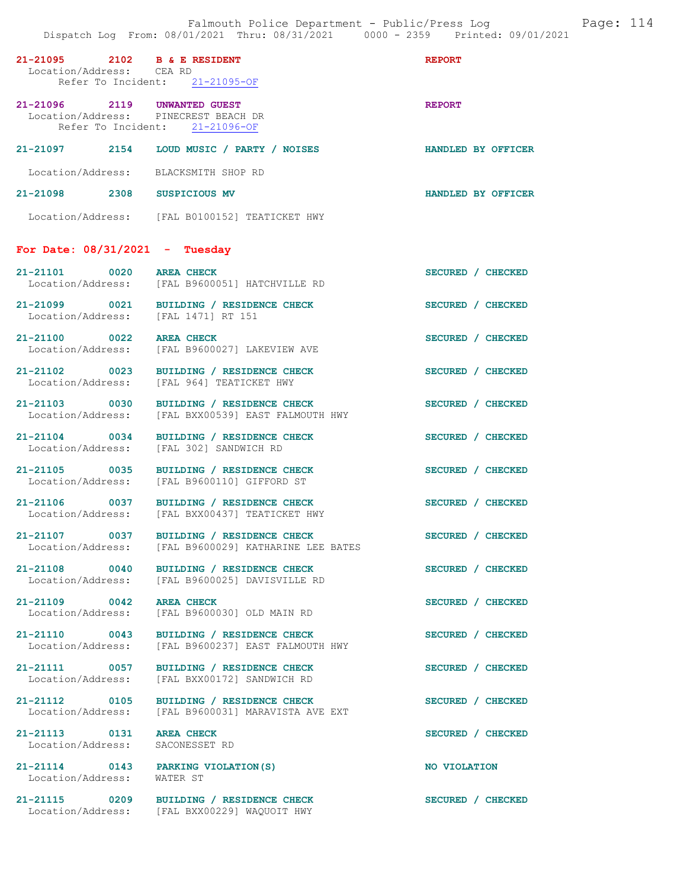| 21-21095 2102 B & E RESIDENT<br>Location/Address: CEA RD             | Refer To Incident: 21-21095-OF                                                             | <b>REPORT</b>      |
|----------------------------------------------------------------------|--------------------------------------------------------------------------------------------|--------------------|
| 21-21096 2119 UNWANTED GUEST<br>Location/Address: PINECREST BEACH DR | Refer To Incident: 21-21096-OF                                                             | <b>REPORT</b>      |
|                                                                      | 21-21097 2154 LOUD MUSIC / PARTY / NOISES                                                  | HANDLED BY OFFICER |
| Location/Address: BLACKSMITH SHOP RD                                 |                                                                                            |                    |
| 21-21098 2308 SUSPICIOUS MV                                          |                                                                                            | HANDLED BY OFFICER |
|                                                                      | Location/Address: [FAL B0100152] TEATICKET HWY                                             |                    |
| For Date: $08/31/2021$ - Tuesday                                     |                                                                                            |                    |
| 21-21101 0020 AREA CHECK<br>Location/Address:                        | [FAL B9600051] HATCHVILLE RD                                                               | SECURED / CHECKED  |
| Location/Address: [FAL 1471] RT 151                                  | 21-21099 0021 BUILDING / RESIDENCE CHECK                                                   | SECURED / CHECKED  |
|                                                                      | 21-21100 0022 AREA CHECK<br>Location/Address: [FAL B9600027] LAKEVIEW AVE                  | SECURED / CHECKED  |
| 21-21102 0023                                                        | BUILDING / RESIDENCE CHECK<br>Location/Address: [FAL 964] TEATICKET HWY                    | SECURED / CHECKED  |
| 21-21103 0030                                                        | BUILDING / RESIDENCE CHECK<br>Location/Address: [FAL BXX00539] EAST FALMOUTH HWY           | SECURED / CHECKED  |
| 21-21104 0034<br>Location/Address:                                   | BUILDING / RESIDENCE CHECK<br>[FAL 302] SANDWICH RD                                        | SECURED / CHECKED  |
| 21-21105 0035                                                        | BUILDING / RESIDENCE CHECK<br>Location/Address: [FAL B9600110] GIFFORD ST                  | SECURED / CHECKED  |
|                                                                      | 21-21106 0037 BUILDING / RESIDENCE CHECK<br>Location/Address: [FAL BXX00437] TEATICKET HWY | SECURED / CHECKED  |
| 21-21107 0037<br>Location/Address:                                   | BUILDING / RESIDENCE CHECK<br>[FAL B9600029] KATHARINE LEE BATES                           | SECURED / CHECKED  |
| 21-21108 0040                                                        | BUILDING / RESIDENCE CHECK<br>Location/Address: [FAL B9600025] DAVISVILLE RD               | SECURED / CHECKED  |
| 21-21109 0042 AREA CHECK<br>Location/Address:                        | [FAL B9600030] OLD MAIN RD                                                                 | SECURED / CHECKED  |
| 21-21110 0043                                                        | BUILDING / RESIDENCE CHECK<br>Location/Address: [FAL B9600237] EAST FALMOUTH HWY           | SECURED / CHECKED  |
| 21-21111 0057<br>Location/Address:                                   | BUILDING / RESIDENCE CHECK<br>[FAL BXX00172] SANDWICH RD                                   | SECURED / CHECKED  |
| 21-21112 0105<br>Location/Address:                                   | BUILDING / RESIDENCE CHECK<br>[FAL B9600031] MARAVISTA AVE EXT                             | SECURED / CHECKED  |
| 21-21113 0131<br>Location/Address:                                   | <b>AREA CHECK</b><br>SACONESSET RD                                                         | SECURED / CHECKED  |
| 21-21114 0143 PARKING VIOLATION (S)<br>Location/Address:             | WATER ST                                                                                   | NO VIOLATION       |
| 21-21115 0209                                                        | BUILDING / RESIDENCE CHECK<br>Location/Address: [FAL BXX00229] WAQUOIT HWY                 | SECURED / CHECKED  |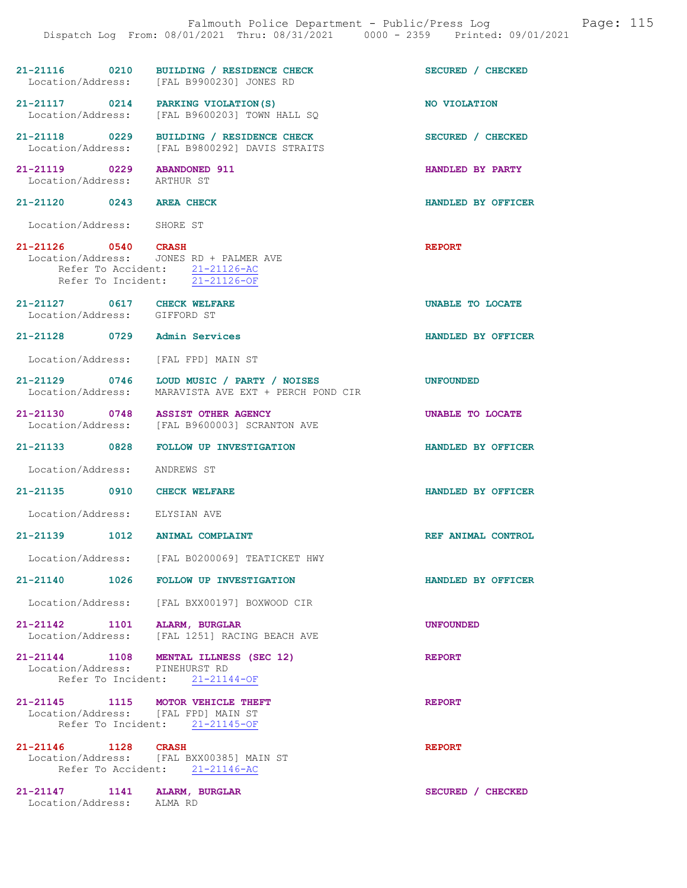| Falmouth Police Department - Public/Press Log<br>Page: 115<br>Dispatch Log From: 08/01/2021 Thru: 08/31/2021 0000 - 2359 Printed: 09/01/2021 |                                                                                                                                    |                    |  |
|----------------------------------------------------------------------------------------------------------------------------------------------|------------------------------------------------------------------------------------------------------------------------------------|--------------------|--|
|                                                                                                                                              | 21-21116 0210 BUILDING / RESIDENCE CHECK<br>Location/Address: [FAL B9900230] JONES RD                                              | SECURED / CHECKED  |  |
|                                                                                                                                              | 21-21117 0214 PARKING VIOLATION(S)<br>Location/Address: [FAL B9600203] TOWN HALL SQ                                                | NO VIOLATION       |  |
|                                                                                                                                              | 21-21118 0229 BUILDING / RESIDENCE CHECK<br>Location/Address: [FAL B9800292] DAVIS STRAITS                                         | SECURED / CHECKED  |  |
| 21-21119 0229 ABANDONED 911<br>Location/Address: ARTHUR ST                                                                                   |                                                                                                                                    | HANDLED BY PARTY   |  |
| 21-21120 0243 AREA CHECK                                                                                                                     |                                                                                                                                    | HANDLED BY OFFICER |  |
| Location/Address: SHORE ST                                                                                                                   |                                                                                                                                    |                    |  |
|                                                                                                                                              | 21-21126 0540 CRASH<br>Location/Address: JONES RD + PALMER AVE<br>Refer To Accident: 21-21126-AC<br>Refer To Incident: 21-21126-OF | <b>REPORT</b>      |  |
| 21-21127 0617 CHECK WELFARE<br>Location/Address: GIFFORD ST                                                                                  |                                                                                                                                    | UNABLE TO LOCATE   |  |
| 21-21128 0729 Admin Services                                                                                                                 |                                                                                                                                    | HANDLED BY OFFICER |  |
| Location/Address: [FAL FPD] MAIN ST                                                                                                          |                                                                                                                                    |                    |  |
|                                                                                                                                              | 21-21129 0746 LOUD MUSIC / PARTY / NOISES<br>Location/Address: MARAVISTA AVE EXT + PERCH POND CIR                                  | <b>UNFOUNDED</b>   |  |
|                                                                                                                                              | 21-21130 0748 ASSIST OTHER AGENCY<br>Location/Address: [FAL B9600003] SCRANTON AVE                                                 | UNABLE TO LOCATE   |  |
|                                                                                                                                              | 21-21133 0828 FOLLOW UP INVESTIGATION                                                                                              | HANDLED BY OFFICER |  |
| Location/Address: ANDREWS ST                                                                                                                 |                                                                                                                                    |                    |  |
| 21-21135 0910 CHECK WELFARE                                                                                                                  |                                                                                                                                    | HANDLED BY OFFICER |  |
| Location/Address: ELYSIAN AVE                                                                                                                |                                                                                                                                    |                    |  |
| $21 - 21139$                                                                                                                                 | 1012 ANIMAL COMPLAINT                                                                                                              | REF ANIMAL CONTROL |  |
|                                                                                                                                              | Location/Address: [FAL B0200069] TEATICKET HWY                                                                                     |                    |  |
|                                                                                                                                              | 21-21140 1026 FOLLOW UP INVESTIGATION                                                                                              | HANDLED BY OFFICER |  |
|                                                                                                                                              | Location/Address: [FAL BXX00197] BOXWOOD CIR                                                                                       |                    |  |
| 21-21142 1101 ALARM, BURGLAR                                                                                                                 | Location/Address: [FAL 1251] RACING BEACH AVE                                                                                      | <b>UNFOUNDED</b>   |  |
| Location/Address: PINEHURST RD                                                                                                               | 21-21144 1108 MENTAL ILLNESS (SEC 12)<br>Refer To Incident: 21-21144-OF                                                            | <b>REPORT</b>      |  |
| 21-21145 1115 MOTOR VEHICLE THEFT<br>Location/Address: [FAL FPD] MAIN ST                                                                     | Refer To Incident: 21-21145-OF                                                                                                     | <b>REPORT</b>      |  |
| 21-21146 1128 CRASH                                                                                                                          | Location/Address: [FAL BXX00385] MAIN ST<br>Refer To Accident: 21-21146-AC                                                         | <b>REPORT</b>      |  |
| 21-21147 1141 ALARM, BURGLAR<br>Location/Address: ALMA RD                                                                                    |                                                                                                                                    | SECURED / CHECKED  |  |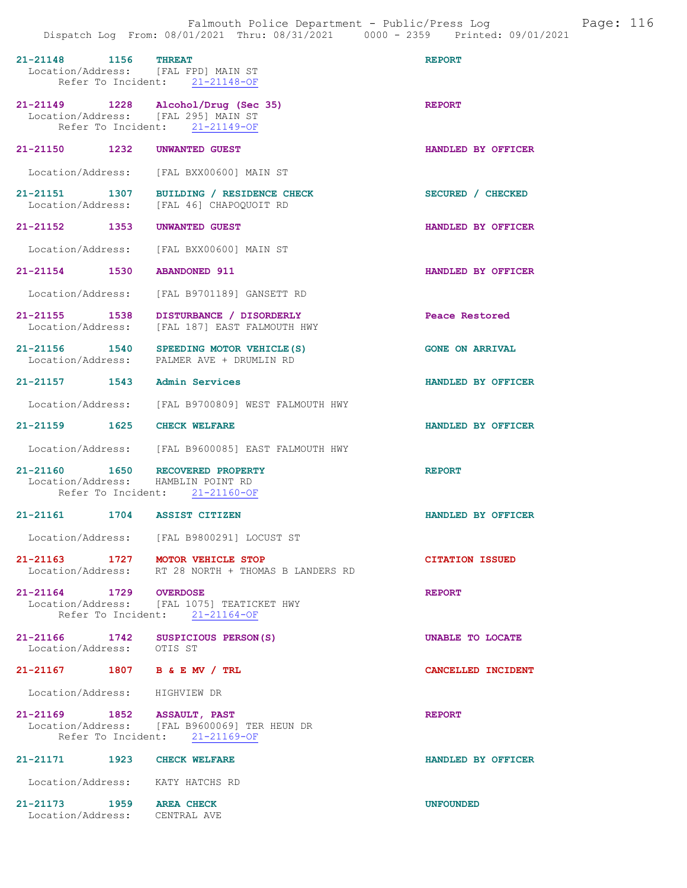| 21-21148 1156 THREAT<br>Location/Address: [FAL FPD] MAIN ST            | Refer To Incident: 21-21148-OF                                                                                | <b>REPORT</b>          |
|------------------------------------------------------------------------|---------------------------------------------------------------------------------------------------------------|------------------------|
| Location/Address: [FAL 295] MAIN ST                                    | 21-21149 1228 Alcohol/Drug (Sec 35)<br>Refer To Incident: 21-21149-OF                                         | <b>REPORT</b>          |
| 21-21150 1232                                                          | UNWANTED GUEST                                                                                                | HANDLED BY OFFICER     |
| Location/Address:                                                      | [FAL BXX00600] MAIN ST                                                                                        |                        |
| 21-21151 1307<br>Location/Address:                                     | BUILDING / RESIDENCE CHECK<br>[FAL 46] CHAPOQUOIT RD                                                          | SECURED / CHECKED      |
| 21-21152 1353                                                          | UNWANTED GUEST                                                                                                | HANDLED BY OFFICER     |
| Location/Address:                                                      | [FAL BXX00600] MAIN ST                                                                                        |                        |
| 21-21154 1530                                                          | <b>ABANDONED 911</b>                                                                                          | HANDLED BY OFFICER     |
| Location/Address:                                                      | [FAL B9701189] GANSETT RD                                                                                     |                        |
| 21-21155 1538<br>Location/Address:                                     | DISTURBANCE / DISORDERLY<br>[FAL 187] EAST FALMOUTH HWY                                                       | Peace Restored         |
| 21-21156 1540                                                          | SPEEDING MOTOR VEHICLE (S)<br>Location/Address: PALMER AVE + DRUMLIN RD                                       | <b>GONE ON ARRIVAL</b> |
| 21-21157 1543 Admin Services                                           |                                                                                                               | HANDLED BY OFFICER     |
|                                                                        | Location/Address: [FAL B9700809] WEST FALMOUTH HWY                                                            |                        |
| 21-21159 1625                                                          | <b>CHECK WELFARE</b>                                                                                          | HANDLED BY OFFICER     |
|                                                                        | Location/Address: [FAL B9600085] EAST FALMOUTH HWY                                                            |                        |
| 21-21160 1650 RECOVERED PROPERTY<br>Location/Address: HAMBLIN POINT RD | Refer To Incident: 21-21160-OF                                                                                | <b>REPORT</b>          |
| 21-21161 1704 ASSIST CITIZEN                                           |                                                                                                               | HANDLED BY OFFICER     |
|                                                                        | Location/Address: [FAL B9800291] LOCUST ST                                                                    |                        |
| 21-21163 1727 MOTOR VEHICLE STOP                                       | Location/Address: RT 28 NORTH + THOMAS B LANDERS RD                                                           | <b>CITATION ISSUED</b> |
| 21-21164 1729 OVERDOSE                                                 | Location/Address: [FAL 1075] TEATICKET HWY<br>Refer To Incident: 21-21164-OF                                  | <b>REPORT</b>          |
| 21-21166 1742 SUSPICIOUS PERSON(S)<br>Location/Address: OTIS ST        |                                                                                                               | UNABLE TO LOCATE       |
| 21-21167 1807 B & E MV / TRL                                           |                                                                                                               | CANCELLED INCIDENT     |
| Location/Address: HIGHVIEW DR                                          |                                                                                                               |                        |
|                                                                        | 21-21169 1852 ASSAULT, PAST<br>Location/Address: [FAL B9600069] TER HEUN DR<br>Refer To Incident: 21-21169-OF | <b>REPORT</b>          |
| 21-21171 1923 CHECK WELFARE                                            |                                                                                                               | HANDLED BY OFFICER     |
| Location/Address: KATY HATCHS RD                                       |                                                                                                               |                        |
| 21-21173 1959 AREA CHECK<br>Location/Address: CENTRAL AVE              |                                                                                                               | <b>UNFOUNDED</b>       |